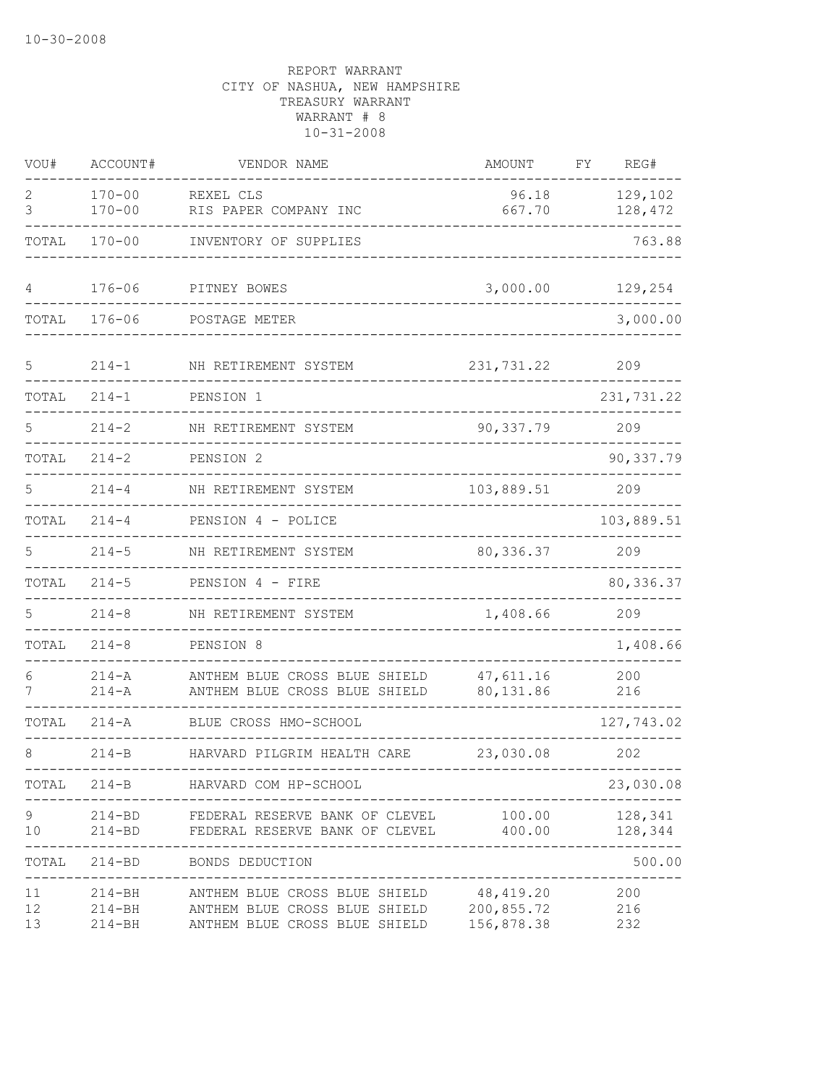| VOU#           | ACCOUNT#                               | VENDOR NAME                                                                                                | AMOUNT                  | FY | REG#               |
|----------------|----------------------------------------|------------------------------------------------------------------------------------------------------------|-------------------------|----|--------------------|
| 2<br>3         | $170 - 00$<br>$170 - 00$               | REXEL CLS<br>RIS PAPER COMPANY INC                                                                         | 96.18<br>667.70         |    | 129,102<br>128,472 |
| TOTAL          | $170 - 00$                             | INVENTORY OF SUPPLIES                                                                                      |                         |    | 763.88             |
| 4              | $176 - 06$                             | PITNEY BOWES                                                                                               | 3,000.00                |    | 129,254            |
| TOTAL          | $176 - 06$                             | POSTAGE METER                                                                                              |                         |    | 3,000.00           |
| 5              | $214 - 1$                              | NH RETIREMENT SYSTEM                                                                                       | 231,731.22              |    | 209                |
| TOTAL          | $214 - 1$                              | PENSION 1                                                                                                  |                         |    | 231,731.22         |
| 5              | $214 - 2$                              | NH RETIREMENT SYSTEM                                                                                       | 90,337.79               |    | 209                |
| TOTAL          | $214 - 2$                              | PENSION <sub>2</sub>                                                                                       |                         |    | 90,337.79          |
| 5              | $214 - 4$                              | NH RETIREMENT SYSTEM                                                                                       | 103,889.51              |    | 209                |
| TOTAL          | $214 - 4$                              | PENSION 4 - POLICE                                                                                         |                         |    | 103,889.51         |
| 5              | $214 - 5$                              | NH RETIREMENT SYSTEM                                                                                       | 80, 336.37              |    | 209                |
| TOTAL          | $214 - 5$                              | PENSION 4 - FIRE                                                                                           |                         |    | 80,336.37          |
| 5              | $214 - 8$                              | NH RETIREMENT SYSTEM                                                                                       | 1,408.66                |    | 209                |
| TOTAL          | $214 - 8$                              | PENSION 8                                                                                                  |                         |    | 1,408.66           |
| 6<br>7         | $214 - A$<br>$214 - A$                 | ANTHEM BLUE CROSS BLUE SHIELD<br>ANTHEM BLUE CROSS BLUE SHIELD                                             | 47,611.16<br>80,131.86  |    | 200<br>216         |
| TOTAL          | $214 - A$                              | BLUE CROSS HMO-SCHOOL                                                                                      |                         |    | 127,743.02         |
| 8              | $214-B$                                | HARVARD PILGRIM HEALTH CARE                                                                                | 23,030.08               |    | 202                |
| TOTAL          |                                        | 214-B HARVARD COM HP-SCHOOL                                                                                |                         |    | 23,030.08          |
| 9<br>10        | $214 - BD$                             | 214-BD FEDERAL RESERVE BANK OF CLEVEL<br>FEDERAL RESERVE BANK OF CLEVEL 400.00                             | 100.00                  |    | 128,341<br>128,344 |
| TOTAL          | $214 - BD$                             | BONDS DEDUCTION                                                                                            |                         |    | 500.00             |
| 11<br>12<br>13 | $214 - BH$<br>$214 - BH$<br>$214 - BH$ | ANTHEM BLUE CROSS BLUE SHIELD<br>ANTHEM BLUE CROSS BLUE SHIELD 200,855.72<br>ANTHEM BLUE CROSS BLUE SHIELD | 48,419.20<br>156,878.38 |    | 200<br>216<br>232  |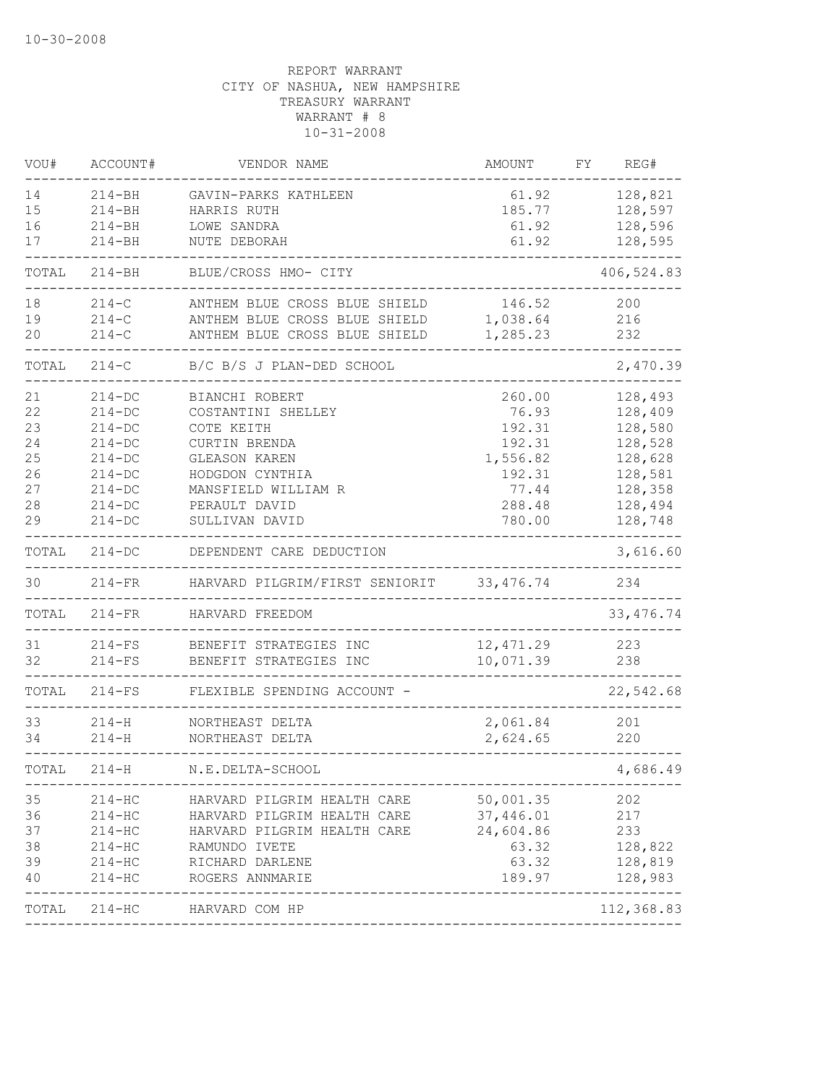| VOU#  | ACCOUNT#   | VENDOR NAME                    | AMOUNT     | FΥ | REG#                  |
|-------|------------|--------------------------------|------------|----|-----------------------|
| 14    | $214 - BH$ | GAVIN-PARKS KATHLEEN           | 61.92      |    | 128,821               |
| 15    | $214 - BH$ | HARRIS RUTH                    | 185.77     |    | 128,597               |
| 16    | $214 - BH$ | LOWE SANDRA                    | 61.92      |    | 128,596               |
| 17    | $214 - BH$ | NUTE DEBORAH                   | 61.92      |    | 128,595               |
| TOTAL | $214 - BH$ | BLUE/CROSS HMO- CITY           |            |    | 406,524.83            |
| 18    | $214-C$    | ANTHEM BLUE CROSS BLUE SHIELD  | 146.52     |    | 200                   |
| 19    | $214 - C$  | ANTHEM BLUE CROSS BLUE SHIELD  | 1,038.64   |    | 216                   |
| 20    | $214-C$    | ANTHEM BLUE CROSS BLUE SHIELD  | 1,285.23   |    | 232                   |
| TOTAL | $214-C$    | B/C B/S J PLAN-DED SCHOOL      |            |    | 2,470.39              |
| 21    | $214 - DC$ | BIANCHI ROBERT                 | 260.00     |    | 128,493               |
| 22    | $214 - DC$ | COSTANTINI SHELLEY             | 76.93      |    | 128,409               |
| 23    | $214 - DC$ | COTE KEITH                     | 192.31     |    | 128,580               |
| 24    | $214 - DC$ | <b>CURTIN BRENDA</b>           | 192.31     |    | 128,528               |
| 25    | $214 - DC$ | <b>GLEASON KAREN</b>           | 1,556.82   |    | 128,628               |
| 26    | $214 - DC$ | HODGDON CYNTHIA                | 192.31     |    | 128,581               |
| 27    | $214-DC$   | MANSFIELD WILLIAM R            | 77.44      |    | 128,358               |
| 28    | $214 - DC$ | PERAULT DAVID                  | 288.48     |    | 128,494               |
| 29    | $214-DC$   | SULLIVAN DAVID                 | 780.00     |    | 128,748               |
| TOTAL | $214-DC$   | DEPENDENT CARE DEDUCTION       |            |    | 3,616.60              |
| 30    | $214-FR$   | HARVARD PILGRIM/FIRST SENIORIT | 33, 476.74 |    | 234                   |
| TOTAL | $214-FR$   | HARVARD FREEDOM                |            |    | 33, 476.74            |
| 31    | $214-FS$   | BENEFIT STRATEGIES INC         | 12, 471.29 |    | 223                   |
| 32    | $214-FS$   | BENEFIT STRATEGIES INC         | 10,071.39  |    | 238                   |
| TOTAL | $214-FS$   | FLEXIBLE SPENDING ACCOUNT -    |            |    | 22,542.68             |
| 33    | $214-H$    | NORTHEAST DELTA                | 2,061.84   |    | 201                   |
| 34    | $214 - H$  | NORTHEAST DELTA                | 2,624.65   |    | 220                   |
| TOTAL | $214 - H$  | N.E.DELTA-SCHOOL               |            |    | 4,686.49              |
| 35    | $214 - HC$ | HARVARD PILGRIM HEALTH CARE    | 50,001.35  |    | 202                   |
| 36    | $214 - HC$ | HARVARD PILGRIM HEALTH CARE    | 37,446.01  |    | 217                   |
| 37    | $214 - HC$ | HARVARD PILGRIM HEALTH CARE    | 24,604.86  |    | 233                   |
| 38    | $214 - HC$ | RAMUNDO IVETE                  | 63.32      |    | 128,822               |
| 39    | $214 - HC$ | RICHARD DARLENE                | 63.32      |    | 128,819               |
| 40    | $214 - HC$ | ROGERS ANNMARIE                | 189.97     |    | 128,983               |
| TOTAL | $214 - HC$ | ----------<br>HARVARD COM HP   |            |    | -------<br>112,368.83 |
|       |            |                                |            |    |                       |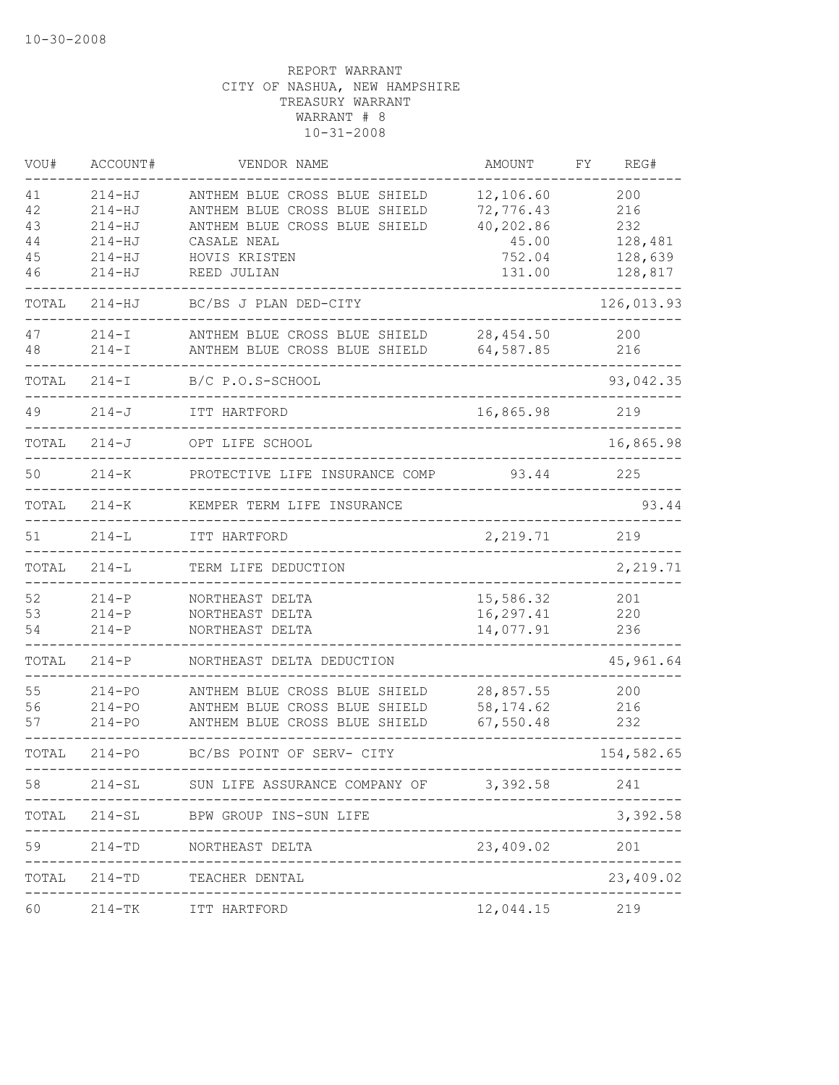| VOU#                             | ACCOUNT#                                                                         | VENDOR NAME                                                                                                                                    | AMOUNT                                                           | REG#<br>FΥ                                         |
|----------------------------------|----------------------------------------------------------------------------------|------------------------------------------------------------------------------------------------------------------------------------------------|------------------------------------------------------------------|----------------------------------------------------|
| 41<br>42<br>43<br>44<br>45<br>46 | $214 - HJ$<br>$214 - HJ$<br>$214 - HJ$<br>$214 - HJ$<br>$214 - HJ$<br>$214 - HJ$ | ANTHEM BLUE CROSS BLUE SHIELD<br>ANTHEM BLUE CROSS BLUE SHIELD<br>ANTHEM BLUE CROSS BLUE SHIELD<br>CASALE NEAL<br>HOVIS KRISTEN<br>REED JULIAN | 12,106.60<br>72,776.43<br>40,202.86<br>45.00<br>752.04<br>131.00 | 200<br>216<br>232<br>128,481<br>128,639<br>128,817 |
| TOTAL                            | $214 - HJ$                                                                       | BC/BS J PLAN DED-CITY                                                                                                                          |                                                                  | 126,013.93                                         |
| 47<br>48                         | $214 - I$<br>$214 - I$                                                           | ANTHEM BLUE CROSS BLUE SHIELD<br>ANTHEM BLUE CROSS BLUE SHIELD                                                                                 | 28, 454.50<br>64,587.85                                          | 200<br>216                                         |
| TOTAL                            | $214 - I$                                                                        | B/C P.O.S-SCHOOL                                                                                                                               |                                                                  | 93,042.35                                          |
| 49                               | $214 - J$                                                                        | ITT HARTFORD                                                                                                                                   | 16,865.98                                                        | 219                                                |
| TOTAL                            | $214 - J$                                                                        | OPT LIFE SCHOOL                                                                                                                                |                                                                  | 16,865.98                                          |
| 50                               | $214 - K$                                                                        | PROTECTIVE LIFE INSURANCE COMP                                                                                                                 | 93.44                                                            | 225                                                |
| TOTAL                            | $214 - K$                                                                        | KEMPER TERM LIFE INSURANCE                                                                                                                     |                                                                  | 93.44                                              |
| 51                               | $214-L$                                                                          | ITT HARTFORD                                                                                                                                   | 2,219.71                                                         | 219                                                |
| TOTAL                            | $214 - L$                                                                        | TERM LIFE DEDUCTION                                                                                                                            |                                                                  | 2,219.71                                           |
| 52<br>53<br>54                   | $214 - P$<br>$214-P$<br>$214 - P$                                                | NORTHEAST DELTA<br>NORTHEAST DELTA<br>NORTHEAST DELTA                                                                                          | 15,586.32<br>16,297.41<br>14,077.91                              | 201<br>220<br>236                                  |
| TOTAL                            | $214 - P$                                                                        | NORTHEAST DELTA DEDUCTION                                                                                                                      |                                                                  | 45,961.64                                          |
| 55<br>56<br>57                   | $214 - PQ$<br>$214 - PQ$<br>$214 - PQ$                                           | ANTHEM BLUE CROSS BLUE SHIELD<br>ANTHEM BLUE CROSS BLUE SHIELD<br>ANTHEM BLUE CROSS BLUE SHIELD                                                | 28,857.55<br>58, 174.62<br>67,550.48                             | 200<br>216<br>232                                  |
| TOTAL                            | $214 - PQ$                                                                       | BC/BS POINT OF SERV- CITY                                                                                                                      |                                                                  | 154,582.65                                         |
| 58                               |                                                                                  | 214-SL SUN LIFE ASSURANCE COMPANY OF                                                                                                           | 3,392.58                                                         | 241                                                |
| TOTAL                            |                                                                                  | 214-SL BPW GROUP INS-SUN LIFE                                                                                                                  |                                                                  | 3,392.58                                           |
| 59                               |                                                                                  | 214-TD NORTHEAST DELTA                                                                                                                         | 23,409.02                                                        | 201                                                |
| TOTAL                            | $214 - TD$                                                                       | TEACHER DENTAL                                                                                                                                 |                                                                  | 23,409.02                                          |
| 60                               | $214 - TK$                                                                       | ITT HARTFORD                                                                                                                                   | 12,044.15                                                        | 219                                                |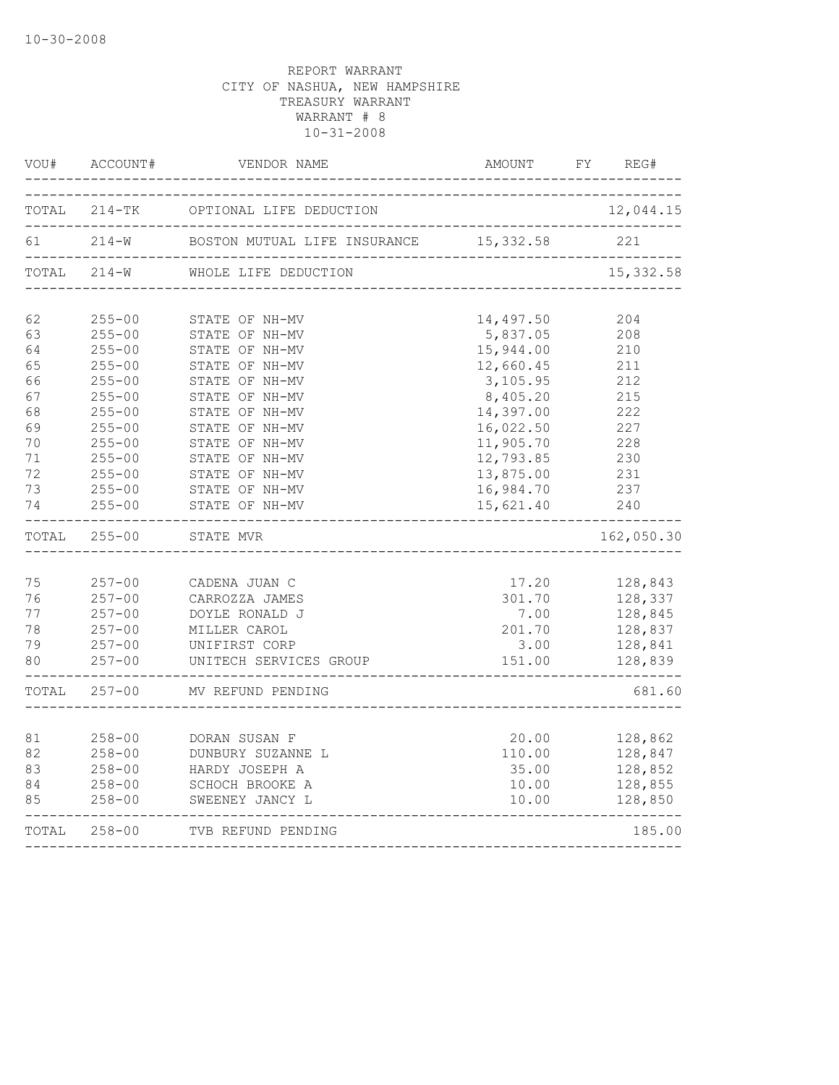| VOU#                             | ACCOUNT#                                                                         | VENDOR NAME                                                                                                  | AMOUNT                                              | FY<br>REG#                                                     |
|----------------------------------|----------------------------------------------------------------------------------|--------------------------------------------------------------------------------------------------------------|-----------------------------------------------------|----------------------------------------------------------------|
| TOTAL                            | $214 - TK$                                                                       | OPTIONAL LIFE DEDUCTION                                                                                      |                                                     | 12,044.15                                                      |
| 61                               | $214 - W$                                                                        | BOSTON MUTUAL LIFE INSURANCE                                                                                 | 15,332.58<br>------------------------------         | 221                                                            |
|                                  | TOTAL 214-W                                                                      | WHOLE LIFE DEDUCTION<br>__________________                                                                   |                                                     | 15, 332.58                                                     |
| 62<br>63                         | $255 - 00$<br>$255 - 00$                                                         | STATE OF NH-MV<br>STATE OF NH-MV                                                                             | 14,497.50<br>5,837.05                               | 204<br>208                                                     |
| 64<br>65<br>66                   | $255 - 00$<br>$255 - 00$<br>$255 - 00$                                           | STATE OF NH-MV<br>STATE OF NH-MV<br>STATE OF NH-MV                                                           | 15,944.00<br>12,660.45<br>3,105.95                  | 210<br>211<br>212                                              |
| 67<br>68<br>69<br>70             | $255 - 00$<br>$255 - 00$<br>$255 - 00$<br>$255 - 00$                             | STATE OF NH-MV<br>STATE OF NH-MV<br>STATE OF NH-MV<br>STATE OF NH-MV                                         | 8,405.20<br>14,397.00<br>16,022.50<br>11,905.70     | 215<br>222<br>227<br>228                                       |
| 71<br>72<br>73<br>74             | $255 - 00$<br>$255 - 00$<br>$255 - 00$<br>$255 - 00$                             | STATE OF NH-MV<br>STATE OF NH-MV<br>STATE OF NH-MV<br>STATE OF NH-MV                                         | 12,793.85<br>13,875.00<br>16,984.70<br>15,621.40    | 230<br>231<br>237<br>240                                       |
| TOTAL                            | $255 - 00$                                                                       | STATE MVR                                                                                                    | -----------                                         | 162,050.30                                                     |
| 75<br>76<br>77<br>78<br>79<br>80 | $257 - 00$<br>$257 - 00$<br>$257 - 00$<br>$257 - 00$<br>$257 - 00$<br>$257 - 00$ | CADENA JUAN C<br>CARROZZA JAMES<br>DOYLE RONALD J<br>MILLER CAROL<br>UNIFIRST CORP<br>UNITECH SERVICES GROUP | 17.20<br>301.70<br>7.00<br>201.70<br>3.00<br>151.00 | 128,843<br>128,337<br>128,845<br>128,837<br>128,841<br>128,839 |
| TOTAL                            | $257 - 00$                                                                       | MV REFUND PENDING                                                                                            |                                                     | 681.60                                                         |
| 81<br>82<br>83<br>84<br>85       | $258 - 00$<br>$258 - 00$<br>$258 - 00$<br>$258 - 00$<br>$258 - 00$               | DORAN SUSAN F<br>DUNBURY SUZANNE L<br>HARDY JOSEPH A<br>SCHOCH BROOKE A<br>SWEENEY JANCY L                   | 20.00<br>110.00<br>35.00<br>10.00<br>10.00          | 128,862<br>128,847<br>128,852<br>128,855<br>128,850            |
| TOTAL                            | $258 - 00$                                                                       | TVB REFUND PENDING<br>------------------                                                                     |                                                     | 185.00                                                         |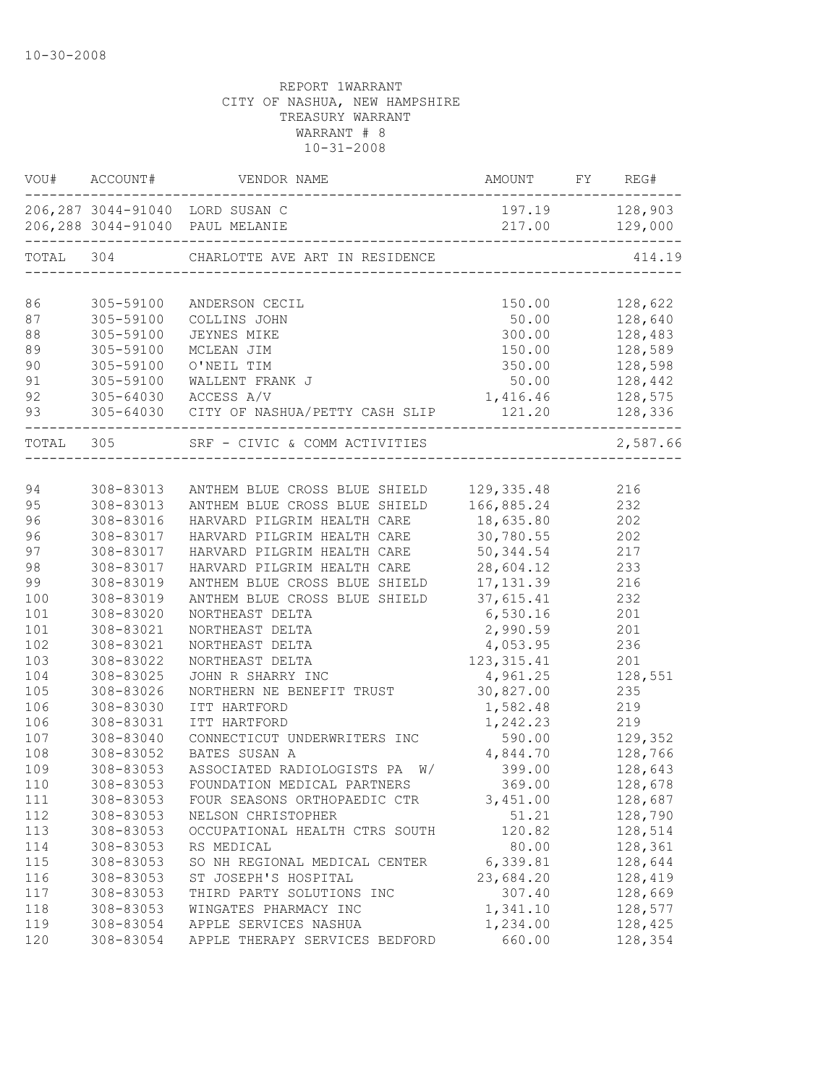| VOU#      | ACCOUNT#  | VENDOR NAME                                                        | AMOUNT FY REG#     |                                  |
|-----------|-----------|--------------------------------------------------------------------|--------------------|----------------------------------|
|           |           | 206,287 3044-91040 LORD SUSAN C<br>206,288 3044-91040 PAUL MELANIE |                    | 197.19 128,903<br>217.00 129,000 |
| TOTAL 304 |           | CHARLOTTE AVE ART IN RESIDENCE                                     |                    | 414.19                           |
| 86        | 305-59100 |                                                                    |                    | 128,622                          |
| 87        | 305-59100 | ANDERSON CECIL<br>COLLINS JOHN                                     | 150.00<br>50.00    | 128,640                          |
| 88        | 305-59100 | JEYNES MIKE                                                        | 300.00             | 128,483                          |
| 89        | 305-59100 | MCLEAN JIM                                                         | 150.00             | 128,589                          |
| 90        | 305-59100 | O'NEIL TIM                                                         | 350.00             | 128,598                          |
| 91        | 305-59100 | WALLENT FRANK J                                                    | 50.00              | 128,442                          |
| 92        | 305-64030 | ACCESS A/V                                                         |                    | 128,575                          |
| 93        |           | 305-64030 CITY OF NASHUA/PETTY CASH SLIP                           | 1,416.46<br>121.20 | 128,336                          |
| TOTAL 305 |           | SRF - CIVIC & COMM ACTIVITIES                                      |                    | $\frac{1}{2}$<br>2,587.66        |
|           |           |                                                                    |                    |                                  |
| 94        | 308-83013 | ANTHEM BLUE CROSS BLUE SHIELD                                      | 129, 335.48 216    |                                  |
| 95        | 308-83013 | ANTHEM BLUE CROSS BLUE SHIELD                                      | 166,885.24         | 232                              |
| 96        | 308-83016 | HARVARD PILGRIM HEALTH CARE                                        | 18,635.80          | 202                              |
| 96        | 308-83017 | HARVARD PILGRIM HEALTH CARE                                        | 30,780.55          | 202                              |
| 97        | 308-83017 | HARVARD PILGRIM HEALTH CARE                                        | 50, 344.54         | 217                              |
| 98        | 308-83017 | HARVARD PILGRIM HEALTH CARE                                        | 28,604.12          | 233                              |
| 99        | 308-83019 | ANTHEM BLUE CROSS BLUE SHIELD                                      | 17, 131.39         | 216                              |
| 100       | 308-83019 | ANTHEM BLUE CROSS BLUE SHIELD                                      | 37,615.41          | 232                              |
| 101       | 308-83020 | NORTHEAST DELTA                                                    | 6,530.16           | 201                              |
| 101       | 308-83021 | NORTHEAST DELTA                                                    | 2,990.59           | 201                              |
| 102       | 308-83021 | NORTHEAST DELTA                                                    | 4,053.95           | 236                              |
| 103       | 308-83022 | NORTHEAST DELTA                                                    | 123, 315.41        | 201                              |
| 104       | 308-83025 | JOHN R SHARRY INC                                                  | 4,961.25           | 128,551                          |
| 105       | 308-83026 | NORTHERN NE BENEFIT TRUST                                          | 30,827.00          | 235                              |
| 106       | 308-83030 | ITT HARTFORD                                                       | 1,582.48           | 219                              |
| 106       | 308-83031 | ITT HARTFORD                                                       | 1,242.23           | 219                              |
| 107       | 308-83040 | CONNECTICUT UNDERWRITERS INC                                       | 590.00             | 129,352                          |
| 108       | 308-83052 | BATES SUSAN A                                                      | 4,844.70           | 128,766                          |
| 109       | 308-83053 | ASSOCIATED RADIOLOGISTS PA<br>W/                                   | 399.00             | 128,643                          |
| 110       | 308-83053 | FOUNDATION MEDICAL PARTNERS                                        | 369.00             | 128,678                          |
| 111       | 308-83053 | FOUR SEASONS ORTHOPAEDIC CTR                                       | 3,451.00           | 128,687                          |
| 112       | 308-83053 | NELSON CHRISTOPHER                                                 | 51.21              | 128,790                          |
| 113       | 308-83053 | OCCUPATIONAL HEALTH CTRS SOUTH                                     | 120.82             | 128,514                          |
| 114       | 308-83053 | RS MEDICAL                                                         | 80.00              | 128,361                          |
| 115       | 308-83053 | SO NH REGIONAL MEDICAL CENTER                                      | 6,339.81           | 128,644                          |
| 116       | 308-83053 | ST JOSEPH'S HOSPITAL                                               | 23,684.20          | 128,419                          |
| 117       | 308-83053 | THIRD PARTY SOLUTIONS INC                                          | 307.40             | 128,669                          |
| 118       | 308-83053 | WINGATES PHARMACY INC                                              | 1,341.10           | 128,577                          |
| 119       | 308-83054 | APPLE SERVICES NASHUA                                              | 1,234.00           | 128,425                          |
| 120       | 308-83054 | APPLE THERAPY SERVICES BEDFORD                                     | 660.00             | 128,354                          |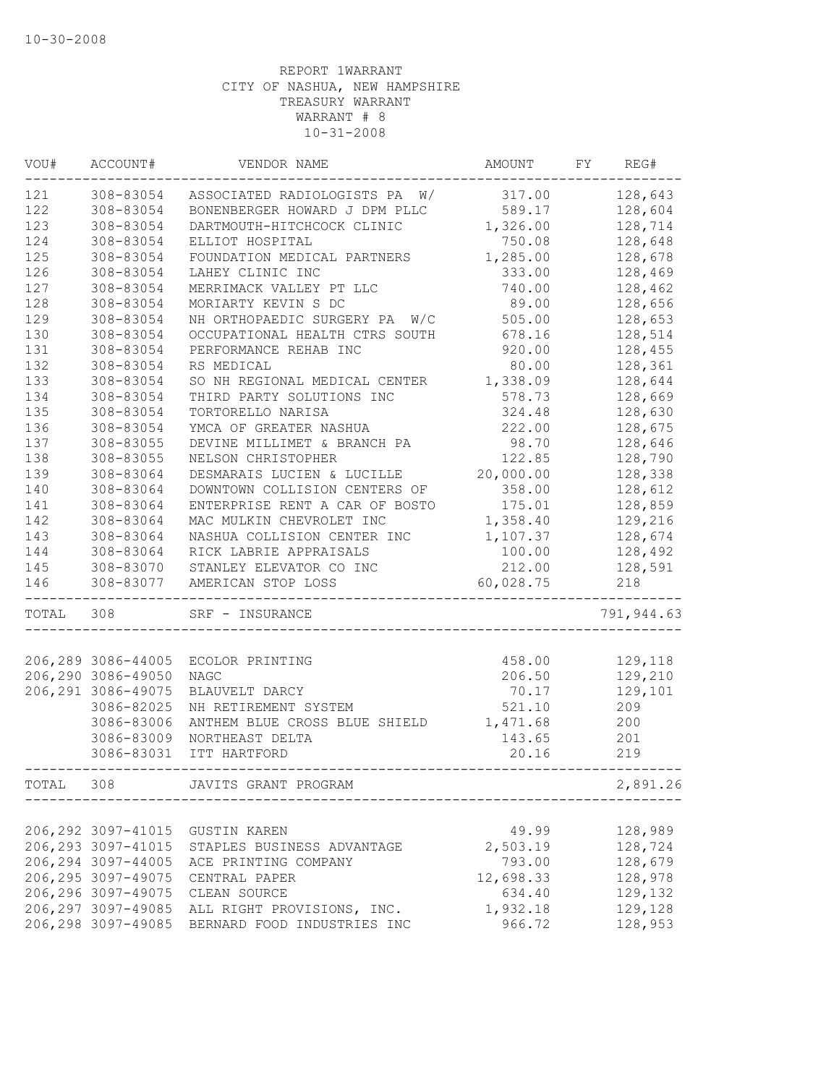| WOU#      | ACCOUNT#            | VENDOR NAME                      | AMOUNT    | FY | REG#               |
|-----------|---------------------|----------------------------------|-----------|----|--------------------|
| 121       | 308-83054           | ASSOCIATED RADIOLOGISTS PA W/    | 317.00    |    | 128,643            |
| 122       | 308-83054           | BONENBERGER HOWARD J DPM PLLC    | 589.17    |    | 128,604            |
| 123       | 308-83054           | DARTMOUTH-HITCHCOCK CLINIC       | 1,326.00  |    | 128,714            |
| 124       | 308-83054           | ELLIOT HOSPITAL                  | 750.08    |    | 128,648            |
| 125       | 308-83054           | FOUNDATION MEDICAL PARTNERS      | 1,285.00  |    | 128,678            |
| 126       | 308-83054           | LAHEY CLINIC INC                 | 333.00    |    | 128,469            |
| 127       | 308-83054           | MERRIMACK VALLEY PT LLC          | 740.00    |    | 128,462            |
| 128       | 308-83054           | MORIARTY KEVIN S DC              | 89.00     |    | 128,656            |
| 129       | 308-83054           | NH ORTHOPAEDIC SURGERY PA<br>W/C | 505.00    |    | 128,653            |
| 130       | 308-83054           | OCCUPATIONAL HEALTH CTRS SOUTH   | 678.16    |    | 128,514            |
| 131       | 308-83054           | PERFORMANCE REHAB INC            | 920.00    |    | 128,455            |
| 132       | 308-83054           | RS MEDICAL                       | 80.00     |    | 128,361            |
| 133       | 308-83054           | SO NH REGIONAL MEDICAL CENTER    | 1,338.09  |    | 128,644            |
| 134       | 308-83054           | THIRD PARTY SOLUTIONS INC        | 578.73    |    | 128,669            |
| 135       | 308-83054           | TORTORELLO NARISA                | 324.48    |    | 128,630            |
| 136       | 308-83054           | YMCA OF GREATER NASHUA           | 222.00    |    | 128,675            |
| 137       | 308-83055           | DEVINE MILLIMET & BRANCH PA      | 98.70     |    | 128,646            |
| 138       | 308-83055           | NELSON CHRISTOPHER               | 122.85    |    | 128,790            |
| 139       | 308-83064           | DESMARAIS LUCIEN & LUCILLE       | 20,000.00 |    | 128,338            |
| 140       | 308-83064           | DOWNTOWN COLLISION CENTERS OF    | 358.00    |    | 128,612            |
| 141       | 308-83064           | ENTERPRISE RENT A CAR OF BOSTO   | 175.01    |    | 128,859            |
| 142       | 308-83064           | MAC MULKIN CHEVROLET INC         | 1,358.40  |    | 129,216            |
| 143       | 308-83064           | NASHUA COLLISION CENTER INC      | 1,107.37  |    | 128,674            |
| 144       | 308-83064           | RICK LABRIE APPRAISALS           | 100.00    |    | 128,492            |
| 145       | 308-83070           | STANLEY ELEVATOR CO INC          | 212.00    |    | 128,591            |
| 146       | 308-83077           | AMERICAN STOP LOSS               | 60,028.75 |    | 218                |
| TOTAL 308 |                     | SRF - INSURANCE                  |           |    | 791,944.63         |
|           |                     |                                  |           |    |                    |
|           | 206,289 3086-44005  | ECOLOR PRINTING                  | 458.00    |    | 129,118            |
|           | 206,290 3086-49050  | <b>NAGC</b>                      | 206.50    |    | 129,210            |
|           | 206, 291 3086-49075 | BLAUVELT DARCY                   | 70.17     |    | 129,101            |
|           | 3086-82025          | NH RETIREMENT SYSTEM             | 521.10    |    | 209                |
|           | 3086-83006          | ANTHEM BLUE CROSS BLUE SHIELD    | 1,471.68  |    | 200                |
|           | 3086-83009          | NORTHEAST DELTA                  | 143.65    |    | 201                |
|           | 3086-83031          | ITT HARTFORD                     | 20.16     |    | 219                |
| TOTAL     | 308                 | JAVITS GRANT PROGRAM             |           |    | 2,891.26           |
|           |                     |                                  |           |    |                    |
|           | 206, 292 3097-41015 | GUSTIN KAREN                     | 49.99     |    | 128,989            |
|           | 206, 293 3097-41015 | STAPLES BUSINESS ADVANTAGE       | 2,503.19  |    | 128,724            |
|           | 206, 294 3097-44005 | ACE PRINTING COMPANY             | 793.00    |    | 128,679            |
|           | 206, 295 3097-49075 | CENTRAL PAPER                    | 12,698.33 |    | 128,978            |
|           | 206,296 3097-49075  | CLEAN SOURCE                     | 634.40    |    | 129,132<br>129,128 |
|           | 206,297 3097-49085  | ALL RIGHT PROVISIONS, INC.       | 1,932.18  |    |                    |
|           | 206,298 3097-49085  | BERNARD FOOD INDUSTRIES INC      | 966.72    |    | 128,953            |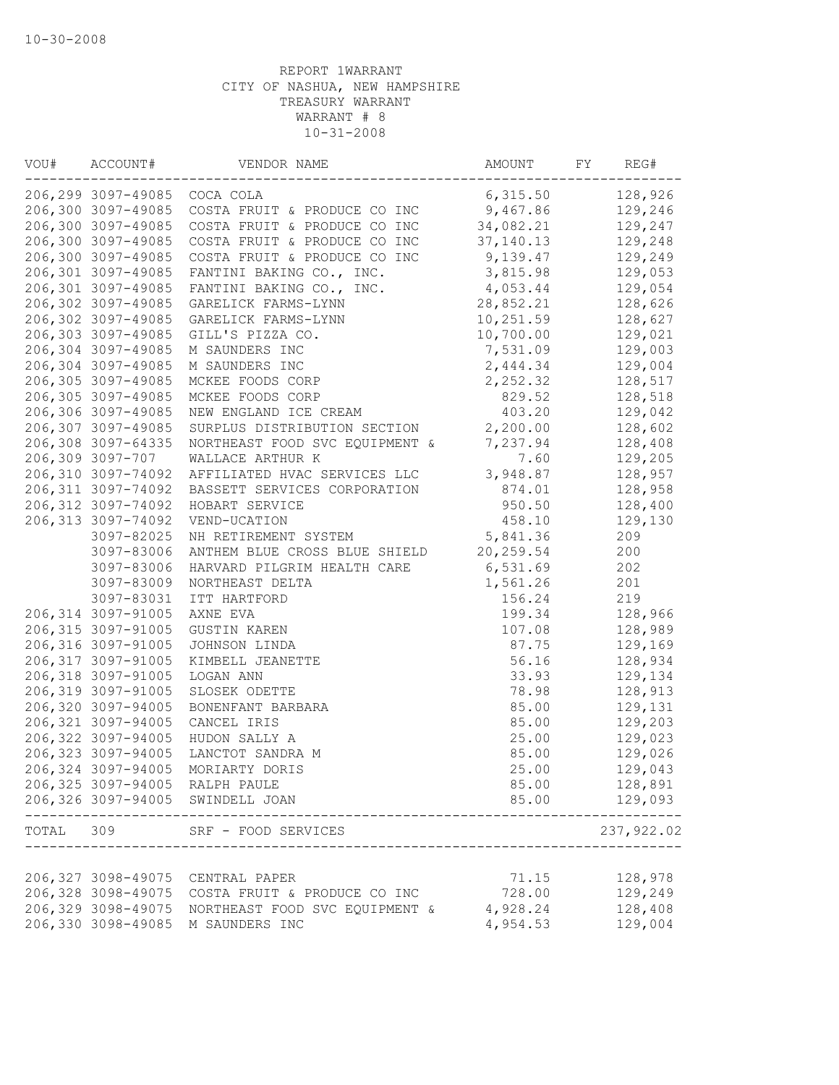| VOU# | ACCOUNT#                     | VENDOR NAME                                  | AMOUNT     | FY | REG#               |
|------|------------------------------|----------------------------------------------|------------|----|--------------------|
|      | 206,299 3097-49085 COCA COLA |                                              | 6,315.50   |    | 128,926            |
|      | 206,300 3097-49085           | COSTA FRUIT & PRODUCE CO INC                 | 9,467.86   |    | 129,246            |
|      | 206,300 3097-49085           | COSTA FRUIT & PRODUCE CO INC                 | 34,082.21  |    | 129,247            |
|      | 206,300 3097-49085           | COSTA FRUIT & PRODUCE CO INC                 | 37, 140.13 |    | 129,248            |
|      | 206,300 3097-49085           | COSTA FRUIT & PRODUCE CO INC                 | 9,139.47   |    | 129,249            |
|      | 206,301 3097-49085           | FANTINI BAKING CO., INC.                     | 3,815.98   |    | 129,053            |
|      | 206,301 3097-49085           | FANTINI BAKING CO., INC.                     | 4,053.44   |    | 129,054            |
|      | 206,302 3097-49085           | GARELICK FARMS-LYNN                          | 28,852.21  |    | 128,626            |
|      | 206,302 3097-49085           | GARELICK FARMS-LYNN                          | 10,251.59  |    | 128,627            |
|      | 206,303 3097-49085           | GILL'S PIZZA CO.                             | 10,700.00  |    | 129,021            |
|      | 206,304 3097-49085           | M SAUNDERS INC                               | 7,531.09   |    | 129,003            |
|      | 206,304 3097-49085           | M SAUNDERS INC                               | 2,444.34   |    | 129,004            |
|      | 206,305 3097-49085           | MCKEE FOODS CORP                             | 2,252.32   |    | 128,517            |
|      | 206,305 3097-49085           | MCKEE FOODS CORP                             | 829.52     |    | 128,518            |
|      | 206,306 3097-49085           | NEW ENGLAND ICE CREAM                        | 403.20     |    | 129,042            |
|      | 206,307 3097-49085           | SURPLUS DISTRIBUTION SECTION                 | 2,200.00   |    | 128,602            |
|      | 206,308 3097-64335           | NORTHEAST FOOD SVC EQUIPMENT &               | 7,237.94   |    | 128,408            |
|      | 206,309 3097-707             | WALLACE ARTHUR K                             | 7.60       |    | 129,205            |
|      | 206,310 3097-74092           | AFFILIATED HVAC SERVICES LLC                 | 3,948.87   |    | 128,957            |
|      | 206,311 3097-74092           | BASSETT SERVICES CORPORATION                 | 874.01     |    | 128,958            |
|      | 206,312 3097-74092           | HOBART SERVICE                               | 950.50     |    | 128,400            |
|      | 206,313 3097-74092           | VEND-UCATION                                 | 458.10     |    | 129,130            |
|      | 3097-82025                   | NH RETIREMENT SYSTEM                         | 5,841.36   |    | 209                |
|      | 3097-83006                   | ANTHEM BLUE CROSS BLUE SHIELD                | 20, 259.54 |    | 200                |
|      | 3097-83006                   | HARVARD PILGRIM HEALTH CARE                  | 6,531.69   |    | 202                |
|      | 3097-83009                   | NORTHEAST DELTA                              | 1,561.26   |    | 201                |
|      | 3097-83031                   | ITT HARTFORD                                 | 156.24     |    | 219                |
|      | 206,314 3097-91005           | AXNE EVA                                     | 199.34     |    | 128,966            |
|      | 206,315 3097-91005           | <b>GUSTIN KAREN</b>                          | 107.08     |    | 128,989            |
|      |                              |                                              |            |    |                    |
|      | 206,316 3097-91005           | JOHNSON LINDA                                | 87.75      |    | 129,169            |
|      | 206,317 3097-91005           | KIMBELL JEANETTE                             | 56.16      |    | 128,934            |
|      | 206,318 3097-91005           | LOGAN ANN                                    | 33.93      |    | 129,134            |
|      | 206,319 3097-91005           | SLOSEK ODETTE                                | 78.98      |    | 128,913            |
|      | 206,320 3097-94005           | BONENFANT BARBARA                            | 85.00      |    | 129,131            |
|      | 206,321 3097-94005           | CANCEL IRIS                                  | 85.00      |    | 129,203            |
|      | 206,322 3097-94005           | HUDON SALLY A                                | 25.00      |    | 129,023            |
|      | 206,323 3097-94005           | LANCTOT SANDRA M                             | 85.00      |    | 129,026            |
|      | 206,324 3097-94005           | MORIARTY DORIS                               | 25.00      |    | 129,043            |
|      |                              | 206,325 3097-94005 RALPH PAULE               | 85.00      |    | 128,891            |
|      |                              | 206,326 3097-94005 SWINDELL JOAN             | 85.00      |    | 129,093<br>------- |
|      | TOTAL 309                    | SRF - FOOD SERVICES<br>--------------------- |            |    | 237,922.02         |
|      |                              |                                              |            |    |                    |
|      | 206,327 3098-49075           | CENTRAL PAPER                                | 71.15      |    | 128,978            |
|      | 206,328 3098-49075           | COSTA FRUIT & PRODUCE CO INC                 | 728.00     |    | 129,249            |
|      | 206,329 3098-49075           | NORTHEAST FOOD SVC EQUIPMENT &               | 4,928.24   |    | 128,408            |
|      | 206,330 3098-49085           | M SAUNDERS INC                               | 4,954.53   |    | 129,004            |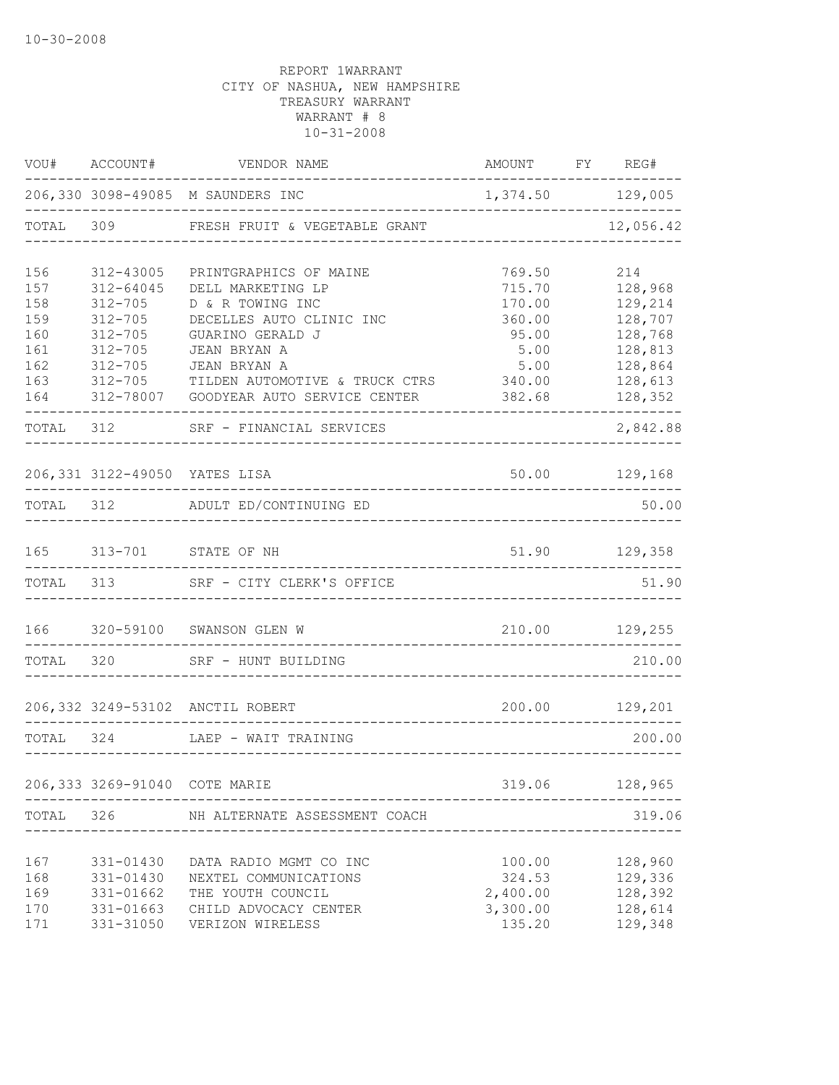|            |                               | $\verb VOU#    ACCOUNT#     VENDOR  NAME}$                    | AMOUNT FY REG#   |                    |
|------------|-------------------------------|---------------------------------------------------------------|------------------|--------------------|
|            |                               | 206,330 3098-49085 M SAUNDERS INC<br>------------------------ | 1,374.50 129,005 |                    |
|            |                               | TOTAL 309 FRESH FRUIT & VEGETABLE GRANT                       |                  | 12,056.42          |
| 156        | 312-43005                     | PRINTGRAPHICS OF MAINE                                        | 769.50           | 214                |
| 157        | $312 - 64045$                 | DELL MARKETING LP                                             | 715.70           | 128,968            |
| 158        | $312 - 705$                   | D & R TOWING INC                                              | 170.00           | 129,214            |
| 159<br>160 | $312 - 705$<br>$312 - 705$    | DECELLES AUTO CLINIC INC<br>GUARINO GERALD J                  | 360.00<br>95.00  | 128,707<br>128,768 |
| 161        | $312 - 705$                   | JEAN BRYAN A                                                  | 5.00             | 128,813            |
| 162        | $312 - 705$                   | JEAN BRYAN A                                                  | 5.00             | 128,864            |
| 163        | $312 - 705$                   | TILDEN AUTOMOTIVE & TRUCK CTRS 340.00                         |                  | 128,613            |
| 164        |                               | 312-78007 GOODYEAR AUTO SERVICE CENTER                        | 382.68           | 128,352            |
|            |                               | TOTAL 312 SRF - FINANCIAL SERVICES                            |                  | 2,842.88           |
|            |                               | 206,331 3122-49050 YATES LISA                                 |                  | 50.00 129,168      |
|            |                               | TOTAL 312 ADULT ED/CONTINUING ED                              |                  | 50.00              |
|            |                               | 165 313-701 STATE OF NH                                       | 51.90            | 129,358            |
|            | TOTAL 313                     | SRF - CITY CLERK'S OFFICE                                     |                  | 51.90              |
|            |                               | 166 320-59100 SWANSON GLEN W                                  | 210.00 129,255   |                    |
|            |                               | TOTAL 320 SRF - HUNT BUILDING                                 |                  | 210.00             |
|            |                               | 206,332 3249-53102 ANCTIL ROBERT                              |                  | 200.00 129,201     |
| TOTAL 324  |                               | LAEP - WAIT TRAINING                                          |                  | 200.00             |
|            | 206,333 3269-91040 COTE MARIE |                                                               | 319.06           | 128,965            |
|            |                               |                                                               |                  |                    |
| TOTAL      | 326                           | NH ALTERNATE ASSESSMENT COACH                                 |                  | 319.06             |
| 167        | 331-01430                     | DATA RADIO MGMT CO INC                                        | 100.00           | 128,960            |
| 168        | 331-01430                     | NEXTEL COMMUNICATIONS                                         | 324.53           | 129,336            |
| 169        | 331-01662                     | THE YOUTH COUNCIL                                             | 2,400.00         | 128,392            |
| 170        | 331-01663                     | CHILD ADVOCACY CENTER                                         | 3,300.00         | 128,614            |
| 171        | 331-31050                     | VERIZON WIRELESS                                              | 135.20           | 129,348            |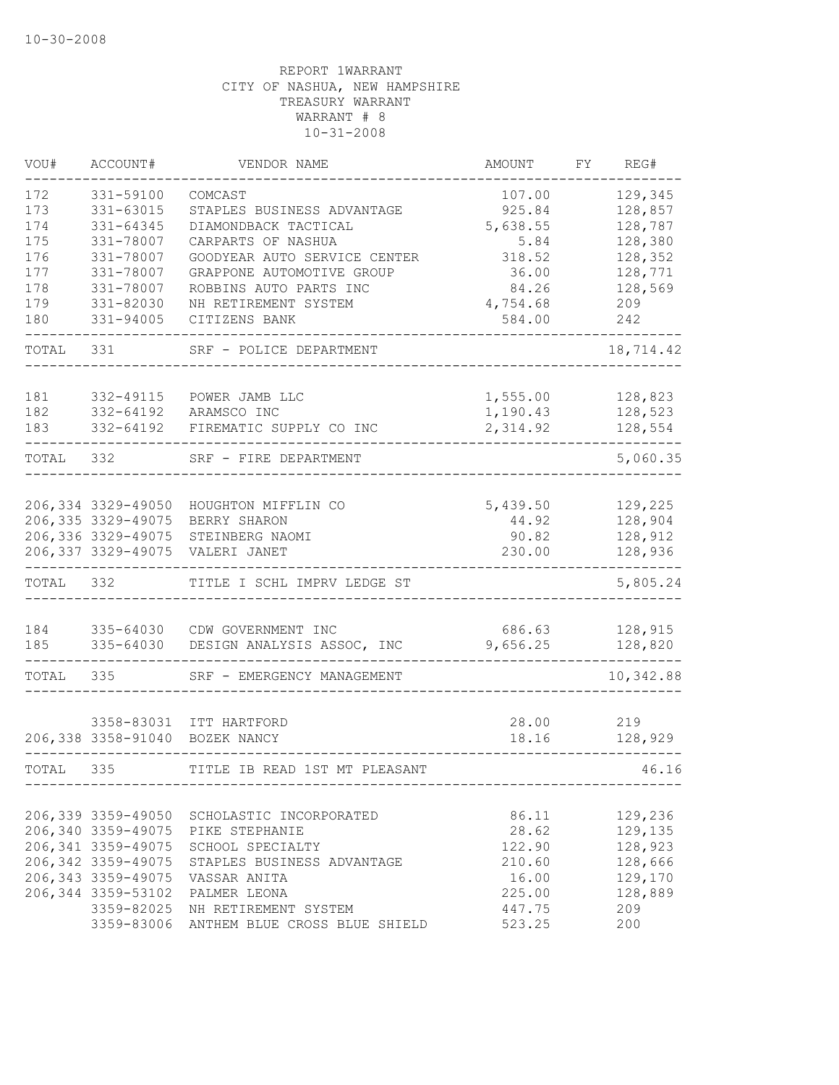| VOU#  | ACCOUNT#               | VENDOR NAME                   | AMOUNT   | FY | REG#      |
|-------|------------------------|-------------------------------|----------|----|-----------|
| 172   | 331-59100              | COMCAST                       | 107.00   |    | 129,345   |
| 173   | 331-63015              | STAPLES BUSINESS ADVANTAGE    | 925.84   |    | 128,857   |
| 174   | 331-64345              | DIAMONDBACK TACTICAL          | 5,638.55 |    | 128,787   |
| 175   | 331-78007              | CARPARTS OF NASHUA            | 5.84     |    | 128,380   |
| 176   | 331-78007              | GOODYEAR AUTO SERVICE CENTER  | 318.52   |    | 128,352   |
| 177   | 331-78007              | GRAPPONE AUTOMOTIVE GROUP     | 36.00    |    | 128,771   |
| 178   | 331-78007              | ROBBINS AUTO PARTS INC        | 84.26    |    | 128,569   |
| 179   | 331-82030              | NH RETIREMENT SYSTEM          | 4,754.68 |    | 209       |
| 180   | 331-94005              | CITIZENS BANK                 | 584.00   |    | 242       |
| TOTAL | 331                    | SRF - POLICE DEPARTMENT       |          |    | 18,714.42 |
|       |                        |                               |          |    |           |
| 181   | 332-49115              | POWER JAMB LLC                | 1,555.00 |    | 128,823   |
| 182   | 332-64192<br>332-64192 | ARAMSCO INC                   | 1,190.43 |    | 128,523   |
| 183   |                        | FIREMATIC SUPPLY CO INC       | 2,314.92 |    | 128,554   |
| TOTAL | 332                    | SRF - FIRE DEPARTMENT         |          |    | 5,060.35  |
|       |                        |                               |          |    |           |
|       | 206,334 3329-49050     | HOUGHTON MIFFLIN CO           | 5,439.50 |    | 129,225   |
|       | 206, 335 3329-49075    | BERRY SHARON                  | 44.92    |    | 128,904   |
|       | 206,336 3329-49075     | STEINBERG NAOMI               | 90.82    |    | 128,912   |
|       | 206, 337 3329-49075    | VALERI JANET                  | 230.00   |    | 128,936   |
| TOTAL | 332                    | TITLE I SCHL IMPRV LEDGE ST   |          |    | 5,805.24  |
|       |                        |                               |          |    |           |
| 184   | 335-64030              | CDW GOVERNMENT INC            | 686.63   |    | 128,915   |
| 185   | 335-64030              | DESIGN ANALYSIS ASSOC, INC    | 9,656.25 |    | 128,820   |
| TOTAL | 335                    | SRF - EMERGENCY MANAGEMENT    |          |    | 10,342.88 |
|       |                        |                               |          |    |           |
|       | 3358-83031             | ITT HARTFORD                  | 28.00    |    | 219       |
|       | 206,338 3358-91040     | BOZEK NANCY                   | 18.16    |    | 128,929   |
| TOTAL | 335                    | TITLE IB READ 1ST MT PLEASANT |          |    | 46.16     |
|       |                        |                               |          |    |           |
|       | 206,339 3359-49050     | SCHOLASTIC INCORPORATED       | 86.11    |    | 129,236   |
|       | 206,340 3359-49075     | PIKE STEPHANIE                | 28.62    |    | 129,135   |
|       | 206, 341 3359-49075    | SCHOOL SPECIALTY              | 122.90   |    | 128,923   |
|       | 206, 342 3359-49075    | STAPLES BUSINESS ADVANTAGE    | 210.60   |    | 128,666   |
|       | 206, 343 3359-49075    | VASSAR ANITA                  | 16.00    |    | 129,170   |
|       | 206, 344 3359-53102    | PALMER LEONA                  | 225.00   |    | 128,889   |
|       | 3359-82025             | NH RETIREMENT SYSTEM          | 447.75   |    | 209       |
|       | 3359-83006             | ANTHEM BLUE CROSS BLUE SHIELD | 523.25   |    | 200       |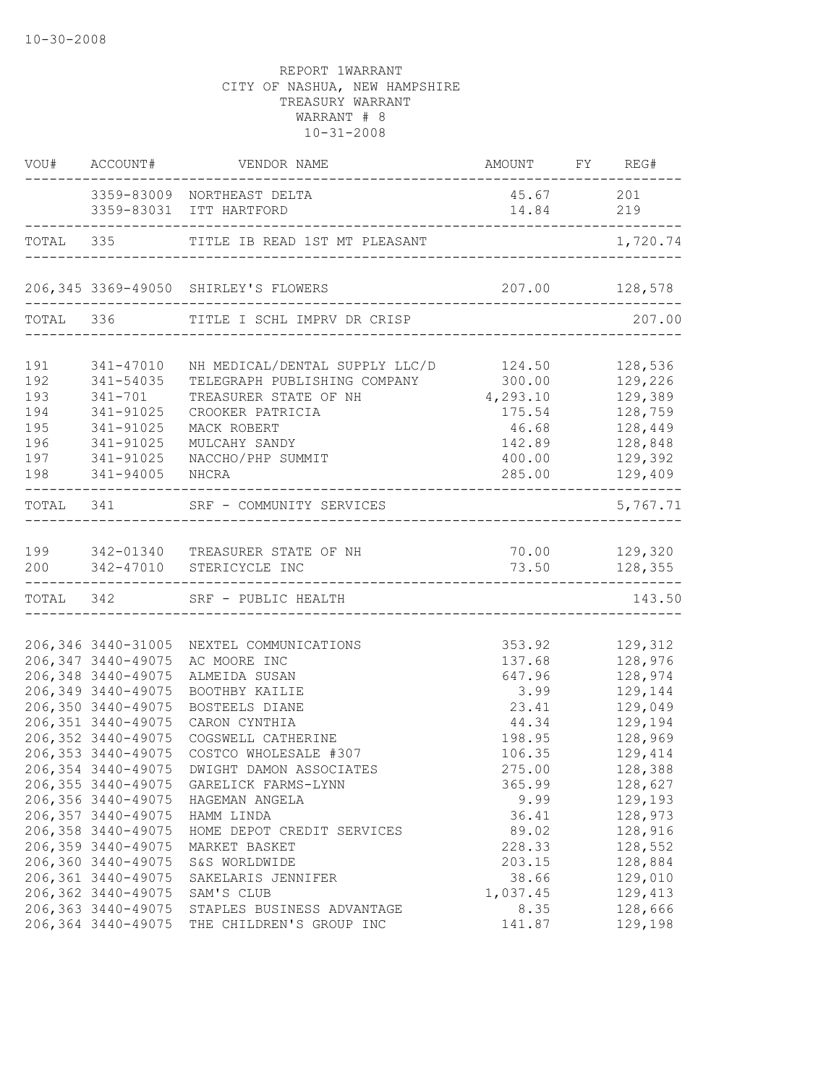|                                                      | VOU# ACCOUNT#                                                                                                                                                                                                                                      | VENDOR NAME                                                                                                                                                                                                                                                                                                      | AMOUNT FY REG#                                                                                                         | . _ _ _ _ _ _ _ _         |                                                                                                                                             |
|------------------------------------------------------|----------------------------------------------------------------------------------------------------------------------------------------------------------------------------------------------------------------------------------------------------|------------------------------------------------------------------------------------------------------------------------------------------------------------------------------------------------------------------------------------------------------------------------------------------------------------------|------------------------------------------------------------------------------------------------------------------------|---------------------------|---------------------------------------------------------------------------------------------------------------------------------------------|
|                                                      |                                                                                                                                                                                                                                                    | 3359-83009 NORTHEAST DELTA<br>3359-83031 ITT HARTFORD                                                                                                                                                                                                                                                            | 45.67 201<br>14.84 219                                                                                                 |                           |                                                                                                                                             |
|                                                      | -------------------------                                                                                                                                                                                                                          | _______________________<br>TOTAL 335 TITLE IB READ 1ST MT PLEASANT                                                                                                                                                                                                                                               | _____________________________________                                                                                  | . _ _ _ _ _ _ _ _ _ _ _ _ | 1,720.74                                                                                                                                    |
|                                                      |                                                                                                                                                                                                                                                    | 206,345 3369-49050 SHIRLEY'S FLOWERS                                                                                                                                                                                                                                                                             |                                                                                                                        |                           |                                                                                                                                             |
|                                                      |                                                                                                                                                                                                                                                    | TOTAL 336 TITLE I SCHL IMPRV DR CRISP                                                                                                                                                                                                                                                                            |                                                                                                                        |                           | 207.00                                                                                                                                      |
| 191<br>192<br>193<br>194<br>195<br>196<br>197<br>198 | 341-47010<br>341-54035<br>341-701<br>341-91025<br>341-91025<br>341-91025<br>341-91025<br>341-94005                                                                                                                                                 | NH MEDICAL/DENTAL SUPPLY LLC/D 124.50<br>TELEGRAPH PUBLISHING COMPANY<br>TREASURER STATE OF NH<br>CROOKER PATRICIA<br>MACK ROBERT<br>MULCAHY SANDY<br>NACCHO/PHP SUMMIT<br>NHCRA                                                                                                                                 | 300.00<br>4,293.10<br>175.54<br>46.68<br>142.89<br>400.00<br>285.00                                                    |                           | 128,536<br>129,226<br>129,389<br>128,759<br>128,449<br>128,848<br>129,392<br>129,409                                                        |
|                                                      |                                                                                                                                                                                                                                                    | TOTAL 341 SRF - COMMUNITY SERVICES<br>_____________________                                                                                                                                                                                                                                                      |                                                                                                                        |                           | 5,767.71                                                                                                                                    |
|                                                      |                                                                                                                                                                                                                                                    | 199 342-01340 TREASURER STATE OF NH<br>200 342-47010 STERICYCLE INC                                                                                                                                                                                                                                              |                                                                                                                        |                           | 73.50 128,355                                                                                                                               |
|                                                      |                                                                                                                                                                                                                                                    | TOTAL 342 SRF - PUBLIC HEALTH                                                                                                                                                                                                                                                                                    |                                                                                                                        |                           | 143.50                                                                                                                                      |
|                                                      | 206,346 3440-31005<br>206, 347 3440-49075<br>206,348 3440-49075<br>206,349 3440-49075<br>206,350 3440-49075<br>206,351 3440-49075<br>206, 352 3440-49075<br>206, 353 3440-49075<br>206,356 3440-49075<br>206, 357 3440-49075<br>206,358 3440-49075 | NEXTEL COMMUNICATIONS<br>AC MOORE INC<br>ALMEIDA SUSAN<br>BOOTHBY KAILIE<br>BOSTEELS DIANE<br>CARON CYNTHIA<br>COGSWELL CATHERINE<br>COSTCO WHOLESALE #307<br>206,354 3440-49075 DWIGHT DAMON ASSOCIATES<br>206,355 3440-49075 GARELICK FARMS-LYNN<br>HAGEMAN ANGELA<br>HAMM LINDA<br>HOME DEPOT CREDIT SERVICES | 353.92<br>137.68<br>647.96<br>3.99<br>23.41<br>44.34<br>198.95<br>106.35<br>275.00<br>365.99<br>9.99<br>36.41<br>89.02 |                           | 129,312<br>128,976<br>128,974<br>129,144<br>129,049<br>129,194<br>128,969<br>129,414<br>128,388<br>128,627<br>129,193<br>128,973<br>128,916 |
|                                                      | 206,359 3440-49075<br>206,360 3440-49075<br>206,361 3440-49075<br>206,362 3440-49075<br>206, 363 3440-49075<br>206,364 3440-49075                                                                                                                  | MARKET BASKET<br>S&S WORLDWIDE<br>SAKELARIS JENNIFER<br>SAM'S CLUB<br>STAPLES BUSINESS ADVANTAGE<br>THE CHILDREN'S GROUP INC                                                                                                                                                                                     | 228.33<br>203.15<br>38.66<br>1,037.45<br>8.35<br>141.87                                                                |                           | 128,552<br>128,884<br>129,010<br>129,413<br>128,666<br>129,198                                                                              |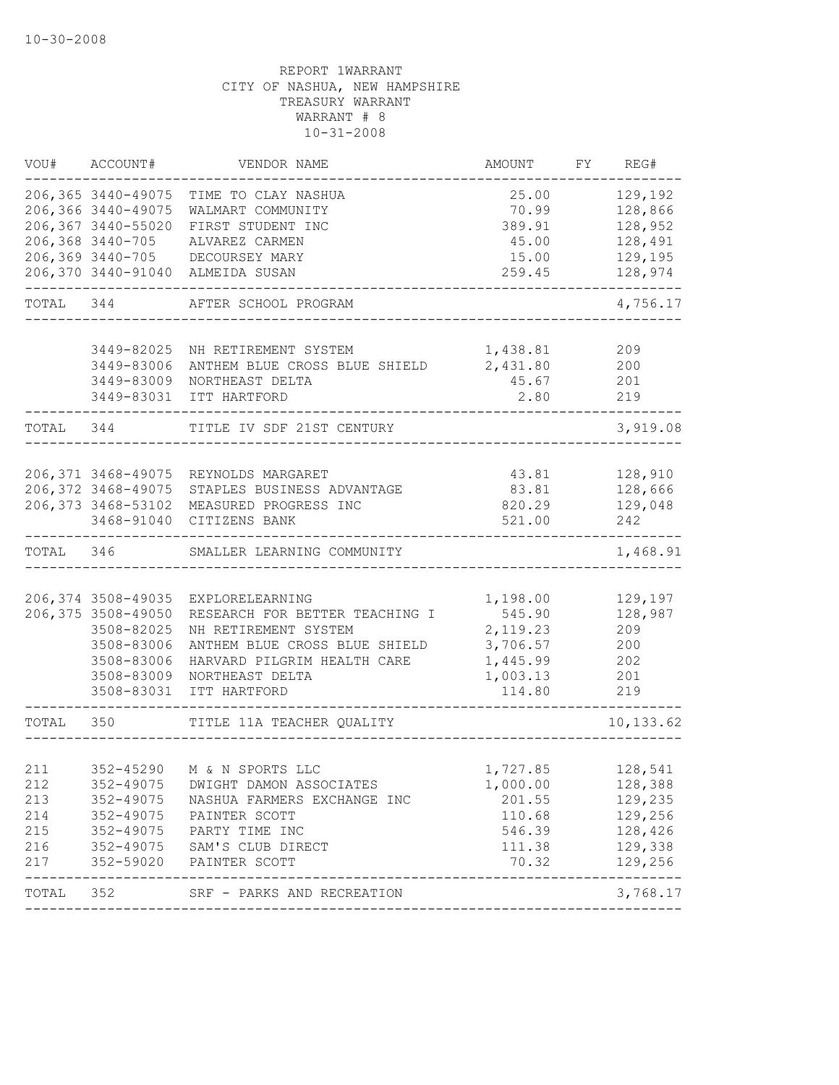| WOU#      | ACCOUNT#            | VENDOR NAME                                    | AMOUNT        | FY | REG#                        |
|-----------|---------------------|------------------------------------------------|---------------|----|-----------------------------|
|           | 206,365 3440-49075  | TIME TO CLAY NASHUA                            | 25.00         |    | 129,192                     |
|           | 206,366 3440-49075  | WALMART COMMUNITY                              | 70.99         |    | 128,866                     |
|           | 206,367 3440-55020  | FIRST STUDENT INC                              | 389.91        |    | 128,952                     |
|           | 206,368 3440-705    | ALVAREZ CARMEN                                 | 45.00         |    | 128,491                     |
|           |                     | 206,369 3440-705 DECOURSEY MARY                | 15.00         |    | 129,195                     |
|           |                     | 206,370 3440-91040 ALMEIDA SUSAN               | 259.45        |    | 128,974                     |
| TOTAL 344 |                     | AFTER SCHOOL PROGRAM                           |               |    | 4,756.17                    |
|           |                     |                                                |               |    |                             |
|           | 3449-82025          | NH RETIREMENT SYSTEM                           | 1,438.81      |    | 209                         |
|           | 3449-83006          | ANTHEM BLUE CROSS BLUE SHIELD                  | 2,431.80 200  |    |                             |
|           | 3449-83009          | NORTHEAST DELTA                                | 45.67         |    | 201<br>219                  |
|           | 3449-83031          | ITT HARTFORD                                   | 2.80          |    |                             |
| TOTAL 344 |                     | TITLE IV SDF 21ST CENTURY                      |               |    | 3,919.08                    |
|           |                     |                                                |               |    |                             |
|           |                     | 206,371 3468-49075 REYNOLDS MARGARET           | 43.81 128,910 |    |                             |
|           | 206,372 3468-49075  | STAPLES BUSINESS ADVANTAGE                     | 83.81         |    | 128,666                     |
|           | 206, 373 3468-53102 | MEASURED PROGRESS INC                          | 820.29        |    | 129,048                     |
|           | 3468-91040          | CITIZENS BANK                                  | 521.00        |    | 242                         |
| TOTAL 346 |                     | SMALLER LEARNING COMMUNITY                     |               |    | 1,468.91                    |
|           |                     |                                                |               |    |                             |
|           | 206,374 3508-49035  | EXPLORELEARNING                                | 1,198.00      |    | 129,197                     |
|           | 206,375 3508-49050  | RESEARCH FOR BETTER TEACHING I                 | 545.90        |    | 128,987                     |
|           | 3508-82025          | NH RETIREMENT SYSTEM                           | 2,119.23      |    | 209                         |
|           | 3508-83006          | ANTHEM BLUE CROSS BLUE SHIELD                  | 3,706.57      |    | 200                         |
|           | 3508-83006          | HARVARD PILGRIM HEALTH CARE                    | 1,445.99      |    | 202                         |
|           | 3508-83009          | NORTHEAST DELTA                                | 1,003.13      |    | 201                         |
|           | 3508-83031          | ITT HARTFORD                                   | 114.80        |    | 219                         |
| TOTAL 350 |                     | TITLE 11A TEACHER QUALITY                      |               |    | 10, 133.62                  |
|           |                     |                                                |               |    |                             |
| 211       |                     | 352-45290 M & N SPORTS LLC                     | 1,727.85      |    | 128,541                     |
| 212       | 352-49075           | DWIGHT DAMON ASSOCIATES                        | 1,000.00      |    | 128,388                     |
| 213       | 352-49075           | NASHUA FARMERS EXCHANGE INC                    | 201.55        |    | 129,235                     |
| 214       | 352-49075           | PAINTER SCOTT                                  | 110.68        |    | 129,256                     |
| 215       | 352-49075           | PARTY TIME INC                                 | 546.39        |    | 128,426                     |
| 216       |                     | 352-49075 SAM'S CLUB DIRECT                    | 111.38        |    | 129,338                     |
| 217       | 352-59020           | PAINTER SCOTT<br>----------------------------- | 70.32         |    | 129,256<br>---------------- |
| TOTAL     | 352                 | SRF - PARKS AND RECREATION                     |               |    | 3,768.17                    |
|           |                     |                                                |               |    |                             |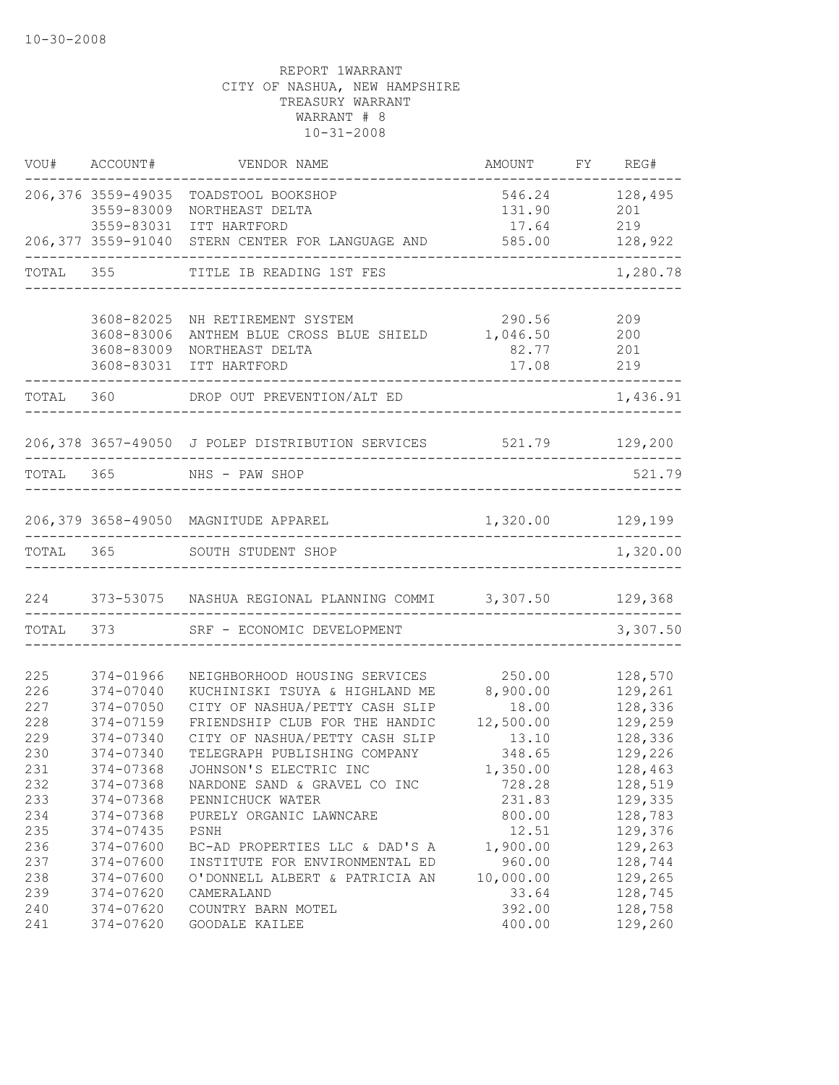|            | VOU# ACCOUNT#            | VENDOR NAME                                                        | AMOUNT            | FY REG#            |
|------------|--------------------------|--------------------------------------------------------------------|-------------------|--------------------|
|            | 206,376 3559-49035       | TOADSTOOL BOOKSHOP                                                 | 546.24            | 128,495            |
|            | 3559-83009               | NORTHEAST DELTA                                                    | 131.90            | 201                |
|            | 3559-83031               | ITT HARTFORD                                                       | 17.64             | 219                |
|            |                          | 206,377 3559-91040 STERN CENTER FOR LANGUAGE AND                   | 585.00            | 128,922            |
|            | TOTAL 355                | TITLE IB READING 1ST FES                                           |                   | 1,280.78           |
|            |                          |                                                                    |                   |                    |
|            | 3608-82025<br>3608-83006 | NH RETIREMENT SYSTEM<br>ANTHEM BLUE CROSS BLUE SHIELD 1,046.50 200 | 290.56            | 209                |
|            | 3608-83009               | NORTHEAST DELTA                                                    | 82.77 201         |                    |
|            | 3608-83031               | ITT HARTFORD                                                       | 17.08 219         |                    |
|            |                          | TOTAL 360 DROP OUT PREVENTION/ALT ED                               |                   | 1,436.91           |
|            |                          |                                                                    |                   |                    |
|            |                          | 206,378 3657-49050 J POLEP DISTRIBUTION SERVICES 521.79 129,200    |                   |                    |
|            |                          | TOTAL 365 NHS - PAW SHOP                                           |                   | 521.79             |
|            |                          |                                                                    |                   |                    |
|            |                          | 206,379 3658-49050 MAGNITUDE APPAREL                               | 1,320.00 129,199  |                    |
| TOTAL 365  |                          | SOUTH STUDENT SHOP                                                 |                   | 1,320.00           |
|            |                          | 224 373-53075 NASHUA REGIONAL PLANNING COMMI 3,307.50 129,368      |                   |                    |
|            |                          | TOTAL 373 SRF - ECONOMIC DEVELOPMENT                               |                   | 3,307.50           |
|            |                          |                                                                    |                   |                    |
| 225<br>226 | 374-01966                | NEIGHBORHOOD HOUSING SERVICES                                      | 250.00            | 128,570<br>129,261 |
| 227        | 374-07040<br>374-07050   | KUCHINISKI TSUYA & HIGHLAND ME<br>CITY OF NASHUA/PETTY CASH SLIP   | 8,900.00<br>18.00 | 128,336            |
| 228        | 374-07159                | FRIENDSHIP CLUB FOR THE HANDIC                                     | 12,500.00         | 129,259            |
| 229        | 374-07340                | CITY OF NASHUA/PETTY CASH SLIP                                     | 13.10             | 128,336            |
| 230        | 374-07340                | TELEGRAPH PUBLISHING COMPANY                                       | 348.65            | 129,226            |
| 231        | 374-07368                | JOHNSON'S ELECTRIC INC                                             | 1,350.00          | 128,463            |
| 232        | 374-07368                | NARDONE SAND & GRAVEL CO INC                                       | 728.28            | 128,519            |
| 233        | 374-07368                | PENNICHUCK WATER                                                   | 231.83            | 129,335            |
| 234        | 374-07368                | PURELY ORGANIC LAWNCARE                                            | 800.00            | 128,783            |
| 235        | 374-07435                | PSNH                                                               | 12.51             | 129,376            |
| 236        | 374-07600                | BC-AD PROPERTIES LLC & DAD'S A                                     | 1,900.00          | 129,263            |
| 237        | 374-07600                | INSTITUTE FOR ENVIRONMENTAL ED                                     | 960.00            | 128,744            |
| 238        | 374-07600                | O'DONNELL ALBERT & PATRICIA AN                                     | 10,000.00         | 129,265            |
| 239        | 374-07620                | CAMERALAND                                                         | 33.64             | 128,745            |
| 240        | 374-07620                | COUNTRY BARN MOTEL                                                 | 392.00            | 128,758            |
| 241        | 374-07620                | GOODALE KAILEE                                                     | 400.00            | 129,260            |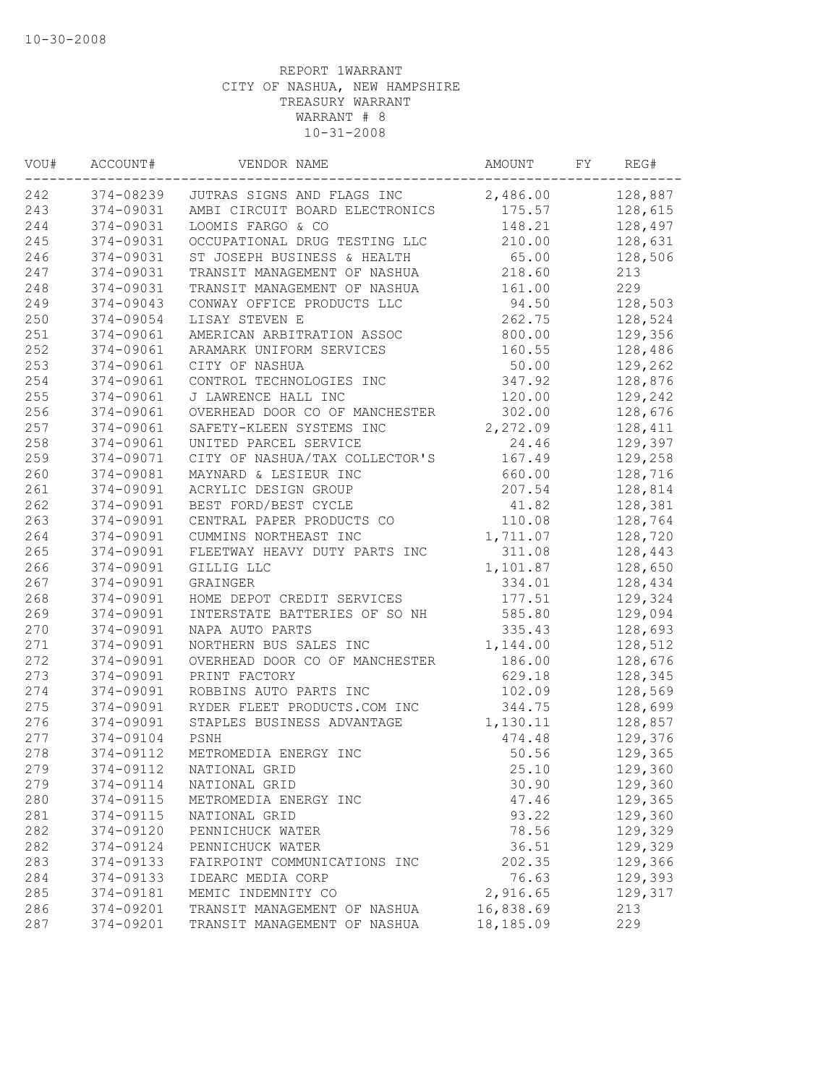| VOU# | ACCOUNT#  | VENDOR NAME                    | AMOUNT    | FY | REG#    |
|------|-----------|--------------------------------|-----------|----|---------|
| 242  | 374-08239 | JUTRAS SIGNS AND FLAGS INC     | 2,486.00  |    | 128,887 |
| 243  | 374-09031 | AMBI CIRCUIT BOARD ELECTRONICS | 175.57    |    | 128,615 |
| 244  | 374-09031 | LOOMIS FARGO & CO              | 148.21    |    | 128,497 |
| 245  | 374-09031 | OCCUPATIONAL DRUG TESTING LLC  | 210.00    |    | 128,631 |
| 246  | 374-09031 | ST JOSEPH BUSINESS & HEALTH    | 65.00     |    | 128,506 |
| 247  | 374-09031 | TRANSIT MANAGEMENT OF NASHUA   | 218.60    |    | 213     |
| 248  | 374-09031 | TRANSIT MANAGEMENT OF NASHUA   | 161.00    |    | 229     |
| 249  | 374-09043 | CONWAY OFFICE PRODUCTS LLC     | 94.50     |    | 128,503 |
| 250  | 374-09054 | LISAY STEVEN E                 | 262.75    |    | 128,524 |
| 251  | 374-09061 | AMERICAN ARBITRATION ASSOC     | 800.00    |    | 129,356 |
| 252  | 374-09061 | ARAMARK UNIFORM SERVICES       | 160.55    |    | 128,486 |
| 253  | 374-09061 | CITY OF NASHUA                 | 50.00     |    | 129,262 |
| 254  | 374-09061 | CONTROL TECHNOLOGIES INC       | 347.92    |    | 128,876 |
| 255  | 374-09061 | J LAWRENCE HALL INC            | 120.00    |    | 129,242 |
| 256  | 374-09061 | OVERHEAD DOOR CO OF MANCHESTER | 302.00    |    | 128,676 |
| 257  | 374-09061 | SAFETY-KLEEN SYSTEMS INC       | 2,272.09  |    | 128,411 |
| 258  | 374-09061 | UNITED PARCEL SERVICE          | 24.46     |    | 129,397 |
| 259  | 374-09071 | CITY OF NASHUA/TAX COLLECTOR'S | 167.49    |    | 129,258 |
| 260  | 374-09081 | MAYNARD & LESIEUR INC          | 660.00    |    | 128,716 |
| 261  | 374-09091 | ACRYLIC DESIGN GROUP           | 207.54    |    | 128,814 |
| 262  | 374-09091 | BEST FORD/BEST CYCLE           | 41.82     |    | 128,381 |
| 263  | 374-09091 | CENTRAL PAPER PRODUCTS CO      | 110.08    |    | 128,764 |
| 264  | 374-09091 | CUMMINS NORTHEAST INC          | 1,711.07  |    | 128,720 |
| 265  | 374-09091 | FLEETWAY HEAVY DUTY PARTS INC  | 311.08    |    | 128,443 |
| 266  | 374-09091 | GILLIG LLC                     | 1,101.87  |    | 128,650 |
| 267  | 374-09091 | GRAINGER                       | 334.01    |    | 128,434 |
| 268  | 374-09091 | HOME DEPOT CREDIT SERVICES     | 177.51    |    | 129,324 |
| 269  | 374-09091 | INTERSTATE BATTERIES OF SO NH  | 585.80    |    | 129,094 |
| 270  | 374-09091 | NAPA AUTO PARTS                | 335.43    |    | 128,693 |
| 271  | 374-09091 | NORTHERN BUS SALES INC         | 1,144.00  |    | 128,512 |
| 272  | 374-09091 | OVERHEAD DOOR CO OF MANCHESTER | 186.00    |    | 128,676 |
| 273  | 374-09091 | PRINT FACTORY                  | 629.18    |    | 128,345 |
| 274  | 374-09091 | ROBBINS AUTO PARTS INC         | 102.09    |    | 128,569 |
| 275  | 374-09091 | RYDER FLEET PRODUCTS.COM INC   | 344.75    |    | 128,699 |
| 276  | 374-09091 | STAPLES BUSINESS ADVANTAGE     | 1,130.11  |    | 128,857 |
| 277  | 374-09104 | PSNH                           | 474.48    |    | 129,376 |
| 278  | 374-09112 | METROMEDIA ENERGY INC          | 50.56     |    | 129,365 |
| 279  | 374-09112 | NATIONAL GRID                  | 25.10     |    | 129,360 |
| 279  | 374-09114 | NATIONAL GRID                  | 30.90     |    | 129,360 |
| 280  | 374-09115 | METROMEDIA ENERGY INC          | 47.46     |    | 129,365 |
| 281  | 374-09115 | NATIONAL GRID                  | 93.22     |    | 129,360 |
| 282  | 374-09120 | PENNICHUCK WATER               | 78.56     |    | 129,329 |
| 282  | 374-09124 | PENNICHUCK WATER               | 36.51     |    | 129,329 |
| 283  | 374-09133 | FAIRPOINT COMMUNICATIONS INC   | 202.35    |    | 129,366 |
| 284  | 374-09133 | IDEARC MEDIA CORP              | 76.63     |    | 129,393 |
| 285  | 374-09181 | MEMIC INDEMNITY CO             | 2,916.65  |    | 129,317 |
| 286  | 374-09201 | TRANSIT MANAGEMENT OF NASHUA   | 16,838.69 |    | 213     |
| 287  | 374-09201 | TRANSIT MANAGEMENT OF NASHUA   | 18,185.09 |    | 229     |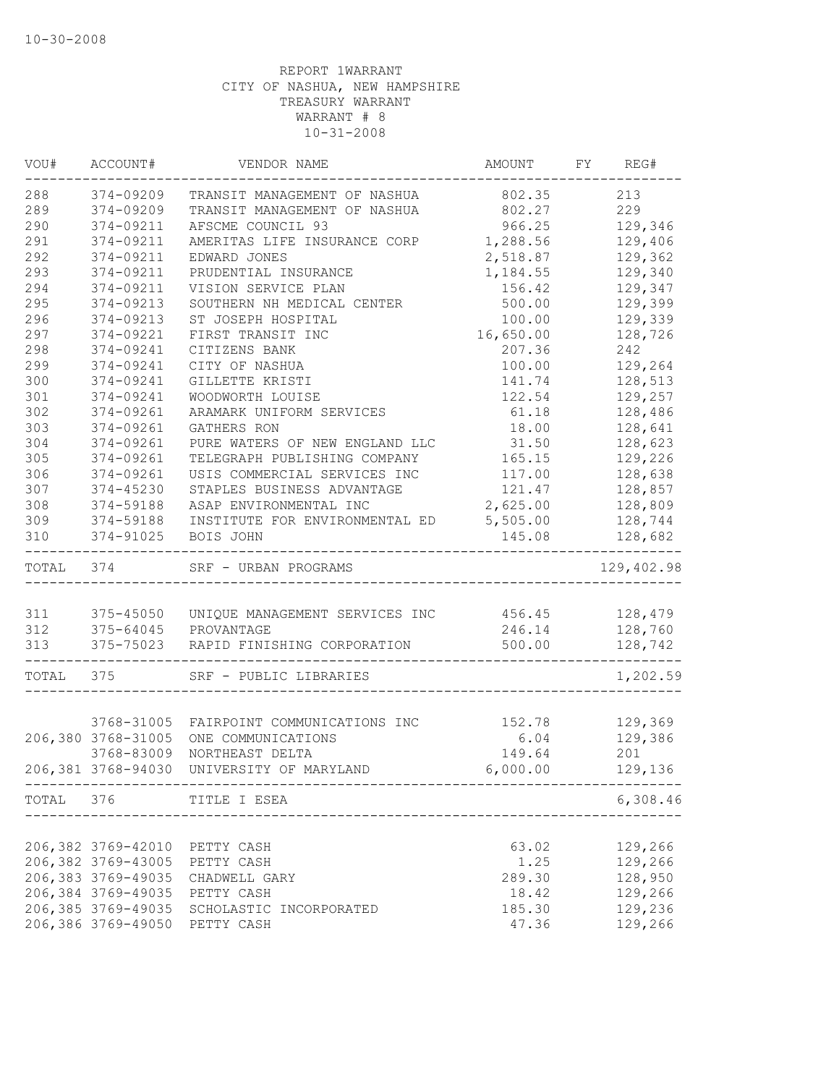| VOU#      | ACCOUNT#           | VENDOR NAME                                             | AMOUNT    | FY REG#        |
|-----------|--------------------|---------------------------------------------------------|-----------|----------------|
| 288       | 374-09209          | TRANSIT MANAGEMENT OF NASHUA                            | 802.35    | 213            |
| 289       | 374-09209          | TRANSIT MANAGEMENT OF NASHUA                            | 802.27    | 229            |
| 290       | 374-09211          | AFSCME COUNCIL 93                                       | 966.25    | 129,346        |
| 291       | 374-09211          | AMERITAS LIFE INSURANCE CORP                            | 1,288.56  | 129,406        |
| 292       | 374-09211          | EDWARD JONES                                            | 2,518.87  | 129,362        |
| 293       | 374-09211          | PRUDENTIAL INSURANCE                                    | 1,184.55  | 129,340        |
| 294       | 374-09211          | VISION SERVICE PLAN                                     | 156.42    | 129,347        |
| 295       | 374-09213          | SOUTHERN NH MEDICAL CENTER                              | 500.00    | 129,399        |
| 296       | 374-09213          | ST JOSEPH HOSPITAL                                      | 100.00    | 129,339        |
| 297       | 374-09221          | FIRST TRANSIT INC                                       | 16,650.00 | 128,726        |
| 298       | 374-09241          | CITIZENS BANK                                           | 207.36    | 242            |
| 299       | 374-09241          | CITY OF NASHUA                                          | 100.00    | 129,264        |
| 300       | 374-09241          | GILLETTE KRISTI                                         | 141.74    | 128,513        |
| 301       | 374-09241          | WOODWORTH LOUISE                                        | 122.54    | 129,257        |
| 302       | 374-09261          | ARAMARK UNIFORM SERVICES                                | 61.18     | 128,486        |
| 303       | 374-09261          | <b>GATHERS RON</b>                                      | 18.00     | 128,641        |
| 304       | 374-09261          | PURE WATERS OF NEW ENGLAND LLC                          | 31.50     | 128,623        |
| 305       | 374-09261          | TELEGRAPH PUBLISHING COMPANY                            | 165.15    | 129,226        |
| 306       | 374-09261          | USIS COMMERCIAL SERVICES INC                            | 117.00    | 128,638        |
| 307       | 374-45230          | STAPLES BUSINESS ADVANTAGE                              | 121.47    | 128,857        |
| 308       | 374-59188          | ASAP ENVIRONMENTAL INC                                  | 2,625.00  | 128,809        |
| 309       | 374-59188          | INSTITUTE FOR ENVIRONMENTAL ED 5,505.00                 |           | 128,744        |
| 310       | 374-91025          | BOIS JOHN                                               | 145.08    | 128,682        |
| TOTAL 374 |                    | SRF - URBAN PROGRAMS                                    |           | 129,402.98     |
|           |                    |                                                         |           |                |
| 311       |                    | 375-45050 UNIQUE MANAGEMENT SERVICES INC 456.45 128,479 |           |                |
| 312       |                    | 375-64045 PROVANTAGE                                    |           | 246.14 128,760 |
| 313       | ------------------ | 375-75023 RAPID FINISHING CORPORATION                   | 500.00    | 128,742        |
|           | TOTAL 375          | SRF - PUBLIC LIBRARIES                                  |           | 1,202.59       |
|           |                    |                                                         |           |                |
|           |                    | 3768-31005 FAIRPOINT COMMUNICATIONS INC                 | 152.78    | 129,369        |
|           | 206,380 3768-31005 | ONE COMMUNICATIONS                                      | 6.04      | 129,386        |
|           | 3768-83009         | NORTHEAST DELTA                                         | 149.64    | 201            |
|           |                    | 206,381 3768-94030 UNIVERSITY OF MARYLAND               | 6,000.00  | 129,136        |
|           |                    | TOTAL 376 TITLE I ESEA                                  |           | 6,308.46       |
|           |                    |                                                         |           |                |
|           | 206,382 3769-42010 | PETTY CASH                                              | 63.02     | 129,266        |
|           | 206,382 3769-43005 | PETTY CASH                                              | 1.25      | 129,266        |
|           | 206,383 3769-49035 | CHADWELL GARY                                           | 289.30    | 128,950        |
|           | 206,384 3769-49035 | PETTY CASH                                              | 18.42     | 129,266        |
|           | 206,385 3769-49035 | SCHOLASTIC INCORPORATED                                 | 185.30    | 129,236        |
|           | 206,386 3769-49050 | PETTY CASH                                              | 47.36     | 129,266        |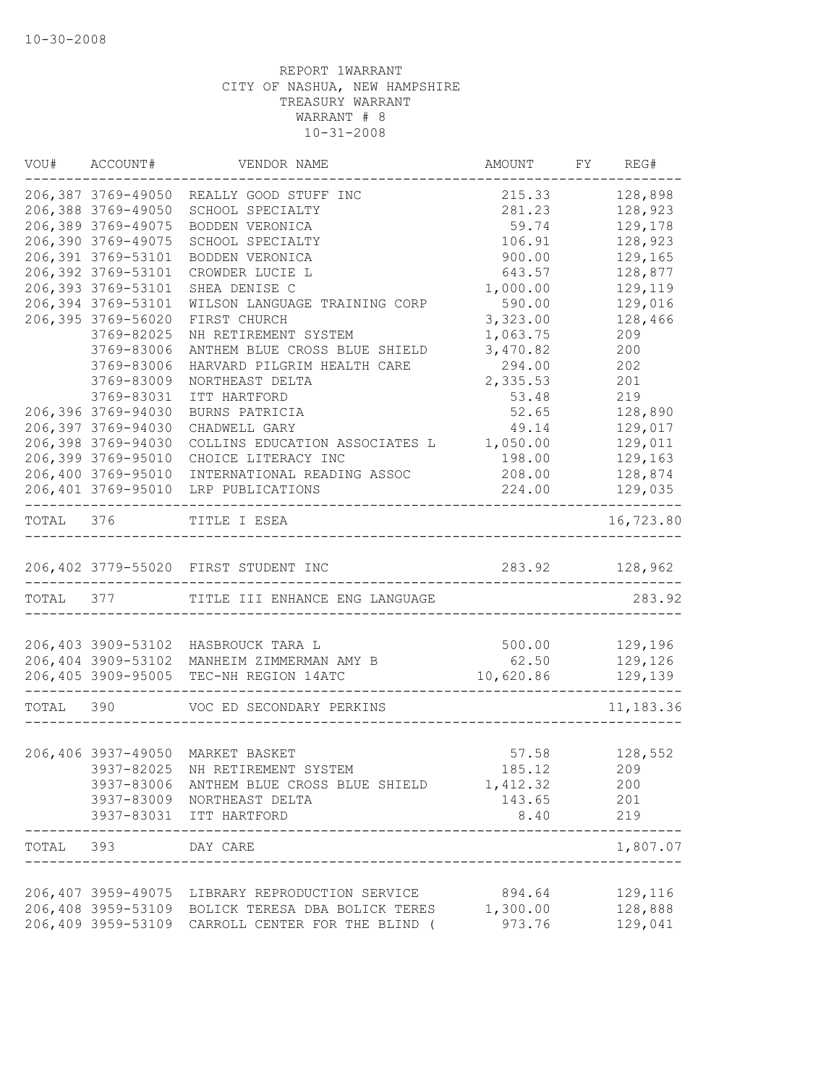|           | VOU# ACCOUNT#      | VENDOR NAME                                                         | AMOUNT            | FY REG#                        |
|-----------|--------------------|---------------------------------------------------------------------|-------------------|--------------------------------|
|           | 206,387 3769-49050 | REALLY GOOD STUFF INC                                               | 215.33            | 128,898                        |
|           | 206,388 3769-49050 | SCHOOL SPECIALTY                                                    | 281.23            | 128,923                        |
|           | 206,389 3769-49075 | BODDEN VERONICA                                                     | 59.74             | 129,178                        |
|           | 206,390 3769-49075 | SCHOOL SPECIALTY                                                    | 106.91            | 128,923                        |
|           | 206,391 3769-53101 | BODDEN VERONICA                                                     | 900.00            | 129,165                        |
|           | 206,392 3769-53101 | CROWDER LUCIE L                                                     | 643.57            | 128,877                        |
|           | 206,393 3769-53101 | SHEA DENISE C                                                       | 1,000.00          | 129,119                        |
|           | 206,394 3769-53101 | WILSON LANGUAGE TRAINING CORP                                       | 590.00            | 129,016                        |
|           | 206,395 3769-56020 | FIRST CHURCH                                                        | 3,323.00          | 128,466                        |
|           | 3769-82025         | NH RETIREMENT SYSTEM                                                | 1,063.75          | 209                            |
|           | 3769-83006         | ANTHEM BLUE CROSS BLUE SHIELD                                       | 3,470.82          | 200                            |
|           | 3769-83006         | HARVARD PILGRIM HEALTH CARE                                         | 294.00            | 202                            |
|           | 3769-83009         | NORTHEAST DELTA                                                     | 2,335.53          | 201                            |
|           | 3769-83031         | ITT HARTFORD                                                        | 53.48             | 219                            |
|           | 206,396 3769-94030 | BURNS PATRICIA                                                      | 52.65             | 128,890                        |
|           | 206,397 3769-94030 | CHADWELL GARY                                                       | 49.14             | 129,017                        |
|           | 206,398 3769-94030 | COLLINS EDUCATION ASSOCIATES L                                      | 1,050.00          | 129,011                        |
|           | 206,399 3769-95010 | CHOICE LITERACY INC                                                 | 198.00            | 129,163                        |
|           | 206,400 3769-95010 | INTERNATIONAL READING ASSOC                                         | 208.00            | 128,874                        |
|           | 206,401 3769-95010 | LRP PUBLICATIONS                                                    | 224.00            | 129,035<br>. - - - - - - - - . |
| TOTAL 376 |                    | TITLE I ESEA                                                        |                   | 16,723.80                      |
|           |                    | 206,402 3779-55020 FIRST STUDENT INC                                | 283.92 128,962    |                                |
| TOTAL 377 |                    | TITLE III ENHANCE ENG LANGUAGE                                      |                   | 283.92                         |
|           |                    |                                                                     |                   |                                |
|           |                    | 206,403 3909-53102 HASBROUCK TARA L                                 | 500.00            | 129,196                        |
|           | 206,404 3909-53102 | MANHEIM ZIMMERMAN AMY B                                             | 62.50             | 129,126                        |
|           |                    | 206,405 3909-95005 TEC-NH REGION 14ATC<br>------------------------- | 10,620.86 129,139 |                                |
| TOTAL 390 |                    | VOC ED SECONDARY PERKINS                                            |                   | 11,183.36                      |
|           |                    |                                                                     |                   |                                |
|           |                    | 206,406 3937-49050 MARKET BASKET                                    |                   | 57.58 128,552                  |
|           |                    | 3937-82025 NH RETIREMENT SYSTEM                                     | 185.12            | 209                            |
|           | 3937-83006         | ANTHEM BLUE CROSS BLUE SHIELD                                       | 1,412.32          | 200                            |
|           |                    | 3937-83009 NORTHEAST DELTA                                          | 143.65            | 201                            |
|           |                    | 3937-83031 ITT HARTFORD                                             | 8.40              | 219                            |
| TOTAL 393 |                    | DAY CARE                                                            |                   | 1,807.07                       |
|           | 206,407 3959-49075 | LIBRARY REPRODUCTION SERVICE                                        | 894.64            | 129,116                        |
|           | 206,408 3959-53109 | BOLICK TERESA DBA BOLICK TERES 1,300.00                             |                   | 128,888                        |
|           | 206,409 3959-53109 | CARROLL CENTER FOR THE BLIND (                                      | 973.76            | 129,041                        |
|           |                    |                                                                     |                   |                                |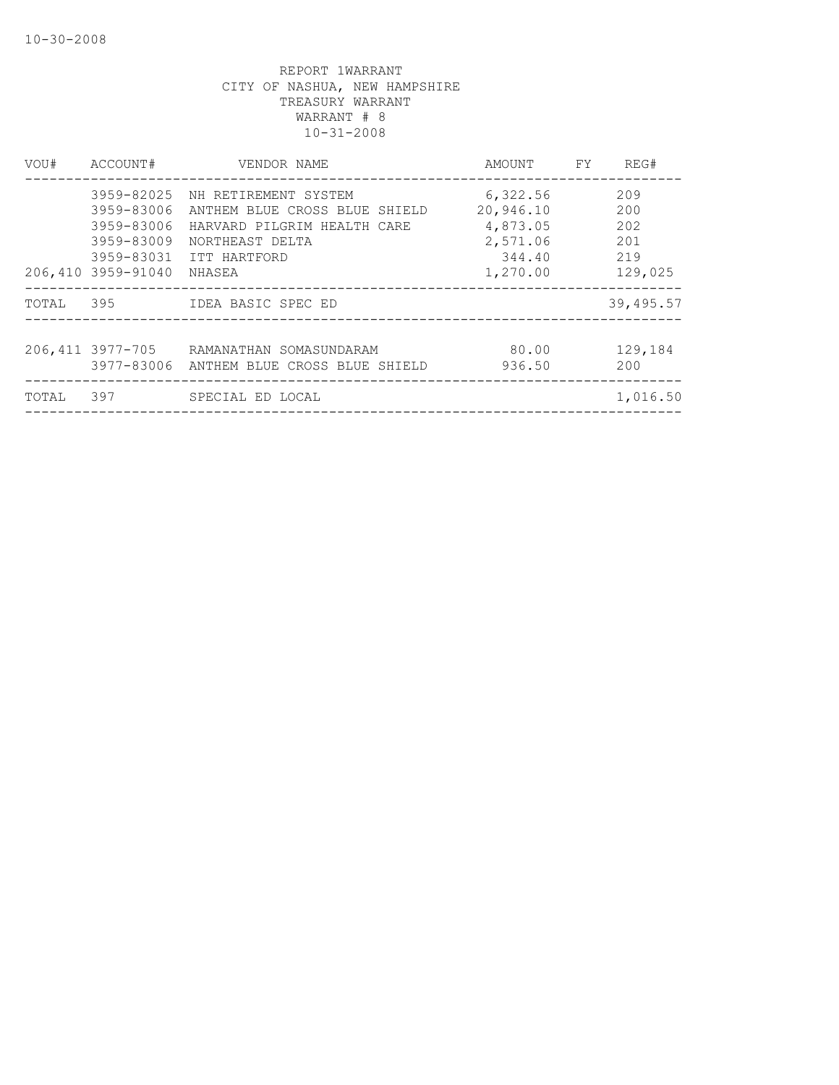| VOU#  | ACCOUNT#                                                                   | VENDOR NAME                                                                                                                                  | AMOUNT FY                                                           | REG#                                       |
|-------|----------------------------------------------------------------------------|----------------------------------------------------------------------------------------------------------------------------------------------|---------------------------------------------------------------------|--------------------------------------------|
|       | 3959-82025<br>3959-83006<br>3959-83006<br>3959-83009<br>206,410 3959-91040 | NH RETIREMENT SYSTEM<br>ANTHEM BLUE CROSS BLUE SHIELD<br>HARVARD PILGRIM HEALTH CARE<br>NORTHEAST DELTA<br>3959-83031 ITT HARTFORD<br>NHASEA | 6,322.56<br>20,946.10<br>4,873.05<br>2,571.06<br>344.40<br>1,270.00 | 209<br>200<br>202<br>201<br>219<br>129,025 |
| TOTAL |                                                                            |                                                                                                                                              |                                                                     | 39,495.57                                  |
|       | 206, 411 3977-705                                                          | RAMANATHAN SOMASUNDARAM<br>3977-83006 ANTHEM BLUE CROSS BLUE SHIELD                                                                          | 80.00<br>936.50                                                     | 129,184<br>200                             |
| TOTAL | 397                                                                        | SPECIAL ED LOCAL                                                                                                                             |                                                                     | 1,016.50                                   |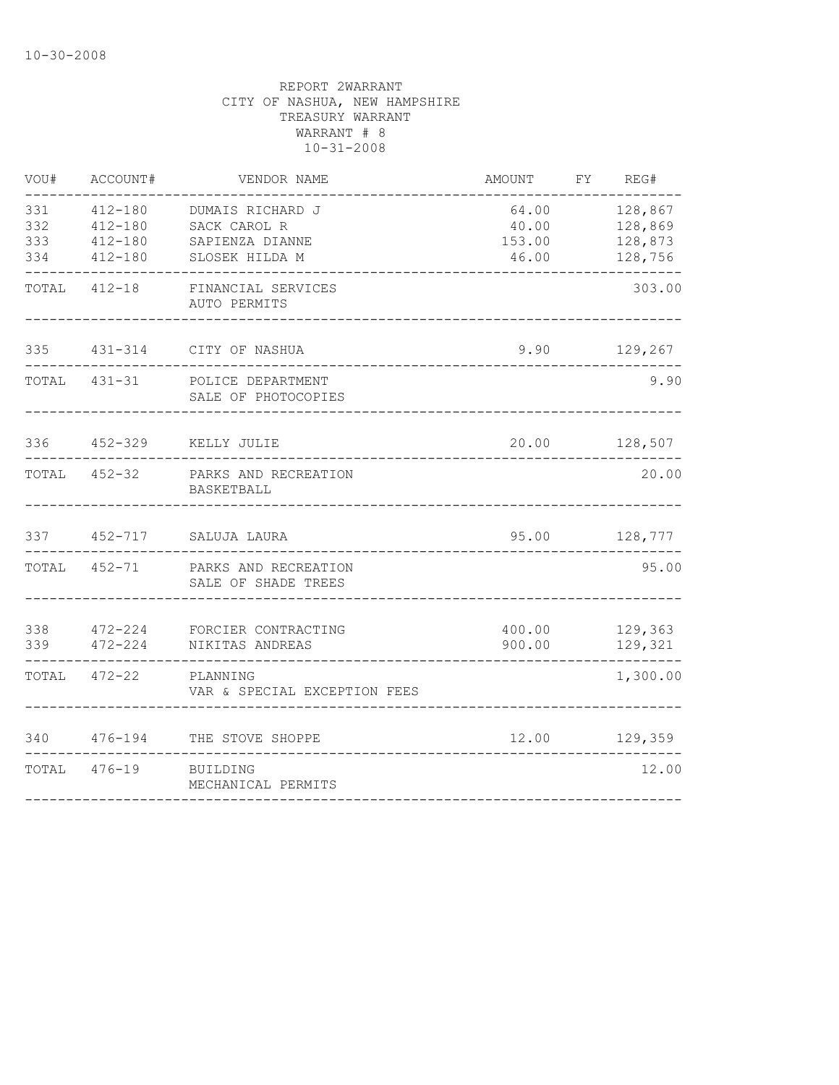| VOU#                     | ACCOUNT#                                 | VENDOR NAME                                                           | AMOUNT                   | FY REG#                                        |
|--------------------------|------------------------------------------|-----------------------------------------------------------------------|--------------------------|------------------------------------------------|
| 331<br>332<br>333<br>334 | 412-180<br>412-180<br>412-180<br>412-180 | DUMAIS RICHARD J<br>SACK CAROL R<br>SAPIENZA DIANNE<br>SLOSEK HILDA M | 40.00<br>153.00<br>46.00 | 64.00 128,867<br>128,869<br>128,873<br>128,756 |
|                          | TOTAL 412-18                             | FINANCIAL SERVICES<br>AUTO PERMITS                                    |                          | 303.00                                         |
|                          |                                          | 335 431-314 CITY OF NASHUA                                            |                          | 9.90 129,267                                   |
|                          | TOTAL 431-31                             | POLICE DEPARTMENT<br>SALE OF PHOTOCOPIES                              |                          | 9.90                                           |
|                          |                                          | 336  452-329  KELLY JULIE                                             |                          | 20.00 128,507                                  |
|                          | TOTAL 452-32                             | PARKS AND RECREATION<br>BASKETBALL                                    |                          | 20.00                                          |
|                          |                                          | 337 452-717 SALUJA LAURA                                              |                          | 95.00 128,777                                  |
|                          | TOTAL 452-71                             | PARKS AND RECREATION<br>SALE OF SHADE TREES                           |                          | 95.00                                          |
| 339                      | 472-224                                  | 338 472-224 FORCIER CONTRACTING<br>NIKITAS ANDREAS                    | 900.00                   | 400.00 129,363<br>129,321                      |
| TOTAL                    | $472 - 22$                               | PLANNING<br>VAR & SPECIAL EXCEPTION FEES                              |                          | 1,300.00                                       |
| 340                      |                                          | 476-194 THE STOVE SHOPPE                                              |                          | 12.00 129,359                                  |
|                          | TOTAL 476-19                             | BUILDING<br>MECHANICAL PERMITS                                        |                          | 12.00                                          |
|                          |                                          |                                                                       |                          |                                                |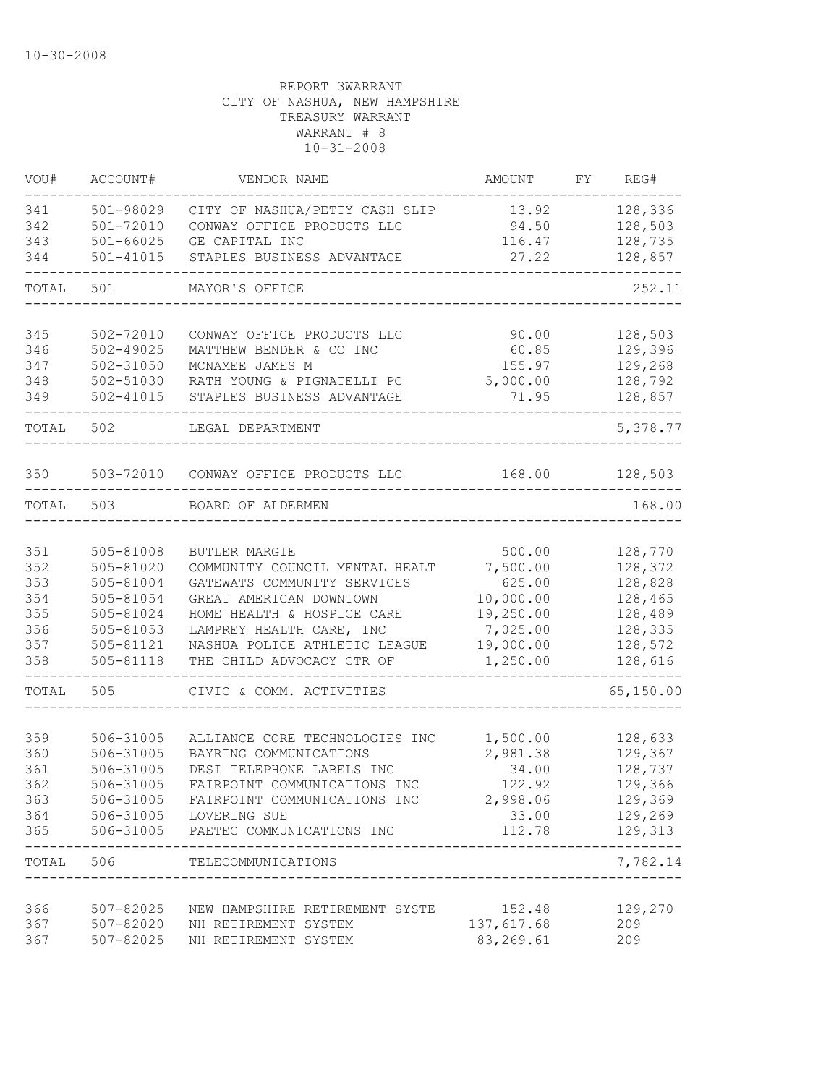| VOU#              | ACCOUNT#                                | VENDOR NAME                                                                    | AMOUNT                   | FY. | REG#                          |
|-------------------|-----------------------------------------|--------------------------------------------------------------------------------|--------------------------|-----|-------------------------------|
| 341<br>342<br>343 | 501-98029<br>501-72010<br>$501 - 66025$ | CITY OF NASHUA/PETTY CASH SLIP<br>CONWAY OFFICE PRODUCTS LLC<br>GE CAPITAL INC | 13.92<br>94.50<br>116.47 |     | 128,336<br>128,503<br>128,735 |
| 344               | $501 - 41015$                           | STAPLES BUSINESS ADVANTAGE                                                     | 27.22                    |     | 128,857                       |
| TOTAL             | 501                                     | MAYOR'S OFFICE                                                                 |                          |     | 252.11                        |
| 345               | 502-72010                               | CONWAY OFFICE PRODUCTS LLC                                                     | 90.00                    |     | 128,503                       |
| 346               | $502 - 49025$                           | MATTHEW BENDER & CO INC<br>MCNAMEE JAMES M                                     | 60.85                    |     | 129,396                       |
| 347<br>348        | 502-31050<br>502-51030                  | RATH YOUNG & PIGNATELLI PC                                                     | 155.97<br>5,000.00       |     | 129,268<br>128,792            |
| 349               | 502-41015                               | STAPLES BUSINESS ADVANTAGE                                                     | 71.95                    |     | 128,857                       |
| TOTAL             | 502                                     | LEGAL DEPARTMENT                                                               |                          |     | 5,378.77                      |
| 350               | 503-72010                               | CONWAY OFFICE PRODUCTS LLC                                                     | 168.00                   |     | 128,503                       |
| TOTAL             | 503                                     | BOARD OF ALDERMEN                                                              |                          |     | 168.00                        |
|                   |                                         |                                                                                |                          |     |                               |
| 351               | 505-81008                               | BUTLER MARGIE                                                                  | 500.00                   |     | 128,770                       |
| 352               | 505-81020                               | COMMUNITY COUNCIL MENTAL HEALT                                                 | 7,500.00                 |     | 128,372                       |
| 353               | 505-81004                               | GATEWATS COMMUNITY SERVICES                                                    | 625.00                   |     | 128,828                       |
| 354               | 505-81054                               | GREAT AMERICAN DOWNTOWN                                                        | 10,000.00                |     | 128,465                       |
| 355<br>356        | 505-81024<br>505-81053                  | HOME HEALTH & HOSPICE CARE<br>LAMPREY HEALTH CARE, INC                         | 19,250.00<br>7,025.00    |     | 128,489<br>128,335            |
| 357               | 505-81121                               | NASHUA POLICE ATHLETIC LEAGUE                                                  | 19,000.00                |     | 128,572                       |
| 358               | 505-81118                               | THE CHILD ADVOCACY CTR OF                                                      | 1,250.00                 |     | 128,616                       |
| TOTAL             | 505                                     | CIVIC & COMM. ACTIVITIES                                                       |                          |     | 65,150.00                     |
|                   |                                         |                                                                                |                          |     |                               |
| 359               | 506-31005                               | ALLIANCE CORE TECHNOLOGIES INC                                                 | 1,500.00                 |     | 128,633                       |
| 360               | 506-31005                               | BAYRING COMMUNICATIONS                                                         | 2,981.38                 |     | 129,367                       |
| 361<br>362        | 506-31005<br>506-31005                  | DESI TELEPHONE LABELS INC<br>FAIRPOINT COMMUNICATIONS INC                      | 34.00<br>122.92          |     | 128,737<br>129,366            |
|                   |                                         | 363 506-31005 FAIRPOINT COMMUNICATIONS INC 2,998.06                            |                          |     | 129,369                       |
|                   |                                         | 364 506-31005 LOVERING SUE                                                     |                          |     | 33.00 129,269                 |
|                   |                                         | 365 506-31005 PAETEC COMMUNICATIONS INC                                        | 112.78 129,313           |     | ------                        |
|                   |                                         | TOTAL 506 TELECOMMUNICATIONS                                                   |                          |     | 7,782.14                      |
|                   |                                         |                                                                                |                          |     |                               |
| 366 1<br>367      |                                         | 507-82025 NEW HAMPSHIRE RETIREMENT SYSTE<br>507-82020 NH RETIREMENT SYSTEM     | 152.48<br>137,617.68     |     | 129,270<br>209                |
| 367               | 507-82025                               | NH RETIREMENT SYSTEM                                                           | 83,269.61                |     | 209                           |
|                   |                                         |                                                                                |                          |     |                               |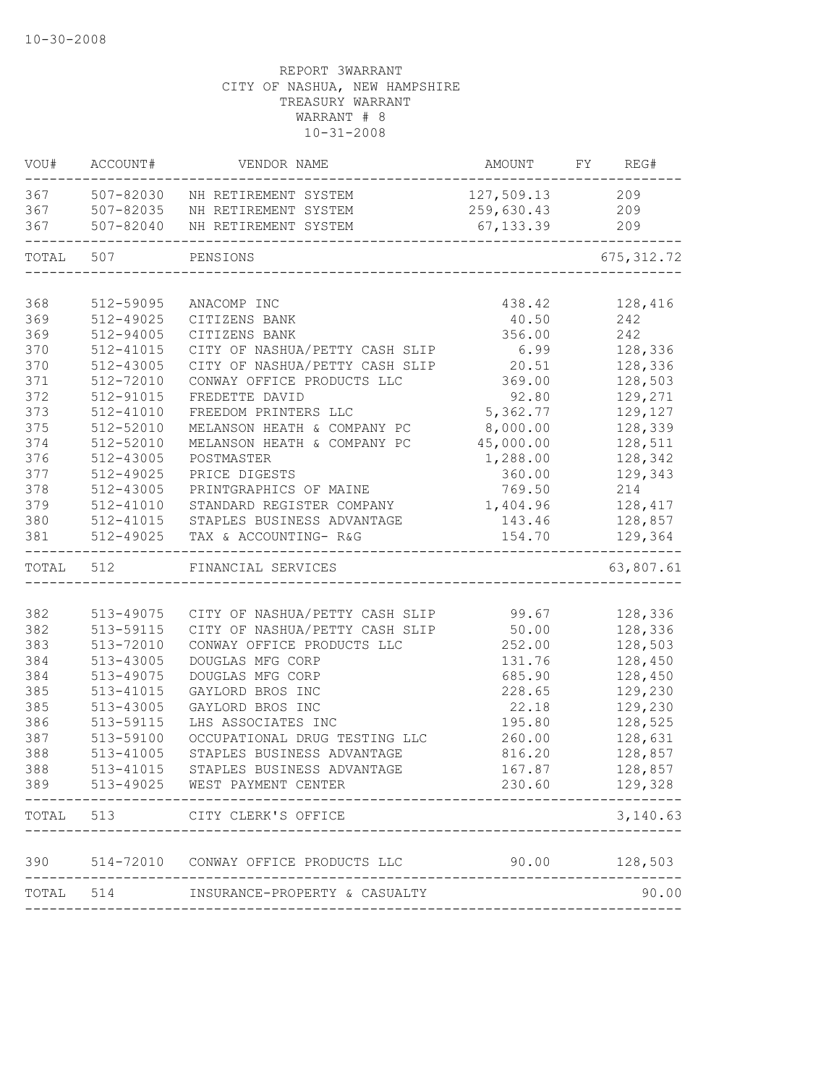|            | VOU# ACCOUNT#          | VENDOR NAME                                     | AMOUNT          | FY REG#        |
|------------|------------------------|-------------------------------------------------|-----------------|----------------|
|            |                        | 367 507-82030 NH RETIREMENT SYSTEM              | 127,509.13 209  |                |
| 367        | 507-82035              | NH RETIREMENT SYSTEM                            | 259,630.43 209  |                |
| 367        | 507-82040              | NH RETIREMENT SYSTEM                            | 67,133.39       | 209            |
| TOTAL      | 507                    | PENSIONS                                        |                 | 675, 312.72    |
|            |                        |                                                 |                 |                |
| 368        | 512-59095              | ANACOMP INC                                     | 438.42          | 128,416<br>242 |
| 369<br>369 | 512-49025<br>512-94005 | CITIZENS BANK                                   | 40.50<br>356.00 | 242            |
| 370        | 512-41015              | CITIZENS BANK<br>CITY OF NASHUA/PETTY CASH SLIP | 6.99            | 128,336        |
| 370        | 512-43005              | CITY OF NASHUA/PETTY CASH SLIP                  | 20.51           | 128,336        |
| 371        | 512-72010              | CONWAY OFFICE PRODUCTS LLC                      | 369.00          | 128,503        |
| 372        | 512-91015              | FREDETTE DAVID                                  | 92.80           | 129,271        |
| 373        | 512-41010              | FREEDOM PRINTERS LLC                            | 5,362.77        | 129,127        |
| 375        | 512-52010              | MELANSON HEATH & COMPANY PC                     | 8,000.00        | 128,339        |
| 374        | 512-52010              | MELANSON HEATH & COMPANY PC                     | 45,000.00       | 128,511        |
| 376        | 512-43005              | POSTMASTER                                      | 1,288.00        | 128,342        |
| 377        | 512-49025              | PRICE DIGESTS                                   | 360.00          | 129,343        |
| 378        | 512-43005              | PRINTGRAPHICS OF MAINE                          | 769.50          | 214            |
| 379        | 512-41010              | STANDARD REGISTER COMPANY                       | 1,404.96        | 128,417        |
| 380        |                        | 512-41015 STAPLES BUSINESS ADVANTAGE            | 143.46          | 128,857        |
| 381        | 512-49025              | TAX & ACCOUNTING- R&G                           | 154.70          | 129,364        |
| TOTAL 512  |                        | FINANCIAL SERVICES                              |                 | 63,807.61      |
|            |                        |                                                 |                 |                |
| 382        | 513-49075              | CITY OF NASHUA/PETTY CASH SLIP 99.67            |                 | 128,336        |
| 382        | 513-59115              | CITY OF NASHUA/PETTY CASH SLIP                  | 50.00           | 128,336        |
| 383        | 513-72010              | CONWAY OFFICE PRODUCTS LLC                      | 252.00          | 128,503        |
| 384        | 513-43005              | DOUGLAS MFG CORP                                | 131.76          | 128,450        |
| 384        | 513-49075              | DOUGLAS MFG CORP                                | 685.90          | 128,450        |
| 385        | 513-41015              | GAYLORD BROS INC                                | 228.65          | 129,230        |
| 385        | 513-43005              | GAYLORD BROS INC                                | 22.18           | 129,230        |
| 386        | 513-59115              | LHS ASSOCIATES INC                              | 195.80          | 128,525        |
| 387        | 513-59100              | OCCUPATIONAL DRUG TESTING LLC                   | 260.00          | 128,631        |
| 388        | $513 - 41005$          | STAPLES BUSINESS ADVANTAGE                      | 816.20          | 128,857        |
| 388        | 513-41015              | STAPLES BUSINESS ADVANTAGE                      | 167.87          | 128,857        |
| 389        |                        | 513-49025 WEST PAYMENT CENTER                   | 230.60          | 129,328        |
|            | TOTAL 513              | CITY CLERK'S OFFICE                             |                 | 3,140.63       |
|            |                        | 390 514-72010 CONWAY OFFICE PRODUCTS LLC        |                 | 90.00 128,503  |
|            |                        |                                                 |                 |                |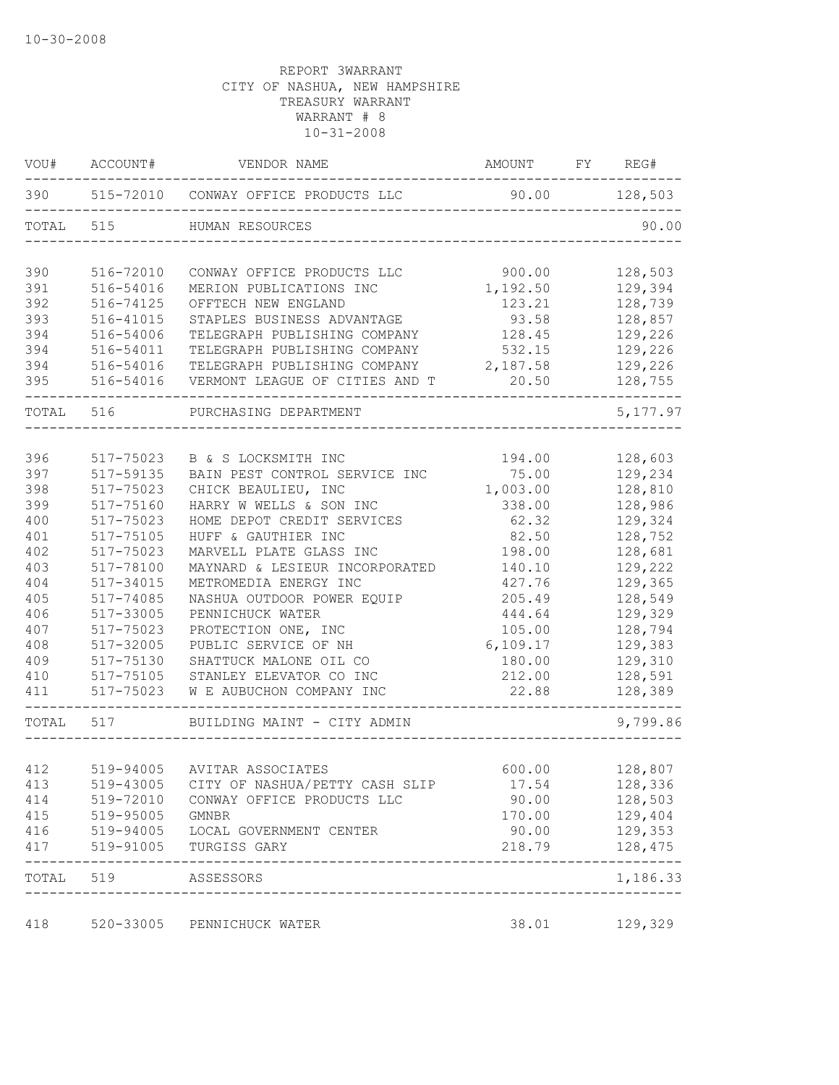| VOU#       | ACCOUNT#            | VENDOR NAME                                                 | AMOUNT          | FY REG#              |
|------------|---------------------|-------------------------------------------------------------|-----------------|----------------------|
| 390        |                     | 515-72010 CONWAY OFFICE PRODUCTS LLC                        | 90.00           | 128,503              |
| TOTAL      | 515                 | HUMAN RESOURCES                                             |                 | 90.00                |
| 390        | 516-72010           | CONWAY OFFICE PRODUCTS LLC                                  | 900.00          | 128,503              |
| 391        | 516-54016           | MERION PUBLICATIONS INC                                     | 1,192.50        | 129,394              |
| 392        | 516-74125           | OFFTECH NEW ENGLAND                                         | 123.21          | 128,739              |
| 393        | 516-41015           | STAPLES BUSINESS ADVANTAGE                                  | 93.58           | 128,857              |
| 394        | 516-54006           | TELEGRAPH PUBLISHING COMPANY                                | 128.45          | 129,226              |
| 394        | 516-54011           | TELEGRAPH PUBLISHING COMPANY                                | 532.15          | 129,226              |
| 394        | 516-54016           | TELEGRAPH PUBLISHING COMPANY                                | 2,187.58        | 129,226              |
| 395        | 516-54016           | VERMONT LEAGUE OF CITIES AND T                              | 20.50           | 128,755              |
| TOTAL      | 516                 | PURCHASING DEPARTMENT                                       |                 | 5, 177.97            |
|            |                     |                                                             |                 |                      |
| 396        | 517-75023           | B & S LOCKSMITH INC                                         | 194.00          | 128,603              |
| 397        | 517-59135           | BAIN PEST CONTROL SERVICE INC                               | 75.00           | 129,234              |
| 398        | 517-75023           | CHICK BEAULIEU, INC                                         | 1,003.00        | 128,810              |
| 399        | 517-75160           | HARRY W WELLS & SON INC                                     | 338.00          | 128,986              |
| 400        | 517-75023           | HOME DEPOT CREDIT SERVICES                                  | 62.32           | 129,324              |
| 401        | 517-75105           | HUFF & GAUTHIER INC                                         | 82.50           | 128,752              |
| 402        | 517-75023           | MARVELL PLATE GLASS INC                                     | 198.00          | 128,681              |
| 403        | 517-78100           | MAYNARD & LESIEUR INCORPORATED                              | 140.10          | 129,222              |
| 404        | 517-34015           | METROMEDIA ENERGY INC                                       | 427.76          | 129,365              |
| 405        | 517-74085           | NASHUA OUTDOOR POWER EQUIP                                  | 205.49          | 128,549              |
| 406        | 517-33005           | PENNICHUCK WATER                                            | 444.64          | 129,329              |
| 407        | 517-75023           | PROTECTION ONE, INC                                         | 105.00          | 128,794              |
| 408        | 517-32005           | PUBLIC SERVICE OF NH                                        | 6,109.17        | 129,383              |
| 409        | 517-75130           | SHATTUCK MALONE OIL CO                                      | 180.00          | 129,310              |
| 410        | 517-75105           | STANLEY ELEVATOR CO INC                                     | 212.00          | 128,591              |
| 411        | 517-75023           | W E AUBUCHON COMPANY INC                                    | 22.88           | 128,389              |
| TOTAL      | 517                 | BUILDING MAINT - CITY ADMIN                                 |                 | 9,799.86             |
|            |                     |                                                             |                 |                      |
| 412        | 519-94005           | AVITAR ASSOCIATES                                           | 600.00          | 128,807              |
| 413        |                     | 519-43005 CITY OF NASHUA/PETTY CASH SLIP                    | 17.54           | 128,336              |
| 414        |                     | 519-72010 CONWAY OFFICE PRODUCTS LLC                        | 90.00           | 128,503              |
| 415        | 519-95005           | GMNBR                                                       | 170.00          | 129,404              |
| 416<br>417 |                     | 519-94005 LOCAL GOVERNMENT CENTER<br>519-91005 TURGISS GARY | 90.00<br>218.79 | 129,353<br>128,475   |
|            | TOTAL 519 ASSESSORS |                                                             |                 | --------<br>1,186.33 |
|            |                     |                                                             |                 |                      |
| 418        |                     | 520-33005 PENNICHUCK WATER                                  | 38.01           | 129,329              |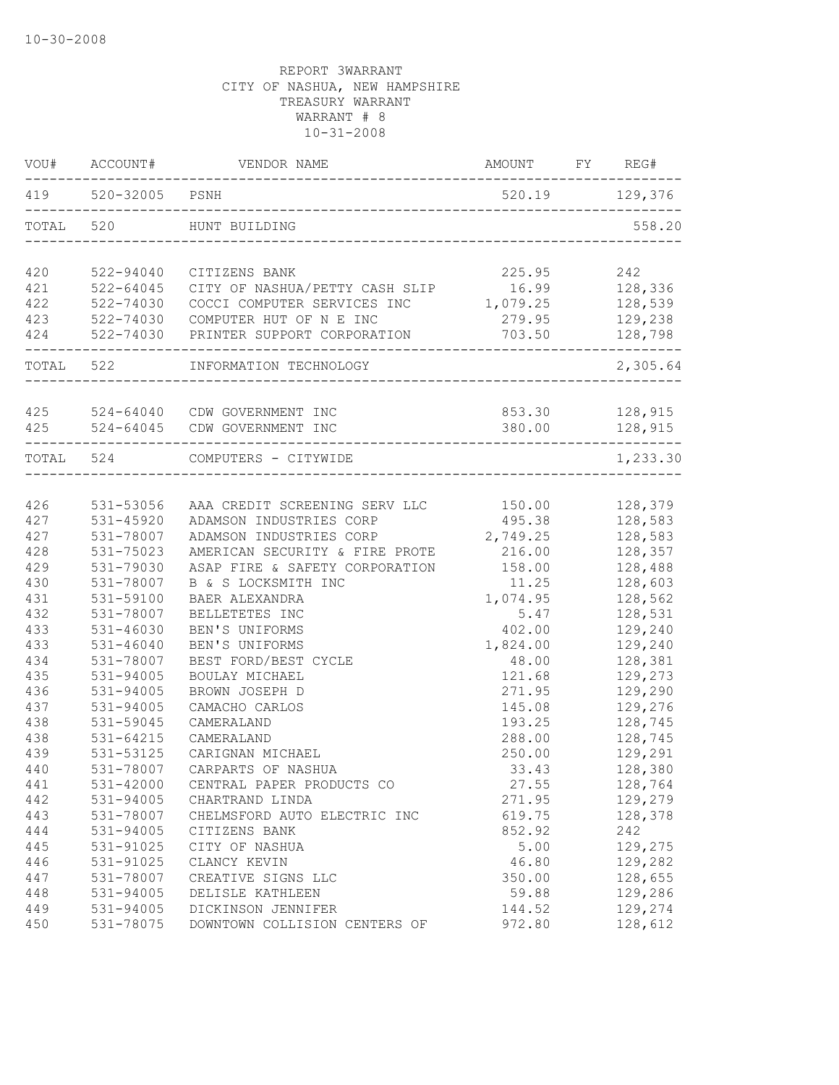|       | VOU# ACCOUNT#      | VENDOR NAME                                     | AMOUNT         | FY REG#  |
|-------|--------------------|-------------------------------------------------|----------------|----------|
|       | 419 520-32005 PSNH |                                                 | 520.19 129,376 |          |
| TOTAL | 520                | HUNT BUILDING                                   |                | 558.20   |
| 420   | 522-94040          | CITIZENS BANK                                   | 225.95         | 242      |
| 421   | $522 - 64045$      | CITY OF NASHUA/PETTY CASH SLIP                  | 16.99          | 128,336  |
| 422   | 522-74030          | COCCI COMPUTER SERVICES INC                     | 1,079.25       | 128,539  |
| 423   | 522-74030          | COMPUTER HUT OF N E INC                         | 279.95         | 129,238  |
| 424   |                    | 522-74030 PRINTER SUPPORT CORPORATION           | 703.50         | 128,798  |
|       | TOTAL 522          | INFORMATION TECHNOLOGY                          |                | 2,305.64 |
|       |                    | 425 524-64040 CDW GOVERNMENT INC                | 853.30         | 128,915  |
| 425   |                    | 524-64045 CDW GOVERNMENT INC                    | 380.00         | 128,915  |
|       | TOTAL 524          | COMPUTERS - CITYWIDE<br>_______________________ |                | 1,233.30 |
|       |                    |                                                 |                |          |
| 426   | 531-53056          | AAA CREDIT SCREENING SERV LLC                   | 150.00         | 128,379  |
| 427   | 531-45920          | ADAMSON INDUSTRIES CORP                         | 495.38         | 128,583  |
| 427   | 531-78007          | ADAMSON INDUSTRIES CORP                         | 2,749.25       | 128,583  |
| 428   | 531-75023          | AMERICAN SECURITY & FIRE PROTE                  | 216.00         | 128,357  |
| 429   | 531-79030          | ASAP FIRE & SAFETY CORPORATION                  | 158.00         | 128,488  |
| 430   | 531-78007          | B & S LOCKSMITH INC                             | 11.25          | 128,603  |
| 431   | 531-59100          | BAER ALEXANDRA                                  | 1,074.95       | 128,562  |
| 432   | 531-78007          | BELLETETES INC                                  | 5.47           | 128,531  |
| 433   | $531 - 46030$      | BEN'S UNIFORMS                                  | 402.00         | 129,240  |
| 433   | $531 - 46040$      | BEN'S UNIFORMS                                  | 1,824.00       | 129,240  |
| 434   | 531-78007          | BEST FORD/BEST CYCLE                            | 48.00          | 128,381  |
| 435   | $531 - 94005$      | BOULAY MICHAEL                                  | 121.68         | 129,273  |
| 436   | 531-94005          | BROWN JOSEPH D                                  | 271.95         | 129,290  |
| 437   | 531-94005          | CAMACHO CARLOS                                  | 145.08         | 129,276  |
| 438   | 531-59045          | CAMERALAND                                      | 193.25         | 128,745  |
| 438   | $531 - 64215$      | CAMERALAND                                      | 288.00         | 128,745  |
| 439   | 531-53125          | CARIGNAN MICHAEL                                | 250.00         | 129,291  |
| 440   | 531-78007          | CARPARTS OF NASHUA                              | 33.43          | 128,380  |
| 441   | 531-42000          | CENTRAL PAPER PRODUCTS CO                       | 27.55          | 128,764  |
| 442   | 531-94005          | CHARTRAND LINDA                                 | 271.95         | 129,279  |
| 443   | 531-78007          | CHELMSFORD AUTO ELECTRIC INC                    | 619.75         | 128,378  |
| 444   | 531-94005          | CITIZENS BANK                                   | 852.92         | 242      |
| 445   | 531-91025          | CITY OF NASHUA                                  | 5.00           | 129,275  |
| 446   | 531-91025          | CLANCY KEVIN                                    | 46.80          | 129,282  |
| 447   | 531-78007          | CREATIVE SIGNS LLC                              | 350.00         | 128,655  |
| 448   | 531-94005          | DELISLE KATHLEEN                                | 59.88          | 129,286  |
| 449   | 531-94005          | DICKINSON JENNIFER                              | 144.52         | 129,274  |
| 450   | 531-78075          | DOWNTOWN COLLISION CENTERS OF                   | 972.80         | 128,612  |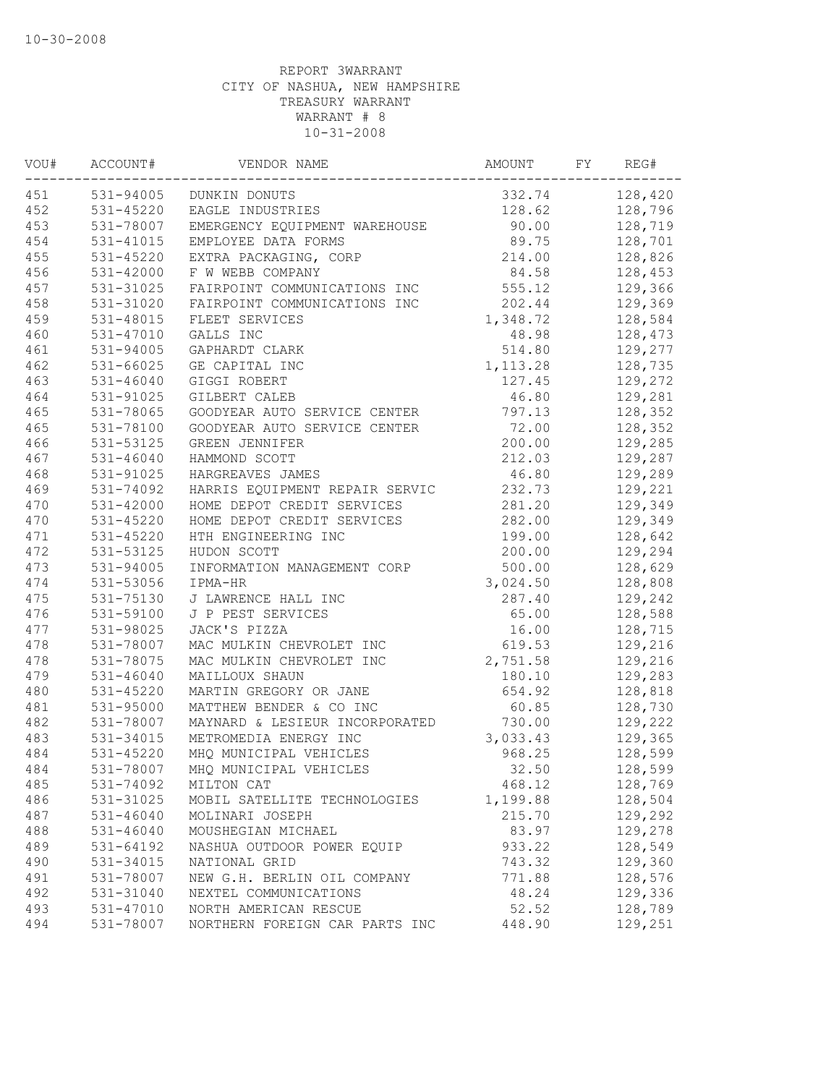| 531-94005<br>128,420<br>332.74<br>DUNKIN DONUTS<br>$531 - 45220$<br>128.62<br>128,796<br>EAGLE INDUSTRIES<br>531-78007<br>90.00<br>128,719<br>EMERGENCY EQUIPMENT WAREHOUSE<br>89.75<br>128,701<br>531-41015<br>EMPLOYEE DATA FORMS<br>214.00<br>128,826<br>531-45220<br>EXTRA PACKAGING, CORP<br>531-42000<br>84.58<br>128,453<br>F W WEBB COMPANY<br>531-31025<br>555.12<br>129,366<br>FAIRPOINT COMMUNICATIONS INC<br>531-31020<br>202.44<br>129,369<br>FAIRPOINT COMMUNICATIONS INC<br>531-48015<br>FLEET SERVICES<br>1,348.72<br>128,584<br>531-47010<br>GALLS INC<br>48.98<br>128,473<br>531-94005<br>514.80<br>129,277<br>GAPHARDT CLARK<br>531-66025<br>128,735<br>GE CAPITAL INC<br>1, 113.28<br>531-46040<br>129,272<br>GIGGI ROBERT<br>127.45<br>46.80<br>129,281<br>531-91025<br>GILBERT CALEB<br>GOODYEAR AUTO SERVICE CENTER<br>128,352<br>531-78065<br>797.13<br>128,352<br>531-78100<br>GOODYEAR AUTO SERVICE CENTER<br>72.00<br>200.00<br>129,285<br>531-53125<br>GREEN JENNIFER<br>212.03<br>129,287<br>$531 - 46040$<br>HAMMOND SCOTT<br>531-91025<br>46.80<br>129,289<br>HARGREAVES JAMES<br>531-74092<br>HARRIS EQUIPMENT REPAIR SERVIC<br>232.73<br>129,221<br>531-42000<br>281.20<br>129,349<br>HOME DEPOT CREDIT SERVICES<br>531-45220<br>282.00<br>129,349<br>HOME DEPOT CREDIT SERVICES<br>128,642<br>$531 - 45220$<br>HTH ENGINEERING INC<br>199.00<br>200.00<br>129,294<br>531-53125<br>HUDON SCOTT<br>531-94005<br>500.00<br>128,629<br>INFORMATION MANAGEMENT CORP<br>3,024.50<br>128,808<br>531-53056<br>IPMA-HR<br>287.40<br>531-75130<br>J LAWRENCE HALL INC<br>129,242<br>531-59100<br>128,588<br>J P PEST SERVICES<br>65.00<br>531-98025<br>JACK'S PIZZA<br>16.00<br>128,715<br>531-78007<br>129,216<br>MAC MULKIN CHEVROLET INC<br>619.53<br>531-78075<br>129,216<br>MAC MULKIN CHEVROLET INC<br>2,751.58<br>129,283<br>$531 - 46040$<br>MAILLOUX SHAUN<br>180.10<br>MARTIN GREGORY OR JANE<br>128,818<br>531-45220<br>654.92<br>531-95000<br>MATTHEW BENDER & CO INC<br>60.85<br>128,730<br>531-78007<br>730.00<br>129,222<br>MAYNARD & LESIEUR INCORPORATED<br>METROMEDIA ENERGY INC<br>3,033.43<br>129,365<br>531-34015<br>531-45220<br>MHQ MUNICIPAL VEHICLES<br>968.25<br>128,599<br>531-78007<br>MHQ MUNICIPAL VEHICLES<br>32.50<br>128,599<br>128,769<br>531-74092<br>468.12<br>MILTON CAT<br>531-31025<br>1,199.88<br>128,504<br>MOBIL SATELLITE TECHNOLOGIES<br>$531 - 46040$<br>215.70<br>129,292<br>MOLINARI JOSEPH<br>83.97<br>129,278<br>$531 - 46040$<br>MOUSHEGIAN MICHAEL<br>128,549<br>531-64192<br>933.22<br>NASHUA OUTDOOR POWER EQUIP<br>129,360<br>531-34015<br>NATIONAL GRID<br>743.32<br>128,576<br>531-78007<br>NEW G.H. BERLIN OIL COMPANY<br>771.88<br>129,336<br>531-31040<br>NEXTEL COMMUNICATIONS<br>48.24<br>531-47010<br>NORTH AMERICAN RESCUE<br>52.52<br>128,789<br>531-78007<br>NORTHERN FOREIGN CAR PARTS INC<br>448.90<br>129,251 | VOU# | ACCOUNT# | VENDOR NAME | AMOUNT | FY | REG# |
|-----------------------------------------------------------------------------------------------------------------------------------------------------------------------------------------------------------------------------------------------------------------------------------------------------------------------------------------------------------------------------------------------------------------------------------------------------------------------------------------------------------------------------------------------------------------------------------------------------------------------------------------------------------------------------------------------------------------------------------------------------------------------------------------------------------------------------------------------------------------------------------------------------------------------------------------------------------------------------------------------------------------------------------------------------------------------------------------------------------------------------------------------------------------------------------------------------------------------------------------------------------------------------------------------------------------------------------------------------------------------------------------------------------------------------------------------------------------------------------------------------------------------------------------------------------------------------------------------------------------------------------------------------------------------------------------------------------------------------------------------------------------------------------------------------------------------------------------------------------------------------------------------------------------------------------------------------------------------------------------------------------------------------------------------------------------------------------------------------------------------------------------------------------------------------------------------------------------------------------------------------------------------------------------------------------------------------------------------------------------------------------------------------------------------------------------------------------------------------------------------------------------------------------------------------------------------------------------------------------------------------------------------------------------------------------------------------------------------------------------------------------------------------------------------------------------------------------------------------------------------------------------------------------|------|----------|-------------|--------|----|------|
|                                                                                                                                                                                                                                                                                                                                                                                                                                                                                                                                                                                                                                                                                                                                                                                                                                                                                                                                                                                                                                                                                                                                                                                                                                                                                                                                                                                                                                                                                                                                                                                                                                                                                                                                                                                                                                                                                                                                                                                                                                                                                                                                                                                                                                                                                                                                                                                                                                                                                                                                                                                                                                                                                                                                                                                                                                                                                                           | 451  |          |             |        |    |      |
|                                                                                                                                                                                                                                                                                                                                                                                                                                                                                                                                                                                                                                                                                                                                                                                                                                                                                                                                                                                                                                                                                                                                                                                                                                                                                                                                                                                                                                                                                                                                                                                                                                                                                                                                                                                                                                                                                                                                                                                                                                                                                                                                                                                                                                                                                                                                                                                                                                                                                                                                                                                                                                                                                                                                                                                                                                                                                                           | 452  |          |             |        |    |      |
|                                                                                                                                                                                                                                                                                                                                                                                                                                                                                                                                                                                                                                                                                                                                                                                                                                                                                                                                                                                                                                                                                                                                                                                                                                                                                                                                                                                                                                                                                                                                                                                                                                                                                                                                                                                                                                                                                                                                                                                                                                                                                                                                                                                                                                                                                                                                                                                                                                                                                                                                                                                                                                                                                                                                                                                                                                                                                                           | 453  |          |             |        |    |      |
|                                                                                                                                                                                                                                                                                                                                                                                                                                                                                                                                                                                                                                                                                                                                                                                                                                                                                                                                                                                                                                                                                                                                                                                                                                                                                                                                                                                                                                                                                                                                                                                                                                                                                                                                                                                                                                                                                                                                                                                                                                                                                                                                                                                                                                                                                                                                                                                                                                                                                                                                                                                                                                                                                                                                                                                                                                                                                                           | 454  |          |             |        |    |      |
|                                                                                                                                                                                                                                                                                                                                                                                                                                                                                                                                                                                                                                                                                                                                                                                                                                                                                                                                                                                                                                                                                                                                                                                                                                                                                                                                                                                                                                                                                                                                                                                                                                                                                                                                                                                                                                                                                                                                                                                                                                                                                                                                                                                                                                                                                                                                                                                                                                                                                                                                                                                                                                                                                                                                                                                                                                                                                                           | 455  |          |             |        |    |      |
|                                                                                                                                                                                                                                                                                                                                                                                                                                                                                                                                                                                                                                                                                                                                                                                                                                                                                                                                                                                                                                                                                                                                                                                                                                                                                                                                                                                                                                                                                                                                                                                                                                                                                                                                                                                                                                                                                                                                                                                                                                                                                                                                                                                                                                                                                                                                                                                                                                                                                                                                                                                                                                                                                                                                                                                                                                                                                                           | 456  |          |             |        |    |      |
|                                                                                                                                                                                                                                                                                                                                                                                                                                                                                                                                                                                                                                                                                                                                                                                                                                                                                                                                                                                                                                                                                                                                                                                                                                                                                                                                                                                                                                                                                                                                                                                                                                                                                                                                                                                                                                                                                                                                                                                                                                                                                                                                                                                                                                                                                                                                                                                                                                                                                                                                                                                                                                                                                                                                                                                                                                                                                                           | 457  |          |             |        |    |      |
|                                                                                                                                                                                                                                                                                                                                                                                                                                                                                                                                                                                                                                                                                                                                                                                                                                                                                                                                                                                                                                                                                                                                                                                                                                                                                                                                                                                                                                                                                                                                                                                                                                                                                                                                                                                                                                                                                                                                                                                                                                                                                                                                                                                                                                                                                                                                                                                                                                                                                                                                                                                                                                                                                                                                                                                                                                                                                                           | 458  |          |             |        |    |      |
|                                                                                                                                                                                                                                                                                                                                                                                                                                                                                                                                                                                                                                                                                                                                                                                                                                                                                                                                                                                                                                                                                                                                                                                                                                                                                                                                                                                                                                                                                                                                                                                                                                                                                                                                                                                                                                                                                                                                                                                                                                                                                                                                                                                                                                                                                                                                                                                                                                                                                                                                                                                                                                                                                                                                                                                                                                                                                                           | 459  |          |             |        |    |      |
|                                                                                                                                                                                                                                                                                                                                                                                                                                                                                                                                                                                                                                                                                                                                                                                                                                                                                                                                                                                                                                                                                                                                                                                                                                                                                                                                                                                                                                                                                                                                                                                                                                                                                                                                                                                                                                                                                                                                                                                                                                                                                                                                                                                                                                                                                                                                                                                                                                                                                                                                                                                                                                                                                                                                                                                                                                                                                                           | 460  |          |             |        |    |      |
|                                                                                                                                                                                                                                                                                                                                                                                                                                                                                                                                                                                                                                                                                                                                                                                                                                                                                                                                                                                                                                                                                                                                                                                                                                                                                                                                                                                                                                                                                                                                                                                                                                                                                                                                                                                                                                                                                                                                                                                                                                                                                                                                                                                                                                                                                                                                                                                                                                                                                                                                                                                                                                                                                                                                                                                                                                                                                                           | 461  |          |             |        |    |      |
|                                                                                                                                                                                                                                                                                                                                                                                                                                                                                                                                                                                                                                                                                                                                                                                                                                                                                                                                                                                                                                                                                                                                                                                                                                                                                                                                                                                                                                                                                                                                                                                                                                                                                                                                                                                                                                                                                                                                                                                                                                                                                                                                                                                                                                                                                                                                                                                                                                                                                                                                                                                                                                                                                                                                                                                                                                                                                                           | 462  |          |             |        |    |      |
|                                                                                                                                                                                                                                                                                                                                                                                                                                                                                                                                                                                                                                                                                                                                                                                                                                                                                                                                                                                                                                                                                                                                                                                                                                                                                                                                                                                                                                                                                                                                                                                                                                                                                                                                                                                                                                                                                                                                                                                                                                                                                                                                                                                                                                                                                                                                                                                                                                                                                                                                                                                                                                                                                                                                                                                                                                                                                                           | 463  |          |             |        |    |      |
|                                                                                                                                                                                                                                                                                                                                                                                                                                                                                                                                                                                                                                                                                                                                                                                                                                                                                                                                                                                                                                                                                                                                                                                                                                                                                                                                                                                                                                                                                                                                                                                                                                                                                                                                                                                                                                                                                                                                                                                                                                                                                                                                                                                                                                                                                                                                                                                                                                                                                                                                                                                                                                                                                                                                                                                                                                                                                                           | 464  |          |             |        |    |      |
|                                                                                                                                                                                                                                                                                                                                                                                                                                                                                                                                                                                                                                                                                                                                                                                                                                                                                                                                                                                                                                                                                                                                                                                                                                                                                                                                                                                                                                                                                                                                                                                                                                                                                                                                                                                                                                                                                                                                                                                                                                                                                                                                                                                                                                                                                                                                                                                                                                                                                                                                                                                                                                                                                                                                                                                                                                                                                                           | 465  |          |             |        |    |      |
|                                                                                                                                                                                                                                                                                                                                                                                                                                                                                                                                                                                                                                                                                                                                                                                                                                                                                                                                                                                                                                                                                                                                                                                                                                                                                                                                                                                                                                                                                                                                                                                                                                                                                                                                                                                                                                                                                                                                                                                                                                                                                                                                                                                                                                                                                                                                                                                                                                                                                                                                                                                                                                                                                                                                                                                                                                                                                                           | 465  |          |             |        |    |      |
|                                                                                                                                                                                                                                                                                                                                                                                                                                                                                                                                                                                                                                                                                                                                                                                                                                                                                                                                                                                                                                                                                                                                                                                                                                                                                                                                                                                                                                                                                                                                                                                                                                                                                                                                                                                                                                                                                                                                                                                                                                                                                                                                                                                                                                                                                                                                                                                                                                                                                                                                                                                                                                                                                                                                                                                                                                                                                                           | 466  |          |             |        |    |      |
|                                                                                                                                                                                                                                                                                                                                                                                                                                                                                                                                                                                                                                                                                                                                                                                                                                                                                                                                                                                                                                                                                                                                                                                                                                                                                                                                                                                                                                                                                                                                                                                                                                                                                                                                                                                                                                                                                                                                                                                                                                                                                                                                                                                                                                                                                                                                                                                                                                                                                                                                                                                                                                                                                                                                                                                                                                                                                                           | 467  |          |             |        |    |      |
|                                                                                                                                                                                                                                                                                                                                                                                                                                                                                                                                                                                                                                                                                                                                                                                                                                                                                                                                                                                                                                                                                                                                                                                                                                                                                                                                                                                                                                                                                                                                                                                                                                                                                                                                                                                                                                                                                                                                                                                                                                                                                                                                                                                                                                                                                                                                                                                                                                                                                                                                                                                                                                                                                                                                                                                                                                                                                                           | 468  |          |             |        |    |      |
|                                                                                                                                                                                                                                                                                                                                                                                                                                                                                                                                                                                                                                                                                                                                                                                                                                                                                                                                                                                                                                                                                                                                                                                                                                                                                                                                                                                                                                                                                                                                                                                                                                                                                                                                                                                                                                                                                                                                                                                                                                                                                                                                                                                                                                                                                                                                                                                                                                                                                                                                                                                                                                                                                                                                                                                                                                                                                                           | 469  |          |             |        |    |      |
|                                                                                                                                                                                                                                                                                                                                                                                                                                                                                                                                                                                                                                                                                                                                                                                                                                                                                                                                                                                                                                                                                                                                                                                                                                                                                                                                                                                                                                                                                                                                                                                                                                                                                                                                                                                                                                                                                                                                                                                                                                                                                                                                                                                                                                                                                                                                                                                                                                                                                                                                                                                                                                                                                                                                                                                                                                                                                                           | 470  |          |             |        |    |      |
|                                                                                                                                                                                                                                                                                                                                                                                                                                                                                                                                                                                                                                                                                                                                                                                                                                                                                                                                                                                                                                                                                                                                                                                                                                                                                                                                                                                                                                                                                                                                                                                                                                                                                                                                                                                                                                                                                                                                                                                                                                                                                                                                                                                                                                                                                                                                                                                                                                                                                                                                                                                                                                                                                                                                                                                                                                                                                                           | 470  |          |             |        |    |      |
|                                                                                                                                                                                                                                                                                                                                                                                                                                                                                                                                                                                                                                                                                                                                                                                                                                                                                                                                                                                                                                                                                                                                                                                                                                                                                                                                                                                                                                                                                                                                                                                                                                                                                                                                                                                                                                                                                                                                                                                                                                                                                                                                                                                                                                                                                                                                                                                                                                                                                                                                                                                                                                                                                                                                                                                                                                                                                                           | 471  |          |             |        |    |      |
|                                                                                                                                                                                                                                                                                                                                                                                                                                                                                                                                                                                                                                                                                                                                                                                                                                                                                                                                                                                                                                                                                                                                                                                                                                                                                                                                                                                                                                                                                                                                                                                                                                                                                                                                                                                                                                                                                                                                                                                                                                                                                                                                                                                                                                                                                                                                                                                                                                                                                                                                                                                                                                                                                                                                                                                                                                                                                                           | 472  |          |             |        |    |      |
|                                                                                                                                                                                                                                                                                                                                                                                                                                                                                                                                                                                                                                                                                                                                                                                                                                                                                                                                                                                                                                                                                                                                                                                                                                                                                                                                                                                                                                                                                                                                                                                                                                                                                                                                                                                                                                                                                                                                                                                                                                                                                                                                                                                                                                                                                                                                                                                                                                                                                                                                                                                                                                                                                                                                                                                                                                                                                                           | 473  |          |             |        |    |      |
|                                                                                                                                                                                                                                                                                                                                                                                                                                                                                                                                                                                                                                                                                                                                                                                                                                                                                                                                                                                                                                                                                                                                                                                                                                                                                                                                                                                                                                                                                                                                                                                                                                                                                                                                                                                                                                                                                                                                                                                                                                                                                                                                                                                                                                                                                                                                                                                                                                                                                                                                                                                                                                                                                                                                                                                                                                                                                                           | 474  |          |             |        |    |      |
|                                                                                                                                                                                                                                                                                                                                                                                                                                                                                                                                                                                                                                                                                                                                                                                                                                                                                                                                                                                                                                                                                                                                                                                                                                                                                                                                                                                                                                                                                                                                                                                                                                                                                                                                                                                                                                                                                                                                                                                                                                                                                                                                                                                                                                                                                                                                                                                                                                                                                                                                                                                                                                                                                                                                                                                                                                                                                                           | 475  |          |             |        |    |      |
|                                                                                                                                                                                                                                                                                                                                                                                                                                                                                                                                                                                                                                                                                                                                                                                                                                                                                                                                                                                                                                                                                                                                                                                                                                                                                                                                                                                                                                                                                                                                                                                                                                                                                                                                                                                                                                                                                                                                                                                                                                                                                                                                                                                                                                                                                                                                                                                                                                                                                                                                                                                                                                                                                                                                                                                                                                                                                                           | 476  |          |             |        |    |      |
|                                                                                                                                                                                                                                                                                                                                                                                                                                                                                                                                                                                                                                                                                                                                                                                                                                                                                                                                                                                                                                                                                                                                                                                                                                                                                                                                                                                                                                                                                                                                                                                                                                                                                                                                                                                                                                                                                                                                                                                                                                                                                                                                                                                                                                                                                                                                                                                                                                                                                                                                                                                                                                                                                                                                                                                                                                                                                                           | 477  |          |             |        |    |      |
|                                                                                                                                                                                                                                                                                                                                                                                                                                                                                                                                                                                                                                                                                                                                                                                                                                                                                                                                                                                                                                                                                                                                                                                                                                                                                                                                                                                                                                                                                                                                                                                                                                                                                                                                                                                                                                                                                                                                                                                                                                                                                                                                                                                                                                                                                                                                                                                                                                                                                                                                                                                                                                                                                                                                                                                                                                                                                                           | 478  |          |             |        |    |      |
|                                                                                                                                                                                                                                                                                                                                                                                                                                                                                                                                                                                                                                                                                                                                                                                                                                                                                                                                                                                                                                                                                                                                                                                                                                                                                                                                                                                                                                                                                                                                                                                                                                                                                                                                                                                                                                                                                                                                                                                                                                                                                                                                                                                                                                                                                                                                                                                                                                                                                                                                                                                                                                                                                                                                                                                                                                                                                                           | 478  |          |             |        |    |      |
|                                                                                                                                                                                                                                                                                                                                                                                                                                                                                                                                                                                                                                                                                                                                                                                                                                                                                                                                                                                                                                                                                                                                                                                                                                                                                                                                                                                                                                                                                                                                                                                                                                                                                                                                                                                                                                                                                                                                                                                                                                                                                                                                                                                                                                                                                                                                                                                                                                                                                                                                                                                                                                                                                                                                                                                                                                                                                                           | 479  |          |             |        |    |      |
|                                                                                                                                                                                                                                                                                                                                                                                                                                                                                                                                                                                                                                                                                                                                                                                                                                                                                                                                                                                                                                                                                                                                                                                                                                                                                                                                                                                                                                                                                                                                                                                                                                                                                                                                                                                                                                                                                                                                                                                                                                                                                                                                                                                                                                                                                                                                                                                                                                                                                                                                                                                                                                                                                                                                                                                                                                                                                                           | 480  |          |             |        |    |      |
|                                                                                                                                                                                                                                                                                                                                                                                                                                                                                                                                                                                                                                                                                                                                                                                                                                                                                                                                                                                                                                                                                                                                                                                                                                                                                                                                                                                                                                                                                                                                                                                                                                                                                                                                                                                                                                                                                                                                                                                                                                                                                                                                                                                                                                                                                                                                                                                                                                                                                                                                                                                                                                                                                                                                                                                                                                                                                                           | 481  |          |             |        |    |      |
|                                                                                                                                                                                                                                                                                                                                                                                                                                                                                                                                                                                                                                                                                                                                                                                                                                                                                                                                                                                                                                                                                                                                                                                                                                                                                                                                                                                                                                                                                                                                                                                                                                                                                                                                                                                                                                                                                                                                                                                                                                                                                                                                                                                                                                                                                                                                                                                                                                                                                                                                                                                                                                                                                                                                                                                                                                                                                                           | 482  |          |             |        |    |      |
|                                                                                                                                                                                                                                                                                                                                                                                                                                                                                                                                                                                                                                                                                                                                                                                                                                                                                                                                                                                                                                                                                                                                                                                                                                                                                                                                                                                                                                                                                                                                                                                                                                                                                                                                                                                                                                                                                                                                                                                                                                                                                                                                                                                                                                                                                                                                                                                                                                                                                                                                                                                                                                                                                                                                                                                                                                                                                                           | 483  |          |             |        |    |      |
|                                                                                                                                                                                                                                                                                                                                                                                                                                                                                                                                                                                                                                                                                                                                                                                                                                                                                                                                                                                                                                                                                                                                                                                                                                                                                                                                                                                                                                                                                                                                                                                                                                                                                                                                                                                                                                                                                                                                                                                                                                                                                                                                                                                                                                                                                                                                                                                                                                                                                                                                                                                                                                                                                                                                                                                                                                                                                                           | 484  |          |             |        |    |      |
|                                                                                                                                                                                                                                                                                                                                                                                                                                                                                                                                                                                                                                                                                                                                                                                                                                                                                                                                                                                                                                                                                                                                                                                                                                                                                                                                                                                                                                                                                                                                                                                                                                                                                                                                                                                                                                                                                                                                                                                                                                                                                                                                                                                                                                                                                                                                                                                                                                                                                                                                                                                                                                                                                                                                                                                                                                                                                                           | 484  |          |             |        |    |      |
|                                                                                                                                                                                                                                                                                                                                                                                                                                                                                                                                                                                                                                                                                                                                                                                                                                                                                                                                                                                                                                                                                                                                                                                                                                                                                                                                                                                                                                                                                                                                                                                                                                                                                                                                                                                                                                                                                                                                                                                                                                                                                                                                                                                                                                                                                                                                                                                                                                                                                                                                                                                                                                                                                                                                                                                                                                                                                                           | 485  |          |             |        |    |      |
|                                                                                                                                                                                                                                                                                                                                                                                                                                                                                                                                                                                                                                                                                                                                                                                                                                                                                                                                                                                                                                                                                                                                                                                                                                                                                                                                                                                                                                                                                                                                                                                                                                                                                                                                                                                                                                                                                                                                                                                                                                                                                                                                                                                                                                                                                                                                                                                                                                                                                                                                                                                                                                                                                                                                                                                                                                                                                                           | 486  |          |             |        |    |      |
|                                                                                                                                                                                                                                                                                                                                                                                                                                                                                                                                                                                                                                                                                                                                                                                                                                                                                                                                                                                                                                                                                                                                                                                                                                                                                                                                                                                                                                                                                                                                                                                                                                                                                                                                                                                                                                                                                                                                                                                                                                                                                                                                                                                                                                                                                                                                                                                                                                                                                                                                                                                                                                                                                                                                                                                                                                                                                                           | 487  |          |             |        |    |      |
|                                                                                                                                                                                                                                                                                                                                                                                                                                                                                                                                                                                                                                                                                                                                                                                                                                                                                                                                                                                                                                                                                                                                                                                                                                                                                                                                                                                                                                                                                                                                                                                                                                                                                                                                                                                                                                                                                                                                                                                                                                                                                                                                                                                                                                                                                                                                                                                                                                                                                                                                                                                                                                                                                                                                                                                                                                                                                                           | 488  |          |             |        |    |      |
|                                                                                                                                                                                                                                                                                                                                                                                                                                                                                                                                                                                                                                                                                                                                                                                                                                                                                                                                                                                                                                                                                                                                                                                                                                                                                                                                                                                                                                                                                                                                                                                                                                                                                                                                                                                                                                                                                                                                                                                                                                                                                                                                                                                                                                                                                                                                                                                                                                                                                                                                                                                                                                                                                                                                                                                                                                                                                                           | 489  |          |             |        |    |      |
|                                                                                                                                                                                                                                                                                                                                                                                                                                                                                                                                                                                                                                                                                                                                                                                                                                                                                                                                                                                                                                                                                                                                                                                                                                                                                                                                                                                                                                                                                                                                                                                                                                                                                                                                                                                                                                                                                                                                                                                                                                                                                                                                                                                                                                                                                                                                                                                                                                                                                                                                                                                                                                                                                                                                                                                                                                                                                                           | 490  |          |             |        |    |      |
|                                                                                                                                                                                                                                                                                                                                                                                                                                                                                                                                                                                                                                                                                                                                                                                                                                                                                                                                                                                                                                                                                                                                                                                                                                                                                                                                                                                                                                                                                                                                                                                                                                                                                                                                                                                                                                                                                                                                                                                                                                                                                                                                                                                                                                                                                                                                                                                                                                                                                                                                                                                                                                                                                                                                                                                                                                                                                                           | 491  |          |             |        |    |      |
|                                                                                                                                                                                                                                                                                                                                                                                                                                                                                                                                                                                                                                                                                                                                                                                                                                                                                                                                                                                                                                                                                                                                                                                                                                                                                                                                                                                                                                                                                                                                                                                                                                                                                                                                                                                                                                                                                                                                                                                                                                                                                                                                                                                                                                                                                                                                                                                                                                                                                                                                                                                                                                                                                                                                                                                                                                                                                                           | 492  |          |             |        |    |      |
|                                                                                                                                                                                                                                                                                                                                                                                                                                                                                                                                                                                                                                                                                                                                                                                                                                                                                                                                                                                                                                                                                                                                                                                                                                                                                                                                                                                                                                                                                                                                                                                                                                                                                                                                                                                                                                                                                                                                                                                                                                                                                                                                                                                                                                                                                                                                                                                                                                                                                                                                                                                                                                                                                                                                                                                                                                                                                                           | 493  |          |             |        |    |      |
|                                                                                                                                                                                                                                                                                                                                                                                                                                                                                                                                                                                                                                                                                                                                                                                                                                                                                                                                                                                                                                                                                                                                                                                                                                                                                                                                                                                                                                                                                                                                                                                                                                                                                                                                                                                                                                                                                                                                                                                                                                                                                                                                                                                                                                                                                                                                                                                                                                                                                                                                                                                                                                                                                                                                                                                                                                                                                                           | 494  |          |             |        |    |      |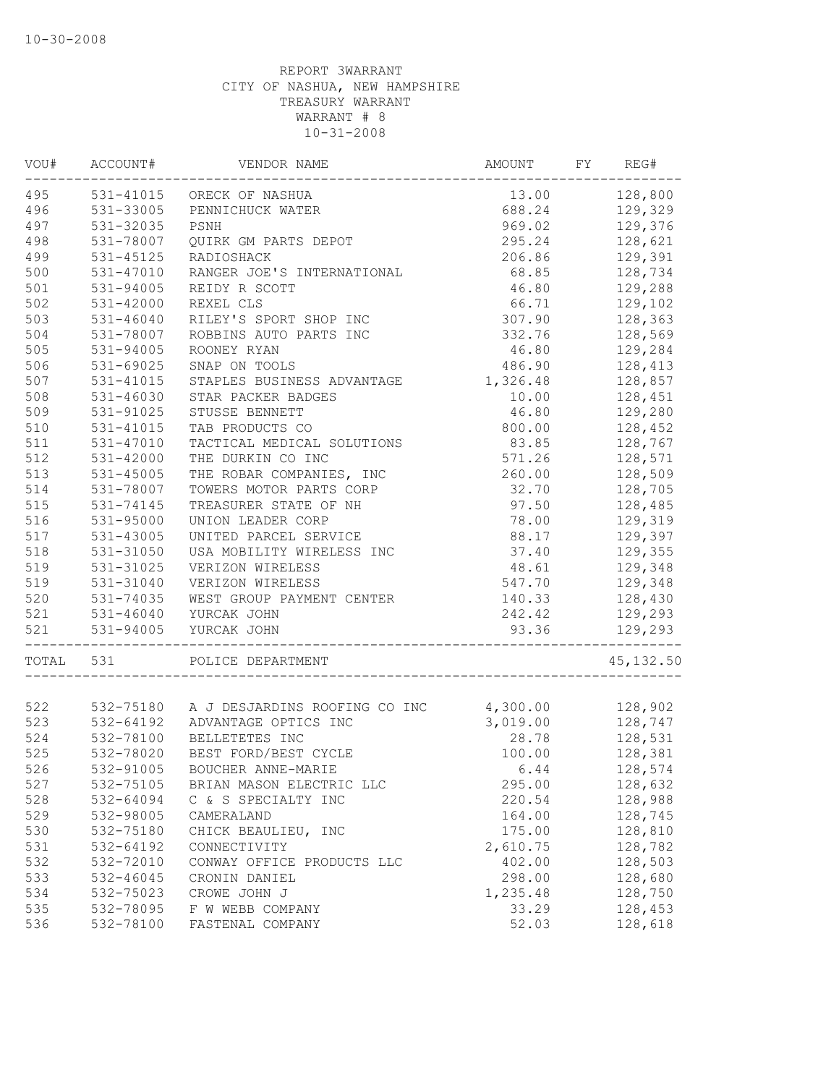| 495<br>531-41015 ORECK OF NASHUA<br>128,800<br>13.00<br>496<br>531-33005<br>688.24<br>129,329<br>PENNICHUCK WATER<br>497<br>531-32035<br>969.02<br>129,376<br>PSNH<br>498<br>128,621<br>531-78007<br>QUIRK GM PARTS DEPOT<br>295.24<br>499<br>531-45125<br>206.86<br>129,391<br>RADIOSHACK<br>500<br>128,734<br>531-47010<br>RANGER JOE'S INTERNATIONAL<br>68.85<br>501<br>531-94005<br>46.80<br>129,288<br>REIDY R SCOTT<br>502<br>66.71<br>129,102<br>531-42000<br>REXEL CLS<br>503<br>531-46040<br>307.90<br>128,363<br>RILEY'S SPORT SHOP INC<br>504<br>531-78007<br>128,569<br>ROBBINS AUTO PARTS INC<br>332.76<br>505<br>531-94005<br>ROONEY RYAN<br>46.80<br>129,284<br>506<br>531-69025<br>SNAP ON TOOLS<br>128,413<br>486.90<br>507<br>531-41015<br>128,857<br>STAPLES BUSINESS ADVANTAGE<br>1,326.48<br>508<br>128,451<br>531-46030<br>STAR PACKER BADGES<br>10.00<br>509<br>STUSSE BENNETT<br>46.80<br>129,280<br>531-91025<br>510<br>531-41015<br>TAB PRODUCTS CO<br>800.00<br>128,452<br>511<br>TACTICAL MEDICAL SOLUTIONS<br>83.85<br>128,767<br>531-47010<br>512<br>THE DURKIN CO INC<br>571.26<br>128,571<br>531-42000<br>513<br>THE ROBAR COMPANIES, INC<br>260.00<br>128,509<br>531-45005<br>514<br>531-78007<br>TOWERS MOTOR PARTS CORP<br>32.70<br>128,705<br>515<br>$531 - 74145$<br>TREASURER STATE OF NH<br>97.50<br>128,485<br>516<br>531-95000<br>78.00<br>UNION LEADER CORP<br>129,319<br>517<br>88.17<br>531-43005<br>UNITED PARCEL SERVICE<br>129,397<br>518<br>37.40<br>129,355<br>531-31050<br>USA MOBILITY WIRELESS INC<br>519<br>531-31025<br>48.61<br>129,348<br>VERIZON WIRELESS<br>519<br>531-31040<br>547.70<br>129,348<br>VERIZON WIRELESS<br>520<br>140.33<br>128,430<br>531-74035<br>WEST GROUP PAYMENT CENTER<br>521<br>531-46040<br>242.42<br>129,293<br>YURCAK JOHN<br>521<br>531-94005<br>YURCAK JOHN<br>93.36<br>129,293<br>TOTAL<br>531<br>POLICE DEPARTMENT<br>128,902<br>532-75180 A J DESJARDINS ROOFING CO INC<br>4,300.00<br>523<br>128,747<br>532-64192<br>3,019.00<br>ADVANTAGE OPTICS INC<br>28.78<br>128,531<br>532-78100<br>BELLETETES INC<br>532-78020<br>BEST FORD/BEST CYCLE<br>128,381<br>100.00<br>526<br>532-91005<br>BOUCHER ANNE-MARIE<br>6.44<br>128,574<br>527<br>532-75105<br>BRIAN MASON ELECTRIC LLC<br>295.00<br>128,632<br>528<br>532-64094<br>C & S SPECIALTY INC<br>220.54<br>128,988<br>529<br>532-98005<br>164.00<br>128,745<br>CAMERALAND<br>530<br>128,810<br>532-75180<br>CHICK BEAULIEU, INC<br>175.00<br>128,782<br>531<br>532-64192<br>2,610.75<br>CONNECTIVITY<br>532<br>402.00<br>128,503<br>532-72010<br>CONWAY OFFICE PRODUCTS LLC<br>533<br>532-46045<br>298.00<br>128,680<br>CRONIN DANIEL<br>534<br>532-75023<br>1,235.48<br>128,750<br>CROWE JOHN J<br>535<br>532-78095<br>F W WEBB COMPANY<br>33.29<br>128,453<br>52.03<br>128,618<br>536<br>532-78100<br>FASTENAL COMPANY | VOU# | ACCOUNT# | VENDOR NAME | AMOUNT | FY | REG#       |
|---------------------------------------------------------------------------------------------------------------------------------------------------------------------------------------------------------------------------------------------------------------------------------------------------------------------------------------------------------------------------------------------------------------------------------------------------------------------------------------------------------------------------------------------------------------------------------------------------------------------------------------------------------------------------------------------------------------------------------------------------------------------------------------------------------------------------------------------------------------------------------------------------------------------------------------------------------------------------------------------------------------------------------------------------------------------------------------------------------------------------------------------------------------------------------------------------------------------------------------------------------------------------------------------------------------------------------------------------------------------------------------------------------------------------------------------------------------------------------------------------------------------------------------------------------------------------------------------------------------------------------------------------------------------------------------------------------------------------------------------------------------------------------------------------------------------------------------------------------------------------------------------------------------------------------------------------------------------------------------------------------------------------------------------------------------------------------------------------------------------------------------------------------------------------------------------------------------------------------------------------------------------------------------------------------------------------------------------------------------------------------------------------------------------------------------------------------------------------------------------------------------------------------------------------------------------------------------------------------------------------------------------------------------------------------------------------------------------------------------------------------------------------------------------------------------------------------------------------------------------|------|----------|-------------|--------|----|------------|
|                                                                                                                                                                                                                                                                                                                                                                                                                                                                                                                                                                                                                                                                                                                                                                                                                                                                                                                                                                                                                                                                                                                                                                                                                                                                                                                                                                                                                                                                                                                                                                                                                                                                                                                                                                                                                                                                                                                                                                                                                                                                                                                                                                                                                                                                                                                                                                                                                                                                                                                                                                                                                                                                                                                                                                                                                                                                     |      |          |             |        |    |            |
|                                                                                                                                                                                                                                                                                                                                                                                                                                                                                                                                                                                                                                                                                                                                                                                                                                                                                                                                                                                                                                                                                                                                                                                                                                                                                                                                                                                                                                                                                                                                                                                                                                                                                                                                                                                                                                                                                                                                                                                                                                                                                                                                                                                                                                                                                                                                                                                                                                                                                                                                                                                                                                                                                                                                                                                                                                                                     |      |          |             |        |    |            |
|                                                                                                                                                                                                                                                                                                                                                                                                                                                                                                                                                                                                                                                                                                                                                                                                                                                                                                                                                                                                                                                                                                                                                                                                                                                                                                                                                                                                                                                                                                                                                                                                                                                                                                                                                                                                                                                                                                                                                                                                                                                                                                                                                                                                                                                                                                                                                                                                                                                                                                                                                                                                                                                                                                                                                                                                                                                                     |      |          |             |        |    |            |
|                                                                                                                                                                                                                                                                                                                                                                                                                                                                                                                                                                                                                                                                                                                                                                                                                                                                                                                                                                                                                                                                                                                                                                                                                                                                                                                                                                                                                                                                                                                                                                                                                                                                                                                                                                                                                                                                                                                                                                                                                                                                                                                                                                                                                                                                                                                                                                                                                                                                                                                                                                                                                                                                                                                                                                                                                                                                     |      |          |             |        |    |            |
|                                                                                                                                                                                                                                                                                                                                                                                                                                                                                                                                                                                                                                                                                                                                                                                                                                                                                                                                                                                                                                                                                                                                                                                                                                                                                                                                                                                                                                                                                                                                                                                                                                                                                                                                                                                                                                                                                                                                                                                                                                                                                                                                                                                                                                                                                                                                                                                                                                                                                                                                                                                                                                                                                                                                                                                                                                                                     |      |          |             |        |    |            |
|                                                                                                                                                                                                                                                                                                                                                                                                                                                                                                                                                                                                                                                                                                                                                                                                                                                                                                                                                                                                                                                                                                                                                                                                                                                                                                                                                                                                                                                                                                                                                                                                                                                                                                                                                                                                                                                                                                                                                                                                                                                                                                                                                                                                                                                                                                                                                                                                                                                                                                                                                                                                                                                                                                                                                                                                                                                                     |      |          |             |        |    |            |
|                                                                                                                                                                                                                                                                                                                                                                                                                                                                                                                                                                                                                                                                                                                                                                                                                                                                                                                                                                                                                                                                                                                                                                                                                                                                                                                                                                                                                                                                                                                                                                                                                                                                                                                                                                                                                                                                                                                                                                                                                                                                                                                                                                                                                                                                                                                                                                                                                                                                                                                                                                                                                                                                                                                                                                                                                                                                     |      |          |             |        |    |            |
|                                                                                                                                                                                                                                                                                                                                                                                                                                                                                                                                                                                                                                                                                                                                                                                                                                                                                                                                                                                                                                                                                                                                                                                                                                                                                                                                                                                                                                                                                                                                                                                                                                                                                                                                                                                                                                                                                                                                                                                                                                                                                                                                                                                                                                                                                                                                                                                                                                                                                                                                                                                                                                                                                                                                                                                                                                                                     |      |          |             |        |    |            |
|                                                                                                                                                                                                                                                                                                                                                                                                                                                                                                                                                                                                                                                                                                                                                                                                                                                                                                                                                                                                                                                                                                                                                                                                                                                                                                                                                                                                                                                                                                                                                                                                                                                                                                                                                                                                                                                                                                                                                                                                                                                                                                                                                                                                                                                                                                                                                                                                                                                                                                                                                                                                                                                                                                                                                                                                                                                                     |      |          |             |        |    |            |
|                                                                                                                                                                                                                                                                                                                                                                                                                                                                                                                                                                                                                                                                                                                                                                                                                                                                                                                                                                                                                                                                                                                                                                                                                                                                                                                                                                                                                                                                                                                                                                                                                                                                                                                                                                                                                                                                                                                                                                                                                                                                                                                                                                                                                                                                                                                                                                                                                                                                                                                                                                                                                                                                                                                                                                                                                                                                     |      |          |             |        |    |            |
|                                                                                                                                                                                                                                                                                                                                                                                                                                                                                                                                                                                                                                                                                                                                                                                                                                                                                                                                                                                                                                                                                                                                                                                                                                                                                                                                                                                                                                                                                                                                                                                                                                                                                                                                                                                                                                                                                                                                                                                                                                                                                                                                                                                                                                                                                                                                                                                                                                                                                                                                                                                                                                                                                                                                                                                                                                                                     |      |          |             |        |    |            |
|                                                                                                                                                                                                                                                                                                                                                                                                                                                                                                                                                                                                                                                                                                                                                                                                                                                                                                                                                                                                                                                                                                                                                                                                                                                                                                                                                                                                                                                                                                                                                                                                                                                                                                                                                                                                                                                                                                                                                                                                                                                                                                                                                                                                                                                                                                                                                                                                                                                                                                                                                                                                                                                                                                                                                                                                                                                                     |      |          |             |        |    |            |
|                                                                                                                                                                                                                                                                                                                                                                                                                                                                                                                                                                                                                                                                                                                                                                                                                                                                                                                                                                                                                                                                                                                                                                                                                                                                                                                                                                                                                                                                                                                                                                                                                                                                                                                                                                                                                                                                                                                                                                                                                                                                                                                                                                                                                                                                                                                                                                                                                                                                                                                                                                                                                                                                                                                                                                                                                                                                     |      |          |             |        |    |            |
|                                                                                                                                                                                                                                                                                                                                                                                                                                                                                                                                                                                                                                                                                                                                                                                                                                                                                                                                                                                                                                                                                                                                                                                                                                                                                                                                                                                                                                                                                                                                                                                                                                                                                                                                                                                                                                                                                                                                                                                                                                                                                                                                                                                                                                                                                                                                                                                                                                                                                                                                                                                                                                                                                                                                                                                                                                                                     |      |          |             |        |    |            |
|                                                                                                                                                                                                                                                                                                                                                                                                                                                                                                                                                                                                                                                                                                                                                                                                                                                                                                                                                                                                                                                                                                                                                                                                                                                                                                                                                                                                                                                                                                                                                                                                                                                                                                                                                                                                                                                                                                                                                                                                                                                                                                                                                                                                                                                                                                                                                                                                                                                                                                                                                                                                                                                                                                                                                                                                                                                                     |      |          |             |        |    |            |
|                                                                                                                                                                                                                                                                                                                                                                                                                                                                                                                                                                                                                                                                                                                                                                                                                                                                                                                                                                                                                                                                                                                                                                                                                                                                                                                                                                                                                                                                                                                                                                                                                                                                                                                                                                                                                                                                                                                                                                                                                                                                                                                                                                                                                                                                                                                                                                                                                                                                                                                                                                                                                                                                                                                                                                                                                                                                     |      |          |             |        |    |            |
|                                                                                                                                                                                                                                                                                                                                                                                                                                                                                                                                                                                                                                                                                                                                                                                                                                                                                                                                                                                                                                                                                                                                                                                                                                                                                                                                                                                                                                                                                                                                                                                                                                                                                                                                                                                                                                                                                                                                                                                                                                                                                                                                                                                                                                                                                                                                                                                                                                                                                                                                                                                                                                                                                                                                                                                                                                                                     |      |          |             |        |    |            |
|                                                                                                                                                                                                                                                                                                                                                                                                                                                                                                                                                                                                                                                                                                                                                                                                                                                                                                                                                                                                                                                                                                                                                                                                                                                                                                                                                                                                                                                                                                                                                                                                                                                                                                                                                                                                                                                                                                                                                                                                                                                                                                                                                                                                                                                                                                                                                                                                                                                                                                                                                                                                                                                                                                                                                                                                                                                                     |      |          |             |        |    |            |
|                                                                                                                                                                                                                                                                                                                                                                                                                                                                                                                                                                                                                                                                                                                                                                                                                                                                                                                                                                                                                                                                                                                                                                                                                                                                                                                                                                                                                                                                                                                                                                                                                                                                                                                                                                                                                                                                                                                                                                                                                                                                                                                                                                                                                                                                                                                                                                                                                                                                                                                                                                                                                                                                                                                                                                                                                                                                     |      |          |             |        |    |            |
|                                                                                                                                                                                                                                                                                                                                                                                                                                                                                                                                                                                                                                                                                                                                                                                                                                                                                                                                                                                                                                                                                                                                                                                                                                                                                                                                                                                                                                                                                                                                                                                                                                                                                                                                                                                                                                                                                                                                                                                                                                                                                                                                                                                                                                                                                                                                                                                                                                                                                                                                                                                                                                                                                                                                                                                                                                                                     |      |          |             |        |    |            |
|                                                                                                                                                                                                                                                                                                                                                                                                                                                                                                                                                                                                                                                                                                                                                                                                                                                                                                                                                                                                                                                                                                                                                                                                                                                                                                                                                                                                                                                                                                                                                                                                                                                                                                                                                                                                                                                                                                                                                                                                                                                                                                                                                                                                                                                                                                                                                                                                                                                                                                                                                                                                                                                                                                                                                                                                                                                                     |      |          |             |        |    |            |
|                                                                                                                                                                                                                                                                                                                                                                                                                                                                                                                                                                                                                                                                                                                                                                                                                                                                                                                                                                                                                                                                                                                                                                                                                                                                                                                                                                                                                                                                                                                                                                                                                                                                                                                                                                                                                                                                                                                                                                                                                                                                                                                                                                                                                                                                                                                                                                                                                                                                                                                                                                                                                                                                                                                                                                                                                                                                     |      |          |             |        |    |            |
|                                                                                                                                                                                                                                                                                                                                                                                                                                                                                                                                                                                                                                                                                                                                                                                                                                                                                                                                                                                                                                                                                                                                                                                                                                                                                                                                                                                                                                                                                                                                                                                                                                                                                                                                                                                                                                                                                                                                                                                                                                                                                                                                                                                                                                                                                                                                                                                                                                                                                                                                                                                                                                                                                                                                                                                                                                                                     |      |          |             |        |    |            |
|                                                                                                                                                                                                                                                                                                                                                                                                                                                                                                                                                                                                                                                                                                                                                                                                                                                                                                                                                                                                                                                                                                                                                                                                                                                                                                                                                                                                                                                                                                                                                                                                                                                                                                                                                                                                                                                                                                                                                                                                                                                                                                                                                                                                                                                                                                                                                                                                                                                                                                                                                                                                                                                                                                                                                                                                                                                                     |      |          |             |        |    |            |
|                                                                                                                                                                                                                                                                                                                                                                                                                                                                                                                                                                                                                                                                                                                                                                                                                                                                                                                                                                                                                                                                                                                                                                                                                                                                                                                                                                                                                                                                                                                                                                                                                                                                                                                                                                                                                                                                                                                                                                                                                                                                                                                                                                                                                                                                                                                                                                                                                                                                                                                                                                                                                                                                                                                                                                                                                                                                     |      |          |             |        |    |            |
|                                                                                                                                                                                                                                                                                                                                                                                                                                                                                                                                                                                                                                                                                                                                                                                                                                                                                                                                                                                                                                                                                                                                                                                                                                                                                                                                                                                                                                                                                                                                                                                                                                                                                                                                                                                                                                                                                                                                                                                                                                                                                                                                                                                                                                                                                                                                                                                                                                                                                                                                                                                                                                                                                                                                                                                                                                                                     |      |          |             |        |    |            |
|                                                                                                                                                                                                                                                                                                                                                                                                                                                                                                                                                                                                                                                                                                                                                                                                                                                                                                                                                                                                                                                                                                                                                                                                                                                                                                                                                                                                                                                                                                                                                                                                                                                                                                                                                                                                                                                                                                                                                                                                                                                                                                                                                                                                                                                                                                                                                                                                                                                                                                                                                                                                                                                                                                                                                                                                                                                                     |      |          |             |        |    |            |
|                                                                                                                                                                                                                                                                                                                                                                                                                                                                                                                                                                                                                                                                                                                                                                                                                                                                                                                                                                                                                                                                                                                                                                                                                                                                                                                                                                                                                                                                                                                                                                                                                                                                                                                                                                                                                                                                                                                                                                                                                                                                                                                                                                                                                                                                                                                                                                                                                                                                                                                                                                                                                                                                                                                                                                                                                                                                     |      |          |             |        |    |            |
|                                                                                                                                                                                                                                                                                                                                                                                                                                                                                                                                                                                                                                                                                                                                                                                                                                                                                                                                                                                                                                                                                                                                                                                                                                                                                                                                                                                                                                                                                                                                                                                                                                                                                                                                                                                                                                                                                                                                                                                                                                                                                                                                                                                                                                                                                                                                                                                                                                                                                                                                                                                                                                                                                                                                                                                                                                                                     |      |          |             |        |    |            |
|                                                                                                                                                                                                                                                                                                                                                                                                                                                                                                                                                                                                                                                                                                                                                                                                                                                                                                                                                                                                                                                                                                                                                                                                                                                                                                                                                                                                                                                                                                                                                                                                                                                                                                                                                                                                                                                                                                                                                                                                                                                                                                                                                                                                                                                                                                                                                                                                                                                                                                                                                                                                                                                                                                                                                                                                                                                                     |      |          |             |        |    | 45, 132.50 |
|                                                                                                                                                                                                                                                                                                                                                                                                                                                                                                                                                                                                                                                                                                                                                                                                                                                                                                                                                                                                                                                                                                                                                                                                                                                                                                                                                                                                                                                                                                                                                                                                                                                                                                                                                                                                                                                                                                                                                                                                                                                                                                                                                                                                                                                                                                                                                                                                                                                                                                                                                                                                                                                                                                                                                                                                                                                                     |      |          |             |        |    |            |
|                                                                                                                                                                                                                                                                                                                                                                                                                                                                                                                                                                                                                                                                                                                                                                                                                                                                                                                                                                                                                                                                                                                                                                                                                                                                                                                                                                                                                                                                                                                                                                                                                                                                                                                                                                                                                                                                                                                                                                                                                                                                                                                                                                                                                                                                                                                                                                                                                                                                                                                                                                                                                                                                                                                                                                                                                                                                     | 522  |          |             |        |    |            |
|                                                                                                                                                                                                                                                                                                                                                                                                                                                                                                                                                                                                                                                                                                                                                                                                                                                                                                                                                                                                                                                                                                                                                                                                                                                                                                                                                                                                                                                                                                                                                                                                                                                                                                                                                                                                                                                                                                                                                                                                                                                                                                                                                                                                                                                                                                                                                                                                                                                                                                                                                                                                                                                                                                                                                                                                                                                                     |      |          |             |        |    |            |
|                                                                                                                                                                                                                                                                                                                                                                                                                                                                                                                                                                                                                                                                                                                                                                                                                                                                                                                                                                                                                                                                                                                                                                                                                                                                                                                                                                                                                                                                                                                                                                                                                                                                                                                                                                                                                                                                                                                                                                                                                                                                                                                                                                                                                                                                                                                                                                                                                                                                                                                                                                                                                                                                                                                                                                                                                                                                     | 524  |          |             |        |    |            |
|                                                                                                                                                                                                                                                                                                                                                                                                                                                                                                                                                                                                                                                                                                                                                                                                                                                                                                                                                                                                                                                                                                                                                                                                                                                                                                                                                                                                                                                                                                                                                                                                                                                                                                                                                                                                                                                                                                                                                                                                                                                                                                                                                                                                                                                                                                                                                                                                                                                                                                                                                                                                                                                                                                                                                                                                                                                                     | 525  |          |             |        |    |            |
|                                                                                                                                                                                                                                                                                                                                                                                                                                                                                                                                                                                                                                                                                                                                                                                                                                                                                                                                                                                                                                                                                                                                                                                                                                                                                                                                                                                                                                                                                                                                                                                                                                                                                                                                                                                                                                                                                                                                                                                                                                                                                                                                                                                                                                                                                                                                                                                                                                                                                                                                                                                                                                                                                                                                                                                                                                                                     |      |          |             |        |    |            |
|                                                                                                                                                                                                                                                                                                                                                                                                                                                                                                                                                                                                                                                                                                                                                                                                                                                                                                                                                                                                                                                                                                                                                                                                                                                                                                                                                                                                                                                                                                                                                                                                                                                                                                                                                                                                                                                                                                                                                                                                                                                                                                                                                                                                                                                                                                                                                                                                                                                                                                                                                                                                                                                                                                                                                                                                                                                                     |      |          |             |        |    |            |
|                                                                                                                                                                                                                                                                                                                                                                                                                                                                                                                                                                                                                                                                                                                                                                                                                                                                                                                                                                                                                                                                                                                                                                                                                                                                                                                                                                                                                                                                                                                                                                                                                                                                                                                                                                                                                                                                                                                                                                                                                                                                                                                                                                                                                                                                                                                                                                                                                                                                                                                                                                                                                                                                                                                                                                                                                                                                     |      |          |             |        |    |            |
|                                                                                                                                                                                                                                                                                                                                                                                                                                                                                                                                                                                                                                                                                                                                                                                                                                                                                                                                                                                                                                                                                                                                                                                                                                                                                                                                                                                                                                                                                                                                                                                                                                                                                                                                                                                                                                                                                                                                                                                                                                                                                                                                                                                                                                                                                                                                                                                                                                                                                                                                                                                                                                                                                                                                                                                                                                                                     |      |          |             |        |    |            |
|                                                                                                                                                                                                                                                                                                                                                                                                                                                                                                                                                                                                                                                                                                                                                                                                                                                                                                                                                                                                                                                                                                                                                                                                                                                                                                                                                                                                                                                                                                                                                                                                                                                                                                                                                                                                                                                                                                                                                                                                                                                                                                                                                                                                                                                                                                                                                                                                                                                                                                                                                                                                                                                                                                                                                                                                                                                                     |      |          |             |        |    |            |
|                                                                                                                                                                                                                                                                                                                                                                                                                                                                                                                                                                                                                                                                                                                                                                                                                                                                                                                                                                                                                                                                                                                                                                                                                                                                                                                                                                                                                                                                                                                                                                                                                                                                                                                                                                                                                                                                                                                                                                                                                                                                                                                                                                                                                                                                                                                                                                                                                                                                                                                                                                                                                                                                                                                                                                                                                                                                     |      |          |             |        |    |            |
|                                                                                                                                                                                                                                                                                                                                                                                                                                                                                                                                                                                                                                                                                                                                                                                                                                                                                                                                                                                                                                                                                                                                                                                                                                                                                                                                                                                                                                                                                                                                                                                                                                                                                                                                                                                                                                                                                                                                                                                                                                                                                                                                                                                                                                                                                                                                                                                                                                                                                                                                                                                                                                                                                                                                                                                                                                                                     |      |          |             |        |    |            |
|                                                                                                                                                                                                                                                                                                                                                                                                                                                                                                                                                                                                                                                                                                                                                                                                                                                                                                                                                                                                                                                                                                                                                                                                                                                                                                                                                                                                                                                                                                                                                                                                                                                                                                                                                                                                                                                                                                                                                                                                                                                                                                                                                                                                                                                                                                                                                                                                                                                                                                                                                                                                                                                                                                                                                                                                                                                                     |      |          |             |        |    |            |
|                                                                                                                                                                                                                                                                                                                                                                                                                                                                                                                                                                                                                                                                                                                                                                                                                                                                                                                                                                                                                                                                                                                                                                                                                                                                                                                                                                                                                                                                                                                                                                                                                                                                                                                                                                                                                                                                                                                                                                                                                                                                                                                                                                                                                                                                                                                                                                                                                                                                                                                                                                                                                                                                                                                                                                                                                                                                     |      |          |             |        |    |            |
|                                                                                                                                                                                                                                                                                                                                                                                                                                                                                                                                                                                                                                                                                                                                                                                                                                                                                                                                                                                                                                                                                                                                                                                                                                                                                                                                                                                                                                                                                                                                                                                                                                                                                                                                                                                                                                                                                                                                                                                                                                                                                                                                                                                                                                                                                                                                                                                                                                                                                                                                                                                                                                                                                                                                                                                                                                                                     |      |          |             |        |    |            |
|                                                                                                                                                                                                                                                                                                                                                                                                                                                                                                                                                                                                                                                                                                                                                                                                                                                                                                                                                                                                                                                                                                                                                                                                                                                                                                                                                                                                                                                                                                                                                                                                                                                                                                                                                                                                                                                                                                                                                                                                                                                                                                                                                                                                                                                                                                                                                                                                                                                                                                                                                                                                                                                                                                                                                                                                                                                                     |      |          |             |        |    |            |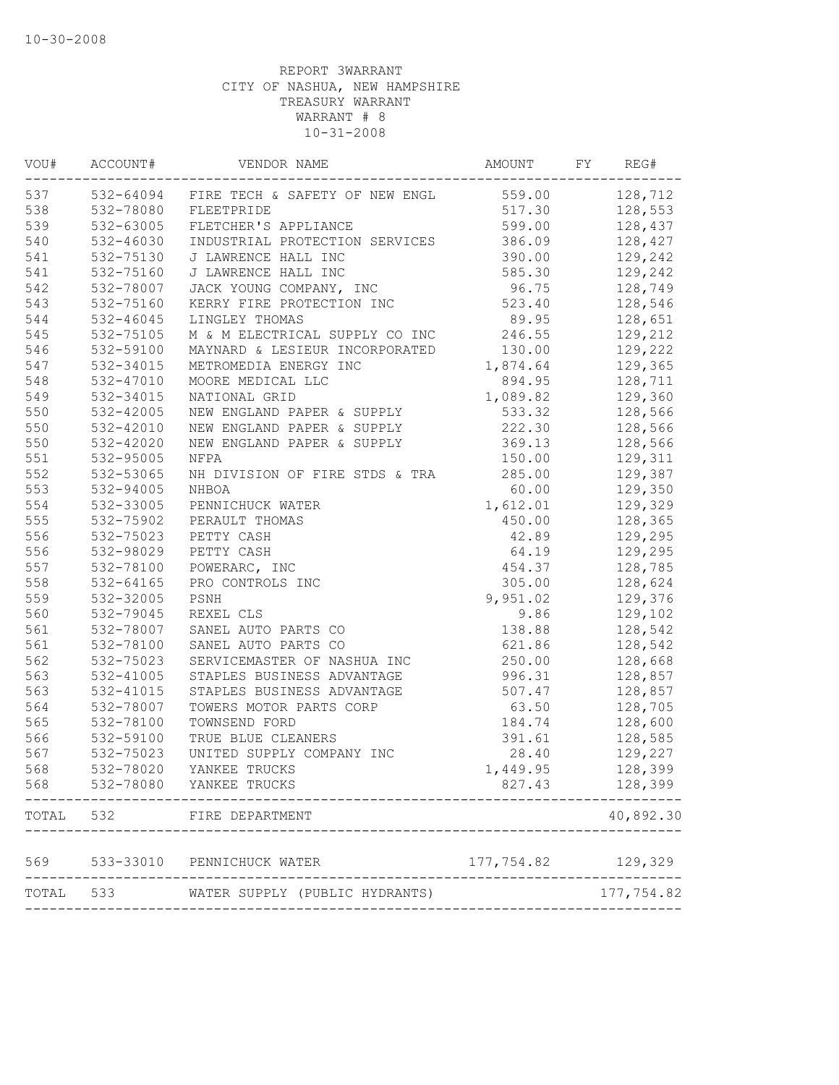| VOU#  | ACCOUNT#  | VENDOR NAME                              | AMOUNT     | FY | REG#       |
|-------|-----------|------------------------------------------|------------|----|------------|
| 537   |           | 532-64094 FIRE TECH & SAFETY OF NEW ENGL | 559.00     |    | 128,712    |
| 538   | 532-78080 | FLEETPRIDE                               | 517.30     |    | 128,553    |
| 539   | 532-63005 | FLETCHER'S APPLIANCE                     | 599.00     |    | 128,437    |
| 540   | 532-46030 | INDUSTRIAL PROTECTION SERVICES           | 386.09     |    | 128,427    |
| 541   | 532-75130 | J LAWRENCE HALL INC                      | 390.00     |    | 129,242    |
| 541   | 532-75160 | J LAWRENCE HALL INC                      | 585.30     |    | 129,242    |
| 542   | 532-78007 | JACK YOUNG COMPANY, INC                  | 96.75      |    | 128,749    |
| 543   | 532-75160 | KERRY FIRE PROTECTION INC                | 523.40     |    | 128,546    |
| 544   | 532-46045 | LINGLEY THOMAS                           | 89.95      |    | 128,651    |
| 545   | 532-75105 | M & M ELECTRICAL SUPPLY CO INC           | 246.55     |    | 129,212    |
| 546   | 532-59100 | MAYNARD & LESIEUR INCORPORATED           | 130.00     |    | 129,222    |
| 547   | 532-34015 | METROMEDIA ENERGY INC                    | 1,874.64   |    | 129,365    |
| 548   | 532-47010 | MOORE MEDICAL LLC                        | 894.95     |    | 128,711    |
| 549   | 532-34015 | NATIONAL GRID                            | 1,089.82   |    | 129,360    |
| 550   | 532-42005 | NEW ENGLAND PAPER & SUPPLY               | 533.32     |    | 128,566    |
| 550   | 532-42010 | NEW ENGLAND PAPER & SUPPLY               | 222.30     |    | 128,566    |
| 550   | 532-42020 | NEW ENGLAND PAPER & SUPPLY               | 369.13     |    | 128,566    |
| 551   | 532-95005 | NFPA                                     | 150.00     |    | 129,311    |
| 552   | 532-53065 | NH DIVISION OF FIRE STDS & TRA           | 285.00     |    | 129,387    |
| 553   | 532-94005 | NHBOA                                    | 60.00      |    | 129,350    |
| 554   | 532-33005 | PENNICHUCK WATER                         | 1,612.01   |    | 129,329    |
| 555   | 532-75902 | PERAULT THOMAS                           | 450.00     |    | 128,365    |
| 556   | 532-75023 | PETTY CASH                               | 42.89      |    | 129,295    |
| 556   | 532-98029 | PETTY CASH                               | 64.19      |    | 129,295    |
| 557   | 532-78100 | POWERARC, INC                            | 454.37     |    | 128,785    |
| 558   | 532-64165 | PRO CONTROLS INC                         | 305.00     |    | 128,624    |
| 559   | 532-32005 | PSNH                                     | 9,951.02   |    | 129,376    |
| 560   | 532-79045 | REXEL CLS                                | 9.86       |    | 129,102    |
| 561   | 532-78007 | SANEL AUTO PARTS CO                      | 138.88     |    | 128,542    |
| 561   | 532-78100 | SANEL AUTO PARTS CO                      | 621.86     |    | 128,542    |
| 562   | 532-75023 | SERVICEMASTER OF NASHUA INC              | 250.00     |    | 128,668    |
| 563   | 532-41005 | STAPLES BUSINESS ADVANTAGE               | 996.31     |    | 128,857    |
| 563   | 532-41015 | STAPLES BUSINESS ADVANTAGE               | 507.47     |    | 128,857    |
| 564   | 532-78007 | TOWERS MOTOR PARTS CORP                  | 63.50      |    | 128,705    |
| 565   | 532-78100 | TOWNSEND FORD                            | 184.74     |    | 128,600    |
| 566   | 532-59100 | TRUE BLUE CLEANERS                       | 391.61     |    | 128,585    |
| 567   | 532-75023 | UNITED SUPPLY COMPANY INC                | 28.40      |    | 129,227    |
| 568   | 532-78020 | YANKEE TRUCKS                            | 1,449.95   |    | 128,399    |
| 568   |           | 532-78080 YANKEE TRUCKS                  | 827.43     |    | 128,399    |
| TOTAL | 532       | FIRE DEPARTMENT                          |            |    | 40,892.30  |
| 569   | 533-33010 | PENNICHUCK WATER                         | 177,754.82 |    | 129,329    |
| TOTAL | 533 64    | WATER SUPPLY (PUBLIC HYDRANTS)           |            |    | 177,754.82 |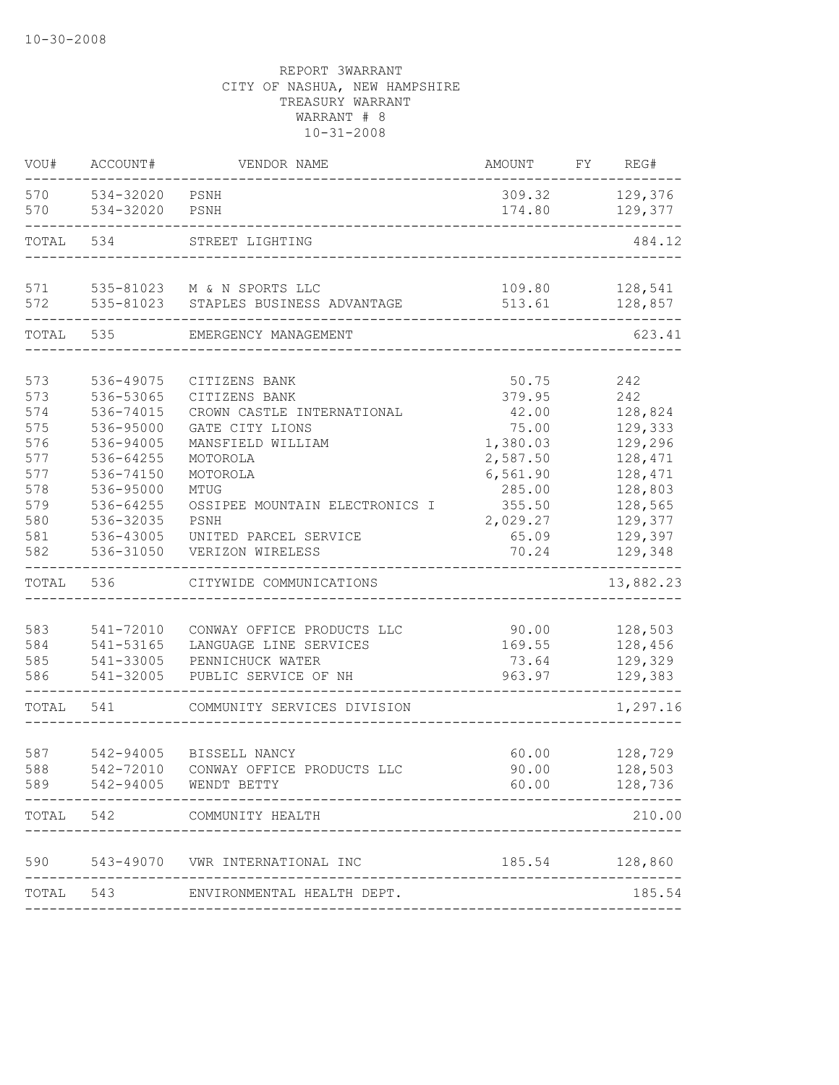| VOU#  | ACCOUNT#  | VENDOR NAME                     | AMOUNT   | FY | REG#           |
|-------|-----------|---------------------------------|----------|----|----------------|
| 570   | 534-32020 | PSNH                            | 309.32   |    | 129,376        |
| 570   | 534-32020 | PSNH                            | 174.80   |    | 129,377        |
| TOTAL | 534       | STREET LIGHTING                 |          |    | 484.12         |
| 571   |           | 535-81023 M & N SPORTS LLC      | 109.80   |    | 128,541        |
| 572   | 535-81023 | STAPLES BUSINESS ADVANTAGE      | 513.61   |    | 128,857        |
| TOTAL | 535       | EMERGENCY MANAGEMENT            |          |    | 623.41         |
| 573   | 536-49075 | CITIZENS BANK                   | 50.75    |    | 242            |
| 573   | 536-53065 | CITIZENS BANK                   | 379.95   |    | 242            |
| 574   | 536-74015 | CROWN CASTLE INTERNATIONAL      | 42.00    |    | 128,824        |
| 575   | 536-95000 | GATE CITY LIONS                 | 75.00    |    | 129,333        |
| 576   | 536-94005 | MANSFIELD WILLIAM               | 1,380.03 |    | 129,296        |
| 577   | 536-64255 | MOTOROLA                        | 2,587.50 |    | 128,471        |
| 577   | 536-74150 | MOTOROLA                        | 6,561.90 |    | 128,471        |
| 578   | 536-95000 | MTUG                            | 285.00   |    | 128,803        |
| 579   | 536-64255 | OSSIPEE MOUNTAIN ELECTRONICS I  | 355.50   |    | 128,565        |
| 580   | 536-32035 | PSNH                            | 2,029.27 |    | 129,377        |
| 581   | 536-43005 | UNITED PARCEL SERVICE           | 65.09    |    | 129,397        |
| 582   | 536-31050 | VERIZON WIRELESS                | 70.24    |    | 129,348        |
| TOTAL | 536       | CITYWIDE COMMUNICATIONS         |          |    | 13,882.23      |
|       |           |                                 |          |    |                |
| 583   | 541-72010 | CONWAY OFFICE PRODUCTS LLC      | 90.00    |    | 128,503        |
| 584   | 541-53165 | LANGUAGE LINE SERVICES          | 169.55   |    | 128,456        |
| 585   | 541-33005 | PENNICHUCK WATER                | 73.64    |    | 129,329        |
| 586   | 541-32005 | PUBLIC SERVICE OF NH            | 963.97   |    | 129,383        |
| TOTAL | 541       | COMMUNITY SERVICES DIVISION     |          |    | 1,297.16       |
| 587   | 542-94005 | BISSELL NANCY                   | 60.00    |    | 128,729        |
| 588   | 542-72010 | CONWAY OFFICE PRODUCTS LLC      | 90.00    |    | 128,503        |
| 589   |           | 542-94005 WENDT BETTY           | 60.00    |    | 128,736        |
| TOTAL | 542       | COMMUNITY HEALTH                |          |    | 210.00         |
|       |           |                                 |          |    |                |
| 590   |           | 543-49070 VWR INTERNATIONAL INC |          |    | 185.54 128,860 |
| TOTAL | 543       | ENVIRONMENTAL HEALTH DEPT.      |          |    | 185.54         |
|       |           |                                 |          |    |                |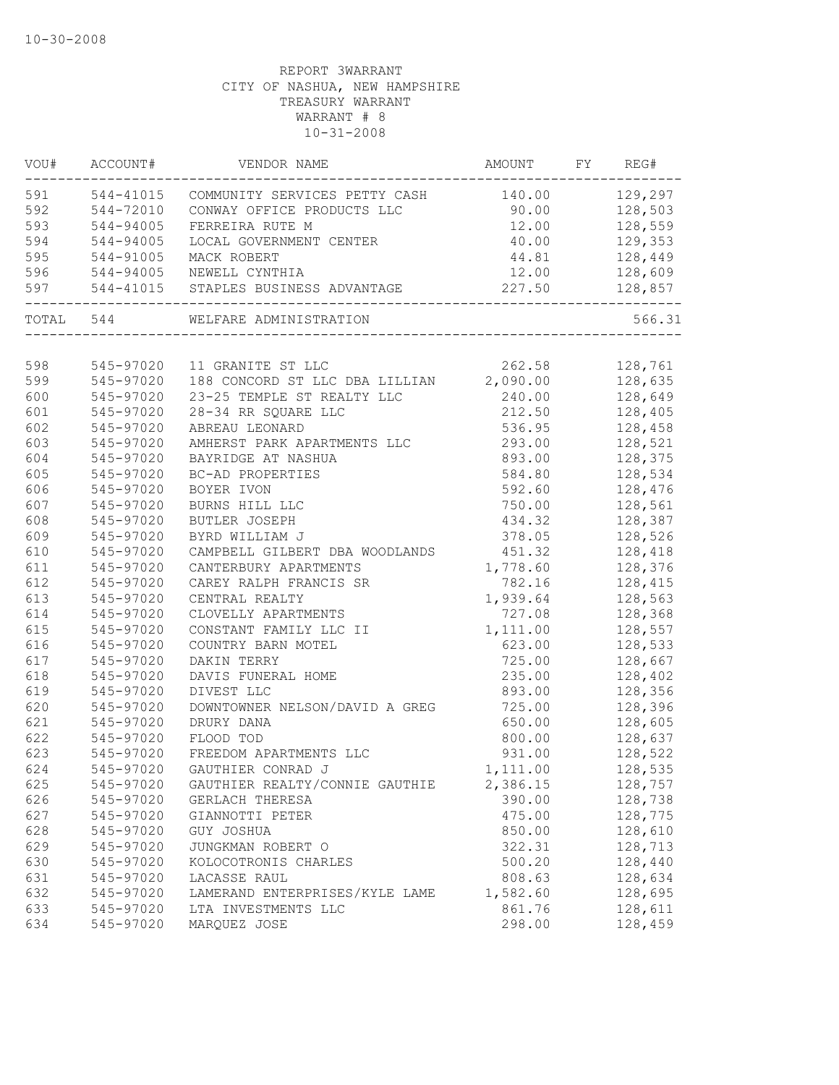|     |           | VOU# ACCOUNT# VENDOR NAME                                  | AMOUNT FY REG# |                |
|-----|-----------|------------------------------------------------------------|----------------|----------------|
|     |           | 591 544-41015 COMMUNITY SERVICES PETTY CASH 140.00 129,297 |                |                |
| 592 | 544-72010 | CONWAY OFFICE PRODUCTS LLC                                 | 90.00          | 128,503        |
| 593 | 544-94005 | FERREIRA RUTE M                                            | 12.00 128,559  |                |
| 594 | 544-94005 | LOCAL GOVERNMENT CENTER                                    | 40.00 129,353  |                |
| 595 | 544-91005 | MACK ROBERT                                                | 44.81 128,449  |                |
| 596 |           | 544-94005 NEWELL CYNTHIA                                   | 12.00 128,609  |                |
| 597 |           | 544-41015 STAPLES BUSINESS ADVANTAGE                       |                | 227.50 128,857 |
|     |           | TOTAL 544 WELFARE ADMINISTRATION                           |                | 566.31         |
|     |           |                                                            |                |                |
| 598 |           | 545-97020 11 GRANITE ST LLC                                | 262.58 128,761 |                |
| 599 |           | 545-97020 188 CONCORD ST LLC DBA LILLIAN 2,090.00 128,635  |                |                |
| 600 | 545-97020 | 23-25 TEMPLE ST REALTY LLC                                 | 240.00 128,649 |                |
| 601 | 545-97020 | 28-34 RR SQUARE LLC                                        | 212.50         | 128,405        |
| 602 | 545-97020 | ABREAU LEONARD                                             | 536.95         | 128,458        |
| 603 | 545-97020 | AMHERST PARK APARTMENTS LLC                                | 293.00         | 128,521        |
| 604 | 545-97020 | BAYRIDGE AT NASHUA                                         | 893.00         | 128,375        |
| 605 | 545-97020 | BC-AD PROPERTIES                                           | 584.80         | 128,534        |
| 606 | 545-97020 | BOYER IVON                                                 | 592.60         | 128,476        |
| 607 | 545-97020 | BURNS HILL LLC                                             | 750.00         | 128,561        |
| 608 | 545-97020 | BUTLER JOSEPH                                              | 434.32         | 128,387        |
| 609 | 545-97020 | BYRD WILLIAM J                                             | 378.05         | 128,526        |
| 610 | 545-97020 | CAMPBELL GILBERT DBA WOODLANDS 451.32                      |                | 128,418        |
| 611 | 545-97020 | CANTERBURY APARTMENTS                                      | 1,778.60       | 128,376        |
| 612 | 545-97020 | CAREY RALPH FRANCIS SR                                     | 782.16         | 128,415        |
| 613 | 545-97020 | CENTRAL REALTY                                             | 1,939.64       | 128,563        |
| 614 | 545-97020 | CLOVELLY APARTMENTS                                        | 727.08         | 128,368        |
| 615 | 545-97020 | CONSTANT FAMILY LLC II                                     | 1,111.00       | 128,557        |
| 616 | 545-97020 | COUNTRY BARN MOTEL                                         | 623.00         | 128,533        |
| 617 | 545-97020 | DAKIN TERRY                                                | 725.00         | 128,667        |
| 618 | 545-97020 | DAVIS FUNERAL HOME                                         | 235.00         | 128,402        |
| 619 | 545-97020 | DIVEST LLC                                                 | 893.00         | 128,356        |
| 620 | 545-97020 | DOWNTOWNER NELSON/DAVID A GREG 725.00                      |                | 128,396        |
| 621 | 545-97020 | DRURY DANA                                                 | 650.00         | 128,605        |
| 622 | 545-97020 | FLOOD TOD                                                  | 800.00         | 128,637        |
| 623 | 545-97020 | FREEDOM APARTMENTS LLC                                     | 931.00         | 128,522        |
| 624 |           | 545-97020 GAUTHIER CONRAD J                                | 1,111.00       | 128,535        |
| 625 | 545-97020 | GAUTHIER REALTY/CONNIE GAUTHIE                             | 2,386.15       | 128,757        |
| 626 | 545-97020 | GERLACH THERESA                                            | 390.00         | 128,738        |
| 627 | 545-97020 | GIANNOTTI PETER                                            | 475.00         | 128,775        |
| 628 | 545-97020 | GUY JOSHUA                                                 | 850.00         | 128,610        |
| 629 | 545-97020 | JUNGKMAN ROBERT O                                          | 322.31         | 128,713        |
| 630 | 545-97020 | KOLOCOTRONIS CHARLES                                       | 500.20         | 128,440        |
| 631 | 545-97020 | LACASSE RAUL                                               | 808.63         | 128,634        |
| 632 | 545-97020 | LAMERAND ENTERPRISES/KYLE LAME                             | 1,582.60       | 128,695        |
| 633 | 545-97020 | LTA INVESTMENTS LLC                                        | 861.76         | 128,611        |
| 634 | 545-97020 | MARQUEZ JOSE                                               | 298.00         | 128,459        |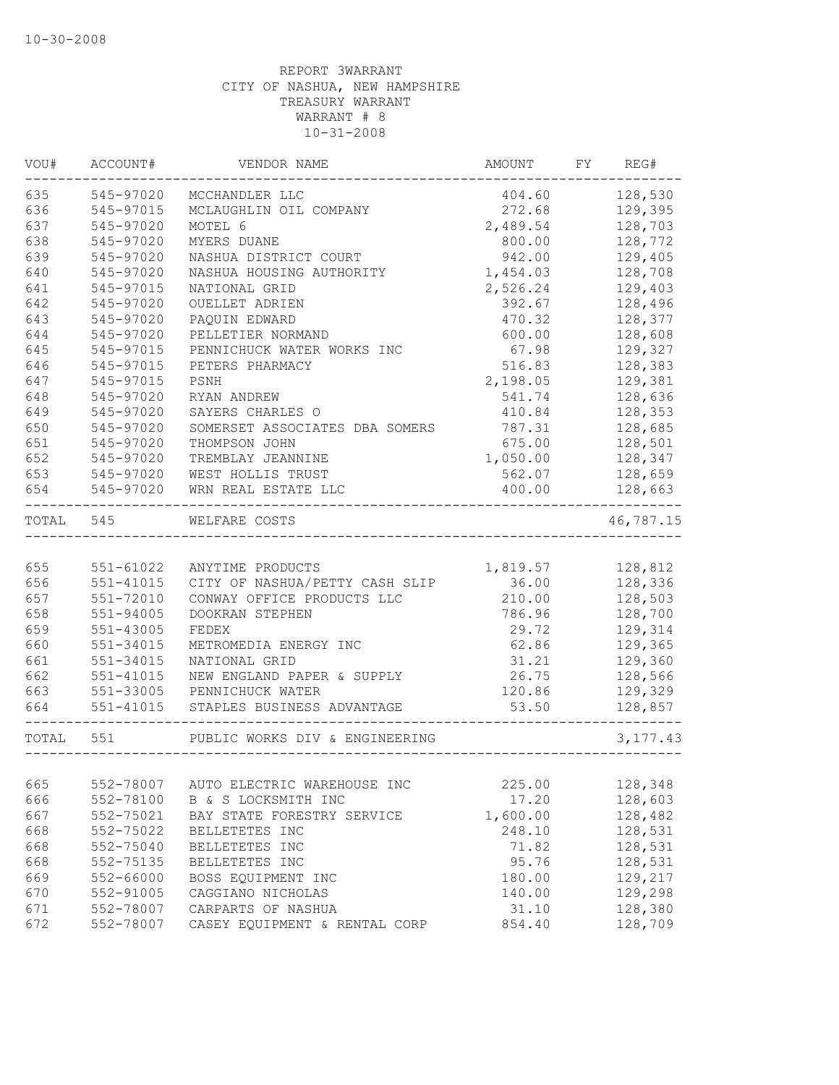| VOU#       | ACCOUNT#                                       | VENDOR NAME                                 | AMOUNT         | FY | REG#               |
|------------|------------------------------------------------|---------------------------------------------|----------------|----|--------------------|
| 635        | 545-97020                                      | MCCHANDLER LLC                              | 404.60         |    | 128,530            |
| 636        | 545-97015                                      | MCLAUGHLIN OIL COMPANY                      | 272.68         |    | 129,395            |
| 637        | 545-97020                                      | MOTEL 6                                     | 2,489.54       |    | 128,703            |
| 638        | 545-97020                                      | MYERS DUANE                                 | 800.00         |    | 128,772            |
| 639        | 545-97020                                      | NASHUA DISTRICT COURT                       | 942.00         |    | 129,405            |
| 640        | 545-97020                                      | NASHUA HOUSING AUTHORITY                    | 1,454.03       |    | 128,708            |
| 641        | 545-97015                                      | NATIONAL GRID                               | 2,526.24       |    | 129,403            |
| 642        | 545-97020                                      | OUELLET ADRIEN                              | 392.67         |    | 128,496            |
| 643        | 545-97020                                      | PAQUIN EDWARD                               | 470.32         |    | 128,377            |
| 644        | 545-97020                                      | PELLETIER NORMAND                           | 600.00         |    | 128,608            |
| 645        | 545-97015                                      | PENNICHUCK WATER WORKS INC                  | 67.98          |    | 129,327            |
| 646        | 545-97015                                      | PETERS PHARMACY                             | 516.83         |    | 128,383            |
| 647        | 545-97015                                      | PSNH                                        | 2,198.05       |    | 129,381            |
| 648        | 545-97020                                      | RYAN ANDREW                                 | 541.74         |    | 128,636            |
| 649        | 545-97020                                      | SAYERS CHARLES O                            | 410.84         |    | 128,353            |
| 650        | 545-97020                                      | SOMERSET ASSOCIATES DBA SOMERS              | 787.31         |    | 128,685            |
| 651        | 545-97020                                      | THOMPSON JOHN                               | 675.00         |    | 128,501            |
| 652        | 545-97020                                      | TREMBLAY JEANNINE                           | 1,050.00       |    | 128,347            |
| 653        | 545-97020                                      | WEST HOLLIS TRUST                           | 562.07         |    | 128,659            |
| 654        | 545-97020<br>. _ _ _ _ _ _ _ _ _ _ _ _ _ _ _ _ | WRN REAL ESTATE LLC                         | 400.00         |    | 128,663            |
| TOTAL      | 545                                            | WELFARE COSTS                               |                |    | 46,787.15          |
|            |                                                |                                             |                |    |                    |
| 655        | 551-61022                                      | ANYTIME PRODUCTS                            | 1,819.57       |    | 128,812            |
| 656        | 551-41015                                      | CITY OF NASHUA/PETTY CASH SLIP              | 36.00          |    | 128,336            |
| 657        | 551-72010                                      | CONWAY OFFICE PRODUCTS LLC                  | 210.00         |    | 128,503            |
| 658        | $551 - 94005$                                  | DOOKRAN STEPHEN                             | 786.96         |    | 128,700            |
| 659<br>660 | $551 - 43005$<br>551-34015                     | FEDEX                                       | 29.72          |    | 129,314            |
| 661        | 551-34015                                      | METROMEDIA ENERGY INC                       | 62.86<br>31.21 |    | 129,365            |
| 662        | $551 - 41015$                                  | NATIONAL GRID<br>NEW ENGLAND PAPER & SUPPLY | 26.75          |    | 129,360<br>128,566 |
| 663        |                                                | 551-33005 PENNICHUCK WATER                  | 120.86         |    | 129,329            |
| 664        |                                                | 551-41015 STAPLES BUSINESS ADVANTAGE        | 53.50          |    | 128,857            |
|            |                                                |                                             |                |    |                    |
| TOTAL 551  |                                                | PUBLIC WORKS DIV & ENGINEERING              |                |    | 3, 177.43          |
|            |                                                |                                             |                |    |                    |
| 665        | 552-78007                                      | AUTO ELECTRIC WAREHOUSE INC                 | 225.00         |    | 128,348            |
| 666        | 552-78100                                      | B & S LOCKSMITH INC                         | 17.20          |    | 128,603            |
| 667        | 552-75021                                      | BAY STATE FORESTRY SERVICE                  | 1,600.00       |    | 128,482            |
| 668        | 552-75022                                      | BELLETETES INC                              | 248.10         |    | 128,531            |
| 668        | 552-75040                                      | BELLETETES INC                              | 71.82          |    | 128,531            |
| 668        | 552-75135                                      | BELLETETES INC                              | 95.76          |    | 128,531            |
| 669        | 552-66000                                      | BOSS EQUIPMENT INC                          | 180.00         |    | 129,217            |
| 670        | 552-91005                                      | CAGGIANO NICHOLAS                           | 140.00         |    | 129,298            |
| 671        | 552-78007                                      | CARPARTS OF NASHUA                          | 31.10          |    | 128,380            |
| 672        | 552-78007                                      | CASEY EQUIPMENT & RENTAL CORP               | 854.40         |    | 128,709            |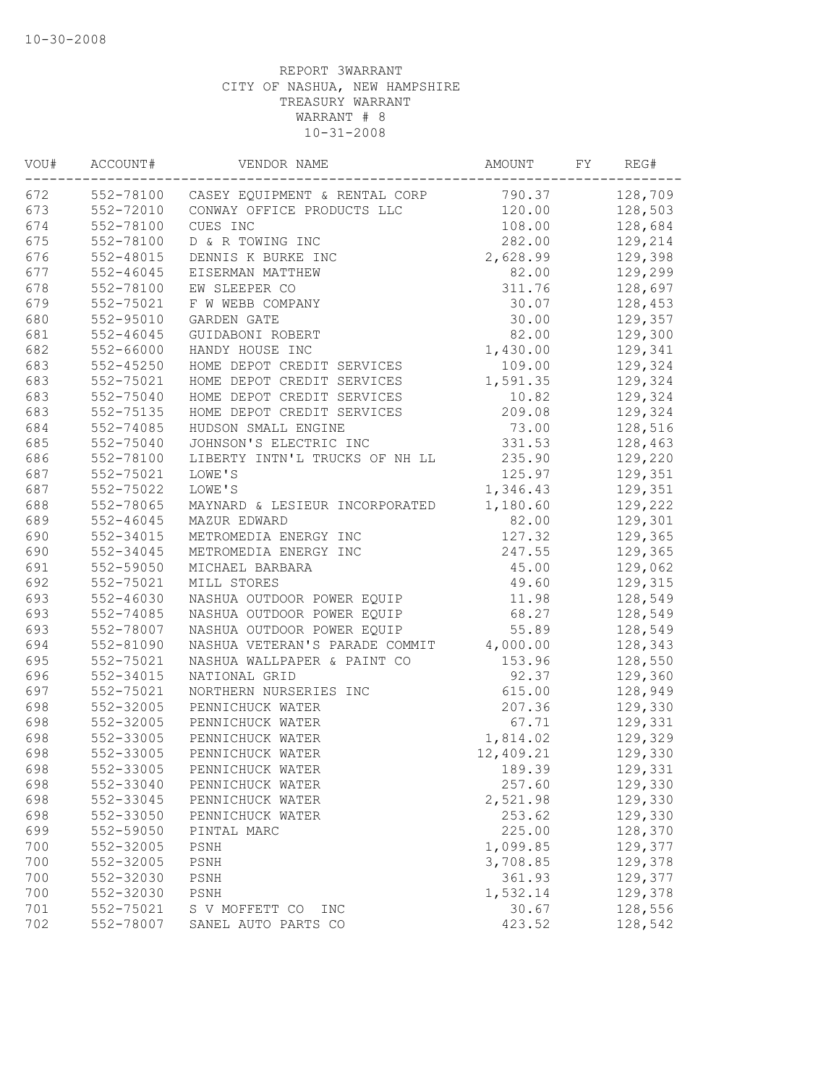| VOU# | ACCOUNT#      | VENDOR NAME                    | AMOUNT    | FY | REG#    |
|------|---------------|--------------------------------|-----------|----|---------|
| 672  | 552-78100     | CASEY EQUIPMENT & RENTAL CORP  | 790.37    |    | 128,709 |
| 673  | 552-72010     | CONWAY OFFICE PRODUCTS LLC     | 120.00    |    | 128,503 |
| 674  | 552-78100     | CUES INC                       | 108.00    |    | 128,684 |
| 675  | 552-78100     | D & R TOWING INC               | 282.00    |    | 129,214 |
| 676  | 552-48015     | DENNIS K BURKE INC             | 2,628.99  |    | 129,398 |
| 677  | $552 - 46045$ | EISERMAN MATTHEW               | 82.00     |    | 129,299 |
| 678  | 552-78100     | EW SLEEPER CO                  | 311.76    |    | 128,697 |
| 679  | 552-75021     | F W WEBB COMPANY               | 30.07     |    | 128,453 |
| 680  | 552-95010     | GARDEN GATE                    | 30.00     |    | 129,357 |
| 681  | 552-46045     | GUIDABONI ROBERT               | 82.00     |    | 129,300 |
| 682  | 552-66000     | HANDY HOUSE INC                | 1,430.00  |    | 129,341 |
| 683  | $552 - 45250$ | HOME DEPOT CREDIT SERVICES     | 109.00    |    | 129,324 |
| 683  | 552-75021     | HOME DEPOT CREDIT SERVICES     | 1,591.35  |    | 129,324 |
| 683  | 552-75040     | HOME DEPOT CREDIT SERVICES     | 10.82     |    | 129,324 |
| 683  | 552-75135     | HOME DEPOT CREDIT SERVICES     | 209.08    |    | 129,324 |
| 684  | 552-74085     | HUDSON SMALL ENGINE            | 73.00     |    | 128,516 |
| 685  | 552-75040     | JOHNSON'S ELECTRIC INC         | 331.53    |    | 128,463 |
| 686  | 552-78100     | LIBERTY INTN'L TRUCKS OF NH LL | 235.90    |    | 129,220 |
| 687  | 552-75021     | LOWE'S                         | 125.97    |    | 129,351 |
| 687  | 552-75022     | LOWE'S                         | 1,346.43  |    | 129,351 |
| 688  | 552-78065     | MAYNARD & LESIEUR INCORPORATED | 1,180.60  |    | 129,222 |
| 689  | $552 - 46045$ | MAZUR EDWARD                   | 82.00     |    | 129,301 |
| 690  | 552-34015     | METROMEDIA ENERGY INC          | 127.32    |    | 129,365 |
| 690  | 552-34045     | METROMEDIA ENERGY INC          | 247.55    |    | 129,365 |
| 691  | 552-59050     | MICHAEL BARBARA                | 45.00     |    | 129,062 |
| 692  | 552-75021     | MILL STORES                    | 49.60     |    | 129,315 |
| 693  | 552-46030     | NASHUA OUTDOOR POWER EQUIP     | 11.98     |    | 128,549 |
| 693  | 552-74085     | NASHUA OUTDOOR POWER EQUIP     | 68.27     |    | 128,549 |
| 693  | 552-78007     | NASHUA OUTDOOR POWER EQUIP     | 55.89     |    | 128,549 |
| 694  | 552-81090     | NASHUA VETERAN'S PARADE COMMIT | 4,000.00  |    | 128,343 |
| 695  | 552-75021     | NASHUA WALLPAPER & PAINT CO    | 153.96    |    | 128,550 |
| 696  | 552-34015     | NATIONAL GRID                  | 92.37     |    | 129,360 |
| 697  | 552-75021     | NORTHERN NURSERIES INC         | 615.00    |    | 128,949 |
| 698  | 552-32005     | PENNICHUCK WATER               | 207.36    |    | 129,330 |
| 698  | 552-32005     | PENNICHUCK WATER               | 67.71     |    | 129,331 |
| 698  | 552-33005     | PENNICHUCK WATER               | 1,814.02  |    | 129,329 |
| 698  | 552-33005     | PENNICHUCK WATER               | 12,409.21 |    | 129,330 |
| 698  | 552-33005     | PENNICHUCK WATER               | 189.39    |    | 129,331 |
| 698  | 552-33040     | PENNICHUCK WATER               | 257.60    |    | 129,330 |
| 698  | 552-33045     | PENNICHUCK WATER               | 2,521.98  |    | 129,330 |
| 698  | 552-33050     | PENNICHUCK WATER               | 253.62    |    | 129,330 |
| 699  | 552-59050     | PINTAL MARC                    | 225.00    |    | 128,370 |
| 700  | 552-32005     | PSNH                           | 1,099.85  |    | 129,377 |
| 700  | 552-32005     | PSNH                           | 3,708.85  |    | 129,378 |
| 700  | 552-32030     | PSNH                           | 361.93    |    | 129,377 |
| 700  | 552-32030     | PSNH                           | 1,532.14  |    | 129,378 |
| 701  | 552-75021     | S V MOFFETT CO<br>INC          | 30.67     |    | 128,556 |
| 702  | 552-78007     | SANEL AUTO PARTS CO            | 423.52    |    | 128,542 |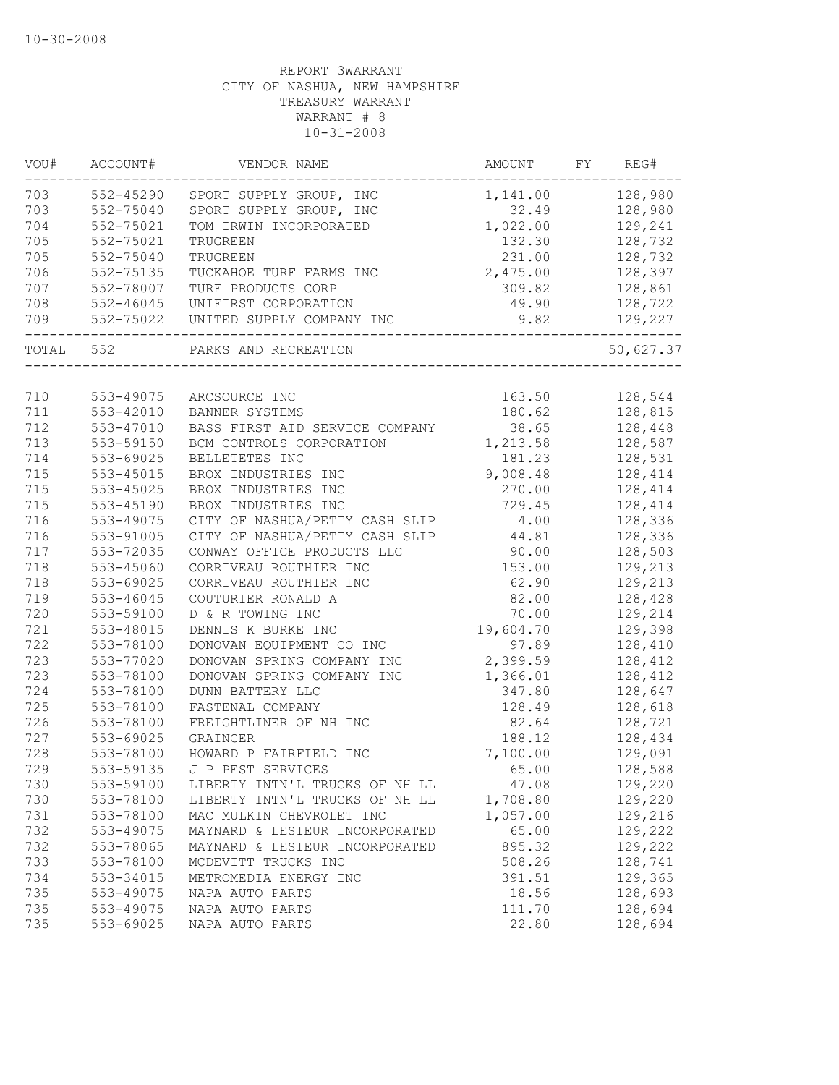| WOU#  | ACCOUNT#      | VENDOR NAME                    | AMOUNT    | FY | REG#      |
|-------|---------------|--------------------------------|-----------|----|-----------|
| 703   | 552-45290     | SPORT SUPPLY GROUP, INC        | 1,141.00  |    | 128,980   |
| 703   | 552-75040     | SPORT SUPPLY GROUP, INC        | 32.49     |    | 128,980   |
| 704   | 552-75021     | TOM IRWIN INCORPORATED         | 1,022.00  |    | 129,241   |
| 705   | 552-75021     | TRUGREEN                       | 132.30    |    | 128,732   |
| 705   | 552-75040     | TRUGREEN                       | 231.00    |    | 128,732   |
| 706   | 552-75135     | TUCKAHOE TURF FARMS INC        | 2,475.00  |    | 128,397   |
| 707   | 552-78007     | TURF PRODUCTS CORP             | 309.82    |    | 128,861   |
| 708   | $552 - 46045$ | UNIFIRST CORPORATION           | 49.90     |    | 128,722   |
| 709   | 552-75022     | UNITED SUPPLY COMPANY INC      | 9.82      |    | 129,227   |
| TOTAL | 552           | PARKS AND RECREATION           |           |    | 50,627.37 |
|       |               |                                |           |    |           |
| 710   | 553-49075     | ARCSOURCE INC                  | 163.50    |    | 128,544   |
| 711   | 553-42010     | BANNER SYSTEMS                 | 180.62    |    | 128,815   |
| 712   | 553-47010     | BASS FIRST AID SERVICE COMPANY | 38.65     |    | 128,448   |
| 713   | 553-59150     | BCM CONTROLS CORPORATION       | 1,213.58  |    | 128,587   |
| 714   | 553-69025     | BELLETETES INC                 | 181.23    |    | 128,531   |
| 715   | 553-45015     | BROX INDUSTRIES INC            | 9,008.48  |    | 128,414   |
| 715   | 553-45025     | BROX INDUSTRIES INC            | 270.00    |    | 128,414   |
| 715   | 553-45190     | BROX INDUSTRIES INC            | 729.45    |    | 128,414   |
| 716   | 553-49075     | CITY OF NASHUA/PETTY CASH SLIP | 4.00      |    | 128,336   |
| 716   | 553-91005     | CITY OF NASHUA/PETTY CASH SLIP | 44.81     |    | 128,336   |
| 717   | 553-72035     | CONWAY OFFICE PRODUCTS LLC     | 90.00     |    | 128,503   |
| 718   | 553-45060     | CORRIVEAU ROUTHIER INC         | 153.00    |    | 129,213   |
| 718   | 553-69025     | CORRIVEAU ROUTHIER INC         | 62.90     |    | 129,213   |
| 719   | 553-46045     | COUTURIER RONALD A             | 82.00     |    | 128,428   |
| 720   | 553-59100     | D & R TOWING INC               | 70.00     |    | 129,214   |
| 721   | 553-48015     | DENNIS K BURKE INC             | 19,604.70 |    | 129,398   |
| 722   | 553-78100     | DONOVAN EQUIPMENT CO INC       | 97.89     |    | 128,410   |
| 723   | 553-77020     | DONOVAN SPRING COMPANY INC     | 2,399.59  |    | 128,412   |
| 723   | 553-78100     | DONOVAN SPRING COMPANY INC     | 1,366.01  |    | 128,412   |
| 724   | 553-78100     | DUNN BATTERY LLC               | 347.80    |    | 128,647   |
| 725   | 553-78100     | FASTENAL COMPANY               | 128.49    |    | 128,618   |
| 726   | 553-78100     | FREIGHTLINER OF NH INC         | 82.64     |    | 128,721   |
| 727   | 553-69025     | <b>GRAINGER</b>                | 188.12    |    | 128,434   |
| 728   | 553-78100     | HOWARD P FAIRFIELD INC         | 7,100.00  |    | 129,091   |
| 729   | 553-59135     | J P PEST SERVICES              | 65.00     |    | 128,588   |
| 730   | 553-59100     | LIBERTY INTN'L TRUCKS OF NH LL | 47.08     |    | 129,220   |
| 730   | 553-78100     | LIBERTY INTN'L TRUCKS OF NH LL | 1,708.80  |    | 129,220   |
| 731   | 553-78100     | MAC MULKIN CHEVROLET INC       | 1,057.00  |    | 129,216   |
| 732   | 553-49075     | MAYNARD & LESIEUR INCORPORATED | 65.00     |    | 129,222   |
| 732   | 553-78065     | MAYNARD & LESIEUR INCORPORATED | 895.32    |    | 129,222   |
| 733   | 553-78100     | MCDEVITT TRUCKS INC            | 508.26    |    | 128,741   |
| 734   | 553-34015     | METROMEDIA ENERGY INC          | 391.51    |    | 129,365   |
| 735   | 553-49075     | NAPA AUTO PARTS                | 18.56     |    | 128,693   |
| 735   | 553-49075     | NAPA AUTO PARTS                | 111.70    |    | 128,694   |
| 735   | 553-69025     | NAPA AUTO PARTS                | 22.80     |    | 128,694   |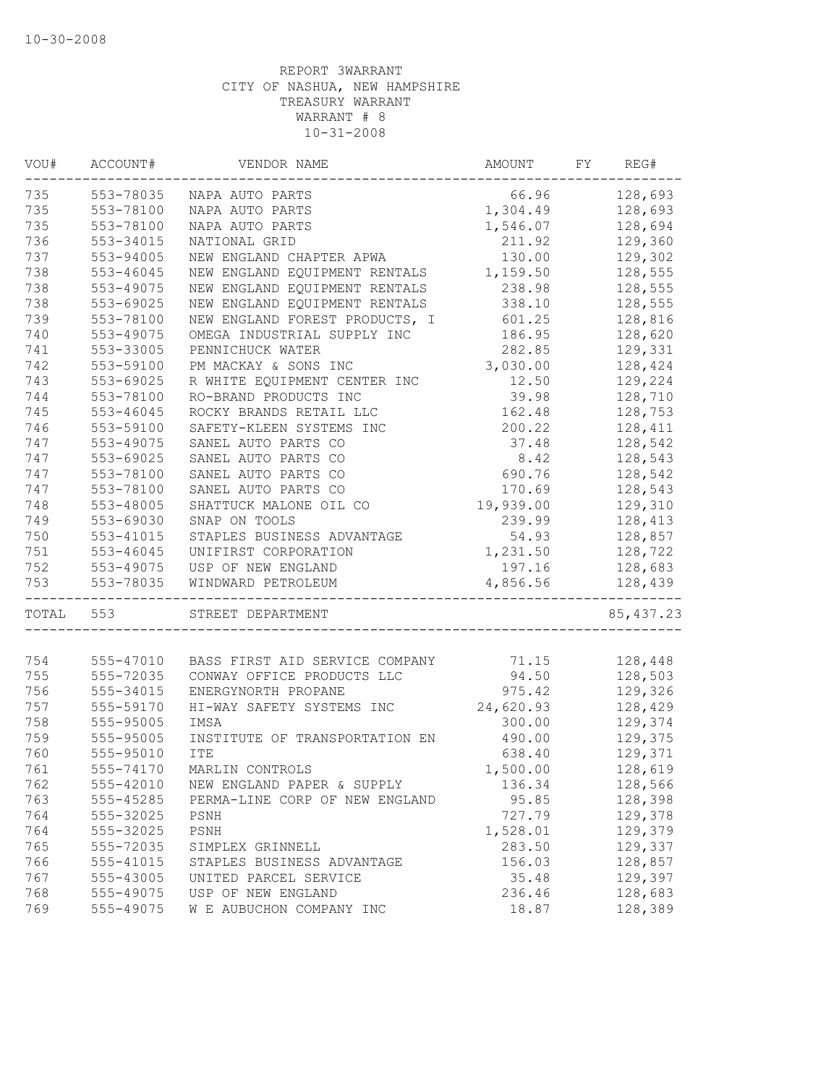| VOU#  | ACCOUNT#  | VENDOR NAME                        | AMOUNT    | FY | REG#       |
|-------|-----------|------------------------------------|-----------|----|------------|
| 735   | 553-78035 | NAPA AUTO PARTS                    | 66.96     |    | 128,693    |
| 735   | 553-78100 | NAPA AUTO PARTS                    | 1,304.49  |    | 128,693    |
| 735   | 553-78100 | NAPA AUTO PARTS                    | 1,546.07  |    | 128,694    |
| 736   | 553-34015 | NATIONAL GRID                      | 211.92    |    | 129,360    |
| 737   | 553-94005 | NEW ENGLAND CHAPTER APWA           | 130.00    |    | 129,302    |
| 738   | 553-46045 | NEW ENGLAND EQUIPMENT RENTALS      | 1,159.50  |    | 128,555    |
| 738   | 553-49075 | NEW ENGLAND EQUIPMENT RENTALS      | 238.98    |    | 128,555    |
| 738   | 553-69025 | NEW ENGLAND EQUIPMENT RENTALS      | 338.10    |    | 128,555    |
| 739   | 553-78100 | NEW ENGLAND FOREST PRODUCTS, I     | 601.25    |    | 128,816    |
| 740   | 553-49075 | OMEGA INDUSTRIAL SUPPLY INC        | 186.95    |    | 128,620    |
| 741   | 553-33005 | PENNICHUCK WATER                   | 282.85    |    | 129,331    |
| 742   | 553-59100 | PM MACKAY & SONS INC               | 3,030.00  |    | 128,424    |
| 743   | 553-69025 | R WHITE EQUIPMENT CENTER INC       | 12.50     |    | 129,224    |
| 744   | 553-78100 | RO-BRAND PRODUCTS INC              | 39.98     |    | 128,710    |
| 745   | 553-46045 | ROCKY BRANDS RETAIL LLC            | 162.48    |    | 128,753    |
| 746   | 553-59100 | SAFETY-KLEEN SYSTEMS INC           | 200.22    |    | 128,411    |
| 747   | 553-49075 | SANEL AUTO PARTS CO                | 37.48     |    | 128,542    |
| 747   | 553-69025 | SANEL AUTO PARTS CO                | 8.42      |    | 128,543    |
| 747   | 553-78100 | SANEL AUTO PARTS CO                | 690.76    |    | 128,542    |
| 747   | 553-78100 | SANEL AUTO PARTS CO                | 170.69    |    | 128,543    |
| 748   | 553-48005 | SHATTUCK MALONE OIL CO             | 19,939.00 |    | 129,310    |
| 749   | 553-69030 | SNAP ON TOOLS                      | 239.99    |    | 128,413    |
| 750   | 553-41015 | STAPLES BUSINESS ADVANTAGE         | 54.93     |    | 128,857    |
| 751   | 553-46045 | UNIFIRST CORPORATION               | 1,231.50  |    | 128,722    |
| 752   | 553-49075 | USP OF NEW ENGLAND                 | 197.16    |    | 128,683    |
| 753   | 553-78035 | WINDWARD PETROLEUM<br>------------ | 4,856.56  |    | 128,439    |
| TOTAL | 553       | STREET DEPARTMENT                  |           |    | 85, 437.23 |
| 754   | 555-47010 | BASS FIRST AID SERVICE COMPANY     | 71.15     |    | 128,448    |
| 755   | 555-72035 | CONWAY OFFICE PRODUCTS LLC         | 94.50     |    | 128,503    |
| 756   | 555-34015 | ENERGYNORTH PROPANE                | 975.42    |    | 129,326    |
| 757   | 555-59170 | HI-WAY SAFETY SYSTEMS INC          | 24,620.93 |    | 128,429    |
| 758   | 555-95005 | IMSA                               | 300.00    |    | 129,374    |
| 759   | 555-95005 | INSTITUTE OF TRANSPORTATION EN     | 490.00    |    | 129,375    |
| 760   | 555-95010 | <b>ITE</b>                         | 638.40    |    | 129,371    |
| 761   | 555-74170 | MARLIN CONTROLS                    | 1,500.00  |    | 128,619    |
| 762   | 555-42010 | NEW ENGLAND PAPER & SUPPLY         | 136.34    |    | 128,566    |
| 763   | 555-45285 | PERMA-LINE CORP OF NEW ENGLAND     | 95.85     |    | 128,398    |
| 764   | 555-32025 | PSNH                               | 727.79    |    | 129,378    |
| 764   | 555-32025 | PSNH                               | 1,528.01  |    | 129,379    |
| 765   | 555-72035 | SIMPLEX GRINNELL                   | 283.50    |    | 129,337    |
| 766   | 555-41015 | STAPLES BUSINESS ADVANTAGE         | 156.03    |    | 128,857    |
| 767   | 555-43005 | UNITED PARCEL SERVICE              | 35.48     |    | 129,397    |
| 768   | 555-49075 | USP OF NEW ENGLAND                 | 236.46    |    | 128,683    |
| 769   | 555-49075 | W E AUBUCHON COMPANY INC           | 18.87     |    | 128,389    |
|       |           |                                    |           |    |            |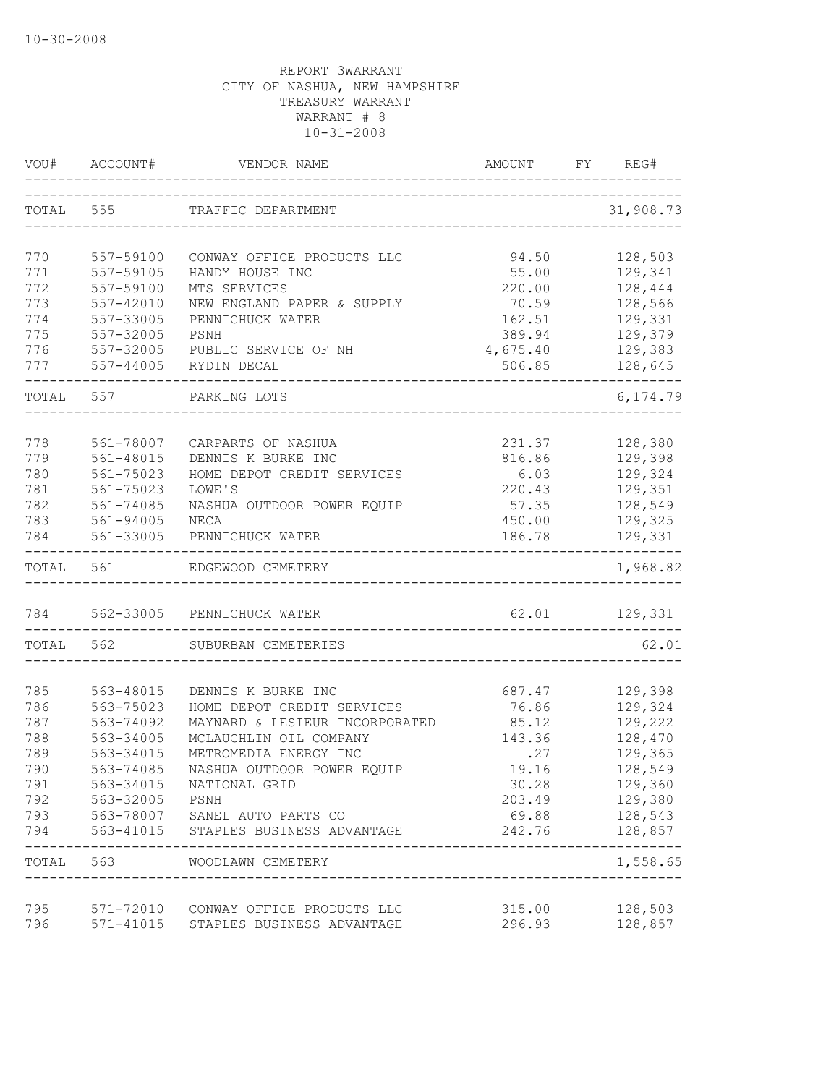| VOU#       | ACCOUNT#               | VENDOR NAME                                                          | AMOUNT           | FY | REG#               |
|------------|------------------------|----------------------------------------------------------------------|------------------|----|--------------------|
| TOTAL      | 555                    | TRAFFIC DEPARTMENT                                                   |                  |    | 31,908.73          |
| 770        | 557-59100              | CONWAY OFFICE PRODUCTS LLC                                           | 94.50            |    | 128,503            |
| 771        | 557-59105              | HANDY HOUSE INC                                                      | 55.00            |    | 129,341            |
| 772        | 557-59100              | MTS SERVICES                                                         | 220.00           |    | 128,444            |
| 773        | 557-42010              | NEW ENGLAND PAPER & SUPPLY                                           | 70.59            |    | 128,566            |
| 774        | 557-33005              | PENNICHUCK WATER                                                     | 162.51           |    | 129,331            |
| 775        | 557-32005              | PSNH                                                                 | 389.94           |    | 129,379            |
| 776        | 557-32005              | PUBLIC SERVICE OF NH                                                 | 4,675.40         |    | 129,383            |
| 777        | 557-44005              | RYDIN DECAL                                                          | 506.85           |    | 128,645            |
| TOTAL 557  |                        | PARKING LOTS                                                         |                  |    | 6, 174.79          |
|            |                        |                                                                      |                  |    |                    |
| 778<br>779 | 561-78007<br>561-48015 | CARPARTS OF NASHUA<br>DENNIS K BURKE INC                             | 231.37<br>816.86 |    | 128,380<br>129,398 |
| 780        | 561-75023              | HOME DEPOT CREDIT SERVICES                                           | 6.03             |    | 129,324            |
| 781        | 561-75023              | LOWE'S                                                               | 220.43           |    | 129,351            |
| 782        | $561 - 74085$          | NASHUA OUTDOOR POWER EQUIP                                           | 57.35            |    | 128,549            |
| 783        | 561-94005              | NECA                                                                 | 450.00           |    | 129,325            |
| 784        | 561-33005              | PENNICHUCK WATER                                                     | 186.78           |    | 129,331            |
|            | TOTAL 561              | EDGEWOOD CEMETERY                                                    |                  |    | 1,968.82           |
|            |                        | 784 562-33005 PENNICHUCK WATER                                       |                  |    | 62.01 129,331      |
| TOTAL 562  |                        | SUBURBAN CEMETERIES                                                  |                  |    | 62.01              |
|            |                        |                                                                      |                  |    |                    |
| 785        | 563-48015              | DENNIS K BURKE INC                                                   | 687.47           |    | 129,398            |
| 786        | 563-75023              | HOME DEPOT CREDIT SERVICES                                           | 76.86            |    | 129,324            |
| 787        | 563-74092              | MAYNARD & LESIEUR INCORPORATED                                       | 85.12            |    | 129,222            |
| 788        | 563-34005              | MCLAUGHLIN OIL COMPANY                                               | 143.36           |    | 128,470            |
| 789        | 563-34015              | METROMEDIA ENERGY INC                                                | .27              |    | 129,365            |
| 790        | 563-74085              | NASHUA OUTDOOR POWER EQUIP                                           | 19.16            |    | 128,549            |
| 791        | 563-34015              | NATIONAL GRID                                                        | 30.28            |    | 129,360            |
| 792        | 563-32005              | PSNH                                                                 | 203.49           |    | 129,380            |
| 793<br>794 | 563-41015              | 563-78007 SANEL AUTO PARTS CO<br>STAPLES BUSINESS ADVANTAGE          | 69.88<br>242.76  |    | 128,543<br>128,857 |
|            |                        | TOTAL 563 WOODLAWN CEMETERY<br>------------------------------------- |                  |    | 1,558.65           |
| 795        |                        | 571-72010 CONWAY OFFICE PRODUCTS LLC                                 | 315.00           |    | 128,503            |
| 796        |                        | 571-41015 STAPLES BUSINESS ADVANTAGE                                 | 296.93           |    | 128,857            |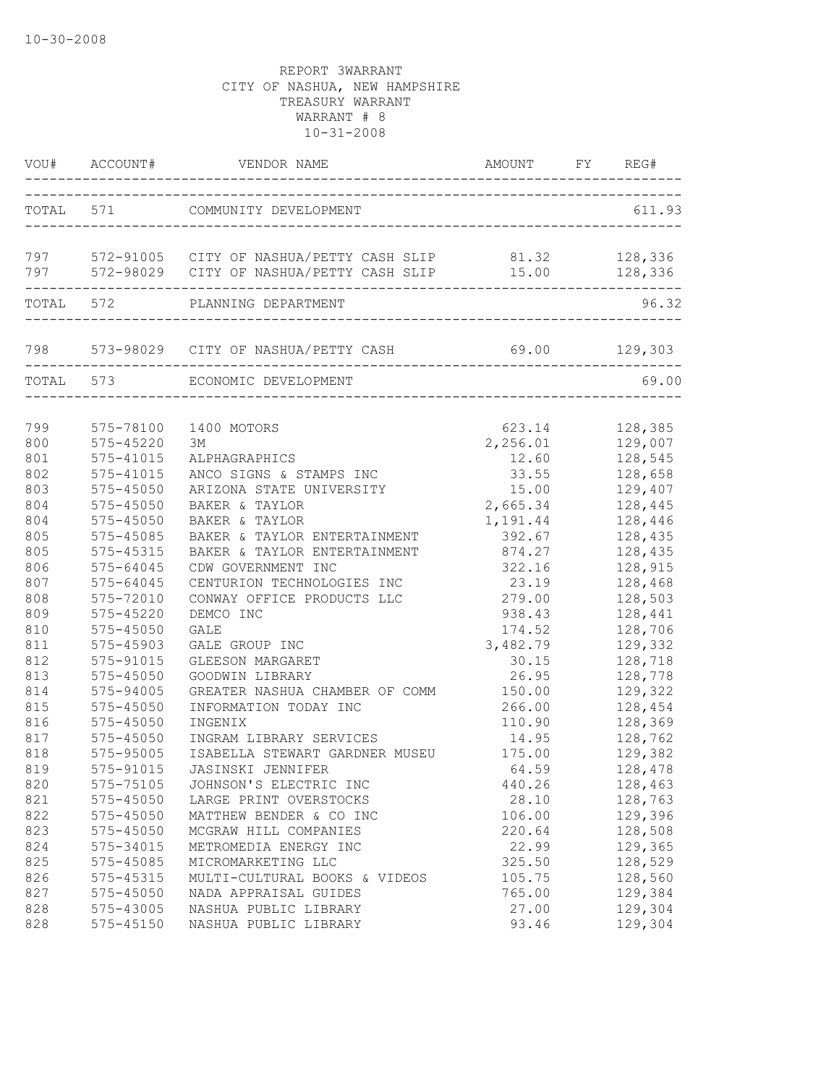|                   |                        | VOU# ACCOUNT# VENDOR NAME                                                                                                |                           |                               |
|-------------------|------------------------|--------------------------------------------------------------------------------------------------------------------------|---------------------------|-------------------------------|
|                   |                        | TOTAL 571 COMMUNITY DEVELOPMENT                                                                                          |                           | 611.93                        |
|                   |                        | 797 572-91005 CITY OF NASHUA/PETTY CASH SLIP 81.32 128,336<br>797 572-98029 CITY OF NASHUA/PETTY CASH SLIP 15.00 128,336 |                           |                               |
|                   | TOTAL 572              | PLANNING DEPARTMENT<br>---------------------------                                                                       |                           | 96.32                         |
|                   |                        | 798 573-98029 CITY OF NASHUA/PETTY CASH 69.00 129,303<br>_____________________________________                           |                           |                               |
|                   |                        | TOTAL 573 ECONOMIC DEVELOPMENT                                                                                           |                           | 69.00                         |
| 799               | 575-78100              | 1400 MOTORS                                                                                                              | 623.14                    | 128,385                       |
| 800               | 575-45220              | ЗM                                                                                                                       | 2,256.01                  | 129,007                       |
| 801               | 575-41015              | ALPHAGRAPHICS                                                                                                            | 12.60                     | 128,545                       |
| 802               | 575-41015              | ANCO SIGNS & STAMPS INC                                                                                                  | 33.55                     | 128,658                       |
| 803               | $575 - 45050$          | ARIZONA STATE UNIVERSITY                                                                                                 | 15.00                     | 129,407                       |
| 804               | $575 - 45050$          | BAKER & TAYLOR                                                                                                           | 2,665.34                  | 128,445                       |
| 804               | 575-45050              | BAKER & TAYLOR                                                                                                           | 1,191.44                  | 128,446                       |
| 805               | 575-45085              | BAKER & TAYLOR ENTERTAINMENT                                                                                             | 392.67                    | 128,435                       |
| 805               | 575-45315              | BAKER & TAYLOR ENTERTAINMENT                                                                                             | 874.27                    | 128,435                       |
| 806               | $575 - 64045$          | CDW GOVERNMENT INC                                                                                                       | 322.16                    | 128,915                       |
| 807               | 575-64045              | CENTURION TECHNOLOGIES INC                                                                                               | 23.19                     | 128,468                       |
| 808               | 575-72010              | CONWAY OFFICE PRODUCTS LLC                                                                                               | 279.00                    | 128,503                       |
| 809               | $575 - 45220$          | DEMCO INC                                                                                                                | 938.43                    | 128,441                       |
| 810               | 575-45050              | GALE                                                                                                                     | 174.52                    | 128,706                       |
| 811               | 575-45903              | GALE GROUP INC                                                                                                           | 3,482.79                  | 129,332                       |
| 812               | 575-91015              | GLEESON MARGARET                                                                                                         | 30.15                     | 128,718                       |
| 813               | 575-45050              | GOODWIN LIBRARY                                                                                                          | 26.95                     | 128,778                       |
| 814<br>815        | 575-94005<br>575-45050 | GREATER NASHUA CHAMBER OF COMM 150.00<br>INFORMATION TODAY INC                                                           | 266.00                    | 129,322<br>128,454            |
| 816               | 575-45050              | INGENIX                                                                                                                  | 110.90                    | 128,369                       |
| 817               | $575 - 45050$          | INGRAM LIBRARY SERVICES                                                                                                  | 14.95                     | 128,762                       |
| 818<br>819<br>820 | 575-95005<br>575-75105 | ISABELLA STEWART GARDNER MUSEU<br>575-91015 JASINSKI JENNIFER<br>JOHNSON'S ELECTRIC INC                                  | 175.00<br>64.59<br>440.26 | 129,382<br>128,478<br>128,463 |
| 821               | 575-45050              | LARGE PRINT OVERSTOCKS                                                                                                   | 28.10                     | 128,763                       |
| 822               | 575-45050              | MATTHEW BENDER & CO INC                                                                                                  | 106.00                    | 129,396                       |
| 823               | $575 - 45050$          | MCGRAW HILL COMPANIES                                                                                                    | 220.64                    | 128,508                       |
| 824               | 575-34015              | METROMEDIA ENERGY INC                                                                                                    | 22.99                     | 129,365                       |
| 825               | 575-45085              | MICROMARKETING LLC                                                                                                       | 325.50                    | 128,529                       |
| 826               | 575-45315              | MULTI-CULTURAL BOOKS & VIDEOS                                                                                            | 105.75                    | 128,560                       |
| 827               | 575-45050              | NADA APPRAISAL GUIDES                                                                                                    | 765.00                    | 129,384                       |
| 828               | 575-43005              | NASHUA PUBLIC LIBRARY                                                                                                    | 27.00                     | 129,304                       |
| 828               | 575-45150              | NASHUA PUBLIC LIBRARY                                                                                                    | 93.46                     | 129,304                       |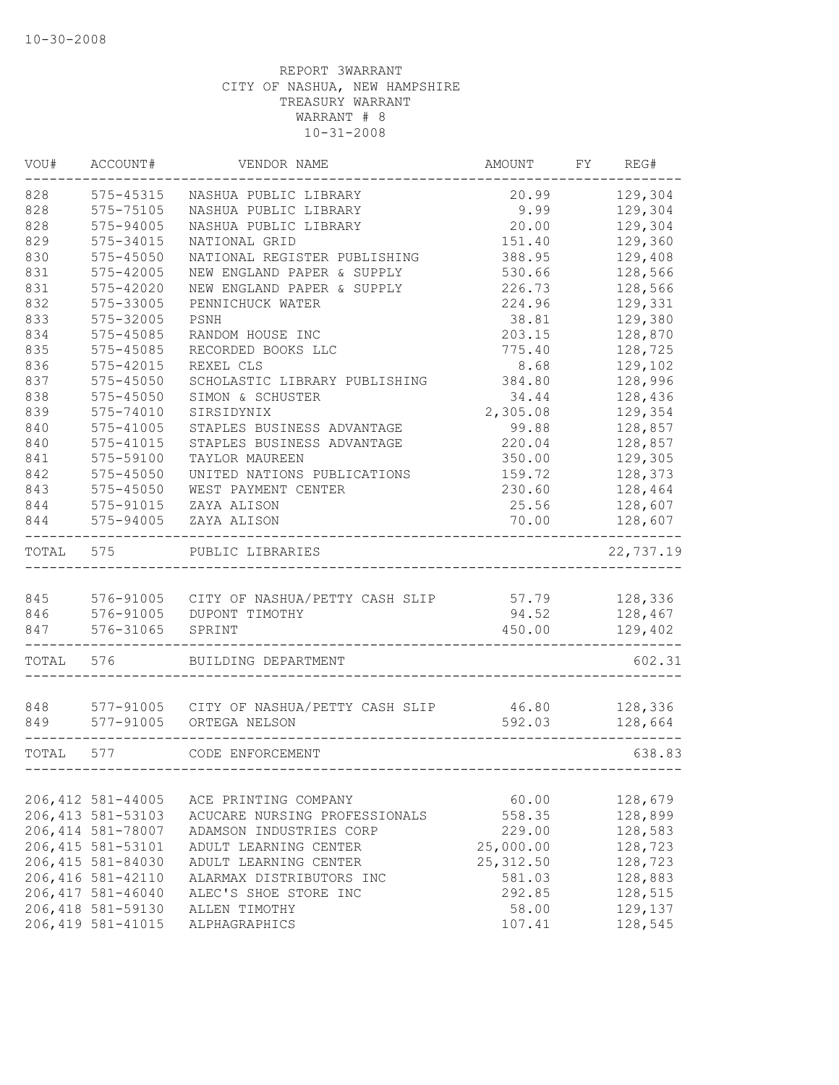| VOU#  | ACCOUNT#           | VENDOR NAME                              | AMOUNT     | FY | REG#      |
|-------|--------------------|------------------------------------------|------------|----|-----------|
| 828   | 575-45315          | NASHUA PUBLIC LIBRARY                    | 20.99      |    | 129,304   |
| 828   | 575-75105          | NASHUA PUBLIC LIBRARY                    | 9.99       |    | 129,304   |
| 828   | 575-94005          | NASHUA PUBLIC LIBRARY                    | 20.00      |    | 129,304   |
| 829   | 575-34015          | NATIONAL GRID                            | 151.40     |    | 129,360   |
| 830   | 575-45050          | NATIONAL REGISTER PUBLISHING             | 388.95     |    | 129,408   |
| 831   | 575-42005          | NEW ENGLAND PAPER & SUPPLY               | 530.66     |    | 128,566   |
| 831   | 575-42020          | NEW ENGLAND PAPER & SUPPLY               | 226.73     |    | 128,566   |
| 832   | 575-33005          | PENNICHUCK WATER                         | 224.96     |    | 129,331   |
| 833   | 575-32005          | PSNH                                     | 38.81      |    | 129,380   |
| 834   | 575-45085          | RANDOM HOUSE INC                         | 203.15     |    | 128,870   |
| 835   | 575-45085          | RECORDED BOOKS LLC                       | 775.40     |    | 128,725   |
| 836   | 575-42015          | REXEL CLS                                | 8.68       |    | 129,102   |
| 837   | $575 - 45050$      | SCHOLASTIC LIBRARY PUBLISHING            | 384.80     |    | 128,996   |
| 838   | 575-45050          | SIMON & SCHUSTER                         | 34.44      |    | 128,436   |
| 839   | 575-74010          | SIRSIDYNIX                               | 2,305.08   |    | 129,354   |
| 840   | 575-41005          | STAPLES BUSINESS ADVANTAGE               | 99.88      |    | 128,857   |
| 840   | 575-41015          | STAPLES BUSINESS ADVANTAGE               | 220.04     |    | 128,857   |
| 841   | 575-59100          | TAYLOR MAUREEN                           | 350.00     |    | 129,305   |
| 842   | 575-45050          | UNITED NATIONS PUBLICATIONS              | 159.72     |    | 128,373   |
| 843   | 575-45050          | WEST PAYMENT CENTER                      | 230.60     |    | 128,464   |
| 844   | 575-91015          | ZAYA ALISON                              | 25.56      |    | 128,607   |
| 844   | 575-94005          | ZAYA ALISON                              | 70.00      |    | 128,607   |
| TOTAL | 575                | PUBLIC LIBRARIES                         |            |    | 22,737.19 |
|       |                    |                                          |            |    |           |
| 845   |                    | 576-91005 CITY OF NASHUA/PETTY CASH SLIP | 57.79      |    | 128,336   |
| 846   |                    | 576-91005 DUPONT TIMOTHY                 | 94.52      |    | 128,467   |
| 847   | 576-31065          | SPRINT                                   | 450.00     |    | 129,402   |
| TOTAL | 576                | BUILDING DEPARTMENT                      |            |    | 602.31    |
|       |                    |                                          |            |    |           |
| 848   |                    | 577-91005 CITY OF NASHUA/PETTY CASH SLIP | 46.80      |    | 128,336   |
| 849   | 577-91005          | ORTEGA NELSON                            | 592.03     |    | 128,664   |
| TOTAL | 577                | CODE ENFORCEMENT                         |            |    | 638.83    |
|       |                    |                                          |            |    |           |
|       | 206, 412 581-44005 | ACE PRINTING COMPANY                     | 60.00      |    | 128,679   |
|       | 206, 413 581-53103 | ACUCARE NURSING PROFESSIONALS            | 558.35     |    | 128,899   |
|       | 206, 414 581-78007 | ADAMSON INDUSTRIES CORP                  | 229.00     |    | 128,583   |
|       | 206, 415 581-53101 | ADULT LEARNING CENTER                    | 25,000.00  |    | 128,723   |
|       | 206, 415 581-84030 | ADULT LEARNING CENTER                    | 25, 312.50 |    | 128,723   |
|       | 206, 416 581-42110 | ALARMAX DISTRIBUTORS INC                 | 581.03     |    | 128,883   |
|       | 206, 417 581-46040 | ALEC'S SHOE STORE INC                    | 292.85     |    | 128,515   |
|       | 206, 418 581-59130 | ALLEN TIMOTHY                            | 58.00      |    | 129,137   |
|       | 206, 419 581-41015 | ALPHAGRAPHICS                            | 107.41     |    | 128,545   |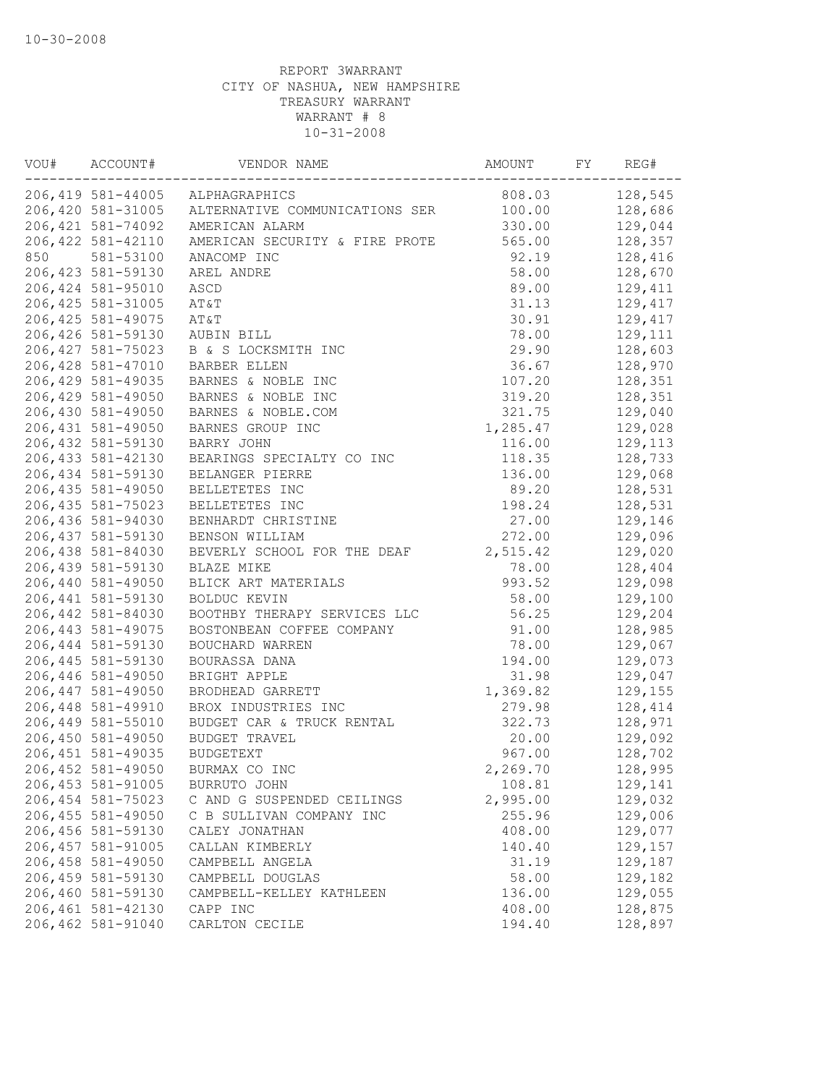| VOU# | ACCOUNT#           | VENDOR NAME                     | AMOUNT   | FY | REG#    |
|------|--------------------|---------------------------------|----------|----|---------|
|      |                    | 206,419 581-44005 ALPHAGRAPHICS | 808.03   |    | 128,545 |
|      | 206,420 581-31005  | ALTERNATIVE COMMUNICATIONS SER  | 100.00   |    | 128,686 |
|      | 206, 421 581-74092 | AMERICAN ALARM                  | 330.00   |    | 129,044 |
|      | 206, 422 581-42110 | AMERICAN SECURITY & FIRE PROTE  | 565.00   |    | 128,357 |
| 850  | 581-53100          | ANACOMP INC                     | 92.19    |    | 128,416 |
|      | 206, 423 581-59130 | AREL ANDRE                      | 58.00    |    | 128,670 |
|      | 206, 424 581-95010 | ASCD                            | 89.00    |    | 129,411 |
|      | 206, 425 581-31005 | AT&T                            | 31.13    |    | 129,417 |
|      | 206, 425 581-49075 | AT&T                            | 30.91    |    | 129,417 |
|      | 206,426 581-59130  | AUBIN BILL                      | 78.00    |    | 129,111 |
|      | 206, 427 581-75023 | B & S LOCKSMITH INC             | 29.90    |    | 128,603 |
|      | 206, 428 581-47010 | BARBER ELLEN                    | 36.67    |    | 128,970 |
|      | 206, 429 581-49035 | BARNES & NOBLE INC              | 107.20   |    | 128,351 |
|      | 206,429 581-49050  | BARNES & NOBLE INC              | 319.20   |    | 128,351 |
|      | 206,430 581-49050  | BARNES & NOBLE.COM              | 321.75   |    | 129,040 |
|      | 206, 431 581-49050 | BARNES GROUP INC                | 1,285.47 |    | 129,028 |
|      | 206,432 581-59130  | BARRY JOHN                      | 116.00   |    | 129,113 |
|      | 206, 433 581-42130 | BEARINGS SPECIALTY CO INC       | 118.35   |    | 128,733 |
|      | 206,434 581-59130  | BELANGER PIERRE                 | 136.00   |    | 129,068 |
|      | 206,435 581-49050  | BELLETETES INC                  | 89.20    |    | 128,531 |
|      | 206, 435 581-75023 | BELLETETES INC                  | 198.24   |    | 128,531 |
|      | 206,436 581-94030  | BENHARDT CHRISTINE              | 27.00    |    | 129,146 |
|      | 206, 437 581-59130 | BENSON WILLIAM                  | 272.00   |    | 129,096 |
|      | 206,438 581-84030  | BEVERLY SCHOOL FOR THE DEAF     | 2,515.42 |    | 129,020 |
|      | 206,439 581-59130  | BLAZE MIKE                      | 78.00    |    | 128,404 |
|      | 206,440 581-49050  | BLICK ART MATERIALS             | 993.52   |    | 129,098 |
|      | 206, 441 581-59130 | BOLDUC KEVIN                    | 58.00    |    | 129,100 |
|      | 206,442 581-84030  | BOOTHBY THERAPY SERVICES LLC    | 56.25    |    | 129,204 |
|      | 206, 443 581-49075 | BOSTONBEAN COFFEE COMPANY       | 91.00    |    | 128,985 |
|      | 206, 444 581-59130 | BOUCHARD WARREN                 | 78.00    |    | 129,067 |
|      | 206, 445 581-59130 | BOURASSA DANA                   | 194.00   |    | 129,073 |
|      | 206,446 581-49050  | BRIGHT APPLE                    | 31.98    |    | 129,047 |
|      | 206, 447 581-49050 | BRODHEAD GARRETT                | 1,369.82 |    | 129,155 |
|      | 206,448 581-49910  | BROX INDUSTRIES INC             | 279.98   |    | 128,414 |
|      | 206,449 581-55010  | BUDGET CAR & TRUCK RENTAL       | 322.73   |    | 128,971 |
|      | 206,450 581-49050  | BUDGET TRAVEL                   | 20.00    |    | 129,092 |
|      | 206, 451 581-49035 | <b>BUDGETEXT</b>                | 967.00   |    | 128,702 |
|      | 206, 452 581-49050 | BURMAX CO INC                   | 2,269.70 |    | 128,995 |
|      | 206,453 581-91005  | BURRUTO JOHN                    | 108.81   |    | 129,141 |
|      | 206, 454 581-75023 | C AND G SUSPENDED CEILINGS      | 2,995.00 |    | 129,032 |
|      | 206, 455 581-49050 | C B SULLIVAN COMPANY INC        | 255.96   |    | 129,006 |
|      | 206,456 581-59130  | CALEY JONATHAN                  | 408.00   |    | 129,077 |
|      | 206, 457 581-91005 | CALLAN KIMBERLY                 | 140.40   |    | 129,157 |
|      | 206,458 581-49050  | CAMPBELL ANGELA                 | 31.19    |    | 129,187 |
|      | 206,459 581-59130  | CAMPBELL DOUGLAS                | 58.00    |    | 129,182 |
|      | 206,460 581-59130  | CAMPBELL-KELLEY KATHLEEN        | 136.00   |    | 129,055 |
|      | 206,461 581-42130  | CAPP INC                        | 408.00   |    | 128,875 |
|      | 206,462 581-91040  | CARLTON CECILE                  | 194.40   |    | 128,897 |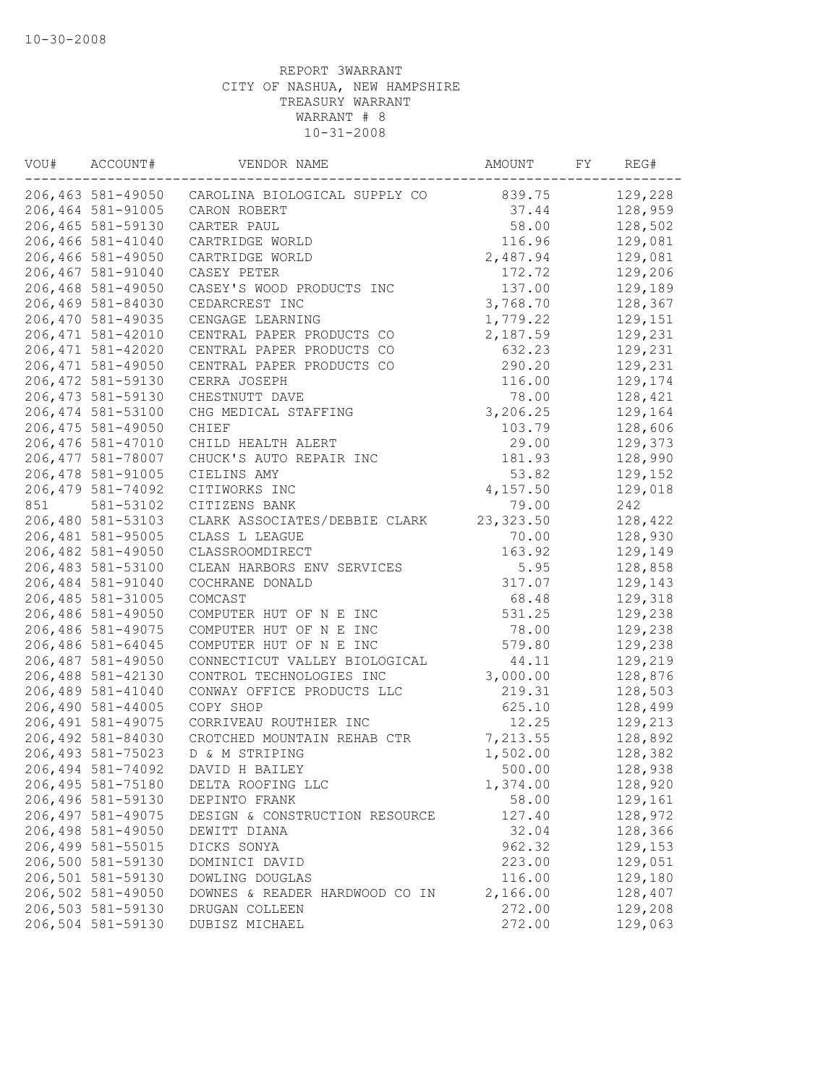| VOU# | ACCOUNT#           | VENDOR NAME                    | AMOUNT     | FY | REG#    |
|------|--------------------|--------------------------------|------------|----|---------|
|      | 206,463 581-49050  | CAROLINA BIOLOGICAL SUPPLY CO  | 839.75     |    | 129,228 |
|      | 206,464 581-91005  | CARON ROBERT                   | 37.44      |    | 128,959 |
|      | 206,465 581-59130  | CARTER PAUL                    | 58.00      |    | 128,502 |
|      | 206,466 581-41040  | CARTRIDGE WORLD                | 116.96     |    | 129,081 |
|      | 206,466 581-49050  | CARTRIDGE WORLD                | 2,487.94   |    | 129,081 |
|      | 206,467 581-91040  | CASEY PETER                    | 172.72     |    | 129,206 |
|      | 206,468 581-49050  | CASEY'S WOOD PRODUCTS INC      | 137.00     |    | 129,189 |
|      | 206,469 581-84030  | CEDARCREST INC                 | 3,768.70   |    | 128,367 |
|      | 206,470 581-49035  | CENGAGE LEARNING               | 1,779.22   |    | 129,151 |
|      | 206, 471 581-42010 | CENTRAL PAPER PRODUCTS CO      | 2,187.59   |    | 129,231 |
|      | 206, 471 581-42020 | CENTRAL PAPER PRODUCTS CO      | 632.23     |    | 129,231 |
|      | 206, 471 581-49050 | CENTRAL PAPER PRODUCTS CO      | 290.20     |    | 129,231 |
|      | 206, 472 581-59130 | CERRA JOSEPH                   | 116.00     |    | 129,174 |
|      | 206, 473 581-59130 | CHESTNUTT DAVE                 | 78.00      |    | 128,421 |
|      | 206, 474 581-53100 | CHG MEDICAL STAFFING           | 3,206.25   |    | 129,164 |
|      | 206, 475 581-49050 | CHIEF                          | 103.79     |    | 128,606 |
|      | 206,476 581-47010  | CHILD HEALTH ALERT             | 29.00      |    | 129,373 |
|      | 206, 477 581-78007 | CHUCK'S AUTO REPAIR INC        | 181.93     |    | 128,990 |
|      | 206,478 581-91005  | CIELINS AMY                    | 53.82      |    | 129,152 |
|      | 206, 479 581-74092 | CITIWORKS INC                  | 4,157.50   |    | 129,018 |
| 851  | 581-53102          | CITIZENS BANK                  | 79.00      |    | 242     |
|      | 206,480 581-53103  | CLARK ASSOCIATES/DEBBIE CLARK  | 23, 323.50 |    | 128,422 |
|      | 206,481 581-95005  | CLASS L LEAGUE                 | 70.00      |    | 128,930 |
|      | 206,482 581-49050  | CLASSROOMDIRECT                | 163.92     |    | 129,149 |
|      | 206,483 581-53100  | CLEAN HARBORS ENV SERVICES     | 5.95       |    | 128,858 |
|      | 206,484 581-91040  | COCHRANE DONALD                | 317.07     |    | 129,143 |
|      | 206, 485 581-31005 | COMCAST                        | 68.48      |    | 129,318 |
|      | 206,486 581-49050  | COMPUTER HUT OF N E INC        | 531.25     |    | 129,238 |
|      | 206,486 581-49075  | COMPUTER HUT OF N E INC        | 78.00      |    | 129,238 |
|      | 206,486 581-64045  | COMPUTER HUT OF N E INC        | 579.80     |    | 129,238 |
|      | 206,487 581-49050  | CONNECTICUT VALLEY BIOLOGICAL  | 44.11      |    | 129,219 |
|      | 206,488 581-42130  | CONTROL TECHNOLOGIES INC       | 3,000.00   |    | 128,876 |
|      | 206,489 581-41040  | CONWAY OFFICE PRODUCTS LLC     | 219.31     |    | 128,503 |
|      | 206,490 581-44005  | COPY SHOP                      | 625.10     |    | 128,499 |
|      | 206, 491 581-49075 | CORRIVEAU ROUTHIER INC         | 12.25      |    | 129,213 |
|      | 206,492 581-84030  | CROTCHED MOUNTAIN REHAB CTR    | 7,213.55   |    | 128,892 |
|      | 206, 493 581-75023 | D & M STRIPING                 | 1,502.00   |    | 128,382 |
|      | 206,494 581-74092  | DAVID H BAILEY                 | 500.00     |    | 128,938 |
|      | 206,495 581-75180  | DELTA ROOFING LLC              | 1,374.00   |    | 128,920 |
|      | 206,496 581-59130  | DEPINTO FRANK                  | 58.00      |    | 129,161 |
|      | 206, 497 581-49075 | DESIGN & CONSTRUCTION RESOURCE | 127.40     |    | 128,972 |
|      | 206,498 581-49050  | DEWITT DIANA                   | 32.04      |    | 128,366 |
|      | 206, 499 581-55015 | DICKS SONYA                    | 962.32     |    | 129,153 |
|      | 206,500 581-59130  | DOMINICI DAVID                 | 223.00     |    | 129,051 |
|      | 206,501 581-59130  | DOWLING DOUGLAS                | 116.00     |    | 129,180 |
|      | 206,502 581-49050  | DOWNES & READER HARDWOOD CO IN | 2,166.00   |    | 128,407 |
|      | 206,503 581-59130  | DRUGAN COLLEEN                 | 272.00     |    | 129,208 |
|      | 206,504 581-59130  | DUBISZ MICHAEL                 | 272.00     |    | 129,063 |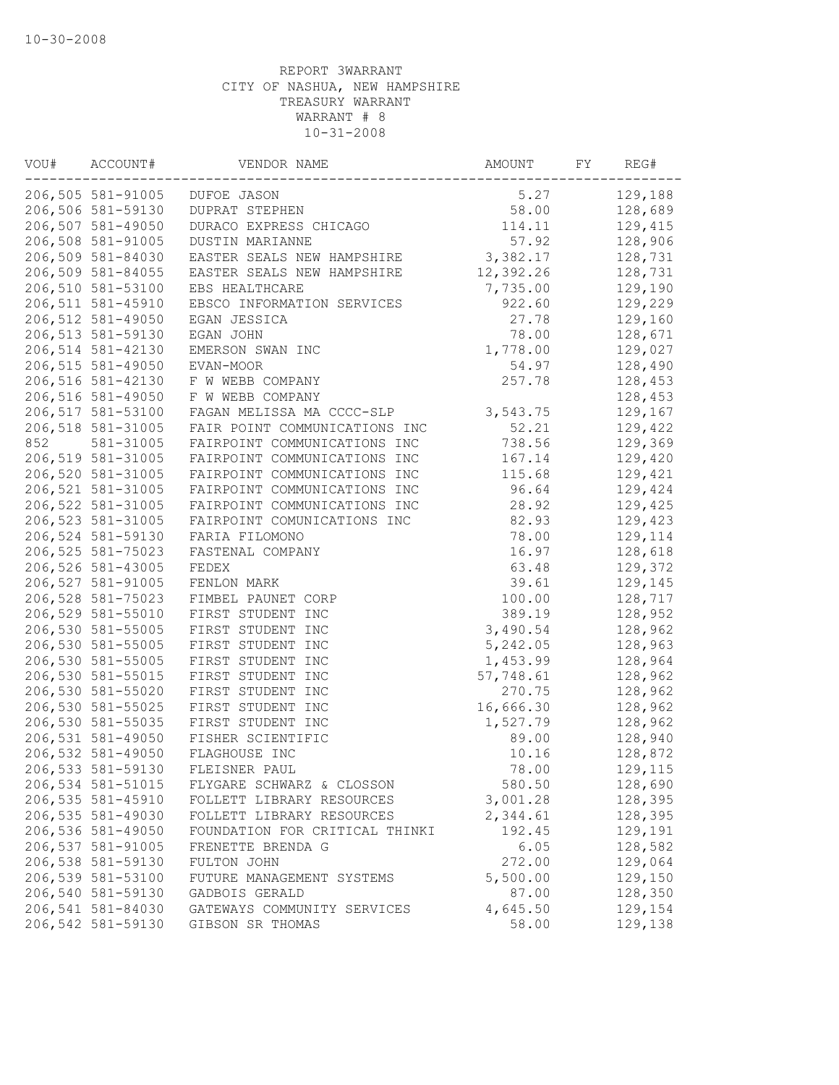| VOU# | ACCOUNT#          | VENDOR NAME                    | AMOUNT    | FY | REG#    |
|------|-------------------|--------------------------------|-----------|----|---------|
|      | 206,505 581-91005 | DUFOE JASON                    | 5.27      |    | 129,188 |
|      | 206,506 581-59130 | <b>DUPRAT STEPHEN</b>          | 58.00     |    | 128,689 |
|      | 206,507 581-49050 | DURACO EXPRESS CHICAGO         | 114.11    |    | 129,415 |
|      | 206,508 581-91005 | DUSTIN MARIANNE                | 57.92     |    | 128,906 |
|      | 206,509 581-84030 | EASTER SEALS NEW HAMPSHIRE     | 3,382.17  |    | 128,731 |
|      | 206,509 581-84055 | EASTER SEALS NEW HAMPSHIRE     | 12,392.26 |    | 128,731 |
|      | 206,510 581-53100 | EBS HEALTHCARE                 | 7,735.00  |    | 129,190 |
|      | 206,511 581-45910 | EBSCO INFORMATION SERVICES     | 922.60    |    | 129,229 |
|      | 206,512 581-49050 | EGAN JESSICA                   | 27.78     |    | 129,160 |
|      | 206,513 581-59130 | EGAN JOHN                      | 78.00     |    | 128,671 |
|      | 206,514 581-42130 | EMERSON SWAN INC               | 1,778.00  |    | 129,027 |
|      | 206,515 581-49050 | EVAN-MOOR                      | 54.97     |    | 128,490 |
|      | 206,516 581-42130 | F W WEBB COMPANY               | 257.78    |    | 128,453 |
|      | 206,516 581-49050 | F W WEBB COMPANY               |           |    | 128,453 |
|      | 206,517 581-53100 | FAGAN MELISSA MA CCCC-SLP      | 3,543.75  |    | 129,167 |
|      | 206,518 581-31005 | FAIR POINT COMMUNICATIONS INC  | 52.21     |    | 129,422 |
| 852  | 581-31005         | FAIRPOINT COMMUNICATIONS INC   | 738.56    |    | 129,369 |
|      | 206,519 581-31005 | FAIRPOINT COMMUNICATIONS INC   | 167.14    |    | 129,420 |
|      | 206,520 581-31005 | FAIRPOINT COMMUNICATIONS INC   | 115.68    |    | 129,421 |
|      | 206,521 581-31005 | FAIRPOINT COMMUNICATIONS INC   | 96.64     |    | 129,424 |
|      | 206,522 581-31005 | FAIRPOINT COMMUNICATIONS INC   | 28.92     |    | 129,425 |
|      | 206,523 581-31005 | FAIRPOINT COMUNICATIONS INC    | 82.93     |    | 129,423 |
|      | 206,524 581-59130 | FARIA FILOMONO                 | 78.00     |    | 129,114 |
|      | 206,525 581-75023 | FASTENAL COMPANY               | 16.97     |    | 128,618 |
|      | 206,526 581-43005 | FEDEX                          | 63.48     |    | 129,372 |
|      | 206,527 581-91005 | FENLON MARK                    | 39.61     |    | 129,145 |
|      | 206,528 581-75023 | FIMBEL PAUNET CORP             | 100.00    |    | 128,717 |
|      | 206,529 581-55010 | FIRST STUDENT INC              | 389.19    |    | 128,952 |
|      | 206,530 581-55005 | FIRST STUDENT INC              | 3,490.54  |    | 128,962 |
|      | 206,530 581-55005 | FIRST STUDENT INC              | 5,242.05  |    | 128,963 |
|      | 206,530 581-55005 | FIRST STUDENT INC              | 1,453.99  |    | 128,964 |
|      | 206,530 581-55015 | FIRST STUDENT INC              | 57,748.61 |    | 128,962 |
|      | 206,530 581-55020 | FIRST STUDENT INC              | 270.75    |    | 128,962 |
|      | 206,530 581-55025 | FIRST STUDENT INC              | 16,666.30 |    | 128,962 |
|      | 206,530 581-55035 | FIRST STUDENT INC              | 1,527.79  |    | 128,962 |
|      | 206,531 581-49050 | FISHER SCIENTIFIC              | 89.00     |    | 128,940 |
|      | 206,532 581-49050 | FLAGHOUSE INC                  | 10.16     |    | 128,872 |
|      | 206,533 581-59130 | FLEISNER PAUL                  | 78.00     |    | 129,115 |
|      | 206,534 581-51015 | FLYGARE SCHWARZ & CLOSSON      | 580.50    |    | 128,690 |
|      | 206,535 581-45910 | FOLLETT LIBRARY RESOURCES      | 3,001.28  |    | 128,395 |
|      | 206,535 581-49030 | FOLLETT LIBRARY RESOURCES      | 2,344.61  |    | 128,395 |
|      | 206,536 581-49050 | FOUNDATION FOR CRITICAL THINKI | 192.45    |    | 129,191 |
|      | 206,537 581-91005 | FRENETTE BRENDA G              | 6.05      |    | 128,582 |
|      | 206,538 581-59130 | FULTON JOHN                    | 272.00    |    | 129,064 |
|      | 206,539 581-53100 | FUTURE MANAGEMENT SYSTEMS      | 5,500.00  |    | 129,150 |
|      | 206,540 581-59130 | GADBOIS GERALD                 | 87.00     |    | 128,350 |
|      | 206,541 581-84030 | GATEWAYS COMMUNITY SERVICES    | 4,645.50  |    | 129,154 |
|      | 206,542 581-59130 | GIBSON SR THOMAS               | 58.00     |    | 129,138 |
|      |                   |                                |           |    |         |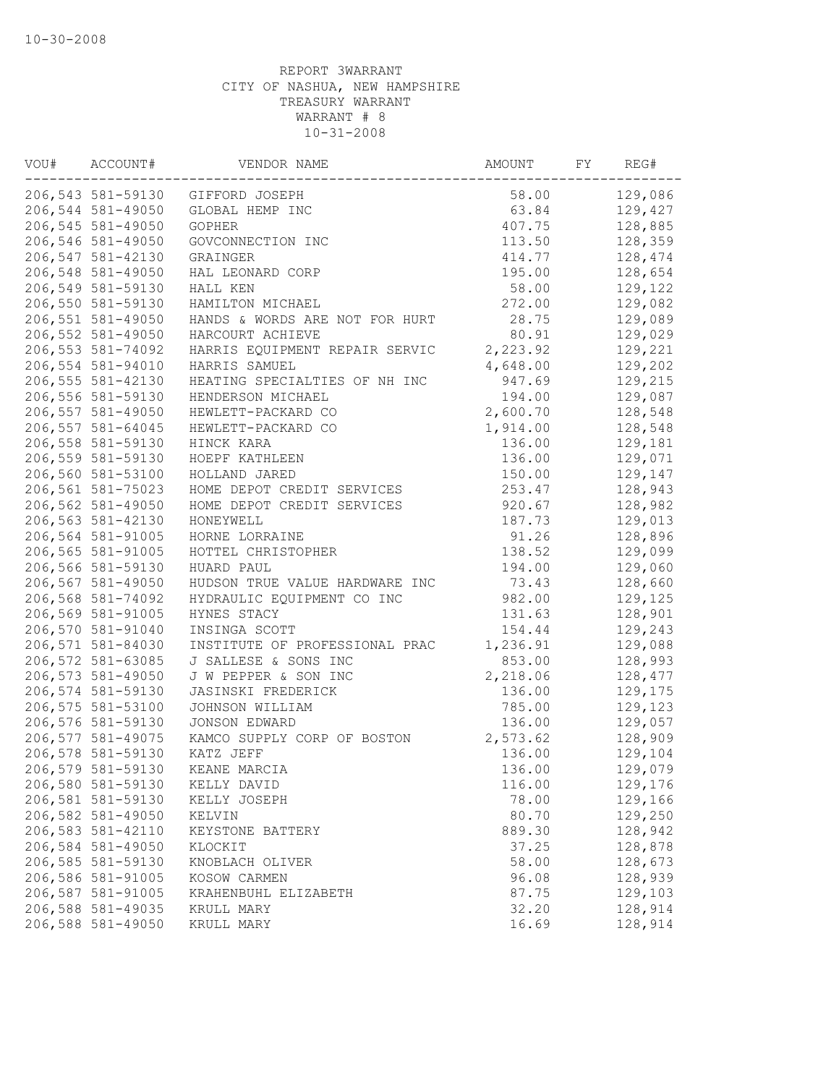| 206,543 581-59130<br>58.00<br>129,086<br>GIFFORD JOSEPH<br>206,544 581-49050<br>GLOBAL HEMP INC<br>63.84<br>129,427<br>206,545 581-49050<br>128,885<br><b>GOPHER</b><br>407.75<br>206,546 581-49050<br>GOVCONNECTION INC<br>113.50<br>128,359<br>206,547 581-42130<br>414.77<br>128,474<br>GRAINGER<br>206,548 581-49050<br>195.00<br>128,654<br>HAL LEONARD CORP<br>206,549 581-59130<br>58.00<br>129,122<br>HALL KEN<br>206,550 581-59130<br>272.00<br>129,082<br>HAMILTON MICHAEL<br>206,551 581-49050<br>129,089<br>HANDS & WORDS ARE NOT FOR HURT<br>28.75<br>206,552 581-49050<br>80.91<br>129,029<br>HARCOURT ACHIEVE<br>206,553 581-74092<br>2,223.92<br>129,221<br>HARRIS EQUIPMENT REPAIR SERVIC<br>206,554 581-94010<br>4,648.00<br>129,202<br>HARRIS SAMUEL<br>129,215<br>206,555 581-42130<br>HEATING SPECIALTIES OF NH INC<br>947.69<br>206,556 581-59130<br>129,087<br>HENDERSON MICHAEL<br>194.00<br>206,557 581-49050<br>2,600.70<br>128,548<br>HEWLETT-PACKARD CO<br>206,557 581-64045<br>1,914.00<br>128,548<br>HEWLETT-PACKARD CO<br>206,558 581-59130<br>136.00<br>129,181<br>HINCK KARA<br>206,559 581-59130<br>129,071<br>136.00<br>HOEPF KATHLEEN<br>206,560 581-53100<br>HOLLAND JARED<br>150.00<br>129,147<br>206,561 581-75023<br>253.47<br>128,943<br>HOME DEPOT CREDIT SERVICES<br>206,562 581-49050<br>128,982<br>HOME DEPOT CREDIT SERVICES<br>920.67<br>129,013<br>206,563 581-42130<br>HONEYWELL<br>187.73<br>91.26<br>206,564 581-91005<br>HORNE LORRAINE<br>128,896<br>206,565 581-91005<br>HOTTEL CHRISTOPHER<br>138.52<br>129,099<br>206,566 581-59130<br>194.00<br>129,060<br>HUARD PAUL<br>206,567 581-49050<br>73.43<br>128,660<br>HUDSON TRUE VALUE HARDWARE INC<br>206,568 581-74092<br>982.00<br>HYDRAULIC EQUIPMENT CO INC<br>129,125<br>206,569 581-91005<br>128,901<br>HYNES STACY<br>131.63<br>206,570 581-91040<br>INSINGA SCOTT<br>154.44<br>129,243<br>206,571 581-84030<br>129,088<br>INSTITUTE OF PROFESSIONAL PRAC<br>1,236.91<br>206,572 581-63085<br>J SALLESE & SONS INC<br>853.00<br>128,993<br>206,573 581-49050<br>J W PEPPER & SON INC<br>2,218.06<br>128,477<br>206,574 581-59130<br>JASINSKI FREDERICK<br>136.00<br>129,175<br>206,575 581-53100<br>JOHNSON WILLIAM<br>785.00<br>129,123<br>206,576 581-59130<br>129,057<br><b>JONSON EDWARD</b><br>136.00<br>206,577 581-49075<br>128,909<br>KAMCO SUPPLY CORP OF BOSTON<br>2,573.62<br>206,578 581-59130<br>KATZ JEFF<br>136.00<br>129,104<br>206,579 581-59130<br>129,079<br>KEANE MARCIA<br>136.00<br>206,580 581-59130<br>116.00<br>129,176<br>KELLY DAVID<br>206,581 581-59130<br>78.00<br>129,166<br>KELLY JOSEPH<br>206,582 581-49050<br>80.70<br>129,250<br>KELVIN<br>206,583 581-42110<br>128,942<br>889.30<br>KEYSTONE BATTERY<br>206,584 581-49050<br>37.25<br>128,878<br>KLOCKIT<br>206,585 581-59130<br>58.00<br>128,673<br>KNOBLACH OLIVER<br>206,586 581-91005<br>128,939<br>KOSOW CARMEN<br>96.08<br>206,587 581-91005<br>129,103<br>87.75<br>KRAHENBUHL ELIZABETH<br>206,588 581-49035<br>32.20<br>128,914<br>KRULL MARY<br>206,588 581-49050<br>16.69<br>128,914<br>KRULL MARY | VOU# | ACCOUNT# | VENDOR NAME | AMOUNT | FY | REG# |
|-----------------------------------------------------------------------------------------------------------------------------------------------------------------------------------------------------------------------------------------------------------------------------------------------------------------------------------------------------------------------------------------------------------------------------------------------------------------------------------------------------------------------------------------------------------------------------------------------------------------------------------------------------------------------------------------------------------------------------------------------------------------------------------------------------------------------------------------------------------------------------------------------------------------------------------------------------------------------------------------------------------------------------------------------------------------------------------------------------------------------------------------------------------------------------------------------------------------------------------------------------------------------------------------------------------------------------------------------------------------------------------------------------------------------------------------------------------------------------------------------------------------------------------------------------------------------------------------------------------------------------------------------------------------------------------------------------------------------------------------------------------------------------------------------------------------------------------------------------------------------------------------------------------------------------------------------------------------------------------------------------------------------------------------------------------------------------------------------------------------------------------------------------------------------------------------------------------------------------------------------------------------------------------------------------------------------------------------------------------------------------------------------------------------------------------------------------------------------------------------------------------------------------------------------------------------------------------------------------------------------------------------------------------------------------------------------------------------------------------------------------------------------------------------------------------------------------------------------------------------------------------------------------------------------------------------------------------------------------------------------------------------------------------------------------------------------------------------------------------------|------|----------|-------------|--------|----|------|
|                                                                                                                                                                                                                                                                                                                                                                                                                                                                                                                                                                                                                                                                                                                                                                                                                                                                                                                                                                                                                                                                                                                                                                                                                                                                                                                                                                                                                                                                                                                                                                                                                                                                                                                                                                                                                                                                                                                                                                                                                                                                                                                                                                                                                                                                                                                                                                                                                                                                                                                                                                                                                                                                                                                                                                                                                                                                                                                                                                                                                                                                                                                 |      |          |             |        |    |      |
|                                                                                                                                                                                                                                                                                                                                                                                                                                                                                                                                                                                                                                                                                                                                                                                                                                                                                                                                                                                                                                                                                                                                                                                                                                                                                                                                                                                                                                                                                                                                                                                                                                                                                                                                                                                                                                                                                                                                                                                                                                                                                                                                                                                                                                                                                                                                                                                                                                                                                                                                                                                                                                                                                                                                                                                                                                                                                                                                                                                                                                                                                                                 |      |          |             |        |    |      |
|                                                                                                                                                                                                                                                                                                                                                                                                                                                                                                                                                                                                                                                                                                                                                                                                                                                                                                                                                                                                                                                                                                                                                                                                                                                                                                                                                                                                                                                                                                                                                                                                                                                                                                                                                                                                                                                                                                                                                                                                                                                                                                                                                                                                                                                                                                                                                                                                                                                                                                                                                                                                                                                                                                                                                                                                                                                                                                                                                                                                                                                                                                                 |      |          |             |        |    |      |
|                                                                                                                                                                                                                                                                                                                                                                                                                                                                                                                                                                                                                                                                                                                                                                                                                                                                                                                                                                                                                                                                                                                                                                                                                                                                                                                                                                                                                                                                                                                                                                                                                                                                                                                                                                                                                                                                                                                                                                                                                                                                                                                                                                                                                                                                                                                                                                                                                                                                                                                                                                                                                                                                                                                                                                                                                                                                                                                                                                                                                                                                                                                 |      |          |             |        |    |      |
|                                                                                                                                                                                                                                                                                                                                                                                                                                                                                                                                                                                                                                                                                                                                                                                                                                                                                                                                                                                                                                                                                                                                                                                                                                                                                                                                                                                                                                                                                                                                                                                                                                                                                                                                                                                                                                                                                                                                                                                                                                                                                                                                                                                                                                                                                                                                                                                                                                                                                                                                                                                                                                                                                                                                                                                                                                                                                                                                                                                                                                                                                                                 |      |          |             |        |    |      |
|                                                                                                                                                                                                                                                                                                                                                                                                                                                                                                                                                                                                                                                                                                                                                                                                                                                                                                                                                                                                                                                                                                                                                                                                                                                                                                                                                                                                                                                                                                                                                                                                                                                                                                                                                                                                                                                                                                                                                                                                                                                                                                                                                                                                                                                                                                                                                                                                                                                                                                                                                                                                                                                                                                                                                                                                                                                                                                                                                                                                                                                                                                                 |      |          |             |        |    |      |
|                                                                                                                                                                                                                                                                                                                                                                                                                                                                                                                                                                                                                                                                                                                                                                                                                                                                                                                                                                                                                                                                                                                                                                                                                                                                                                                                                                                                                                                                                                                                                                                                                                                                                                                                                                                                                                                                                                                                                                                                                                                                                                                                                                                                                                                                                                                                                                                                                                                                                                                                                                                                                                                                                                                                                                                                                                                                                                                                                                                                                                                                                                                 |      |          |             |        |    |      |
|                                                                                                                                                                                                                                                                                                                                                                                                                                                                                                                                                                                                                                                                                                                                                                                                                                                                                                                                                                                                                                                                                                                                                                                                                                                                                                                                                                                                                                                                                                                                                                                                                                                                                                                                                                                                                                                                                                                                                                                                                                                                                                                                                                                                                                                                                                                                                                                                                                                                                                                                                                                                                                                                                                                                                                                                                                                                                                                                                                                                                                                                                                                 |      |          |             |        |    |      |
|                                                                                                                                                                                                                                                                                                                                                                                                                                                                                                                                                                                                                                                                                                                                                                                                                                                                                                                                                                                                                                                                                                                                                                                                                                                                                                                                                                                                                                                                                                                                                                                                                                                                                                                                                                                                                                                                                                                                                                                                                                                                                                                                                                                                                                                                                                                                                                                                                                                                                                                                                                                                                                                                                                                                                                                                                                                                                                                                                                                                                                                                                                                 |      |          |             |        |    |      |
|                                                                                                                                                                                                                                                                                                                                                                                                                                                                                                                                                                                                                                                                                                                                                                                                                                                                                                                                                                                                                                                                                                                                                                                                                                                                                                                                                                                                                                                                                                                                                                                                                                                                                                                                                                                                                                                                                                                                                                                                                                                                                                                                                                                                                                                                                                                                                                                                                                                                                                                                                                                                                                                                                                                                                                                                                                                                                                                                                                                                                                                                                                                 |      |          |             |        |    |      |
|                                                                                                                                                                                                                                                                                                                                                                                                                                                                                                                                                                                                                                                                                                                                                                                                                                                                                                                                                                                                                                                                                                                                                                                                                                                                                                                                                                                                                                                                                                                                                                                                                                                                                                                                                                                                                                                                                                                                                                                                                                                                                                                                                                                                                                                                                                                                                                                                                                                                                                                                                                                                                                                                                                                                                                                                                                                                                                                                                                                                                                                                                                                 |      |          |             |        |    |      |
|                                                                                                                                                                                                                                                                                                                                                                                                                                                                                                                                                                                                                                                                                                                                                                                                                                                                                                                                                                                                                                                                                                                                                                                                                                                                                                                                                                                                                                                                                                                                                                                                                                                                                                                                                                                                                                                                                                                                                                                                                                                                                                                                                                                                                                                                                                                                                                                                                                                                                                                                                                                                                                                                                                                                                                                                                                                                                                                                                                                                                                                                                                                 |      |          |             |        |    |      |
|                                                                                                                                                                                                                                                                                                                                                                                                                                                                                                                                                                                                                                                                                                                                                                                                                                                                                                                                                                                                                                                                                                                                                                                                                                                                                                                                                                                                                                                                                                                                                                                                                                                                                                                                                                                                                                                                                                                                                                                                                                                                                                                                                                                                                                                                                                                                                                                                                                                                                                                                                                                                                                                                                                                                                                                                                                                                                                                                                                                                                                                                                                                 |      |          |             |        |    |      |
|                                                                                                                                                                                                                                                                                                                                                                                                                                                                                                                                                                                                                                                                                                                                                                                                                                                                                                                                                                                                                                                                                                                                                                                                                                                                                                                                                                                                                                                                                                                                                                                                                                                                                                                                                                                                                                                                                                                                                                                                                                                                                                                                                                                                                                                                                                                                                                                                                                                                                                                                                                                                                                                                                                                                                                                                                                                                                                                                                                                                                                                                                                                 |      |          |             |        |    |      |
|                                                                                                                                                                                                                                                                                                                                                                                                                                                                                                                                                                                                                                                                                                                                                                                                                                                                                                                                                                                                                                                                                                                                                                                                                                                                                                                                                                                                                                                                                                                                                                                                                                                                                                                                                                                                                                                                                                                                                                                                                                                                                                                                                                                                                                                                                                                                                                                                                                                                                                                                                                                                                                                                                                                                                                                                                                                                                                                                                                                                                                                                                                                 |      |          |             |        |    |      |
|                                                                                                                                                                                                                                                                                                                                                                                                                                                                                                                                                                                                                                                                                                                                                                                                                                                                                                                                                                                                                                                                                                                                                                                                                                                                                                                                                                                                                                                                                                                                                                                                                                                                                                                                                                                                                                                                                                                                                                                                                                                                                                                                                                                                                                                                                                                                                                                                                                                                                                                                                                                                                                                                                                                                                                                                                                                                                                                                                                                                                                                                                                                 |      |          |             |        |    |      |
|                                                                                                                                                                                                                                                                                                                                                                                                                                                                                                                                                                                                                                                                                                                                                                                                                                                                                                                                                                                                                                                                                                                                                                                                                                                                                                                                                                                                                                                                                                                                                                                                                                                                                                                                                                                                                                                                                                                                                                                                                                                                                                                                                                                                                                                                                                                                                                                                                                                                                                                                                                                                                                                                                                                                                                                                                                                                                                                                                                                                                                                                                                                 |      |          |             |        |    |      |
|                                                                                                                                                                                                                                                                                                                                                                                                                                                                                                                                                                                                                                                                                                                                                                                                                                                                                                                                                                                                                                                                                                                                                                                                                                                                                                                                                                                                                                                                                                                                                                                                                                                                                                                                                                                                                                                                                                                                                                                                                                                                                                                                                                                                                                                                                                                                                                                                                                                                                                                                                                                                                                                                                                                                                                                                                                                                                                                                                                                                                                                                                                                 |      |          |             |        |    |      |
|                                                                                                                                                                                                                                                                                                                                                                                                                                                                                                                                                                                                                                                                                                                                                                                                                                                                                                                                                                                                                                                                                                                                                                                                                                                                                                                                                                                                                                                                                                                                                                                                                                                                                                                                                                                                                                                                                                                                                                                                                                                                                                                                                                                                                                                                                                                                                                                                                                                                                                                                                                                                                                                                                                                                                                                                                                                                                                                                                                                                                                                                                                                 |      |          |             |        |    |      |
|                                                                                                                                                                                                                                                                                                                                                                                                                                                                                                                                                                                                                                                                                                                                                                                                                                                                                                                                                                                                                                                                                                                                                                                                                                                                                                                                                                                                                                                                                                                                                                                                                                                                                                                                                                                                                                                                                                                                                                                                                                                                                                                                                                                                                                                                                                                                                                                                                                                                                                                                                                                                                                                                                                                                                                                                                                                                                                                                                                                                                                                                                                                 |      |          |             |        |    |      |
|                                                                                                                                                                                                                                                                                                                                                                                                                                                                                                                                                                                                                                                                                                                                                                                                                                                                                                                                                                                                                                                                                                                                                                                                                                                                                                                                                                                                                                                                                                                                                                                                                                                                                                                                                                                                                                                                                                                                                                                                                                                                                                                                                                                                                                                                                                                                                                                                                                                                                                                                                                                                                                                                                                                                                                                                                                                                                                                                                                                                                                                                                                                 |      |          |             |        |    |      |
|                                                                                                                                                                                                                                                                                                                                                                                                                                                                                                                                                                                                                                                                                                                                                                                                                                                                                                                                                                                                                                                                                                                                                                                                                                                                                                                                                                                                                                                                                                                                                                                                                                                                                                                                                                                                                                                                                                                                                                                                                                                                                                                                                                                                                                                                                                                                                                                                                                                                                                                                                                                                                                                                                                                                                                                                                                                                                                                                                                                                                                                                                                                 |      |          |             |        |    |      |
|                                                                                                                                                                                                                                                                                                                                                                                                                                                                                                                                                                                                                                                                                                                                                                                                                                                                                                                                                                                                                                                                                                                                                                                                                                                                                                                                                                                                                                                                                                                                                                                                                                                                                                                                                                                                                                                                                                                                                                                                                                                                                                                                                                                                                                                                                                                                                                                                                                                                                                                                                                                                                                                                                                                                                                                                                                                                                                                                                                                                                                                                                                                 |      |          |             |        |    |      |
|                                                                                                                                                                                                                                                                                                                                                                                                                                                                                                                                                                                                                                                                                                                                                                                                                                                                                                                                                                                                                                                                                                                                                                                                                                                                                                                                                                                                                                                                                                                                                                                                                                                                                                                                                                                                                                                                                                                                                                                                                                                                                                                                                                                                                                                                                                                                                                                                                                                                                                                                                                                                                                                                                                                                                                                                                                                                                                                                                                                                                                                                                                                 |      |          |             |        |    |      |
|                                                                                                                                                                                                                                                                                                                                                                                                                                                                                                                                                                                                                                                                                                                                                                                                                                                                                                                                                                                                                                                                                                                                                                                                                                                                                                                                                                                                                                                                                                                                                                                                                                                                                                                                                                                                                                                                                                                                                                                                                                                                                                                                                                                                                                                                                                                                                                                                                                                                                                                                                                                                                                                                                                                                                                                                                                                                                                                                                                                                                                                                                                                 |      |          |             |        |    |      |
|                                                                                                                                                                                                                                                                                                                                                                                                                                                                                                                                                                                                                                                                                                                                                                                                                                                                                                                                                                                                                                                                                                                                                                                                                                                                                                                                                                                                                                                                                                                                                                                                                                                                                                                                                                                                                                                                                                                                                                                                                                                                                                                                                                                                                                                                                                                                                                                                                                                                                                                                                                                                                                                                                                                                                                                                                                                                                                                                                                                                                                                                                                                 |      |          |             |        |    |      |
|                                                                                                                                                                                                                                                                                                                                                                                                                                                                                                                                                                                                                                                                                                                                                                                                                                                                                                                                                                                                                                                                                                                                                                                                                                                                                                                                                                                                                                                                                                                                                                                                                                                                                                                                                                                                                                                                                                                                                                                                                                                                                                                                                                                                                                                                                                                                                                                                                                                                                                                                                                                                                                                                                                                                                                                                                                                                                                                                                                                                                                                                                                                 |      |          |             |        |    |      |
|                                                                                                                                                                                                                                                                                                                                                                                                                                                                                                                                                                                                                                                                                                                                                                                                                                                                                                                                                                                                                                                                                                                                                                                                                                                                                                                                                                                                                                                                                                                                                                                                                                                                                                                                                                                                                                                                                                                                                                                                                                                                                                                                                                                                                                                                                                                                                                                                                                                                                                                                                                                                                                                                                                                                                                                                                                                                                                                                                                                                                                                                                                                 |      |          |             |        |    |      |
|                                                                                                                                                                                                                                                                                                                                                                                                                                                                                                                                                                                                                                                                                                                                                                                                                                                                                                                                                                                                                                                                                                                                                                                                                                                                                                                                                                                                                                                                                                                                                                                                                                                                                                                                                                                                                                                                                                                                                                                                                                                                                                                                                                                                                                                                                                                                                                                                                                                                                                                                                                                                                                                                                                                                                                                                                                                                                                                                                                                                                                                                                                                 |      |          |             |        |    |      |
|                                                                                                                                                                                                                                                                                                                                                                                                                                                                                                                                                                                                                                                                                                                                                                                                                                                                                                                                                                                                                                                                                                                                                                                                                                                                                                                                                                                                                                                                                                                                                                                                                                                                                                                                                                                                                                                                                                                                                                                                                                                                                                                                                                                                                                                                                                                                                                                                                                                                                                                                                                                                                                                                                                                                                                                                                                                                                                                                                                                                                                                                                                                 |      |          |             |        |    |      |
|                                                                                                                                                                                                                                                                                                                                                                                                                                                                                                                                                                                                                                                                                                                                                                                                                                                                                                                                                                                                                                                                                                                                                                                                                                                                                                                                                                                                                                                                                                                                                                                                                                                                                                                                                                                                                                                                                                                                                                                                                                                                                                                                                                                                                                                                                                                                                                                                                                                                                                                                                                                                                                                                                                                                                                                                                                                                                                                                                                                                                                                                                                                 |      |          |             |        |    |      |
|                                                                                                                                                                                                                                                                                                                                                                                                                                                                                                                                                                                                                                                                                                                                                                                                                                                                                                                                                                                                                                                                                                                                                                                                                                                                                                                                                                                                                                                                                                                                                                                                                                                                                                                                                                                                                                                                                                                                                                                                                                                                                                                                                                                                                                                                                                                                                                                                                                                                                                                                                                                                                                                                                                                                                                                                                                                                                                                                                                                                                                                                                                                 |      |          |             |        |    |      |
|                                                                                                                                                                                                                                                                                                                                                                                                                                                                                                                                                                                                                                                                                                                                                                                                                                                                                                                                                                                                                                                                                                                                                                                                                                                                                                                                                                                                                                                                                                                                                                                                                                                                                                                                                                                                                                                                                                                                                                                                                                                                                                                                                                                                                                                                                                                                                                                                                                                                                                                                                                                                                                                                                                                                                                                                                                                                                                                                                                                                                                                                                                                 |      |          |             |        |    |      |
|                                                                                                                                                                                                                                                                                                                                                                                                                                                                                                                                                                                                                                                                                                                                                                                                                                                                                                                                                                                                                                                                                                                                                                                                                                                                                                                                                                                                                                                                                                                                                                                                                                                                                                                                                                                                                                                                                                                                                                                                                                                                                                                                                                                                                                                                                                                                                                                                                                                                                                                                                                                                                                                                                                                                                                                                                                                                                                                                                                                                                                                                                                                 |      |          |             |        |    |      |
|                                                                                                                                                                                                                                                                                                                                                                                                                                                                                                                                                                                                                                                                                                                                                                                                                                                                                                                                                                                                                                                                                                                                                                                                                                                                                                                                                                                                                                                                                                                                                                                                                                                                                                                                                                                                                                                                                                                                                                                                                                                                                                                                                                                                                                                                                                                                                                                                                                                                                                                                                                                                                                                                                                                                                                                                                                                                                                                                                                                                                                                                                                                 |      |          |             |        |    |      |
|                                                                                                                                                                                                                                                                                                                                                                                                                                                                                                                                                                                                                                                                                                                                                                                                                                                                                                                                                                                                                                                                                                                                                                                                                                                                                                                                                                                                                                                                                                                                                                                                                                                                                                                                                                                                                                                                                                                                                                                                                                                                                                                                                                                                                                                                                                                                                                                                                                                                                                                                                                                                                                                                                                                                                                                                                                                                                                                                                                                                                                                                                                                 |      |          |             |        |    |      |
|                                                                                                                                                                                                                                                                                                                                                                                                                                                                                                                                                                                                                                                                                                                                                                                                                                                                                                                                                                                                                                                                                                                                                                                                                                                                                                                                                                                                                                                                                                                                                                                                                                                                                                                                                                                                                                                                                                                                                                                                                                                                                                                                                                                                                                                                                                                                                                                                                                                                                                                                                                                                                                                                                                                                                                                                                                                                                                                                                                                                                                                                                                                 |      |          |             |        |    |      |
|                                                                                                                                                                                                                                                                                                                                                                                                                                                                                                                                                                                                                                                                                                                                                                                                                                                                                                                                                                                                                                                                                                                                                                                                                                                                                                                                                                                                                                                                                                                                                                                                                                                                                                                                                                                                                                                                                                                                                                                                                                                                                                                                                                                                                                                                                                                                                                                                                                                                                                                                                                                                                                                                                                                                                                                                                                                                                                                                                                                                                                                                                                                 |      |          |             |        |    |      |
|                                                                                                                                                                                                                                                                                                                                                                                                                                                                                                                                                                                                                                                                                                                                                                                                                                                                                                                                                                                                                                                                                                                                                                                                                                                                                                                                                                                                                                                                                                                                                                                                                                                                                                                                                                                                                                                                                                                                                                                                                                                                                                                                                                                                                                                                                                                                                                                                                                                                                                                                                                                                                                                                                                                                                                                                                                                                                                                                                                                                                                                                                                                 |      |          |             |        |    |      |
|                                                                                                                                                                                                                                                                                                                                                                                                                                                                                                                                                                                                                                                                                                                                                                                                                                                                                                                                                                                                                                                                                                                                                                                                                                                                                                                                                                                                                                                                                                                                                                                                                                                                                                                                                                                                                                                                                                                                                                                                                                                                                                                                                                                                                                                                                                                                                                                                                                                                                                                                                                                                                                                                                                                                                                                                                                                                                                                                                                                                                                                                                                                 |      |          |             |        |    |      |
|                                                                                                                                                                                                                                                                                                                                                                                                                                                                                                                                                                                                                                                                                                                                                                                                                                                                                                                                                                                                                                                                                                                                                                                                                                                                                                                                                                                                                                                                                                                                                                                                                                                                                                                                                                                                                                                                                                                                                                                                                                                                                                                                                                                                                                                                                                                                                                                                                                                                                                                                                                                                                                                                                                                                                                                                                                                                                                                                                                                                                                                                                                                 |      |          |             |        |    |      |
|                                                                                                                                                                                                                                                                                                                                                                                                                                                                                                                                                                                                                                                                                                                                                                                                                                                                                                                                                                                                                                                                                                                                                                                                                                                                                                                                                                                                                                                                                                                                                                                                                                                                                                                                                                                                                                                                                                                                                                                                                                                                                                                                                                                                                                                                                                                                                                                                                                                                                                                                                                                                                                                                                                                                                                                                                                                                                                                                                                                                                                                                                                                 |      |          |             |        |    |      |
|                                                                                                                                                                                                                                                                                                                                                                                                                                                                                                                                                                                                                                                                                                                                                                                                                                                                                                                                                                                                                                                                                                                                                                                                                                                                                                                                                                                                                                                                                                                                                                                                                                                                                                                                                                                                                                                                                                                                                                                                                                                                                                                                                                                                                                                                                                                                                                                                                                                                                                                                                                                                                                                                                                                                                                                                                                                                                                                                                                                                                                                                                                                 |      |          |             |        |    |      |
|                                                                                                                                                                                                                                                                                                                                                                                                                                                                                                                                                                                                                                                                                                                                                                                                                                                                                                                                                                                                                                                                                                                                                                                                                                                                                                                                                                                                                                                                                                                                                                                                                                                                                                                                                                                                                                                                                                                                                                                                                                                                                                                                                                                                                                                                                                                                                                                                                                                                                                                                                                                                                                                                                                                                                                                                                                                                                                                                                                                                                                                                                                                 |      |          |             |        |    |      |
|                                                                                                                                                                                                                                                                                                                                                                                                                                                                                                                                                                                                                                                                                                                                                                                                                                                                                                                                                                                                                                                                                                                                                                                                                                                                                                                                                                                                                                                                                                                                                                                                                                                                                                                                                                                                                                                                                                                                                                                                                                                                                                                                                                                                                                                                                                                                                                                                                                                                                                                                                                                                                                                                                                                                                                                                                                                                                                                                                                                                                                                                                                                 |      |          |             |        |    |      |
|                                                                                                                                                                                                                                                                                                                                                                                                                                                                                                                                                                                                                                                                                                                                                                                                                                                                                                                                                                                                                                                                                                                                                                                                                                                                                                                                                                                                                                                                                                                                                                                                                                                                                                                                                                                                                                                                                                                                                                                                                                                                                                                                                                                                                                                                                                                                                                                                                                                                                                                                                                                                                                                                                                                                                                                                                                                                                                                                                                                                                                                                                                                 |      |          |             |        |    |      |
|                                                                                                                                                                                                                                                                                                                                                                                                                                                                                                                                                                                                                                                                                                                                                                                                                                                                                                                                                                                                                                                                                                                                                                                                                                                                                                                                                                                                                                                                                                                                                                                                                                                                                                                                                                                                                                                                                                                                                                                                                                                                                                                                                                                                                                                                                                                                                                                                                                                                                                                                                                                                                                                                                                                                                                                                                                                                                                                                                                                                                                                                                                                 |      |          |             |        |    |      |
|                                                                                                                                                                                                                                                                                                                                                                                                                                                                                                                                                                                                                                                                                                                                                                                                                                                                                                                                                                                                                                                                                                                                                                                                                                                                                                                                                                                                                                                                                                                                                                                                                                                                                                                                                                                                                                                                                                                                                                                                                                                                                                                                                                                                                                                                                                                                                                                                                                                                                                                                                                                                                                                                                                                                                                                                                                                                                                                                                                                                                                                                                                                 |      |          |             |        |    |      |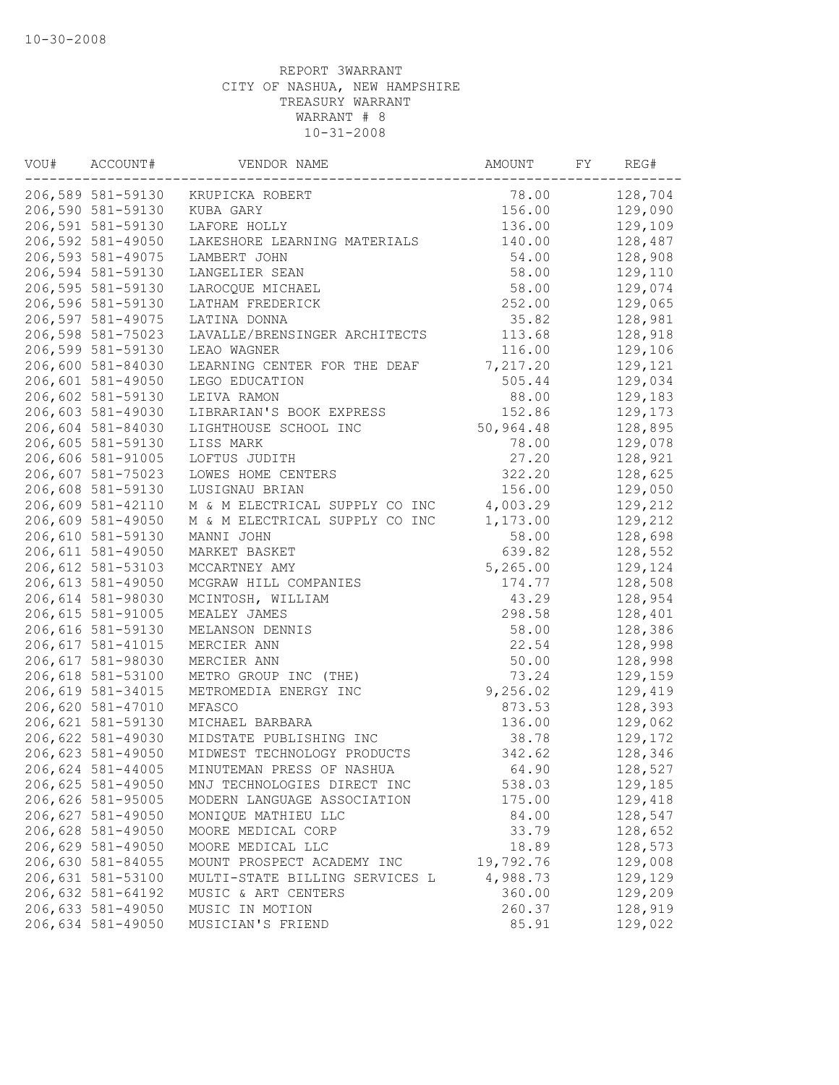| VOU# | ACCOUNT#           | VENDOR NAME                    | AMOUNT    | FY | REG#    |
|------|--------------------|--------------------------------|-----------|----|---------|
|      | 206,589 581-59130  | KRUPICKA ROBERT                | 78.00     |    | 128,704 |
|      | 206,590 581-59130  | KUBA GARY                      | 156.00    |    | 129,090 |
|      | 206,591 581-59130  | LAFORE HOLLY                   | 136.00    |    | 129,109 |
|      | 206,592 581-49050  | LAKESHORE LEARNING MATERIALS   | 140.00    |    | 128,487 |
|      | 206,593 581-49075  | LAMBERT JOHN                   | 54.00     |    | 128,908 |
|      | 206,594 581-59130  | LANGELIER SEAN                 | 58.00     |    | 129,110 |
|      | 206,595 581-59130  | LAROCQUE MICHAEL               | 58.00     |    | 129,074 |
|      | 206,596 581-59130  | LATHAM FREDERICK               | 252.00    |    | 129,065 |
|      | 206,597 581-49075  | LATINA DONNA                   | 35.82     |    | 128,981 |
|      | 206,598 581-75023  | LAVALLE/BRENSINGER ARCHITECTS  | 113.68    |    | 128,918 |
|      | 206,599 581-59130  | LEAO WAGNER                    | 116.00    |    | 129,106 |
|      | 206,600 581-84030  | LEARNING CENTER FOR THE DEAF   | 7,217.20  |    | 129,121 |
|      | 206,601 581-49050  | LEGO EDUCATION                 | 505.44    |    | 129,034 |
|      | 206,602 581-59130  | LEIVA RAMON                    | 88.00     |    | 129,183 |
|      | 206,603 581-49030  | LIBRARIAN'S BOOK EXPRESS       | 152.86    |    | 129,173 |
|      | 206,604 581-84030  | LIGHTHOUSE SCHOOL INC          | 50,964.48 |    | 128,895 |
|      | 206,605 581-59130  | LISS MARK                      | 78.00     |    | 129,078 |
|      | 206,606 581-91005  | LOFTUS JUDITH                  | 27.20     |    | 128,921 |
|      | 206,607 581-75023  | LOWES HOME CENTERS             | 322.20    |    | 128,625 |
|      | 206,608 581-59130  | LUSIGNAU BRIAN                 | 156.00    |    | 129,050 |
|      | 206,609 581-42110  | M & M ELECTRICAL SUPPLY CO INC | 4,003.29  |    | 129,212 |
|      | 206,609 581-49050  | M & M ELECTRICAL SUPPLY CO INC | 1,173.00  |    | 129,212 |
|      | 206,610 581-59130  | MANNI JOHN                     | 58.00     |    | 128,698 |
|      | 206,611 581-49050  | MARKET BASKET                  | 639.82    |    | 128,552 |
|      | 206, 612 581-53103 | MCCARTNEY AMY                  | 5,265.00  |    | 129,124 |
|      | 206, 613 581-49050 | MCGRAW HILL COMPANIES          | 174.77    |    | 128,508 |
|      | 206,614 581-98030  | MCINTOSH, WILLIAM              | 43.29     |    | 128,954 |
|      | 206,615 581-91005  | MEALEY JAMES                   | 298.58    |    | 128,401 |
|      | 206,616 581-59130  | MELANSON DENNIS                | 58.00     |    | 128,386 |
|      | 206, 617 581-41015 | MERCIER ANN                    | 22.54     |    | 128,998 |
|      | 206,617 581-98030  | MERCIER ANN                    | 50.00     |    | 128,998 |
|      | 206,618 581-53100  | METRO GROUP INC (THE)          | 73.24     |    | 129,159 |
|      | 206,619 581-34015  | METROMEDIA ENERGY INC          | 9,256.02  |    | 129,419 |
|      | 206,620 581-47010  | MFASCO                         | 873.53    |    | 128,393 |
|      | 206,621 581-59130  | MICHAEL BARBARA                | 136.00    |    | 129,062 |
|      | 206,622 581-49030  | MIDSTATE PUBLISHING INC        | 38.78     |    | 129,172 |
|      | 206,623 581-49050  | MIDWEST TECHNOLOGY PRODUCTS    | 342.62    |    | 128,346 |
|      | 206,624 581-44005  | MINUTEMAN PRESS OF NASHUA      | 64.90     |    | 128,527 |
|      | 206,625 581-49050  | MNJ TECHNOLOGIES DIRECT INC    | 538.03    |    | 129,185 |
|      | 206,626 581-95005  | MODERN LANGUAGE ASSOCIATION    | 175.00    |    | 129,418 |
|      | 206,627 581-49050  | MONIQUE MATHIEU LLC            | 84.00     |    | 128,547 |
|      | 206,628 581-49050  | MOORE MEDICAL CORP             | 33.79     |    | 128,652 |
|      | 206,629 581-49050  | MOORE MEDICAL LLC              | 18.89     |    | 128,573 |
|      | 206,630 581-84055  | MOUNT PROSPECT ACADEMY INC     | 19,792.76 |    | 129,008 |
|      | 206,631 581-53100  | MULTI-STATE BILLING SERVICES L | 4,988.73  |    | 129,129 |
|      | 206,632 581-64192  | MUSIC & ART CENTERS            | 360.00    |    | 129,209 |
|      | 206,633 581-49050  | MUSIC IN MOTION                | 260.37    |    | 128,919 |
|      | 206,634 581-49050  | MUSICIAN'S FRIEND              | 85.91     |    | 129,022 |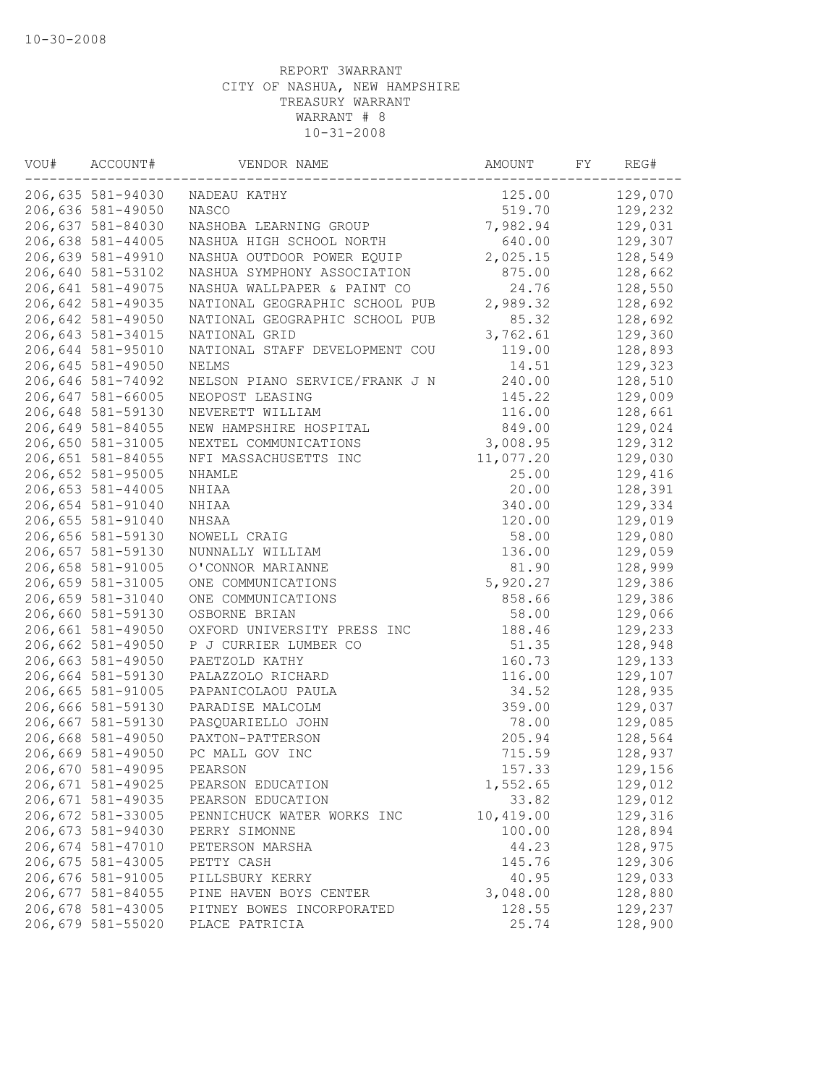| WOU# | ACCOUNT#          | VENDOR NAME                    | AMOUNT    | FY | REG#    |
|------|-------------------|--------------------------------|-----------|----|---------|
|      | 206,635 581-94030 | NADEAU KATHY                   | 125.00    |    | 129,070 |
|      | 206,636 581-49050 | <b>NASCO</b>                   | 519.70    |    | 129,232 |
|      | 206,637 581-84030 | NASHOBA LEARNING GROUP         | 7,982.94  |    | 129,031 |
|      | 206,638 581-44005 | NASHUA HIGH SCHOOL NORTH       | 640.00    |    | 129,307 |
|      | 206,639 581-49910 | NASHUA OUTDOOR POWER EQUIP     | 2,025.15  |    | 128,549 |
|      | 206,640 581-53102 | NASHUA SYMPHONY ASSOCIATION    | 875.00    |    | 128,662 |
|      | 206,641 581-49075 | NASHUA WALLPAPER & PAINT CO    | 24.76     |    | 128,550 |
|      | 206,642 581-49035 | NATIONAL GEOGRAPHIC SCHOOL PUB | 2,989.32  |    | 128,692 |
|      | 206,642 581-49050 | NATIONAL GEOGRAPHIC SCHOOL PUB | 85.32     |    | 128,692 |
|      | 206,643 581-34015 | NATIONAL GRID                  | 3,762.61  |    | 129,360 |
|      | 206,644 581-95010 | NATIONAL STAFF DEVELOPMENT COU | 119.00    |    | 128,893 |
|      | 206,645 581-49050 | NELMS                          | 14.51     |    | 129,323 |
|      | 206,646 581-74092 | NELSON PIANO SERVICE/FRANK J N | 240.00    |    | 128,510 |
|      | 206,647 581-66005 | NEOPOST LEASING                | 145.22    |    | 129,009 |
|      | 206,648 581-59130 | NEVERETT WILLIAM               | 116.00    |    | 128,661 |
|      | 206,649 581-84055 | NEW HAMPSHIRE HOSPITAL         | 849.00    |    | 129,024 |
|      | 206,650 581-31005 | NEXTEL COMMUNICATIONS          | 3,008.95  |    | 129,312 |
|      | 206,651 581-84055 | NFI MASSACHUSETTS INC          | 11,077.20 |    | 129,030 |
|      | 206,652 581-95005 | NHAMLE                         | 25.00     |    | 129,416 |
|      | 206,653 581-44005 | NHIAA                          | 20.00     |    | 128,391 |
|      | 206,654 581-91040 | NHIAA                          | 340.00    |    | 129,334 |
|      | 206,655 581-91040 | NHSAA                          | 120.00    |    | 129,019 |
|      | 206,656 581-59130 | NOWELL CRAIG                   | 58.00     |    | 129,080 |
|      | 206,657 581-59130 | NUNNALLY WILLIAM               | 136.00    |    | 129,059 |
|      | 206,658 581-91005 | O'CONNOR MARIANNE              | 81.90     |    | 128,999 |
|      | 206,659 581-31005 | ONE COMMUNICATIONS             | 5,920.27  |    | 129,386 |
|      | 206,659 581-31040 | ONE COMMUNICATIONS             | 858.66    |    | 129,386 |
|      | 206,660 581-59130 | OSBORNE BRIAN                  | 58.00     |    | 129,066 |
|      | 206,661 581-49050 | OXFORD UNIVERSITY PRESS INC    | 188.46    |    | 129,233 |
|      | 206,662 581-49050 | P J CURRIER LUMBER CO          | 51.35     |    | 128,948 |
|      | 206,663 581-49050 | PAETZOLD KATHY                 | 160.73    |    | 129,133 |
|      | 206,664 581-59130 | PALAZZOLO RICHARD              | 116.00    |    | 129,107 |
|      | 206,665 581-91005 | PAPANICOLAOU PAULA             | 34.52     |    | 128,935 |
|      | 206,666 581-59130 | PARADISE MALCOLM               | 359.00    |    | 129,037 |
|      | 206,667 581-59130 | PASQUARIELLO JOHN              | 78.00     |    | 129,085 |
|      | 206,668 581-49050 | PAXTON-PATTERSON               | 205.94    |    | 128,564 |
|      | 206,669 581-49050 | PC MALL GOV INC                | 715.59    |    | 128,937 |
|      | 206,670 581-49095 | PEARSON                        | 157.33    |    | 129,156 |
|      | 206,671 581-49025 | PEARSON EDUCATION              | 1,552.65  |    | 129,012 |
|      | 206,671 581-49035 | PEARSON EDUCATION              | 33.82     |    | 129,012 |
|      | 206,672 581-33005 | PENNICHUCK WATER WORKS INC     | 10,419.00 |    | 129,316 |
|      | 206,673 581-94030 | PERRY SIMONNE                  | 100.00    |    | 128,894 |
|      | 206,674 581-47010 | PETERSON MARSHA                | 44.23     |    | 128,975 |
|      | 206,675 581-43005 | PETTY CASH                     | 145.76    |    | 129,306 |
|      | 206,676 581-91005 | PILLSBURY KERRY                | 40.95     |    | 129,033 |
|      | 206,677 581-84055 | PINE HAVEN BOYS CENTER         | 3,048.00  |    | 128,880 |
|      | 206,678 581-43005 | PITNEY BOWES INCORPORATED      | 128.55    |    | 129,237 |
|      | 206,679 581-55020 | PLACE PATRICIA                 | 25.74     |    | 128,900 |
|      |                   |                                |           |    |         |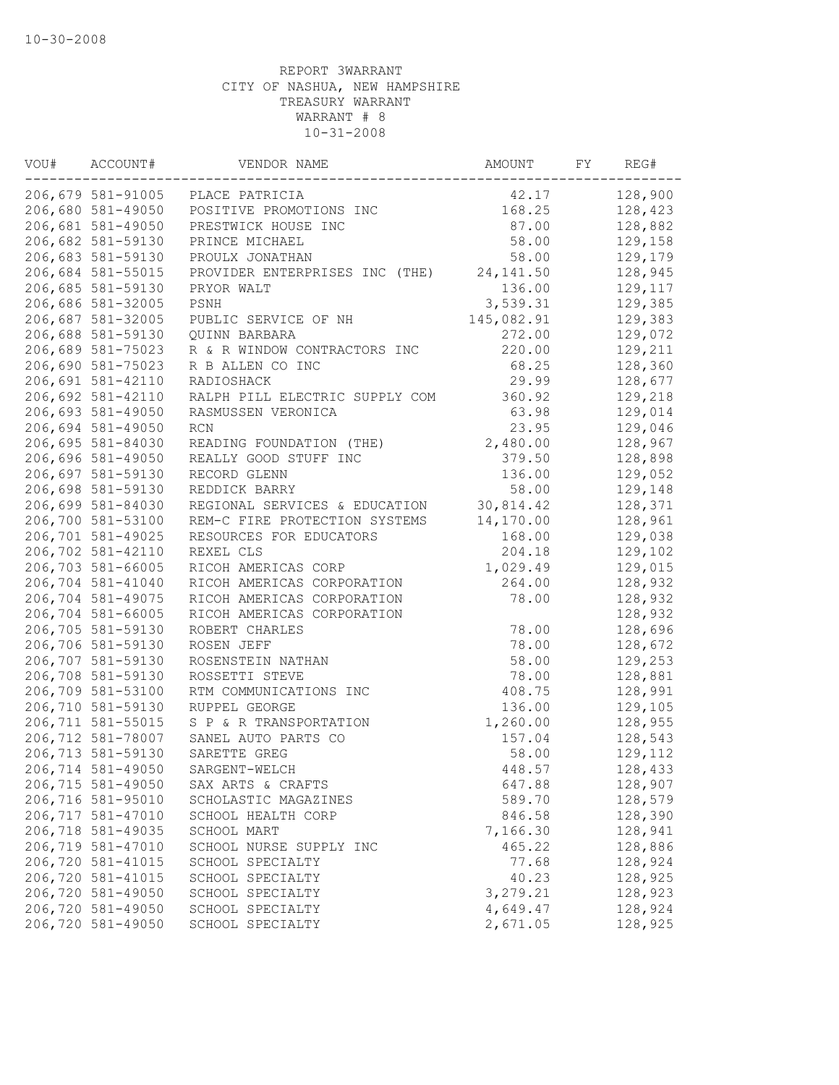| VOU# | ACCOUNT#          | VENDOR NAME                    | AMOUNT     | FY | REG#    |
|------|-------------------|--------------------------------|------------|----|---------|
|      | 206,679 581-91005 | PLACE PATRICIA                 | 42.17      |    | 128,900 |
|      | 206,680 581-49050 | POSITIVE PROMOTIONS INC        | 168.25     |    | 128,423 |
|      | 206,681 581-49050 | PRESTWICK HOUSE INC            | 87.00      |    | 128,882 |
|      | 206,682 581-59130 | PRINCE MICHAEL                 | 58.00      |    | 129,158 |
|      | 206,683 581-59130 | PROULX JONATHAN                | 58.00      |    | 129,179 |
|      | 206,684 581-55015 | PROVIDER ENTERPRISES INC (THE) | 24, 141.50 |    | 128,945 |
|      | 206,685 581-59130 | PRYOR WALT                     | 136.00     |    | 129,117 |
|      | 206,686 581-32005 | PSNH                           | 3,539.31   |    | 129,385 |
|      | 206,687 581-32005 | PUBLIC SERVICE OF NH           | 145,082.91 |    | 129,383 |
|      | 206,688 581-59130 | QUINN BARBARA                  | 272.00     |    | 129,072 |
|      | 206,689 581-75023 | R & R WINDOW CONTRACTORS INC   | 220.00     |    | 129,211 |
|      | 206,690 581-75023 | R B ALLEN CO INC               | 68.25      |    | 128,360 |
|      | 206,691 581-42110 | RADIOSHACK                     | 29.99      |    | 128,677 |
|      | 206,692 581-42110 | RALPH PILL ELECTRIC SUPPLY COM | 360.92     |    | 129,218 |
|      | 206,693 581-49050 | RASMUSSEN VERONICA             | 63.98      |    | 129,014 |
|      | 206,694 581-49050 | RCN                            | 23.95      |    | 129,046 |
|      | 206,695 581-84030 | READING FOUNDATION (THE)       | 2,480.00   |    | 128,967 |
|      | 206,696 581-49050 | REALLY GOOD STUFF INC          | 379.50     |    | 128,898 |
|      | 206,697 581-59130 | RECORD GLENN                   | 136.00     |    | 129,052 |
|      | 206,698 581-59130 | REDDICK BARRY                  | 58.00      |    | 129,148 |
|      | 206,699 581-84030 | REGIONAL SERVICES & EDUCATION  | 30,814.42  |    | 128,371 |
|      | 206,700 581-53100 | REM-C FIRE PROTECTION SYSTEMS  | 14,170.00  |    | 128,961 |
|      | 206,701 581-49025 | RESOURCES FOR EDUCATORS        | 168.00     |    | 129,038 |
|      | 206,702 581-42110 | REXEL CLS                      | 204.18     |    | 129,102 |
|      | 206,703 581-66005 | RICOH AMERICAS CORP            | 1,029.49   |    | 129,015 |
|      | 206,704 581-41040 | RICOH AMERICAS CORPORATION     | 264.00     |    | 128,932 |
|      | 206,704 581-49075 | RICOH AMERICAS CORPORATION     | 78.00      |    | 128,932 |
|      | 206,704 581-66005 | RICOH AMERICAS CORPORATION     |            |    | 128,932 |
|      | 206,705 581-59130 |                                |            |    | 128,696 |
|      |                   | ROBERT CHARLES                 | 78.00      |    |         |
|      | 206,706 581-59130 | ROSEN JEFF                     | 78.00      |    | 128,672 |
|      | 206,707 581-59130 | ROSENSTEIN NATHAN              | 58.00      |    | 129,253 |
|      | 206,708 581-59130 | ROSSETTI STEVE                 | 78.00      |    | 128,881 |
|      | 206,709 581-53100 | RTM COMMUNICATIONS INC         | 408.75     |    | 128,991 |
|      | 206,710 581-59130 | RUPPEL GEORGE                  | 136.00     |    | 129,105 |
|      | 206,711 581-55015 | S P & R TRANSPORTATION         | 1,260.00   |    | 128,955 |
|      | 206,712 581-78007 | SANEL AUTO PARTS CO            | 157.04     |    | 128,543 |
|      | 206,713 581-59130 | SARETTE GREG                   | 58.00      |    | 129,112 |
|      | 206,714 581-49050 | SARGENT-WELCH                  | 448.57     |    | 128,433 |
|      | 206,715 581-49050 | SAX ARTS & CRAFTS              | 647.88     |    | 128,907 |
|      | 206,716 581-95010 | SCHOLASTIC MAGAZINES           | 589.70     |    | 128,579 |
|      | 206,717 581-47010 | SCHOOL HEALTH CORP             | 846.58     |    | 128,390 |
|      | 206,718 581-49035 | SCHOOL MART                    | 7,166.30   |    | 128,941 |
|      | 206,719 581-47010 | SCHOOL NURSE SUPPLY INC        | 465.22     |    | 128,886 |
|      | 206,720 581-41015 | SCHOOL SPECIALTY               | 77.68      |    | 128,924 |
|      | 206,720 581-41015 | SCHOOL SPECIALTY               | 40.23      |    | 128,925 |
|      | 206,720 581-49050 | SCHOOL SPECIALTY               | 3,279.21   |    | 128,923 |
|      | 206,720 581-49050 | SCHOOL SPECIALTY               | 4,649.47   |    | 128,924 |
|      | 206,720 581-49050 | SCHOOL SPECIALTY               | 2,671.05   |    | 128,925 |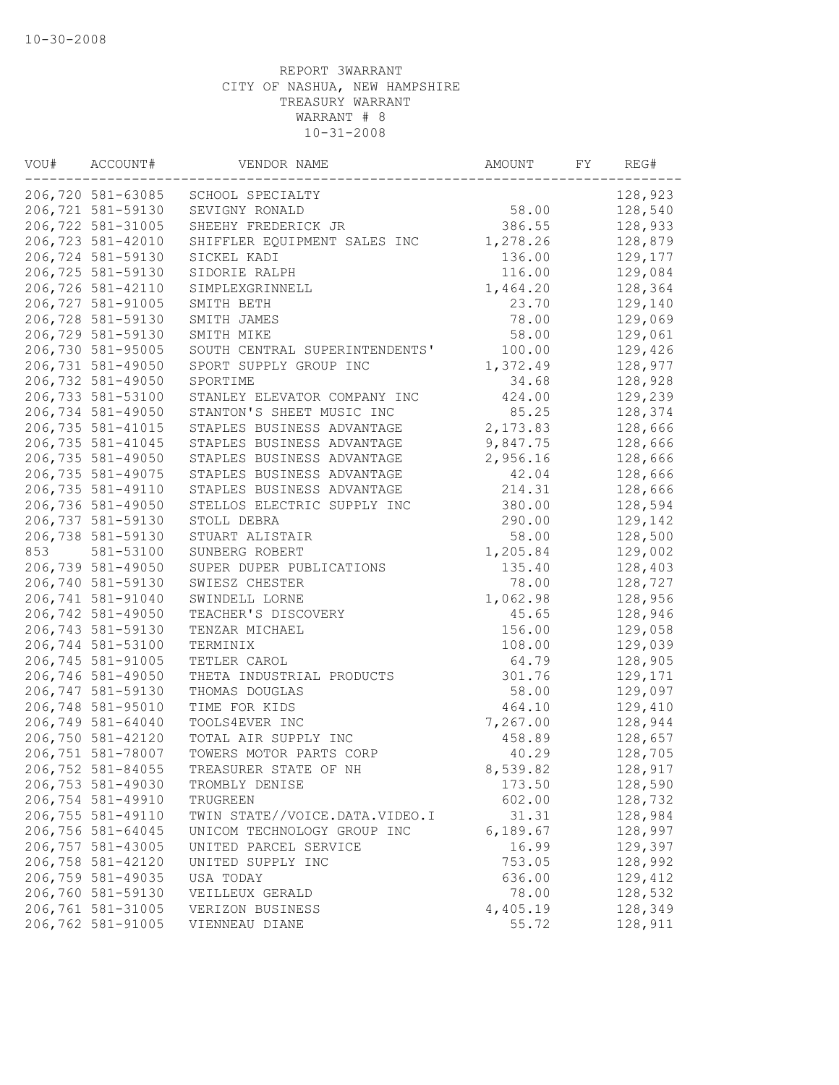| WOU# | ACCOUNT#          | VENDOR NAME                    | AMOUNT   | FY | REG#    |
|------|-------------------|--------------------------------|----------|----|---------|
|      | 206,720 581-63085 | SCHOOL SPECIALTY               |          |    | 128,923 |
|      | 206,721 581-59130 | SEVIGNY RONALD                 | 58.00    |    | 128,540 |
|      | 206,722 581-31005 | SHEEHY FREDERICK JR            | 386.55   |    | 128,933 |
|      | 206,723 581-42010 | SHIFFLER EQUIPMENT SALES INC   | 1,278.26 |    | 128,879 |
|      | 206,724 581-59130 | SICKEL KADI                    | 136.00   |    | 129,177 |
|      | 206,725 581-59130 | SIDORIE RALPH                  | 116.00   |    | 129,084 |
|      | 206,726 581-42110 | SIMPLEXGRINNELL                | 1,464.20 |    | 128,364 |
|      | 206,727 581-91005 | SMITH BETH                     | 23.70    |    | 129,140 |
|      | 206,728 581-59130 | SMITH JAMES                    | 78.00    |    | 129,069 |
|      | 206,729 581-59130 | SMITH MIKE                     | 58.00    |    | 129,061 |
|      | 206,730 581-95005 | SOUTH CENTRAL SUPERINTENDENTS' | 100.00   |    | 129,426 |
|      | 206,731 581-49050 | SPORT SUPPLY GROUP INC         | 1,372.49 |    | 128,977 |
|      | 206,732 581-49050 | SPORTIME                       | 34.68    |    | 128,928 |
|      | 206,733 581-53100 | STANLEY ELEVATOR COMPANY INC   | 424.00   |    | 129,239 |
|      | 206,734 581-49050 | STANTON'S SHEET MUSIC INC      | 85.25    |    | 128,374 |
|      | 206,735 581-41015 | STAPLES BUSINESS ADVANTAGE     | 2,173.83 |    | 128,666 |
|      | 206,735 581-41045 | STAPLES BUSINESS ADVANTAGE     | 9,847.75 |    | 128,666 |
|      | 206,735 581-49050 | STAPLES BUSINESS ADVANTAGE     | 2,956.16 |    | 128,666 |
|      | 206,735 581-49075 | STAPLES BUSINESS ADVANTAGE     | 42.04    |    | 128,666 |
|      | 206,735 581-49110 | STAPLES BUSINESS ADVANTAGE     | 214.31   |    | 128,666 |
|      | 206,736 581-49050 | STELLOS ELECTRIC SUPPLY INC    | 380.00   |    | 128,594 |
|      | 206,737 581-59130 | STOLL DEBRA                    | 290.00   |    | 129,142 |
|      | 206,738 581-59130 | STUART ALISTAIR                | 58.00    |    | 128,500 |
| 853  | 581-53100         | SUNBERG ROBERT                 | 1,205.84 |    | 129,002 |
|      | 206,739 581-49050 | SUPER DUPER PUBLICATIONS       | 135.40   |    | 128,403 |
|      | 206,740 581-59130 | SWIESZ CHESTER                 | 78.00    |    | 128,727 |
|      | 206,741 581-91040 | SWINDELL LORNE                 | 1,062.98 |    | 128,956 |
|      | 206,742 581-49050 | TEACHER'S DISCOVERY            | 45.65    |    | 128,946 |
|      | 206,743 581-59130 | TENZAR MICHAEL                 | 156.00   |    | 129,058 |
|      | 206,744 581-53100 | TERMINIX                       | 108.00   |    | 129,039 |
|      | 206,745 581-91005 | TETLER CAROL                   | 64.79    |    | 128,905 |
|      | 206,746 581-49050 | THETA INDUSTRIAL PRODUCTS      | 301.76   |    | 129,171 |
|      | 206,747 581-59130 | THOMAS DOUGLAS                 | 58.00    |    | 129,097 |
|      | 206,748 581-95010 | TIME FOR KIDS                  | 464.10   |    | 129,410 |
|      | 206,749 581-64040 | TOOLS4EVER INC                 | 7,267.00 |    | 128,944 |
|      | 206,750 581-42120 | TOTAL AIR SUPPLY INC           | 458.89   |    | 128,657 |
|      | 206,751 581-78007 | TOWERS MOTOR PARTS CORP        | 40.29    |    | 128,705 |
|      | 206,752 581-84055 | TREASURER STATE OF NH          | 8,539.82 |    | 128,917 |
|      | 206,753 581-49030 | TROMBLY DENISE                 | 173.50   |    | 128,590 |
|      | 206,754 581-49910 | TRUGREEN                       | 602.00   |    | 128,732 |
|      | 206,755 581-49110 | TWIN STATE//VOICE.DATA.VIDEO.I | 31.31    |    | 128,984 |
|      | 206,756 581-64045 | UNICOM TECHNOLOGY GROUP INC    | 6,189.67 |    | 128,997 |
|      | 206,757 581-43005 | UNITED PARCEL SERVICE          | 16.99    |    | 129,397 |
|      | 206,758 581-42120 | UNITED SUPPLY INC              | 753.05   |    | 128,992 |
|      | 206,759 581-49035 | USA TODAY                      | 636.00   |    | 129,412 |
|      | 206,760 581-59130 | VEILLEUX GERALD                | 78.00    |    | 128,532 |
|      | 206,761 581-31005 | VERIZON BUSINESS               | 4,405.19 |    | 128,349 |
|      | 206,762 581-91005 | VIENNEAU DIANE                 | 55.72    |    | 128,911 |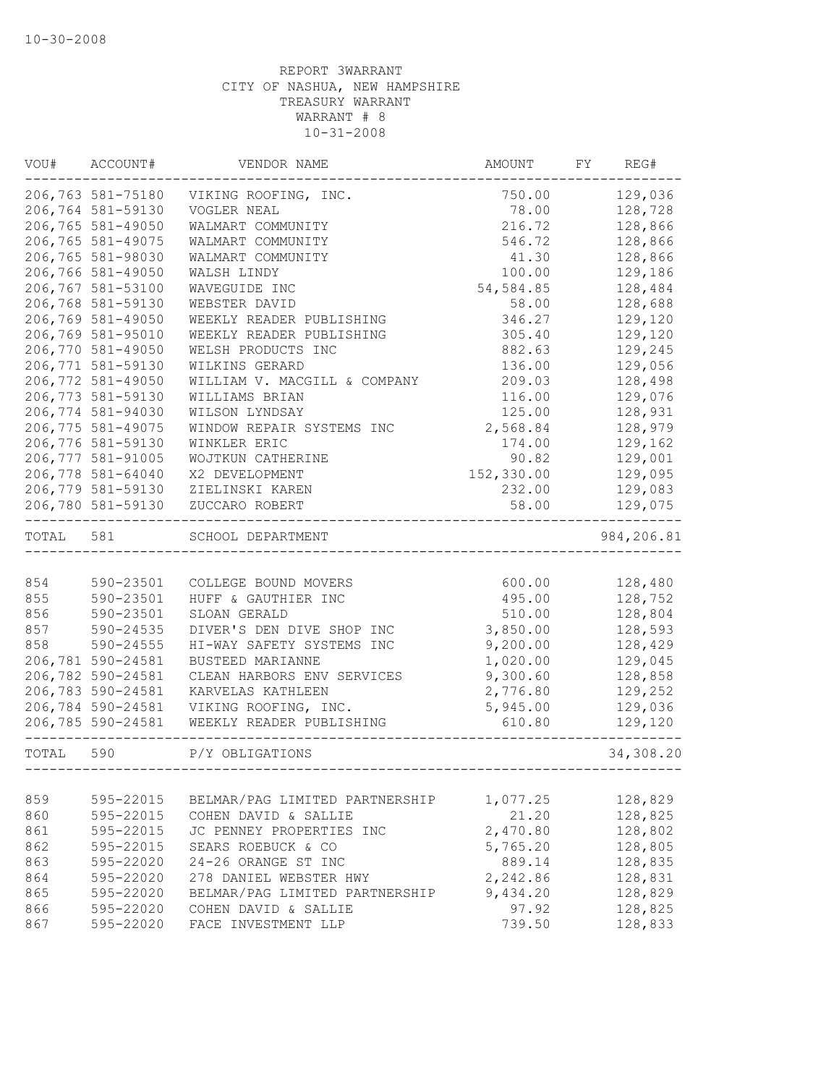| VOU#  | ACCOUNT#          | VENDOR NAME                    | AMOUNT     | FY | REG#       |
|-------|-------------------|--------------------------------|------------|----|------------|
|       | 206,763 581-75180 | VIKING ROOFING, INC.           | 750.00     |    | 129,036    |
|       | 206,764 581-59130 | VOGLER NEAL                    | 78.00      |    | 128,728    |
|       | 206,765 581-49050 | WALMART COMMUNITY              | 216.72     |    | 128,866    |
|       | 206,765 581-49075 | WALMART COMMUNITY              | 546.72     |    | 128,866    |
|       | 206,765 581-98030 | WALMART COMMUNITY              | 41.30      |    | 128,866    |
|       | 206,766 581-49050 | WALSH LINDY                    | 100.00     |    | 129,186    |
|       | 206,767 581-53100 | WAVEGUIDE INC                  | 54,584.85  |    | 128,484    |
|       | 206,768 581-59130 | WEBSTER DAVID                  | 58.00      |    | 128,688    |
|       | 206,769 581-49050 | WEEKLY READER PUBLISHING       | 346.27     |    | 129,120    |
|       | 206,769 581-95010 | WEEKLY READER PUBLISHING       | 305.40     |    | 129,120    |
|       | 206,770 581-49050 | WELSH PRODUCTS INC             | 882.63     |    | 129,245    |
|       | 206,771 581-59130 | WILKINS GERARD                 | 136.00     |    | 129,056    |
|       | 206,772 581-49050 | WILLIAM V. MACGILL & COMPANY   | 209.03     |    | 128,498    |
|       | 206,773 581-59130 | WILLIAMS BRIAN                 | 116.00     |    | 129,076    |
|       | 206,774 581-94030 | WILSON LYNDSAY                 | 125.00     |    | 128,931    |
|       | 206,775 581-49075 | WINDOW REPAIR SYSTEMS INC      | 2,568.84   |    | 128,979    |
|       | 206,776 581-59130 | WINKLER ERIC                   | 174.00     |    | 129,162    |
|       | 206,777 581-91005 | WOJTKUN CATHERINE              | 90.82      |    | 129,001    |
|       | 206,778 581-64040 | X2 DEVELOPMENT                 | 152,330.00 |    | 129,095    |
|       | 206,779 581-59130 | ZIELINSKI KAREN                | 232.00     |    | 129,083    |
|       | 206,780 581-59130 | ZUCCARO ROBERT                 | 58.00      |    | 129,075    |
| TOTAL | 581               | SCHOOL DEPARTMENT              |            |    | 984,206.81 |
|       |                   |                                |            |    |            |
| 854   | 590-23501         | COLLEGE BOUND MOVERS           | 600.00     |    | 128,480    |
| 855   | 590-23501         | HUFF & GAUTHIER INC            | 495.00     |    | 128,752    |
| 856   | 590-23501         | SLOAN GERALD                   | 510.00     |    | 128,804    |
| 857   | 590-24535         | DIVER'S DEN DIVE SHOP INC      | 3,850.00   |    | 128,593    |
| 858   | 590-24555         | HI-WAY SAFETY SYSTEMS INC      | 9,200.00   |    | 128,429    |
|       | 206,781 590-24581 | BUSTEED MARIANNE               | 1,020.00   |    | 129,045    |
|       | 206,782 590-24581 | CLEAN HARBORS ENV SERVICES     | 9,300.60   |    | 128,858    |
|       | 206,783 590-24581 | KARVELAS KATHLEEN              | 2,776.80   |    | 129,252    |
|       | 206,784 590-24581 | VIKING ROOFING, INC.           | 5,945.00   |    | 129,036    |
|       | 206,785 590-24581 | WEEKLY READER PUBLISHING       | 610.80     |    | 129,120    |
| TOTAL | 590               | P/Y OBLIGATIONS                |            |    | 34,308.20  |
|       |                   |                                |            |    |            |
| 859   | 595-22015         | BELMAR/PAG LIMITED PARTNERSHIP | 1,077.25   |    | 128,829    |
| 860   | 595-22015         | COHEN DAVID & SALLIE           | 21.20      |    | 128,825    |
| 861   | 595-22015         | JC PENNEY PROPERTIES INC       | 2,470.80   |    | 128,802    |
| 862   | 595-22015         | SEARS ROEBUCK & CO             | 5,765.20   |    | 128,805    |
| 863   | 595-22020         | 24-26 ORANGE ST INC            | 889.14     |    | 128,835    |
| 864   | 595-22020         | 278 DANIEL WEBSTER HWY         | 2,242.86   |    | 128,831    |
| 865   | 595-22020         | BELMAR/PAG LIMITED PARTNERSHIP | 9,434.20   |    | 128,829    |
| 866   | 595-22020         | COHEN DAVID & SALLIE           | 97.92      |    | 128,825    |
| 867   | 595-22020         | FACE INVESTMENT LLP            | 739.50     |    | 128,833    |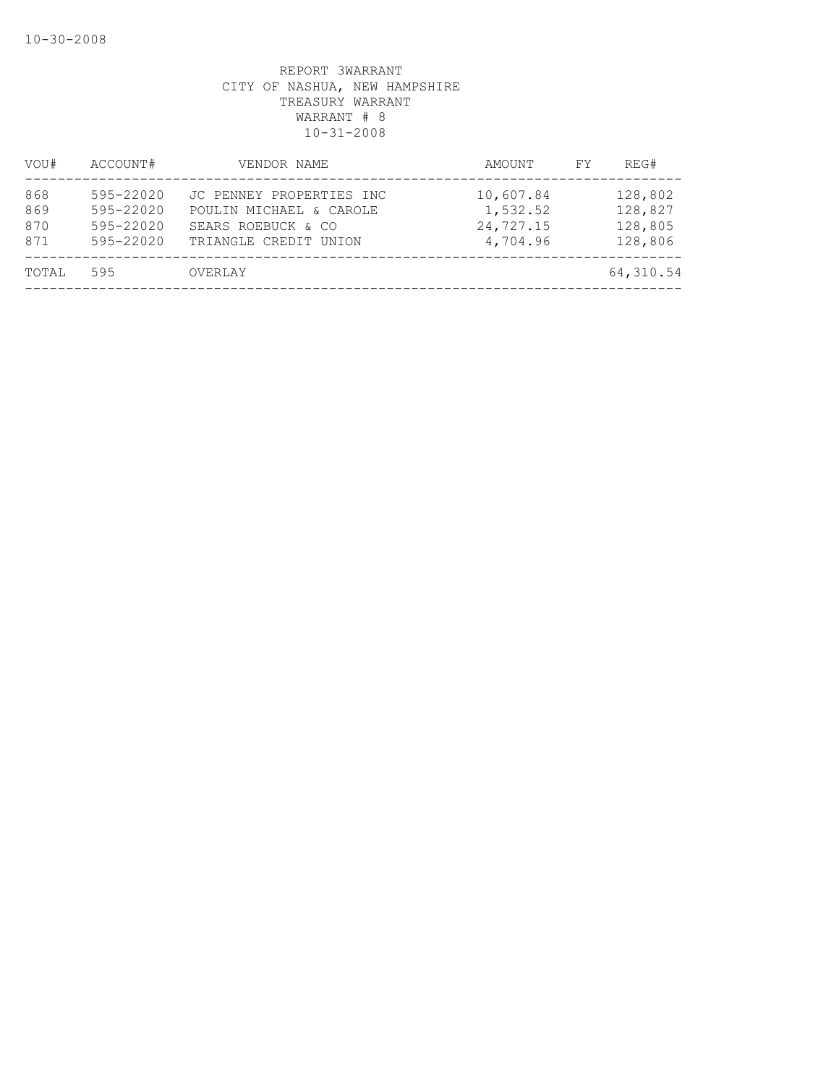| VOU#                     | ACCOUNT#                                         | VENDOR NAME                                                                                        | AMOUNT                                         | REG#<br>FY.                              |  |
|--------------------------|--------------------------------------------------|----------------------------------------------------------------------------------------------------|------------------------------------------------|------------------------------------------|--|
| 868<br>869<br>870<br>871 | 595-22020<br>595-22020<br>595-22020<br>595-22020 | JC PENNEY PROPERTIES INC<br>POULIN MICHAEL & CAROLE<br>SEARS ROEBUCK & CO<br>TRIANGLE CREDIT UNION | 10,607.84<br>1,532.52<br>24,727.15<br>4,704.96 | 128,802<br>128,827<br>128,805<br>128,806 |  |
| TOTAL                    | 595                                              | OVERLAY                                                                                            |                                                | 64,310.54                                |  |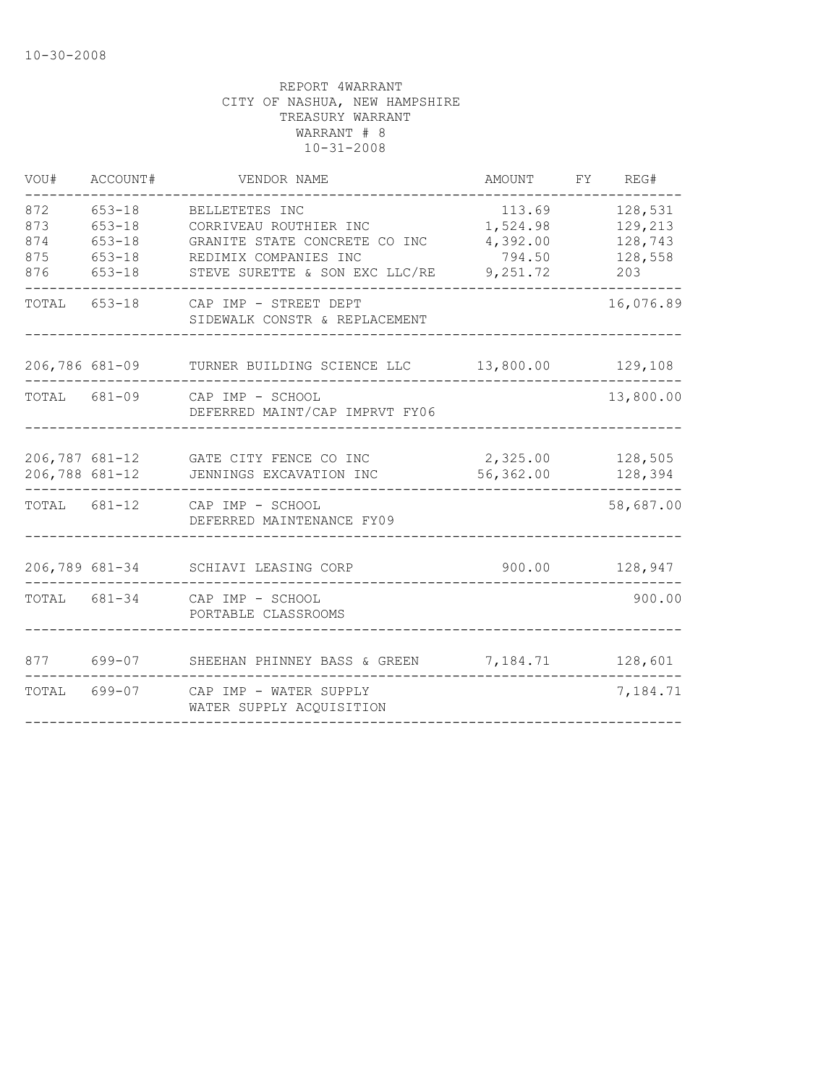| VOU#                            | ACCOUNT#                                                           | VENDOR NAME                                                                                                                          | AMOUNT                                               | FY REG#                                         |
|---------------------------------|--------------------------------------------------------------------|--------------------------------------------------------------------------------------------------------------------------------------|------------------------------------------------------|-------------------------------------------------|
| 872<br>873<br>874<br>875<br>876 | $653 - 18$<br>$653 - 18$<br>$653 - 18$<br>$653 - 18$<br>$653 - 18$ | BELLETETES INC<br>CORRIVEAU ROUTHIER INC<br>GRANITE STATE CONCRETE CO INC<br>REDIMIX COMPANIES INC<br>STEVE SURETTE & SON EXC LLC/RE | 113.69<br>1,524.98<br>4,392.00<br>794.50<br>9,251.72 | 128,531<br>129,213<br>128,743<br>128,558<br>203 |
|                                 | TOTAL 653-18                                                       | CAP IMP - STREET DEPT<br>SIDEWALK CONSTR & REPLACEMENT                                                                               |                                                      | 16,076.89                                       |
|                                 | 206,786 681-09                                                     | TURNER BUILDING SCIENCE LLC 13,800.00                                                                                                |                                                      | 129,108                                         |
|                                 |                                                                    | TOTAL 681-09 CAP IMP - SCHOOL<br>DEFERRED MAINT/CAP IMPRVT FY06                                                                      |                                                      | 13,800.00                                       |
|                                 | 206,788 681-12                                                     | 206,787 681-12 GATE CITY FENCE CO INC 2,325.00 128,505<br>JENNINGS EXCAVATION INC                                                    | 56,362.00                                            | 128,394                                         |
|                                 | TOTAL 681-12                                                       | CAP IMP - SCHOOL<br>DEFERRED MAINTENANCE FY09                                                                                        |                                                      | 58,687.00                                       |
|                                 | 206,789 681-34                                                     | SCHIAVI LEASING CORP                                                                                                                 | 900.00                                               | 128,947                                         |
|                                 | TOTAL 681-34                                                       | CAP IMP - SCHOOL<br>PORTABLE CLASSROOMS                                                                                              |                                                      | 900.00                                          |
| 877                             | 699-07                                                             | SHEEHAN PHINNEY BASS & GREEN                                                                                                         | 7,184.71                                             | 128,601                                         |
| TOTAL 699-07                    |                                                                    | CAP IMP - WATER SUPPLY<br>WATER SUPPLY ACQUISITION                                                                                   |                                                      | 7,184.71                                        |
|                                 |                                                                    |                                                                                                                                      |                                                      |                                                 |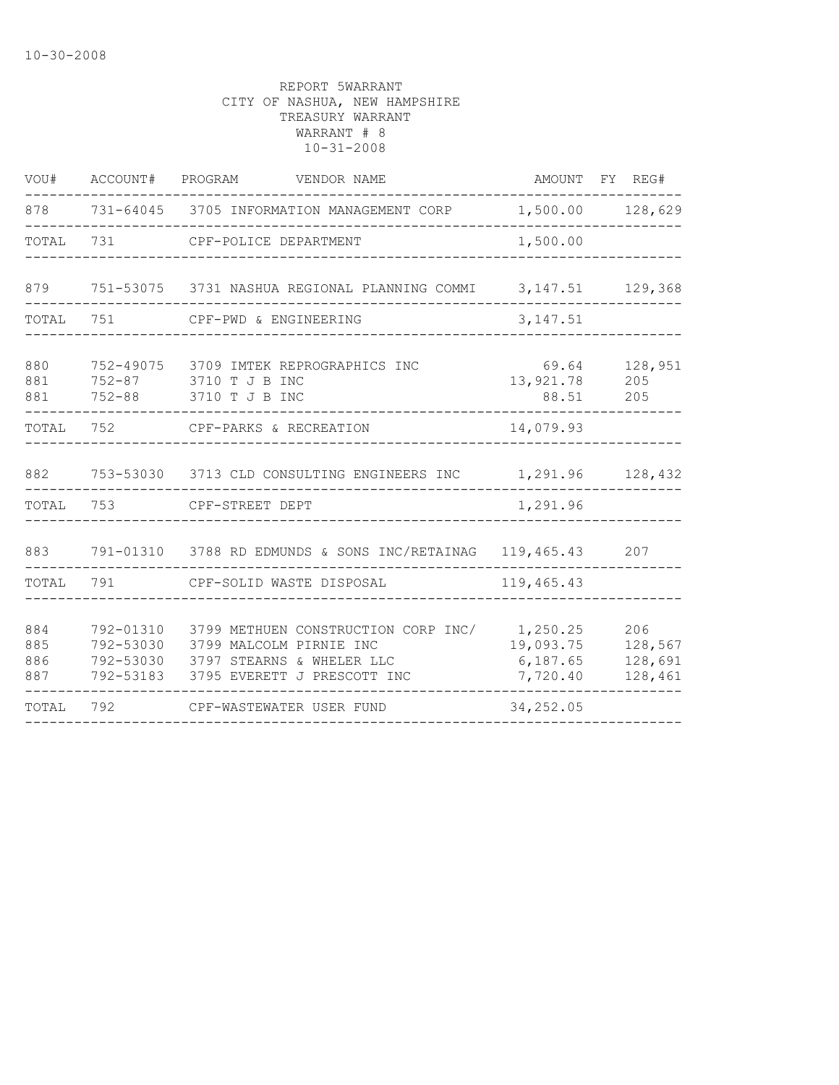| VOU#                     | ACCOUNT#               | PROGRAM<br>VENDOR NAME                                                                                                                         |                                               | AMOUNT FY REG#                       |
|--------------------------|------------------------|------------------------------------------------------------------------------------------------------------------------------------------------|-----------------------------------------------|--------------------------------------|
| 878                      |                        | 731-64045 3705 INFORMATION MANAGEMENT CORP                                                                                                     |                                               | 1,500.00 128,629                     |
| TOTAL                    | 731                    | CPF-POLICE DEPARTMENT                                                                                                                          | 1,500.00                                      |                                      |
| 879                      |                        | 751-53075 3731 NASHUA REGIONAL PLANNING COMMI                                                                                                  |                                               | 3, 147.51 129, 368                   |
| TOTAL                    | 751                    | CPF-PWD & ENGINEERING                                                                                                                          | 3, 147.51                                     |                                      |
| 880<br>881<br>881        |                        | 752-49075 3709 IMTEK REPROGRAPHICS INC<br>752-87 3710 T J B INC<br>752-88 3710 T J B INC                                                       | 69.64<br>13,921.78<br>88.51                   | 128,951<br>205<br>205                |
| TOTAL                    | 752                    | CPF-PARKS & RECREATION                                                                                                                         | 14,079.93                                     |                                      |
| 882                      |                        | 753-53030 3713 CLD CONSULTING ENGINEERS INC 1,291.96                                                                                           |                                               | 128,432                              |
| TOTAL                    | 753                    | CPF-STREET DEPT                                                                                                                                | 1,291.96                                      |                                      |
| 883                      |                        | 791-01310 3788 RD EDMUNDS & SONS INC/RETAINAG                                                                                                  | 119,465.43                                    | 207                                  |
| TOTAL                    | 791                    | CPF-SOLID WASTE DISPOSAL                                                                                                                       | 119,465.43                                    |                                      |
| 884<br>885<br>886<br>887 | 792-01310<br>792-53030 | 3799 METHUEN CONSTRUCTION CORP INC/<br>3799 MALCOLM PIRNIE INC<br>792-53030 3797 STEARNS & WHELER LLC<br>792-53183 3795 EVERETT J PRESCOTT INC | 1,250.25<br>19,093.75<br>6,187.65<br>7,720.40 | 206<br>128,567<br>128,691<br>128,461 |
| TOTAL                    | 792                    | CPF-WASTEWATER USER FUND                                                                                                                       | 34, 252.05                                    |                                      |
|                          |                        |                                                                                                                                                |                                               |                                      |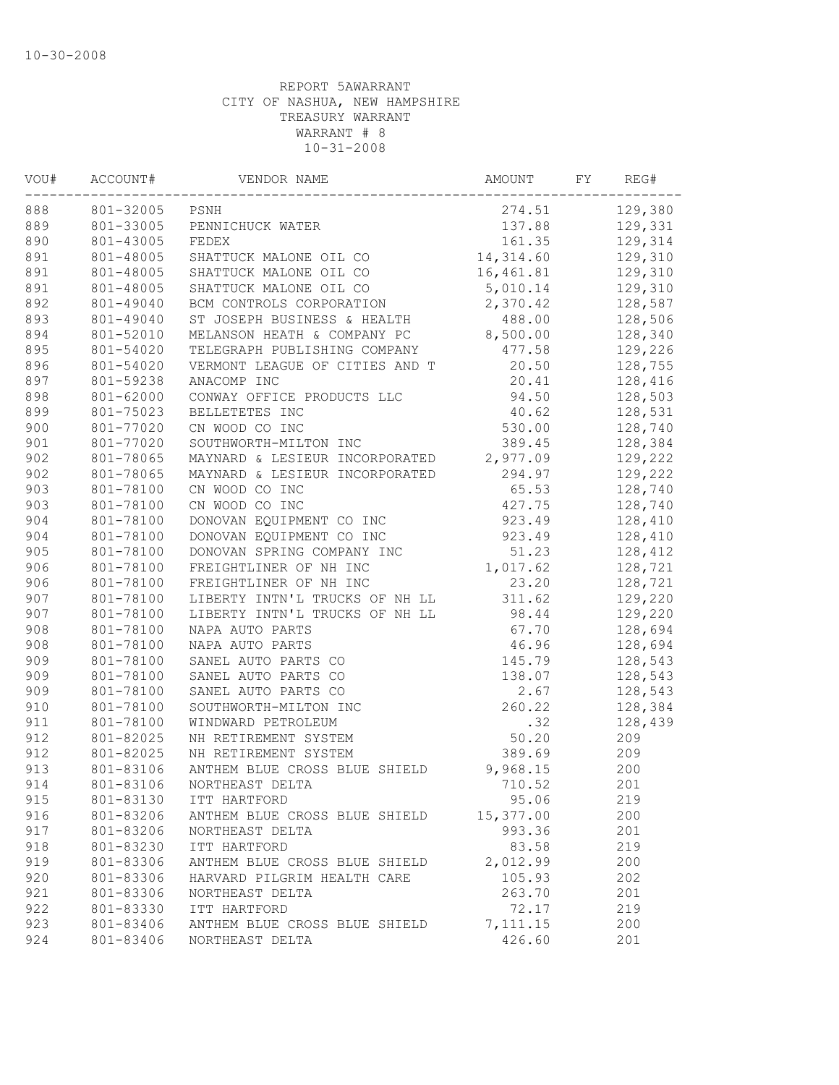| VOU# | ACCOUNT#  | VENDOR NAME                    | AMOUNT    | FΥ | REG#    |
|------|-----------|--------------------------------|-----------|----|---------|
| 888  | 801-32005 | PSNH                           | 274.51    |    | 129,380 |
| 889  | 801-33005 | PENNICHUCK WATER               | 137.88    |    | 129,331 |
| 890  | 801-43005 | FEDEX                          | 161.35    |    | 129,314 |
| 891  | 801-48005 | SHATTUCK MALONE OIL CO         | 14,314.60 |    | 129,310 |
| 891  | 801-48005 | SHATTUCK MALONE OIL CO         | 16,461.81 |    | 129,310 |
| 891  | 801-48005 | SHATTUCK MALONE OIL CO         | 5,010.14  |    | 129,310 |
| 892  | 801-49040 | BCM CONTROLS CORPORATION       | 2,370.42  |    | 128,587 |
| 893  | 801-49040 | ST JOSEPH BUSINESS & HEALTH    | 488.00    |    | 128,506 |
| 894  | 801-52010 | MELANSON HEATH & COMPANY PC    | 8,500.00  |    | 128,340 |
| 895  | 801-54020 | TELEGRAPH PUBLISHING COMPANY   | 477.58    |    | 129,226 |
| 896  | 801-54020 | VERMONT LEAGUE OF CITIES AND T | 20.50     |    | 128,755 |
| 897  | 801-59238 | ANACOMP INC                    | 20.41     |    | 128,416 |
| 898  | 801-62000 | CONWAY OFFICE PRODUCTS LLC     | 94.50     |    | 128,503 |
| 899  | 801-75023 | BELLETETES INC                 | 40.62     |    | 128,531 |
| 900  | 801-77020 | CN WOOD CO INC                 | 530.00    |    | 128,740 |
| 901  | 801-77020 | SOUTHWORTH-MILTON INC          | 389.45    |    | 128,384 |
| 902  | 801-78065 | MAYNARD & LESIEUR INCORPORATED | 2,977.09  |    | 129,222 |
| 902  | 801-78065 | MAYNARD & LESIEUR INCORPORATED | 294.97    |    | 129,222 |
| 903  | 801-78100 | CN WOOD CO INC                 | 65.53     |    | 128,740 |
| 903  | 801-78100 | CN WOOD CO INC                 | 427.75    |    | 128,740 |
| 904  | 801-78100 | DONOVAN EQUIPMENT CO INC       | 923.49    |    | 128,410 |
| 904  | 801-78100 | DONOVAN EQUIPMENT CO INC       | 923.49    |    | 128,410 |
| 905  | 801-78100 | DONOVAN SPRING COMPANY INC     | 51.23     |    | 128,412 |
| 906  | 801-78100 | FREIGHTLINER OF NH INC         | 1,017.62  |    | 128,721 |
| 906  | 801-78100 | FREIGHTLINER OF NH INC         | 23.20     |    | 128,721 |
| 907  | 801-78100 | LIBERTY INTN'L TRUCKS OF NH LL | 311.62    |    | 129,220 |
| 907  | 801-78100 | LIBERTY INTN'L TRUCKS OF NH LL | 98.44     |    | 129,220 |
| 908  | 801-78100 | NAPA AUTO PARTS                | 67.70     |    | 128,694 |
| 908  | 801-78100 | NAPA AUTO PARTS                | 46.96     |    | 128,694 |
| 909  | 801-78100 | SANEL AUTO PARTS CO            | 145.79    |    | 128,543 |
| 909  | 801-78100 | SANEL AUTO PARTS CO            | 138.07    |    | 128,543 |
| 909  | 801-78100 | SANEL AUTO PARTS CO            | 2.67      |    | 128,543 |
| 910  | 801-78100 | SOUTHWORTH-MILTON INC          | 260.22    |    | 128,384 |
| 911  | 801-78100 | WINDWARD PETROLEUM             | .32       |    | 128,439 |
| 912  | 801-82025 | NH RETIREMENT SYSTEM           | 50.20     |    | 209     |
| 912  | 801-82025 | NH RETIREMENT SYSTEM           | 389.69    |    | 209     |
| 913  | 801-83106 | ANTHEM BLUE CROSS BLUE SHIELD  | 9,968.15  |    | 200     |
| 914  | 801-83106 | NORTHEAST DELTA                | 710.52    |    | 201     |
| 915  | 801-83130 | ITT HARTFORD                   | 95.06     |    | 219     |
| 916  | 801-83206 | ANTHEM BLUE CROSS BLUE SHIELD  | 15,377.00 |    | 200     |
| 917  | 801-83206 | NORTHEAST DELTA                | 993.36    |    | 201     |
| 918  | 801-83230 | ITT HARTFORD                   | 83.58     |    | 219     |
| 919  | 801-83306 | ANTHEM BLUE CROSS BLUE SHIELD  | 2,012.99  |    | 200     |
| 920  | 801-83306 | HARVARD PILGRIM HEALTH CARE    | 105.93    |    | 202     |
| 921  | 801-83306 | NORTHEAST DELTA                | 263.70    |    | 201     |
| 922  | 801-83330 | ITT HARTFORD                   | 72.17     |    | 219     |
| 923  | 801-83406 | ANTHEM BLUE CROSS BLUE SHIELD  | 7, 111.15 |    | 200     |
| 924  | 801-83406 | NORTHEAST DELTA                | 426.60    |    | 201     |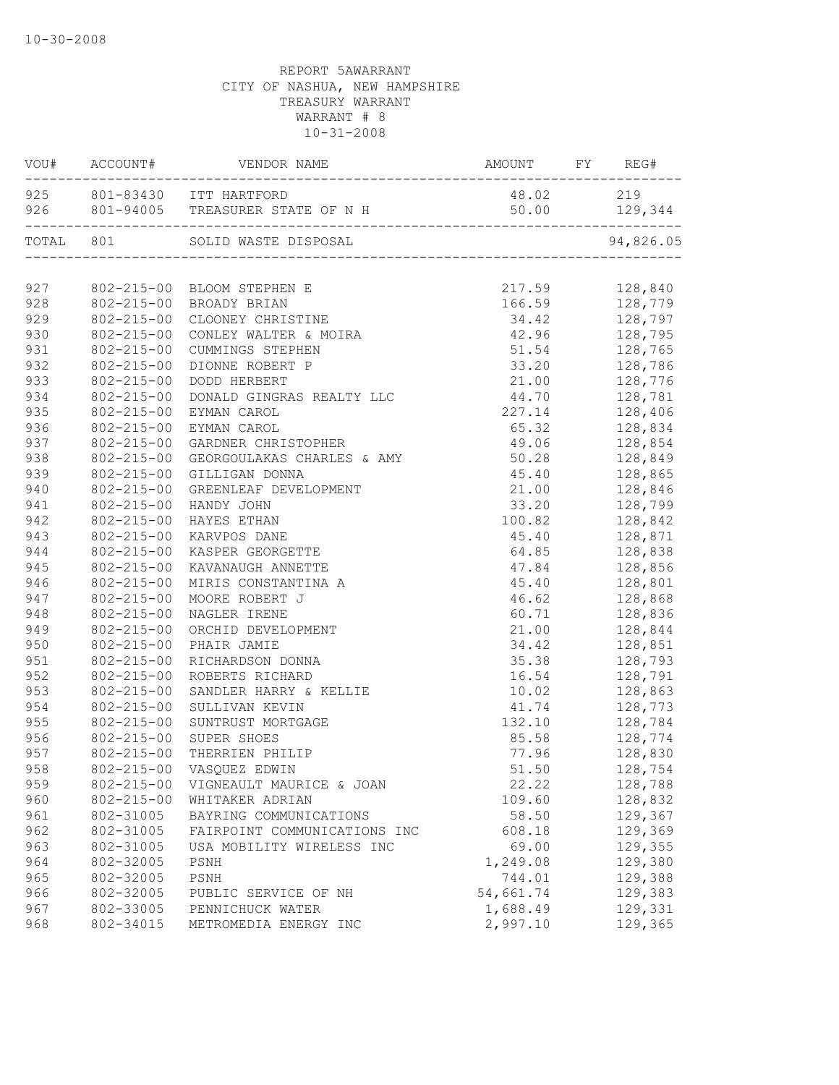|     |                  | 925 801-83430 ITT HARTFORD                         | 48.02 219                                                          |                                                                                                                                            |
|-----|------------------|----------------------------------------------------|--------------------------------------------------------------------|--------------------------------------------------------------------------------------------------------------------------------------------|
|     |                  | 926 801-94005 TREASURER STATE OF N H 50.00 129,344 |                                                                    |                                                                                                                                            |
|     |                  | TOTAL 801 SOLID WASTE DISPOSAL                     |                                                                    | 94,826.05                                                                                                                                  |
|     |                  |                                                    |                                                                    |                                                                                                                                            |
|     |                  | 927 802-215-00 BLOOM STEPHEN E                     | 217.59 128,840<br>166.59 128,779<br>34.42 128,797<br>42.96 128,795 |                                                                                                                                            |
| 928 |                  | 802-215-00 BROADY BRIAN                            |                                                                    |                                                                                                                                            |
| 929 | $802 - 215 - 00$ | CLOONEY CHRISTINE                                  |                                                                    |                                                                                                                                            |
| 930 | $802 - 215 - 00$ | CONLEY WALTER & MOIRA                              |                                                                    |                                                                                                                                            |
| 931 | $802 - 215 - 00$ | CUMMINGS STEPHEN                                   | 51.54 128,765                                                      |                                                                                                                                            |
| 932 | 802-215-00       | DIONNE ROBERT P                                    | 33.20 128,786                                                      |                                                                                                                                            |
| 933 | 802-215-00       | DODD HERBERT                                       |                                                                    | 21.00 128,776                                                                                                                              |
| 934 | $802 - 215 - 00$ | DONALD GINGRAS REALTY LLC                          |                                                                    |                                                                                                                                            |
| 935 | $802 - 215 - 00$ | EYMAN CAROL                                        |                                                                    | 227.14 128,406                                                                                                                             |
| 936 | $802 - 215 - 00$ | EYMAN CAROL                                        |                                                                    | 65.32 128,834<br>49.06 128,854<br>50.28 128,849                                                                                            |
| 937 | $802 - 215 - 00$ | GARDNER CHRISTOPHER                                |                                                                    |                                                                                                                                            |
| 938 | $802 - 215 - 00$ | GEORGOULAKAS CHARLES & AMY                         | 50.28                                                              |                                                                                                                                            |
| 939 | 802-215-00       | GILLIGAN DONNA                                     |                                                                    | $45.40$ $128,865$                                                                                                                          |
| 940 | $802 - 215 - 00$ | GREENLEAF DEVELOPMENT                              |                                                                    | 21.00 128,846                                                                                                                              |
| 941 | 802-215-00       | HANDY JOHN                                         |                                                                    | 33.20 128,799                                                                                                                              |
| 942 | 802-215-00       | HAYES ETHAN                                        |                                                                    | 100.82 128,842                                                                                                                             |
| 943 | $802 - 215 - 00$ | KARVPOS DANE                                       |                                                                    | 45.40 128,871                                                                                                                              |
| 944 | $802 - 215 - 00$ | KASPER GEORGETTE                                   |                                                                    | 64.85 128,838                                                                                                                              |
| 945 | $802 - 215 - 00$ | KAVANAUGH ANNETTE                                  |                                                                    | $\begin{array}{llll} 47.84 & 128,856 \\ 45.40 & 128,801 \\ 46.62 & 128,868 \\ 60.71 & 128,836 \end{array}$                                 |
| 946 | 802-215-00       | MIRIS CONSTANTINA A                                |                                                                    |                                                                                                                                            |
| 947 | $802 - 215 - 00$ | MOORE ROBERT J                                     |                                                                    |                                                                                                                                            |
| 948 | $802 - 215 - 00$ | NAGLER IRENE                                       |                                                                    |                                                                                                                                            |
| 949 | $802 - 215 - 00$ | ORCHID DEVELOPMENT                                 |                                                                    | 21.00 128,844                                                                                                                              |
| 950 | 802-215-00       | PHAIR JAMIE                                        | 34.42 128,851                                                      |                                                                                                                                            |
| 951 | 802-215-00       | RICHARDSON DONNA                                   | 35.38 128,793                                                      |                                                                                                                                            |
| 952 | 802-215-00       | ROBERTS RICHARD                                    | 16.54 128,791                                                      |                                                                                                                                            |
| 953 | $802 - 215 - 00$ | SANDLER HARRY & KELLIE                             |                                                                    | 10.02 128,863                                                                                                                              |
| 954 | $802 - 215 - 00$ | SULLIVAN KEVIN                                     |                                                                    |                                                                                                                                            |
| 955 | 802-215-00       | SUNTRUST MORTGAGE                                  |                                                                    |                                                                                                                                            |
| 956 | $802 - 215 - 00$ | SUPER SHOES                                        |                                                                    | $\begin{array}{ccc} 41.74 & \quad & 128,773 \\ 132.10 & \quad & 128,784 \\ 85.58 & \quad & 128,774 \\ 77.96 & \quad & 128,830 \end{array}$ |
| 957 | $802 - 215 - 00$ | THERRIEN PHILIP                                    |                                                                    |                                                                                                                                            |
| 958 |                  | 802-215-00 VASQUEZ EDWIN                           |                                                                    | 51.50 128,754                                                                                                                              |
| 959 | $802 - 215 - 00$ | VIGNEAULT MAURICE & JOAN                           | 22.22                                                              | 128,788                                                                                                                                    |
| 960 | $802 - 215 - 00$ | WHITAKER ADRIAN                                    | 109.60                                                             | 128,832                                                                                                                                    |
| 961 | 802-31005        | BAYRING COMMUNICATIONS                             | 58.50                                                              | 129,367                                                                                                                                    |
| 962 | 802-31005        | FAIRPOINT COMMUNICATIONS INC                       |                                                                    | 129,369                                                                                                                                    |
|     |                  |                                                    | 608.18                                                             |                                                                                                                                            |
| 963 | 802-31005        | USA MOBILITY WIRELESS INC                          | 69.00                                                              | 129,355                                                                                                                                    |
| 964 | 802-32005        | PSNH                                               | 1,249.08                                                           | 129,380                                                                                                                                    |
| 965 | 802-32005        | PSNH                                               | 744.01                                                             | 129,388                                                                                                                                    |
| 966 | 802-32005        | PUBLIC SERVICE OF NH                               | 54,661.74                                                          | 129,383                                                                                                                                    |
| 967 | 802-33005        | PENNICHUCK WATER                                   | 1,688.49                                                           | 129,331                                                                                                                                    |
| 968 | 802-34015        | METROMEDIA ENERGY INC                              | 2,997.10                                                           | 129,365                                                                                                                                    |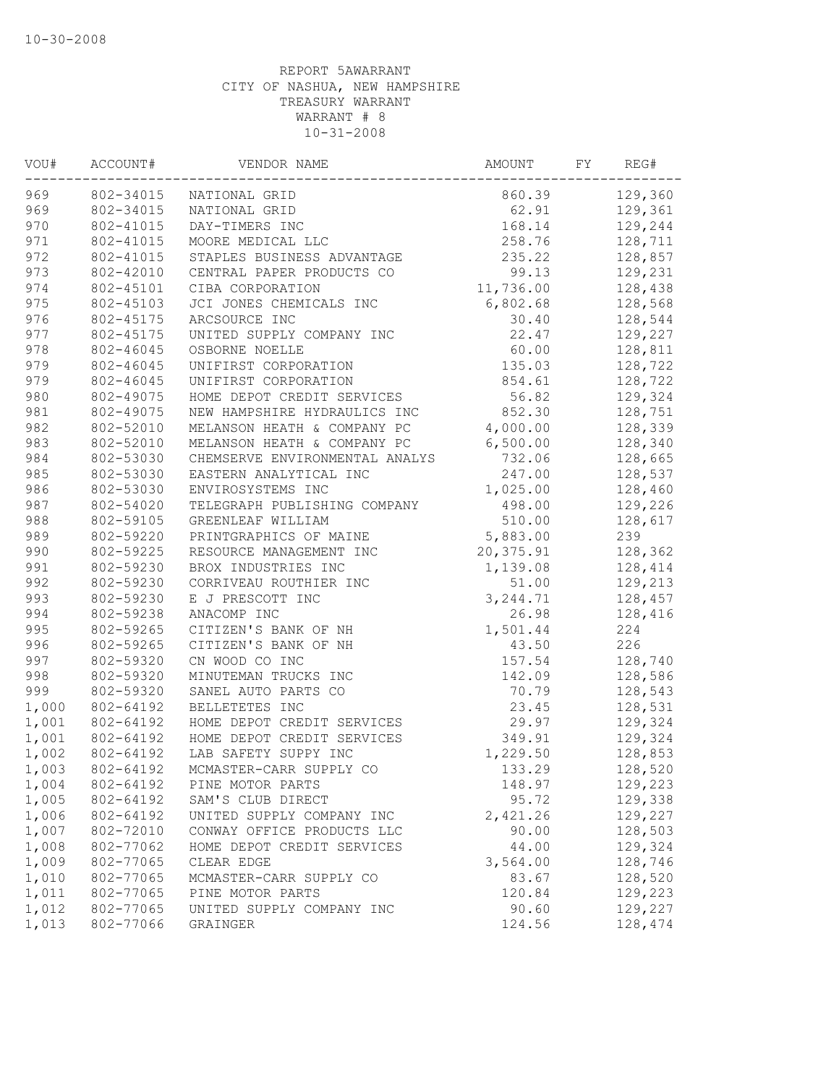| 969<br>802-34015<br>860.39<br>NATIONAL GRID<br>969<br>802-34015<br>62.91<br>NATIONAL GRID<br>970<br>802-41015<br>168.14<br>DAY-TIMERS INC<br>971<br>258.76<br>802-41015<br>MOORE MEDICAL LLC<br>972<br>235.22<br>802-41015<br>STAPLES BUSINESS ADVANTAGE<br>973<br>802-42010<br>CENTRAL PAPER PRODUCTS CO<br>99.13<br>974<br>11,736.00<br>802-45101<br>CIBA CORPORATION<br>975<br>6,802.68<br>802-45103<br>JCI JONES CHEMICALS INC<br>976<br>30.40<br>802-45175<br>ARCSOURCE INC<br>977<br>22.47<br>802-45175<br>UNITED SUPPLY COMPANY INC<br>978<br>802-46045<br>OSBORNE NOELLE<br>60.00<br>979<br>802-46045<br>UNIFIRST CORPORATION<br>135.03<br>979<br>802-46045<br>854.61<br>UNIFIRST CORPORATION<br>980<br>802-49075<br>56.82<br>HOME DEPOT CREDIT SERVICES<br>981<br>802-49075<br>NEW HAMPSHIRE HYDRAULICS INC<br>852.30<br>982<br>802-52010<br>MELANSON HEATH & COMPANY PC<br>4,000.00<br>983<br>6,500.00<br>802-52010<br>MELANSON HEATH & COMPANY PC<br>984<br>732.06<br>802-53030<br>CHEMSERVE ENVIRONMENTAL ANALYS<br>985<br>802-53030<br>247.00<br>EASTERN ANALYTICAL INC<br>986<br>802-53030<br>ENVIROSYSTEMS INC<br>1,025.00<br>987<br>802-54020<br>TELEGRAPH PUBLISHING COMPANY<br>498.00<br>988<br>802-59105<br>510.00<br>GREENLEAF WILLIAM<br>989<br>802-59220<br>5,883.00<br>PRINTGRAPHICS OF MAINE<br>990<br>802-59225<br>20,375.91<br>RESOURCE MANAGEMENT INC<br>991<br>802-59230<br>BROX INDUSTRIES INC<br>1,139.08<br>992<br>802-59230<br>51.00<br>CORRIVEAU ROUTHIER INC | 129,360<br>129,361<br>129,244 |
|------------------------------------------------------------------------------------------------------------------------------------------------------------------------------------------------------------------------------------------------------------------------------------------------------------------------------------------------------------------------------------------------------------------------------------------------------------------------------------------------------------------------------------------------------------------------------------------------------------------------------------------------------------------------------------------------------------------------------------------------------------------------------------------------------------------------------------------------------------------------------------------------------------------------------------------------------------------------------------------------------------------------------------------------------------------------------------------------------------------------------------------------------------------------------------------------------------------------------------------------------------------------------------------------------------------------------------------------------------------------------------------------------------------------------------------------------------------------------------------------|-------------------------------|
|                                                                                                                                                                                                                                                                                                                                                                                                                                                                                                                                                                                                                                                                                                                                                                                                                                                                                                                                                                                                                                                                                                                                                                                                                                                                                                                                                                                                                                                                                                |                               |
|                                                                                                                                                                                                                                                                                                                                                                                                                                                                                                                                                                                                                                                                                                                                                                                                                                                                                                                                                                                                                                                                                                                                                                                                                                                                                                                                                                                                                                                                                                |                               |
|                                                                                                                                                                                                                                                                                                                                                                                                                                                                                                                                                                                                                                                                                                                                                                                                                                                                                                                                                                                                                                                                                                                                                                                                                                                                                                                                                                                                                                                                                                |                               |
|                                                                                                                                                                                                                                                                                                                                                                                                                                                                                                                                                                                                                                                                                                                                                                                                                                                                                                                                                                                                                                                                                                                                                                                                                                                                                                                                                                                                                                                                                                | 128,711                       |
|                                                                                                                                                                                                                                                                                                                                                                                                                                                                                                                                                                                                                                                                                                                                                                                                                                                                                                                                                                                                                                                                                                                                                                                                                                                                                                                                                                                                                                                                                                | 128,857                       |
|                                                                                                                                                                                                                                                                                                                                                                                                                                                                                                                                                                                                                                                                                                                                                                                                                                                                                                                                                                                                                                                                                                                                                                                                                                                                                                                                                                                                                                                                                                | 129,231                       |
|                                                                                                                                                                                                                                                                                                                                                                                                                                                                                                                                                                                                                                                                                                                                                                                                                                                                                                                                                                                                                                                                                                                                                                                                                                                                                                                                                                                                                                                                                                | 128,438                       |
|                                                                                                                                                                                                                                                                                                                                                                                                                                                                                                                                                                                                                                                                                                                                                                                                                                                                                                                                                                                                                                                                                                                                                                                                                                                                                                                                                                                                                                                                                                | 128,568                       |
|                                                                                                                                                                                                                                                                                                                                                                                                                                                                                                                                                                                                                                                                                                                                                                                                                                                                                                                                                                                                                                                                                                                                                                                                                                                                                                                                                                                                                                                                                                | 128,544                       |
|                                                                                                                                                                                                                                                                                                                                                                                                                                                                                                                                                                                                                                                                                                                                                                                                                                                                                                                                                                                                                                                                                                                                                                                                                                                                                                                                                                                                                                                                                                | 129,227                       |
|                                                                                                                                                                                                                                                                                                                                                                                                                                                                                                                                                                                                                                                                                                                                                                                                                                                                                                                                                                                                                                                                                                                                                                                                                                                                                                                                                                                                                                                                                                | 128,811                       |
|                                                                                                                                                                                                                                                                                                                                                                                                                                                                                                                                                                                                                                                                                                                                                                                                                                                                                                                                                                                                                                                                                                                                                                                                                                                                                                                                                                                                                                                                                                | 128,722                       |
|                                                                                                                                                                                                                                                                                                                                                                                                                                                                                                                                                                                                                                                                                                                                                                                                                                                                                                                                                                                                                                                                                                                                                                                                                                                                                                                                                                                                                                                                                                | 128,722                       |
|                                                                                                                                                                                                                                                                                                                                                                                                                                                                                                                                                                                                                                                                                                                                                                                                                                                                                                                                                                                                                                                                                                                                                                                                                                                                                                                                                                                                                                                                                                | 129,324                       |
|                                                                                                                                                                                                                                                                                                                                                                                                                                                                                                                                                                                                                                                                                                                                                                                                                                                                                                                                                                                                                                                                                                                                                                                                                                                                                                                                                                                                                                                                                                | 128,751                       |
|                                                                                                                                                                                                                                                                                                                                                                                                                                                                                                                                                                                                                                                                                                                                                                                                                                                                                                                                                                                                                                                                                                                                                                                                                                                                                                                                                                                                                                                                                                | 128,339                       |
|                                                                                                                                                                                                                                                                                                                                                                                                                                                                                                                                                                                                                                                                                                                                                                                                                                                                                                                                                                                                                                                                                                                                                                                                                                                                                                                                                                                                                                                                                                | 128,340                       |
|                                                                                                                                                                                                                                                                                                                                                                                                                                                                                                                                                                                                                                                                                                                                                                                                                                                                                                                                                                                                                                                                                                                                                                                                                                                                                                                                                                                                                                                                                                | 128,665                       |
|                                                                                                                                                                                                                                                                                                                                                                                                                                                                                                                                                                                                                                                                                                                                                                                                                                                                                                                                                                                                                                                                                                                                                                                                                                                                                                                                                                                                                                                                                                | 128,537                       |
|                                                                                                                                                                                                                                                                                                                                                                                                                                                                                                                                                                                                                                                                                                                                                                                                                                                                                                                                                                                                                                                                                                                                                                                                                                                                                                                                                                                                                                                                                                | 128,460                       |
|                                                                                                                                                                                                                                                                                                                                                                                                                                                                                                                                                                                                                                                                                                                                                                                                                                                                                                                                                                                                                                                                                                                                                                                                                                                                                                                                                                                                                                                                                                | 129,226                       |
|                                                                                                                                                                                                                                                                                                                                                                                                                                                                                                                                                                                                                                                                                                                                                                                                                                                                                                                                                                                                                                                                                                                                                                                                                                                                                                                                                                                                                                                                                                | 128,617                       |
|                                                                                                                                                                                                                                                                                                                                                                                                                                                                                                                                                                                                                                                                                                                                                                                                                                                                                                                                                                                                                                                                                                                                                                                                                                                                                                                                                                                                                                                                                                | 239                           |
|                                                                                                                                                                                                                                                                                                                                                                                                                                                                                                                                                                                                                                                                                                                                                                                                                                                                                                                                                                                                                                                                                                                                                                                                                                                                                                                                                                                                                                                                                                | 128,362                       |
|                                                                                                                                                                                                                                                                                                                                                                                                                                                                                                                                                                                                                                                                                                                                                                                                                                                                                                                                                                                                                                                                                                                                                                                                                                                                                                                                                                                                                                                                                                | 128,414                       |
|                                                                                                                                                                                                                                                                                                                                                                                                                                                                                                                                                                                                                                                                                                                                                                                                                                                                                                                                                                                                                                                                                                                                                                                                                                                                                                                                                                                                                                                                                                | 129,213                       |
| 993<br>3, 244.71<br>802-59230<br>E J PRESCOTT INC                                                                                                                                                                                                                                                                                                                                                                                                                                                                                                                                                                                                                                                                                                                                                                                                                                                                                                                                                                                                                                                                                                                                                                                                                                                                                                                                                                                                                                              | 128,457                       |
| 994<br>802-59238<br>ANACOMP INC<br>26.98                                                                                                                                                                                                                                                                                                                                                                                                                                                                                                                                                                                                                                                                                                                                                                                                                                                                                                                                                                                                                                                                                                                                                                                                                                                                                                                                                                                                                                                       | 128,416                       |
| 995<br>802-59265<br>CITIZEN'S BANK OF NH<br>1,501.44                                                                                                                                                                                                                                                                                                                                                                                                                                                                                                                                                                                                                                                                                                                                                                                                                                                                                                                                                                                                                                                                                                                                                                                                                                                                                                                                                                                                                                           | 224                           |
| 996<br>802-59265<br>CITIZEN'S BANK OF NH<br>43.50                                                                                                                                                                                                                                                                                                                                                                                                                                                                                                                                                                                                                                                                                                                                                                                                                                                                                                                                                                                                                                                                                                                                                                                                                                                                                                                                                                                                                                              | 226                           |
| 997<br>802-59320<br>CN WOOD CO INC<br>157.54                                                                                                                                                                                                                                                                                                                                                                                                                                                                                                                                                                                                                                                                                                                                                                                                                                                                                                                                                                                                                                                                                                                                                                                                                                                                                                                                                                                                                                                   | 128,740                       |
| 998<br>802-59320<br>MINUTEMAN TRUCKS INC<br>142.09                                                                                                                                                                                                                                                                                                                                                                                                                                                                                                                                                                                                                                                                                                                                                                                                                                                                                                                                                                                                                                                                                                                                                                                                                                                                                                                                                                                                                                             | 128,586                       |
| 999<br>802-59320<br>SANEL AUTO PARTS CO<br>70.79                                                                                                                                                                                                                                                                                                                                                                                                                                                                                                                                                                                                                                                                                                                                                                                                                                                                                                                                                                                                                                                                                                                                                                                                                                                                                                                                                                                                                                               | 128,543                       |
| 1,000<br>802-64192<br>BELLETETES INC<br>23.45                                                                                                                                                                                                                                                                                                                                                                                                                                                                                                                                                                                                                                                                                                                                                                                                                                                                                                                                                                                                                                                                                                                                                                                                                                                                                                                                                                                                                                                  | 128,531                       |
| 1,001<br>802-64192<br>HOME DEPOT CREDIT SERVICES<br>29.97                                                                                                                                                                                                                                                                                                                                                                                                                                                                                                                                                                                                                                                                                                                                                                                                                                                                                                                                                                                                                                                                                                                                                                                                                                                                                                                                                                                                                                      | 129,324                       |
| 1,001<br>349.91<br>802-64192<br>HOME DEPOT CREDIT SERVICES                                                                                                                                                                                                                                                                                                                                                                                                                                                                                                                                                                                                                                                                                                                                                                                                                                                                                                                                                                                                                                                                                                                                                                                                                                                                                                                                                                                                                                     | 129,324                       |
| 1,002<br>802-64192<br>LAB SAFETY SUPPY INC<br>1,229.50                                                                                                                                                                                                                                                                                                                                                                                                                                                                                                                                                                                                                                                                                                                                                                                                                                                                                                                                                                                                                                                                                                                                                                                                                                                                                                                                                                                                                                         | 128,853                       |
| 1,003<br>802-64192<br>MCMASTER-CARR SUPPLY CO<br>133.29                                                                                                                                                                                                                                                                                                                                                                                                                                                                                                                                                                                                                                                                                                                                                                                                                                                                                                                                                                                                                                                                                                                                                                                                                                                                                                                                                                                                                                        | 128,520                       |
| 1,004<br>802-64192<br>PINE MOTOR PARTS<br>148.97                                                                                                                                                                                                                                                                                                                                                                                                                                                                                                                                                                                                                                                                                                                                                                                                                                                                                                                                                                                                                                                                                                                                                                                                                                                                                                                                                                                                                                               | 129,223                       |
| 1,005<br>802-64192<br>SAM'S CLUB DIRECT<br>95.72                                                                                                                                                                                                                                                                                                                                                                                                                                                                                                                                                                                                                                                                                                                                                                                                                                                                                                                                                                                                                                                                                                                                                                                                                                                                                                                                                                                                                                               | 129,338                       |
| 1,006<br>802-64192<br>2,421.26<br>UNITED SUPPLY COMPANY INC                                                                                                                                                                                                                                                                                                                                                                                                                                                                                                                                                                                                                                                                                                                                                                                                                                                                                                                                                                                                                                                                                                                                                                                                                                                                                                                                                                                                                                    | 129,227                       |
| 1,007<br>802-72010<br>CONWAY OFFICE PRODUCTS LLC<br>90.00                                                                                                                                                                                                                                                                                                                                                                                                                                                                                                                                                                                                                                                                                                                                                                                                                                                                                                                                                                                                                                                                                                                                                                                                                                                                                                                                                                                                                                      | 128,503                       |
| 1,008<br>802-77062<br>44.00<br>HOME DEPOT CREDIT SERVICES                                                                                                                                                                                                                                                                                                                                                                                                                                                                                                                                                                                                                                                                                                                                                                                                                                                                                                                                                                                                                                                                                                                                                                                                                                                                                                                                                                                                                                      | 129,324                       |
| 1,009<br>802-77065<br>3,564.00<br>CLEAR EDGE                                                                                                                                                                                                                                                                                                                                                                                                                                                                                                                                                                                                                                                                                                                                                                                                                                                                                                                                                                                                                                                                                                                                                                                                                                                                                                                                                                                                                                                   | 128,746                       |
| 1,010<br>802-77065<br>MCMASTER-CARR SUPPLY CO<br>83.67                                                                                                                                                                                                                                                                                                                                                                                                                                                                                                                                                                                                                                                                                                                                                                                                                                                                                                                                                                                                                                                                                                                                                                                                                                                                                                                                                                                                                                         | 128,520                       |
| 1,011<br>802-77065<br>PINE MOTOR PARTS<br>120.84                                                                                                                                                                                                                                                                                                                                                                                                                                                                                                                                                                                                                                                                                                                                                                                                                                                                                                                                                                                                                                                                                                                                                                                                                                                                                                                                                                                                                                               | 129,223                       |
| 1,012<br>802-77065<br>UNITED SUPPLY COMPANY INC<br>90.60                                                                                                                                                                                                                                                                                                                                                                                                                                                                                                                                                                                                                                                                                                                                                                                                                                                                                                                                                                                                                                                                                                                                                                                                                                                                                                                                                                                                                                       |                               |
| 1,013<br>802-77066<br>124.56<br>GRAINGER                                                                                                                                                                                                                                                                                                                                                                                                                                                                                                                                                                                                                                                                                                                                                                                                                                                                                                                                                                                                                                                                                                                                                                                                                                                                                                                                                                                                                                                       | 129,227                       |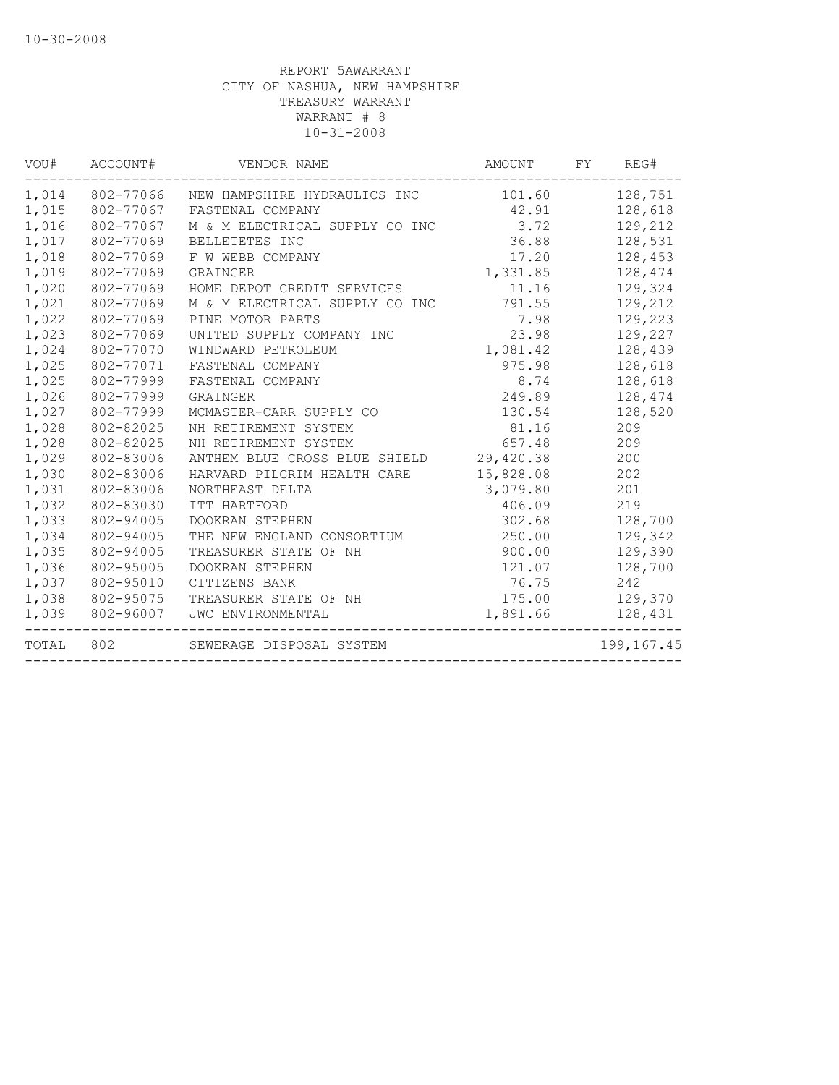| VOU#  | ACCOUNT#  | VENDOR NAME                    | AMOUNT    | FY<br>REG#   |
|-------|-----------|--------------------------------|-----------|--------------|
| 1,014 | 802-77066 | NEW HAMPSHIRE HYDRAULICS INC   | 101.60    | 128,751      |
| 1,015 | 802-77067 | FASTENAL COMPANY               | 42.91     | 128,618      |
| 1,016 | 802-77067 | M & M ELECTRICAL SUPPLY CO INC | 3.72      | 129,212      |
| 1,017 | 802-77069 | BELLETETES INC                 | 36.88     | 128,531      |
| 1,018 | 802-77069 | F W WEBB COMPANY               | 17.20     | 128,453      |
| 1,019 | 802-77069 | GRAINGER                       | 1,331.85  | 128,474      |
| 1,020 | 802-77069 | HOME DEPOT CREDIT SERVICES     | 11.16     | 129,324      |
| 1,021 | 802-77069 | M & M ELECTRICAL SUPPLY CO INC | 791.55    | 129,212      |
| 1,022 | 802-77069 | PINE MOTOR PARTS               | 7.98      | 129,223      |
| 1,023 | 802-77069 | UNITED SUPPLY COMPANY INC      | 23.98     | 129,227      |
| 1,024 | 802-77070 | WINDWARD PETROLEUM             | 1,081.42  | 128,439      |
| 1,025 | 802-77071 | FASTENAL COMPANY               | 975.98    | 128,618      |
| 1,025 | 802-77999 | FASTENAL COMPANY               | 8.74      | 128,618      |
| 1,026 | 802-77999 | GRAINGER                       | 249.89    | 128,474      |
| 1,027 | 802-77999 | MCMASTER-CARR SUPPLY CO        | 130.54    | 128,520      |
| 1,028 | 802-82025 | NH RETIREMENT SYSTEM           | 81.16     | 209          |
| 1,028 | 802-82025 | NH RETIREMENT SYSTEM           | 657.48    | 209          |
| 1,029 | 802-83006 | ANTHEM BLUE CROSS BLUE SHIELD  | 29,420.38 | 200          |
| 1,030 | 802-83006 | HARVARD PILGRIM HEALTH CARE    | 15,828.08 | 202          |
| 1,031 | 802-83006 | NORTHEAST DELTA                | 3,079.80  | 201          |
| 1,032 | 802-83030 | ITT HARTFORD                   | 406.09    | 219          |
| 1,033 | 802-94005 | DOOKRAN STEPHEN                | 302.68    | 128,700      |
| 1,034 | 802-94005 | THE NEW ENGLAND CONSORTIUM     | 250.00    | 129,342      |
| 1,035 | 802-94005 | TREASURER STATE OF NH          | 900.00    | 129,390      |
| 1,036 | 802-95005 | DOOKRAN STEPHEN                | 121.07    | 128,700      |
| 1,037 | 802-95010 | CITIZENS BANK                  | 76.75     | 242          |
| 1,038 | 802-95075 | TREASURER STATE OF NH          | 175.00    | 129,370      |
| 1,039 | 802-96007 | JWC ENVIRONMENTAL              | 1,891.66  | 128,431      |
| TOTAL | 802       | SEWERAGE DISPOSAL SYSTEM       |           | 199, 167. 45 |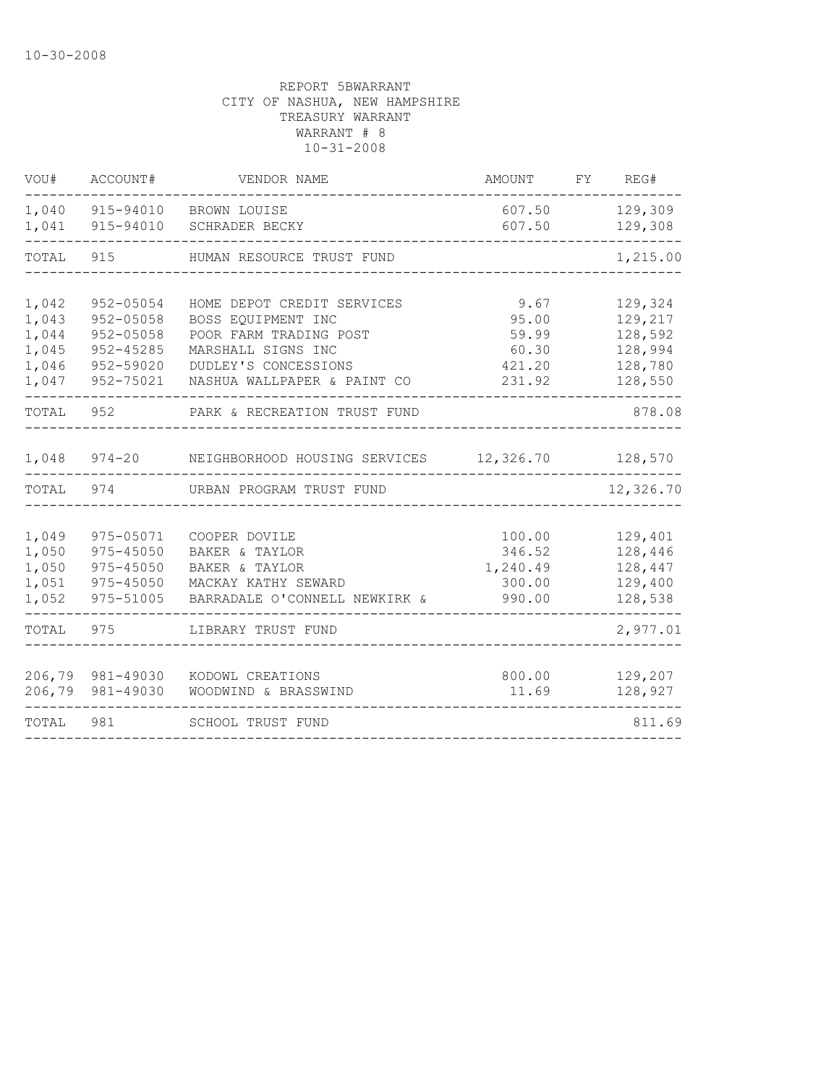| VOU#                                               | ACCOUNT#                                                                   | VENDOR NAME                                                                                                                                             | AMOUNT                                              | FY | REG#                                                           |
|----------------------------------------------------|----------------------------------------------------------------------------|---------------------------------------------------------------------------------------------------------------------------------------------------------|-----------------------------------------------------|----|----------------------------------------------------------------|
| 1,040<br>1,041                                     | 915-94010<br>915-94010                                                     | BROWN LOUISE<br>SCHRADER BECKY                                                                                                                          | 607.50<br>607.50                                    |    | 129,309<br>129,308                                             |
| TOTAL                                              | 915                                                                        | HUMAN RESOURCE TRUST FUND                                                                                                                               |                                                     |    | 1,215.00                                                       |
| 1,042<br>1,043<br>1,044<br>1,045<br>1,046<br>1,047 | 952-05054<br>952-05058<br>952-05058<br>952-45285<br>952-59020<br>952-75021 | HOME DEPOT CREDIT SERVICES<br>BOSS EQUIPMENT INC<br>POOR FARM TRADING POST<br>MARSHALL SIGNS INC<br>DUDLEY'S CONCESSIONS<br>NASHUA WALLPAPER & PAINT CO | 9.67<br>95.00<br>59.99<br>60.30<br>421.20<br>231.92 |    | 129,324<br>129,217<br>128,592<br>128,994<br>128,780<br>128,550 |
| TOTAL                                              | 952                                                                        | PARK & RECREATION TRUST FUND                                                                                                                            |                                                     |    | 878.08                                                         |
| 1,048                                              | $974 - 20$                                                                 | NEIGHBORHOOD HOUSING SERVICES                                                                                                                           | 12,326.70                                           |    | 128,570                                                        |
| TOTAL                                              | 974                                                                        | URBAN PROGRAM TRUST FUND                                                                                                                                |                                                     |    | 12,326.70                                                      |
| 1,049<br>1,050<br>1,050<br>1,051<br>1,052          | 975-05071<br>975-45050<br>975-45050<br>975-45050<br>975-51005              | COOPER DOVILE<br>BAKER & TAYLOR<br>BAKER & TAYLOR<br>MACKAY KATHY SEWARD<br>BARRADALE O'CONNELL NEWKIRK &                                               | 100.00<br>346.52<br>1,240.49<br>300.00<br>990.00    |    | 129,401<br>128,446<br>128,447<br>129,400<br>128,538            |
| TOTAL                                              | 975                                                                        | LIBRARY TRUST FUND                                                                                                                                      |                                                     |    | 2,977.01                                                       |
| 206,79                                             | 206,79 981-49030<br>981-49030                                              | KODOWL CREATIONS<br>WOODWIND & BRASSWIND                                                                                                                | 800.00<br>11.69                                     |    | 129,207<br>128,927                                             |
| TOTAL                                              | 981                                                                        | SCHOOL TRUST FUND                                                                                                                                       |                                                     |    | 811.69                                                         |
|                                                    |                                                                            |                                                                                                                                                         |                                                     |    |                                                                |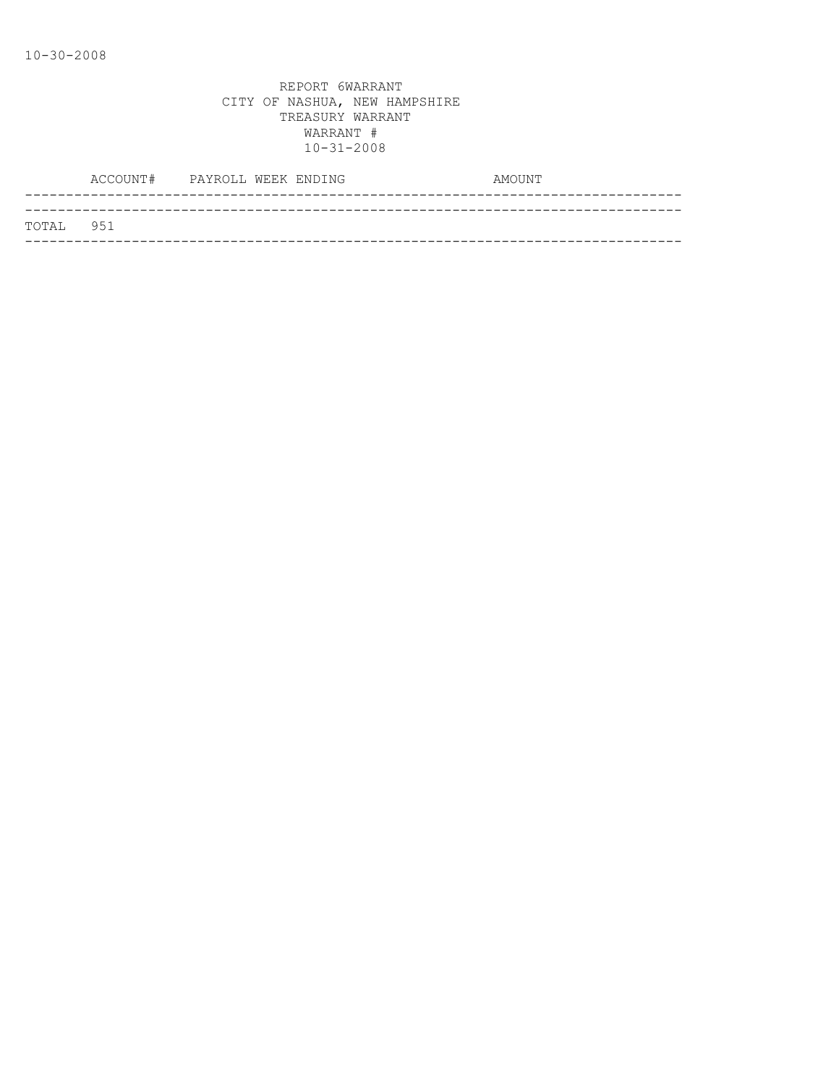|           | ACCOUNT# PAYROLL WEEK ENDING |  |  | AMOUNT |
|-----------|------------------------------|--|--|--------|
|           |                              |  |  |        |
| TOTAL 951 |                              |  |  |        |
|           |                              |  |  |        |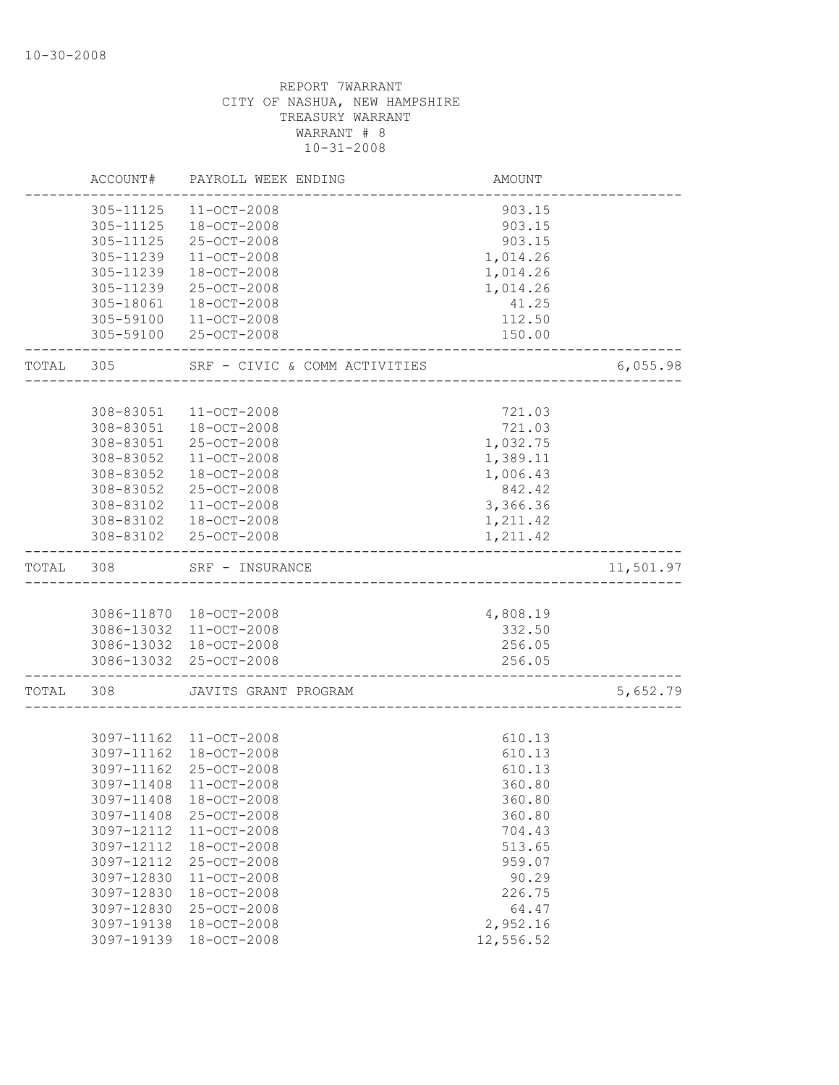|       | ACCOUNT#   | PAYROLL WEEK ENDING           | AMOUNT    |           |
|-------|------------|-------------------------------|-----------|-----------|
|       | 305-11125  | $11 - OCT - 2008$             | 903.15    |           |
|       | 305-11125  | 18-OCT-2008                   | 903.15    |           |
|       | 305-11125  | 25-OCT-2008                   | 903.15    |           |
|       | 305-11239  | $11 - OCT - 2008$             | 1,014.26  |           |
|       | 305-11239  | 18-OCT-2008                   | 1,014.26  |           |
|       | 305-11239  | 25-OCT-2008                   | 1,014.26  |           |
|       | 305-18061  | $18 - OCT - 2008$             | 41.25     |           |
|       | 305-59100  | $11 - OCT - 2008$             | 112.50    |           |
|       | 305-59100  | 25-OCT-2008                   | 150.00    |           |
| TOTAL | 305        | SRF - CIVIC & COMM ACTIVITIES |           | 6,055.98  |
|       |            |                               |           |           |
|       | 308-83051  | $11 - OCT - 2008$             | 721.03    |           |
|       | 308-83051  | 18-OCT-2008                   | 721.03    |           |
|       | 308-83051  | 25-OCT-2008                   | 1,032.75  |           |
|       | 308-83052  | $11 - OCT - 2008$             | 1,389.11  |           |
|       | 308-83052  | $18 - OCT - 2008$             | 1,006.43  |           |
|       | 308-83052  | 25-OCT-2008                   | 842.42    |           |
|       | 308-83102  | $11 - OCT - 2008$             | 3,366.36  |           |
|       |            | 308-83102  18-OCT-2008        | 1,211.42  |           |
|       | 308-83102  | 25-OCT-2008                   | 1,211.42  |           |
| TOTAL | 308        | SRF - INSURANCE               |           | 11,501.97 |
|       |            |                               |           |           |
|       |            | 3086-11870 18-OCT-2008        | 4,808.19  |           |
|       |            | 3086-13032 11-OCT-2008        | 332.50    |           |
|       |            | 3086-13032 18-OCT-2008        | 256.05    |           |
|       |            | 3086-13032 25-OCT-2008        | 256.05    |           |
| TOTAL | 308        | JAVITS GRANT PROGRAM          |           | 5,652.79  |
|       |            |                               |           |           |
|       |            | 3097-11162 11-OCT-2008        | 610.13    |           |
|       | 3097-11162 | 18-OCT-2008                   | 610.13    |           |
|       | 3097-11162 | 25-OCT-2008                   | 610.13    |           |
|       |            | 3097-11408 11-OCT-2008        | 360.80    |           |
|       | 3097-11408 | $18 - OCT - 2008$             | 360.80    |           |
|       | 3097-11408 | 25-OCT-2008                   | 360.80    |           |
|       | 3097-12112 | $11 - OCT - 2008$             | 704.43    |           |
|       | 3097-12112 | 18-OCT-2008                   | 513.65    |           |
|       | 3097-12112 | 25-OCT-2008                   | 959.07    |           |
|       | 3097-12830 | $11 - OCT - 2008$             | 90.29     |           |
|       | 3097-12830 | 18-OCT-2008                   | 226.75    |           |
|       | 3097-12830 | 25-OCT-2008                   | 64.47     |           |
|       | 3097-19138 | 18-OCT-2008                   | 2,952.16  |           |
|       | 3097-19139 | 18-OCT-2008                   | 12,556.52 |           |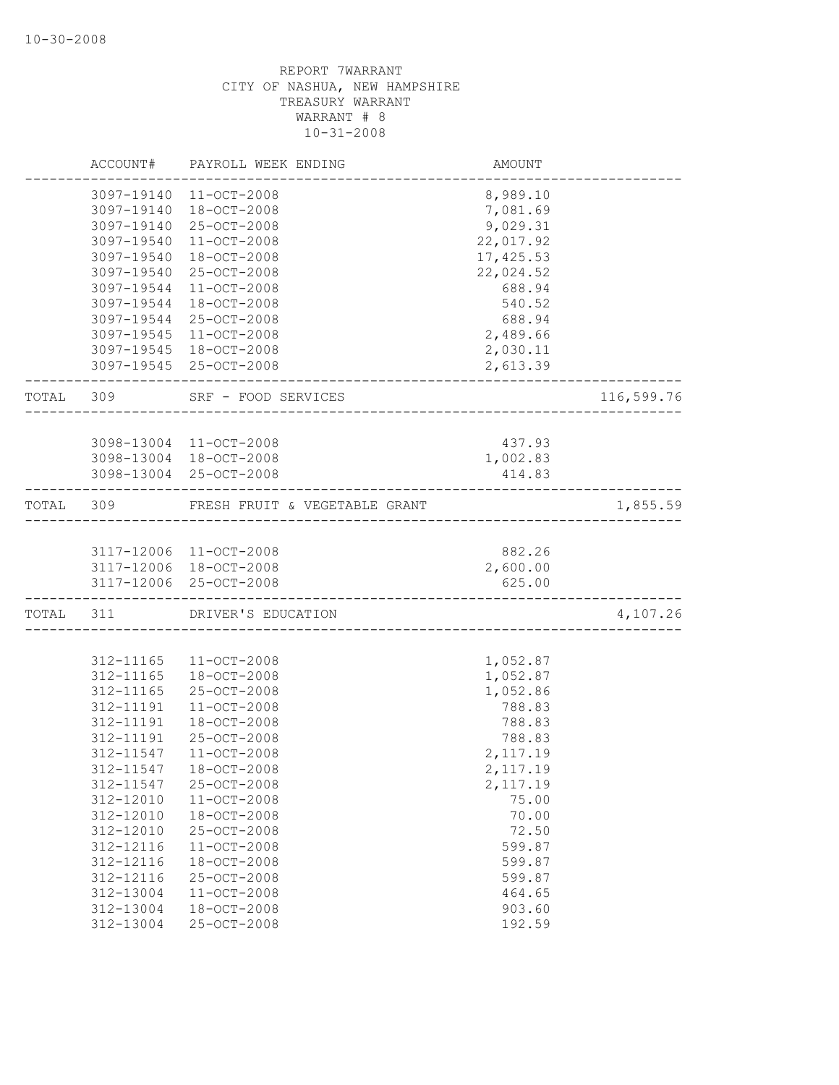|       | ACCOUNT#   | PAYROLL WEEK ENDING           | AMOUNT     |            |
|-------|------------|-------------------------------|------------|------------|
|       | 3097-19140 | 11-OCT-2008                   | 8,989.10   |            |
|       | 3097-19140 | 18-OCT-2008                   | 7,081.69   |            |
|       | 3097-19140 | 25-OCT-2008                   | 9,029.31   |            |
|       | 3097-19540 | $11 - OCT - 2008$             | 22,017.92  |            |
|       | 3097-19540 | 18-OCT-2008                   | 17, 425.53 |            |
|       | 3097-19540 | 25-OCT-2008                   | 22,024.52  |            |
|       | 3097-19544 | 11-OCT-2008                   | 688.94     |            |
|       | 3097-19544 | 18-OCT-2008                   | 540.52     |            |
|       | 3097-19544 | 25-OCT-2008                   | 688.94     |            |
|       |            | 3097-19545 11-OCT-2008        | 2,489.66   |            |
|       |            | 3097-19545 18-OCT-2008        | 2,030.11   |            |
|       |            | 3097-19545 25-OCT-2008        | 2,613.39   |            |
| TOTAL | 309        | SRF - FOOD SERVICES           |            | 116,599.76 |
|       |            |                               |            |            |
|       |            | 3098-13004 11-OCT-2008        | 437.93     |            |
|       |            | 3098-13004 18-OCT-2008        | 1,002.83   |            |
|       |            | 3098-13004 25-OCT-2008        | 414.83     |            |
| TOTAL | 309        | FRESH FRUIT & VEGETABLE GRANT |            | 1,855.59   |
|       |            |                               |            |            |
|       |            | 3117-12006 11-OCT-2008        | 882.26     |            |
|       |            | 3117-12006 18-OCT-2008        | 2,600.00   |            |
|       |            | 3117-12006 25-OCT-2008        | 625.00     |            |
| TOTAL | 311        | DRIVER'S EDUCATION            |            | 4,107.26   |
|       |            |                               |            |            |
|       | 312-11165  | 11-OCT-2008                   | 1,052.87   |            |
|       | 312-11165  | 18-OCT-2008                   | 1,052.87   |            |
|       | 312-11165  | 25-OCT-2008                   | 1,052.86   |            |
|       | 312-11191  | 11-OCT-2008                   | 788.83     |            |
|       | 312-11191  | 18-OCT-2008                   | 788.83     |            |
|       | 312-11191  | 25-OCT-2008                   | 788.83     |            |
|       | 312-11547  | $11 - OCT - 2008$             | 2,117.19   |            |
|       | 312-11547  | $18 - OCT - 2008$             | 2,117.19   |            |
|       | 312-11547  | 25-OCT-2008                   | 2,117.19   |            |
|       | 312-12010  | 11-OCT-2008                   | 75.00      |            |
|       | 312-12010  | 18-OCT-2008                   | 70.00      |            |
|       | 312-12010  | 25-OCT-2008                   | 72.50      |            |
|       | 312-12116  | 11-OCT-2008                   | 599.87     |            |
|       | 312-12116  | 18-OCT-2008                   | 599.87     |            |
|       | 312-12116  | 25-OCT-2008                   | 599.87     |            |
|       | 312-13004  | $11 - OCT - 2008$             | 464.65     |            |
|       | 312-13004  | 18-OCT-2008                   | 903.60     |            |
|       | 312-13004  | 25-OCT-2008                   | 192.59     |            |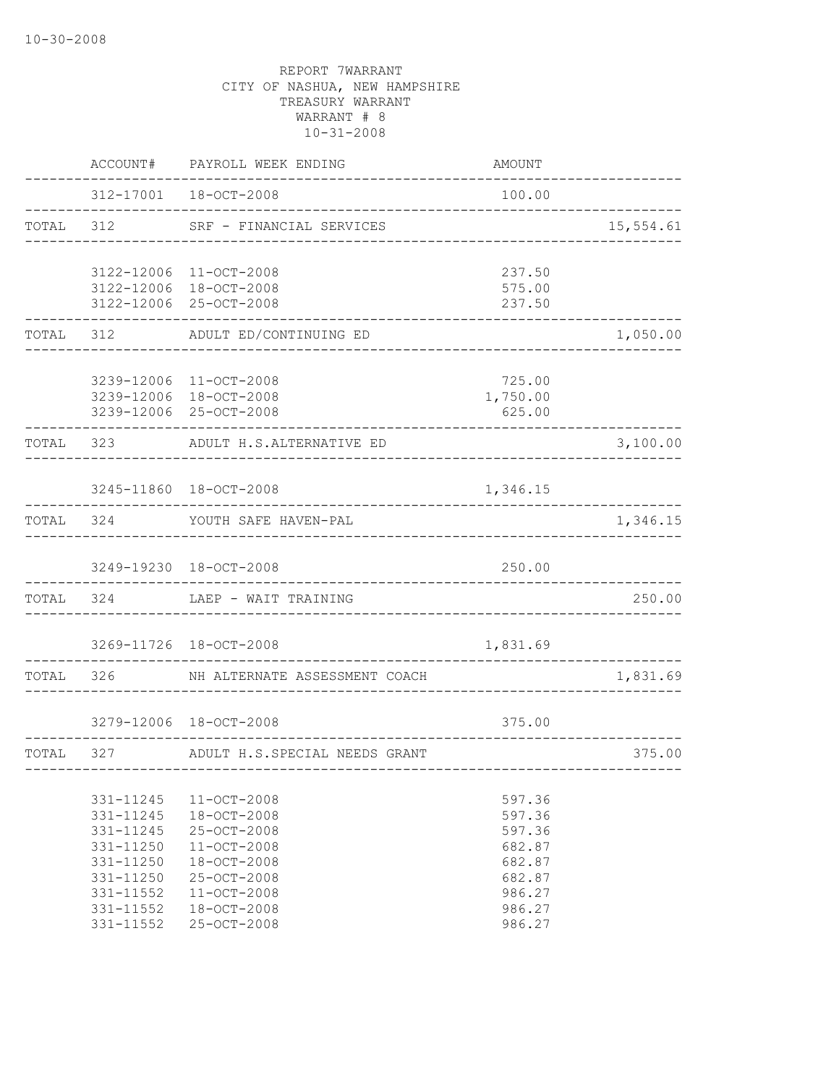|       | ACCOUNT#                                                                                                                  | PAYROLL WEEK ENDING                                                                                                                       | AMOUNT                                                                                 |           |
|-------|---------------------------------------------------------------------------------------------------------------------------|-------------------------------------------------------------------------------------------------------------------------------------------|----------------------------------------------------------------------------------------|-----------|
|       |                                                                                                                           | 312-17001  18-OCT-2008                                                                                                                    | 100.00                                                                                 |           |
| TOTAL | 312                                                                                                                       | SRF - FINANCIAL SERVICES                                                                                                                  |                                                                                        | 15,554.61 |
|       |                                                                                                                           | 3122-12006 11-OCT-2008<br>3122-12006 18-OCT-2008                                                                                          | 237.50<br>575.00                                                                       |           |
|       |                                                                                                                           | 3122-12006 25-OCT-2008                                                                                                                    | 237.50                                                                                 |           |
| TOTAL | 312                                                                                                                       | ADULT ED/CONTINUING ED                                                                                                                    |                                                                                        | 1,050.00  |
|       |                                                                                                                           | 3239-12006 11-OCT-2008<br>3239-12006 18-OCT-2008<br>3239-12006 25-OCT-2008                                                                | 725.00<br>1,750.00<br>625.00                                                           |           |
| TOTAL | 323                                                                                                                       | ADULT H.S.ALTERNATIVE ED                                                                                                                  |                                                                                        | 3,100.00  |
|       |                                                                                                                           | 3245-11860 18-OCT-2008                                                                                                                    | 1,346.15                                                                               |           |
| TOTAL | 324                                                                                                                       | YOUTH SAFE HAVEN-PAL                                                                                                                      |                                                                                        | 1,346.15  |
|       |                                                                                                                           | 3249-19230 18-OCT-2008                                                                                                                    | 250.00                                                                                 |           |
| TOTAL | 324                                                                                                                       | LAEP - WAIT TRAINING                                                                                                                      |                                                                                        | 250.00    |
|       |                                                                                                                           | 3269-11726 18-OCT-2008                                                                                                                    | 1,831.69                                                                               |           |
| TOTAL | 326                                                                                                                       | NH ALTERNATE ASSESSMENT COACH                                                                                                             |                                                                                        | 1,831.69  |
|       |                                                                                                                           | 3279-12006 18-OCT-2008                                                                                                                    | 375.00                                                                                 |           |
| TOTAL | 327                                                                                                                       | ADULT H.S.SPECIAL NEEDS GRANT                                                                                                             |                                                                                        | 375.00    |
|       | 331-11245<br>$331 - 11245$<br>331-11245<br>331-11250<br>331-11250<br>331-11250<br>331-11552<br>331-11552<br>$331 - 11552$ | $11 - OCT - 2008$<br>18-OCT-2008<br>25-OCT-2008<br>11-OCT-2008<br>18-OCT-2008<br>25-OCT-2008<br>11-OCT-2008<br>18-OCT-2008<br>25-OCT-2008 | 597.36<br>597.36<br>597.36<br>682.87<br>682.87<br>682.87<br>986.27<br>986.27<br>986.27 |           |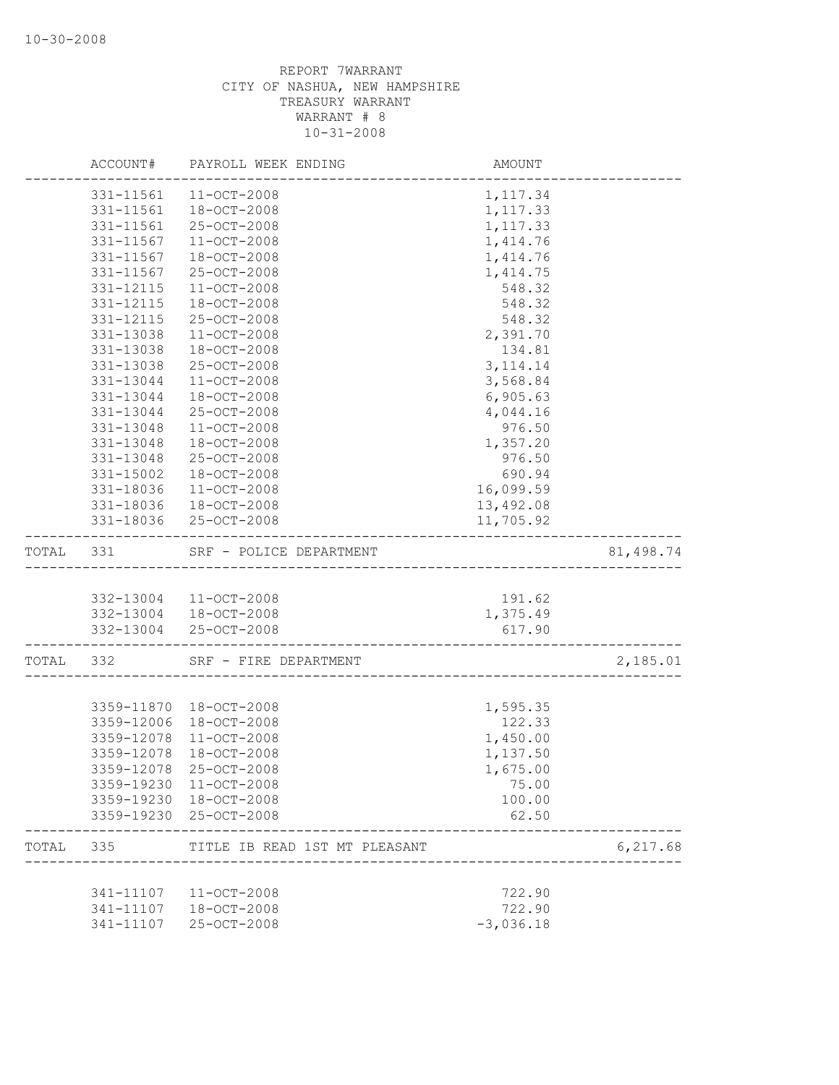|       | ACCOUNT#   | PAYROLL WEEK ENDING           | AMOUNT      |           |
|-------|------------|-------------------------------|-------------|-----------|
|       | 331-11561  | 11-OCT-2008                   | 1, 117.34   |           |
|       | 331-11561  | $18 - OCT - 2008$             | 1,117.33    |           |
|       | 331-11561  | 25-OCT-2008                   | 1,117.33    |           |
|       | 331-11567  | $11 - OCT - 2008$             | 1,414.76    |           |
|       | 331-11567  | 18-OCT-2008                   | 1, 414.76   |           |
|       | 331-11567  | 25-OCT-2008                   | 1,414.75    |           |
|       | 331-12115  | $11 - OCT - 2008$             | 548.32      |           |
|       | 331-12115  | 18-OCT-2008                   | 548.32      |           |
|       | 331-12115  | $25 - OCT - 2008$             | 548.32      |           |
|       | 331-13038  | 11-OCT-2008                   | 2,391.70    |           |
|       | 331-13038  | $18 - OCT - 2008$             | 134.81      |           |
|       | 331-13038  | 25-OCT-2008                   | 3, 114.14   |           |
|       | 331-13044  | $11 - OCT - 2008$             | 3,568.84    |           |
|       | 331-13044  | 18-OCT-2008                   | 6,905.63    |           |
|       | 331-13044  | 25-OCT-2008                   | 4,044.16    |           |
|       | 331-13048  | 11-OCT-2008                   | 976.50      |           |
|       | 331-13048  | 18-OCT-2008                   | 1,357.20    |           |
|       | 331-13048  | 25-OCT-2008                   | 976.50      |           |
|       | 331-15002  | 18-OCT-2008                   | 690.94      |           |
|       | 331-18036  | $11 - OCT - 2008$             | 16,099.59   |           |
|       | 331-18036  | $18 - OCT - 2008$             | 13,492.08   |           |
|       | 331-18036  | 25-OCT-2008                   | 11,705.92   |           |
| TOTAL | 331        | SRF - POLICE DEPARTMENT       |             | 81,498.74 |
|       |            |                               |             |           |
|       |            | 332-13004 11-OCT-2008         | 191.62      |           |
|       |            | 332-13004 18-OCT-2008         | 1,375.49    |           |
|       |            | 332-13004 25-OCT-2008         | 617.90      |           |
| TOTAL | 332        | SRF - FIRE DEPARTMENT         |             | 2,185.01  |
|       |            |                               |             |           |
|       | 3359-11870 | 18-OCT-2008                   | 1,595.35    |           |
|       | 3359-12006 | 18-OCT-2008                   | 122.33      |           |
|       | 3359-12078 | $11 - OCT - 2008$             | 1,450.00    |           |
|       | 3359-12078 | $18 - OCT - 2008$             | 1,137.50    |           |
|       |            | 3359-12078 25-OCT-2008        | 1,675.00    |           |
|       |            | 3359-19230 11-OCT-2008        | 75.00       |           |
|       |            | 3359-19230 18-OCT-2008        | 100.00      |           |
|       |            | 3359-19230 25-OCT-2008        | 62.50       |           |
| TOTAL | 335        | TITLE IB READ 1ST MT PLEASANT |             | 6,217.68  |
|       |            |                               |             |           |
|       |            | 341-11107 11-OCT-2008         | 722.90      |           |
|       |            | 341-11107  18-OCT-2008        | 722.90      |           |
|       | 341-11107  | 25-OCT-2008                   | $-3,036.18$ |           |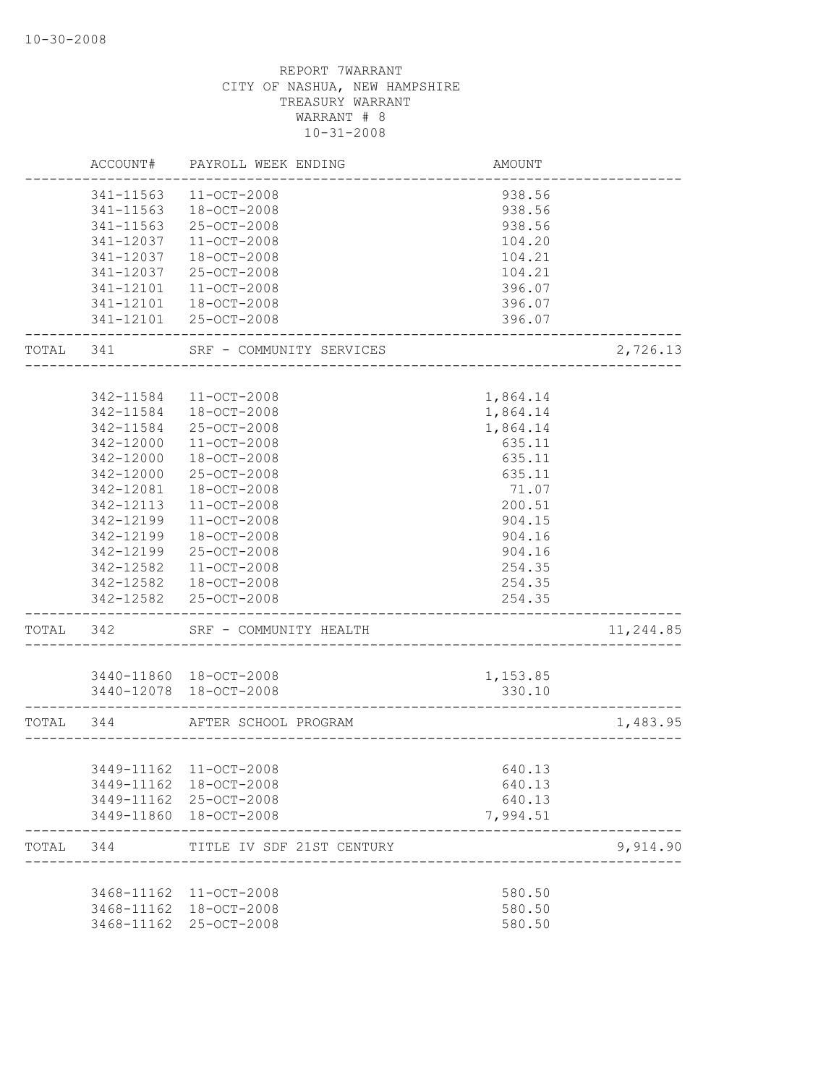|           | ACCOUNT#   | PAYROLL WEEK ENDING       | AMOUNT                               |           |
|-----------|------------|---------------------------|--------------------------------------|-----------|
|           | 341-11563  | $11 - OCT - 2008$         | 938.56                               |           |
|           | 341-11563  | 18-OCT-2008               | 938.56                               |           |
|           | 341-11563  | 25-OCT-2008               | 938.56                               |           |
|           | 341-12037  | 11-OCT-2008               | 104.20                               |           |
|           | 341-12037  | $18 - OCT - 2008$         | 104.21                               |           |
|           | 341-12037  | 25-OCT-2008               | 104.21                               |           |
|           | 341-12101  | 11-OCT-2008               | 396.07                               |           |
|           | 341-12101  | 18-OCT-2008               | 396.07                               |           |
|           |            | 341-12101 25-OCT-2008     | 396.07                               |           |
| TOTAL 341 |            | SRF - COMMUNITY SERVICES  |                                      | 2,726.13  |
|           |            |                           |                                      |           |
|           | 342-11584  | $11 - OCT - 2008$         | 1,864.14                             |           |
|           | 342-11584  | 18-OCT-2008               | 1,864.14                             |           |
|           | 342-11584  | 25-OCT-2008               | 1,864.14                             |           |
|           | 342-12000  | $11 - OCT - 2008$         | 635.11                               |           |
|           | 342-12000  | $18 - OCT - 2008$         | 635.11                               |           |
|           | 342-12000  | $25 - OCT - 2008$         | 635.11                               |           |
|           | 342-12081  | 18-OCT-2008               | 71.07                                |           |
|           | 342-12113  | 11-OCT-2008               | 200.51                               |           |
|           | 342-12199  | $11 - OCT - 2008$         | 904.15                               |           |
|           | 342-12199  | $18 - OCT - 2008$         | 904.16                               |           |
|           | 342-12199  | 25-OCT-2008               | 904.16                               |           |
|           | 342-12582  | 11-OCT-2008               | 254.35                               |           |
|           | 342-12582  | 18-OCT-2008               | 254.35                               |           |
|           |            | 342-12582 25-OCT-2008     | 254.35<br>____________               |           |
| TOTAL 342 |            | SRF - COMMUNITY HEALTH    |                                      | 11,244.85 |
|           |            | 3440-11860 18-OCT-2008    |                                      |           |
|           |            | 3440-12078 18-OCT-2008    | 1,153.85<br>330.10                   |           |
|           |            |                           |                                      |           |
| TOTAL 344 |            | AFTER SCHOOL PROGRAM      | ____________________________________ | 1,483.95  |
|           |            |                           |                                      |           |
|           |            | 3449-11162 11-OCT-2008    | 640.13                               |           |
|           | 3449-11162 | 18-OCT-2008               | 640.13                               |           |
|           |            | 3449-11162 25-OCT-2008    | 640.13                               |           |
|           |            | 3449-11860 18-OCT-2008    | 7,994.51                             |           |
| TOTAL 344 |            | TITLE IV SDF 21ST CENTURY |                                      | 9,914.90  |
|           |            | 3468-11162 11-OCT-2008    | 580.50                               |           |
|           |            | 3468-11162 18-OCT-2008    | 580.50                               |           |
|           |            | 3468-11162 25-OCT-2008    | 580.50                               |           |
|           |            |                           |                                      |           |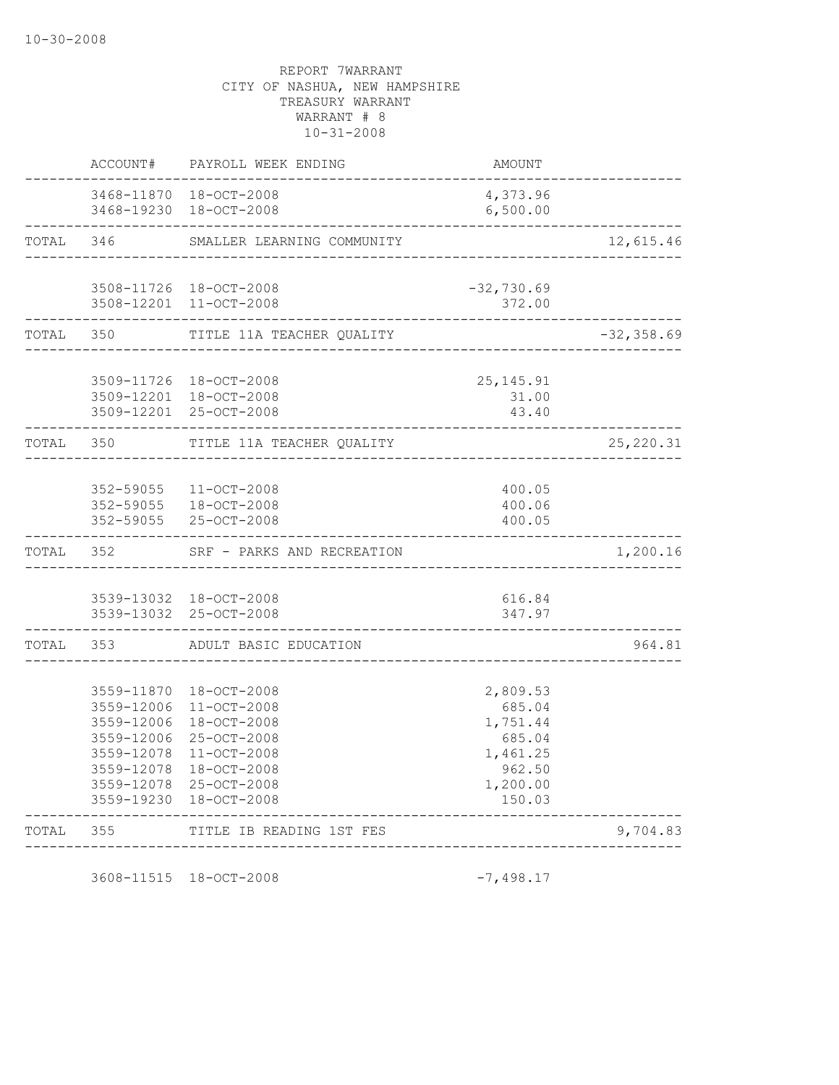| TOTAL     | 355                      | TITLE IB READING 1ST FES                                                   | _______________               | 9,704.83      |
|-----------|--------------------------|----------------------------------------------------------------------------|-------------------------------|---------------|
|           | 3559-19230               | $18 - OCT - 2008$                                                          | 150.03                        |               |
|           | 3559-12078               | 25-OCT-2008                                                                | 1,200.00                      |               |
|           | 3559-12078<br>3559-12078 | $11 - OCT - 2008$<br>$18 - OCT - 2008$                                     | 962.50                        |               |
|           | 3559-12006               | 25-OCT-2008                                                                | 685.04<br>1,461.25            |               |
|           | 3559-12006               | 18-OCT-2008                                                                | 1,751.44                      |               |
|           | 3559-12006               | $11 - OCT - 2008$                                                          | 685.04                        |               |
|           | 3559-11870               | $18 - OCT - 2008$                                                          | 2,809.53                      |               |
| TOTAL 353 |                          | ADULT BASIC EDUCATION                                                      |                               | 964.81        |
|           |                          | 3539-13032 18-OCT-2008<br>3539-13032 25-OCT-2008                           | 616.84<br>347.97              |               |
|           |                          |                                                                            |                               |               |
| TOTAL 352 |                          | SRF - PARKS AND RECREATION                                                 |                               | 1,200.16      |
|           | 352-59055                | $11 - OCT - 2008$<br>352-59055 18-OCT-2008<br>352-59055 25-OCT-2008        | 400.05<br>400.06<br>400.05    |               |
| TOTAL 350 |                          | TITLE 11A TEACHER QUALITY                                                  | _______________               | 25, 220.31    |
|           |                          |                                                                            |                               |               |
|           |                          | 3509-11726 18-OCT-2008<br>3509-12201 18-OCT-2008<br>3509-12201 25-OCT-2008 | 25, 145. 91<br>31.00<br>43.40 |               |
|           |                          |                                                                            |                               |               |
| TOTAL     | --------------<br>350    | TITLE 11A TEACHER QUALITY                                                  |                               | $-32, 358.69$ |
|           |                          | 3508-11726 18-OCT-2008<br>3508-12201 11-OCT-2008                           | $-32,730.69$<br>372.00        |               |
|           | TOTAL 346                | SMALLER LEARNING COMMUNITY                                                 |                               | 12,615.46     |
|           | -------------            | 3468-11870 18-OCT-2008<br>3468-19230 18-OCT-2008                           | 4,373.96<br>6,500.00          |               |
|           | ACCOUNT#                 | PAYROLL WEEK ENDING                                                        | AMOUNT                        |               |

3608-11515 18-OCT-2008 -7,498.17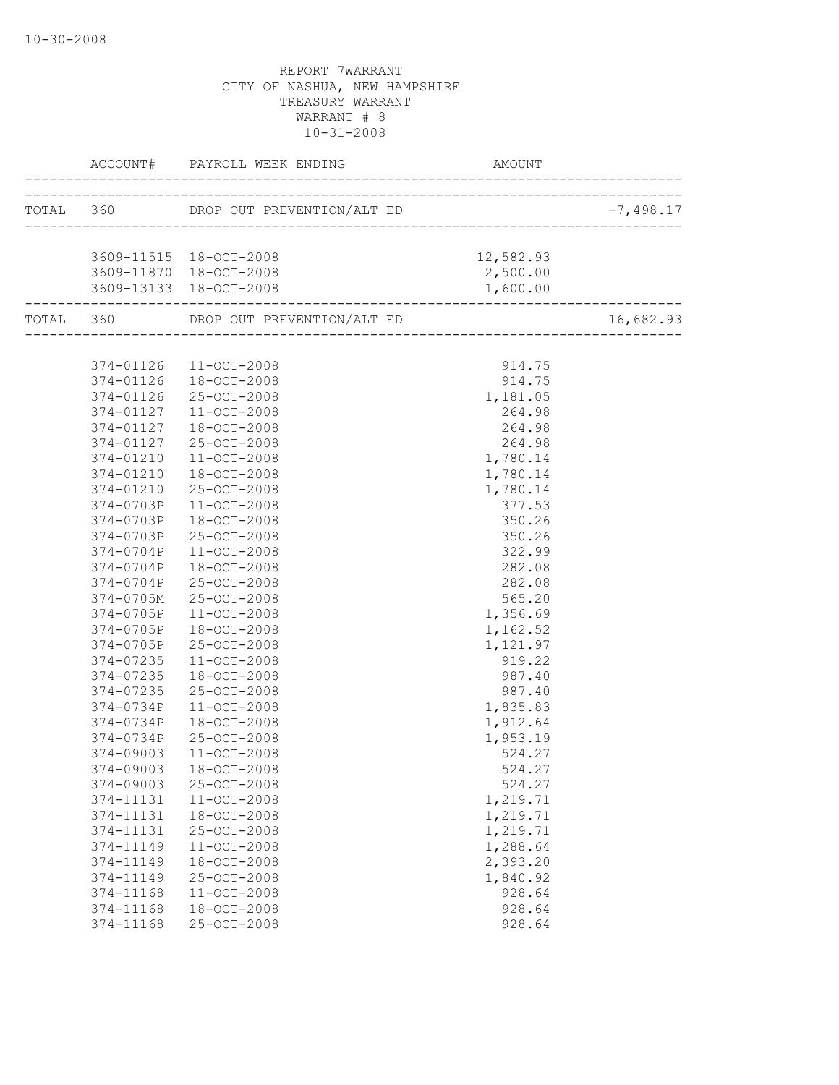|           |                                                             | AMOUNT    |             |
|-----------|-------------------------------------------------------------|-----------|-------------|
|           |                                                             |           | $-7,498.17$ |
|           |                                                             |           |             |
|           | 3609-11515 18-OCT-2008                                      | 12,582.93 |             |
|           | 3609-11870 18-OCT-2008                                      | 2,500.00  |             |
|           | 3609-13133 18-OCT-2008<br>_________________________________ | 1,600.00  |             |
|           | TOTAL 360 DROP OUT PREVENTION/ALT ED                        |           | 16,682.93   |
|           |                                                             |           |             |
|           | 374-01126 11-OCT-2008                                       | 914.75    |             |
|           | 374-01126 18-OCT-2008                                       | 914.75    |             |
|           | 374-01126 25-OCT-2008                                       | 1,181.05  |             |
|           | 374-01127 11-OCT-2008                                       | 264.98    |             |
| 374-01127 | 18-OCT-2008                                                 | 264.98    |             |
| 374-01127 | 25-OCT-2008                                                 | 264.98    |             |
| 374-01210 | $11 - OCT - 2008$                                           | 1,780.14  |             |
| 374-01210 | 18-OCT-2008                                                 | 1,780.14  |             |
| 374-01210 | 25-OCT-2008                                                 | 1,780.14  |             |
| 374-0703P | 11-OCT-2008                                                 | 377.53    |             |
| 374-0703P | 18-OCT-2008                                                 | 350.26    |             |
| 374-0703P | 25-OCT-2008                                                 | 350.26    |             |
| 374-0704P | $11 - OCT - 2008$                                           | 322.99    |             |
| 374-0704P | 18-OCT-2008                                                 | 282.08    |             |
| 374-0704P | 25-OCT-2008                                                 | 282.08    |             |
| 374-0705M | 25-OCT-2008                                                 | 565.20    |             |
| 374-0705P | 11-OCT-2008                                                 | 1,356.69  |             |
| 374-0705P | 18-OCT-2008                                                 | 1,162.52  |             |
| 374-0705P | 25-OCT-2008                                                 | 1,121.97  |             |
| 374-07235 | 11-OCT-2008                                                 | 919.22    |             |
| 374-07235 | 18-OCT-2008                                                 | 987.40    |             |
| 374-07235 | 25-OCT-2008                                                 | 987.40    |             |
| 374-0734P | $11 - OCT - 2008$                                           | 1,835.83  |             |
| 374-0734P | 18-OCT-2008                                                 | 1,912.64  |             |
| 374-0734P | 25-OCT-2008                                                 | 1,953.19  |             |
| 374-09003 | 11-OCT-2008                                                 | 524.27    |             |
| 374-09003 | 18-OCT-2008                                                 | 524.27    |             |
| 374-09003 | 25-OCT-2008                                                 | 524.27    |             |
| 374-11131 | 11-OCT-2008                                                 | 1,219.71  |             |
| 374-11131 | 18-OCT-2008                                                 | 1,219.71  |             |
| 374-11131 | 25-OCT-2008                                                 | 1,219.71  |             |
| 374-11149 | 11-OCT-2008                                                 | 1,288.64  |             |
| 374-11149 | 18-OCT-2008                                                 | 2,393.20  |             |
| 374-11149 | 25-OCT-2008                                                 | 1,840.92  |             |
| 374-11168 | $11 - OCT - 2008$                                           | 928.64    |             |
| 374-11168 | 18-OCT-2008                                                 | 928.64    |             |
| 374-11168 | 25-OCT-2008                                                 | 928.64    |             |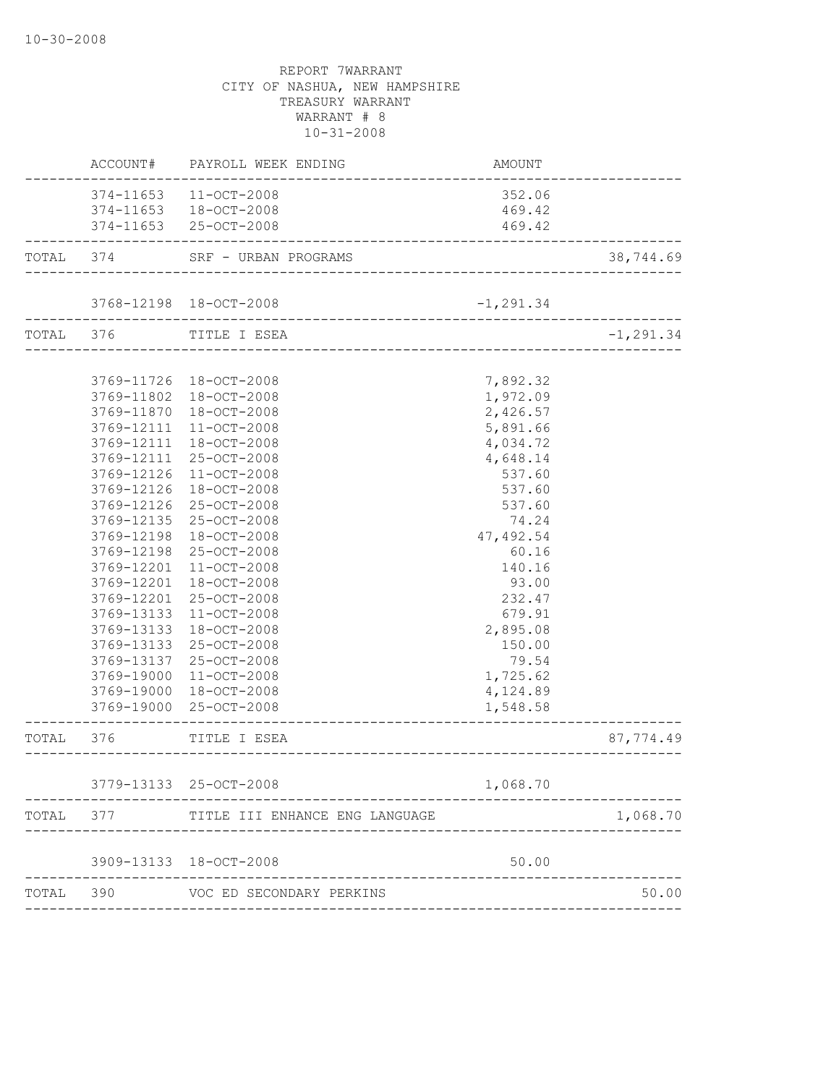|           |                          | ACCOUNT# PAYROLL WEEK ENDING                                | AMOUNT               |              |
|-----------|--------------------------|-------------------------------------------------------------|----------------------|--------------|
|           |                          | 374-11653 11-OCT-2008                                       | 352.06               |              |
|           |                          | 374-11653 18-OCT-2008                                       | 469.42               |              |
|           |                          | 374-11653 25-OCT-2008                                       | 469.42               |              |
| TOTAL 374 |                          | SRF - URBAN PROGRAMS                                        |                      | 38,744.69    |
|           |                          | 3768-12198 18-OCT-2008                                      |                      |              |
|           |                          |                                                             | $-1, 291.34$         |              |
|           |                          | TOTAL 376 TITLE I ESEA<br>_________________________________ |                      | $-1, 291.34$ |
|           |                          |                                                             |                      |              |
|           |                          | 3769-11726 18-OCT-2008                                      | 7,892.32             |              |
|           | 3769-11802               | 18-OCT-2008                                                 | 1,972.09             |              |
|           | 3769-11870               | 18-OCT-2008<br>$11 - OCT - 2008$                            | 2,426.57             |              |
|           | 3769-12111<br>3769-12111 | 18-OCT-2008                                                 | 5,891.66<br>4,034.72 |              |
|           | 3769-12111               | 25-OCT-2008                                                 | 4,648.14             |              |
|           | 3769-12126               | $11 - OCT - 2008$                                           | 537.60               |              |
|           | 3769-12126               | 18-OCT-2008                                                 | 537.60               |              |
|           | 3769-12126               | $25 - OCT - 2008$                                           | 537.60               |              |
|           | 3769-12135               | 25-OCT-2008                                                 | 74.24                |              |
|           | 3769-12198               | 18-OCT-2008                                                 | 47,492.54            |              |
|           | 3769-12198               | 25-OCT-2008                                                 | 60.16                |              |
|           | 3769-12201               | 11-OCT-2008                                                 | 140.16               |              |
|           | 3769-12201               | 18-OCT-2008                                                 | 93.00                |              |
|           | 3769-12201               | 25-OCT-2008                                                 | 232.47               |              |
|           | 3769-13133               | 11-OCT-2008                                                 | 679.91               |              |
|           | 3769-13133               | 18-OCT-2008                                                 | 2,895.08             |              |
|           | 3769-13133               | 25-OCT-2008                                                 | 150.00               |              |
|           | 3769-13137               | 25-OCT-2008                                                 | 79.54                |              |
|           | 3769-19000               | $11 - OCT - 2008$                                           | 1,725.62             |              |
|           | 3769-19000               | 18-OCT-2008                                                 | 4,124.89             |              |
|           |                          | 3769-19000 25-OCT-2008<br>_________________                 | 1,548.58             |              |
| TOTAL 376 |                          | TITLE I ESEA<br>__________________________                  |                      | 87,774.49    |
|           |                          | 3779-13133 25-OCT-2008                                      | 1,068.70             |              |
| TOTAL     | 377                      | TITLE III ENHANCE ENG LANGUAGE                              |                      | 1,068.70     |
|           |                          |                                                             |                      |              |
|           |                          | 3909-13133 18-OCT-2008                                      | 50.00                |              |
| TOTAL     | 390                      | VOC ED SECONDARY PERKINS                                    |                      | 50.00        |
|           |                          |                                                             |                      |              |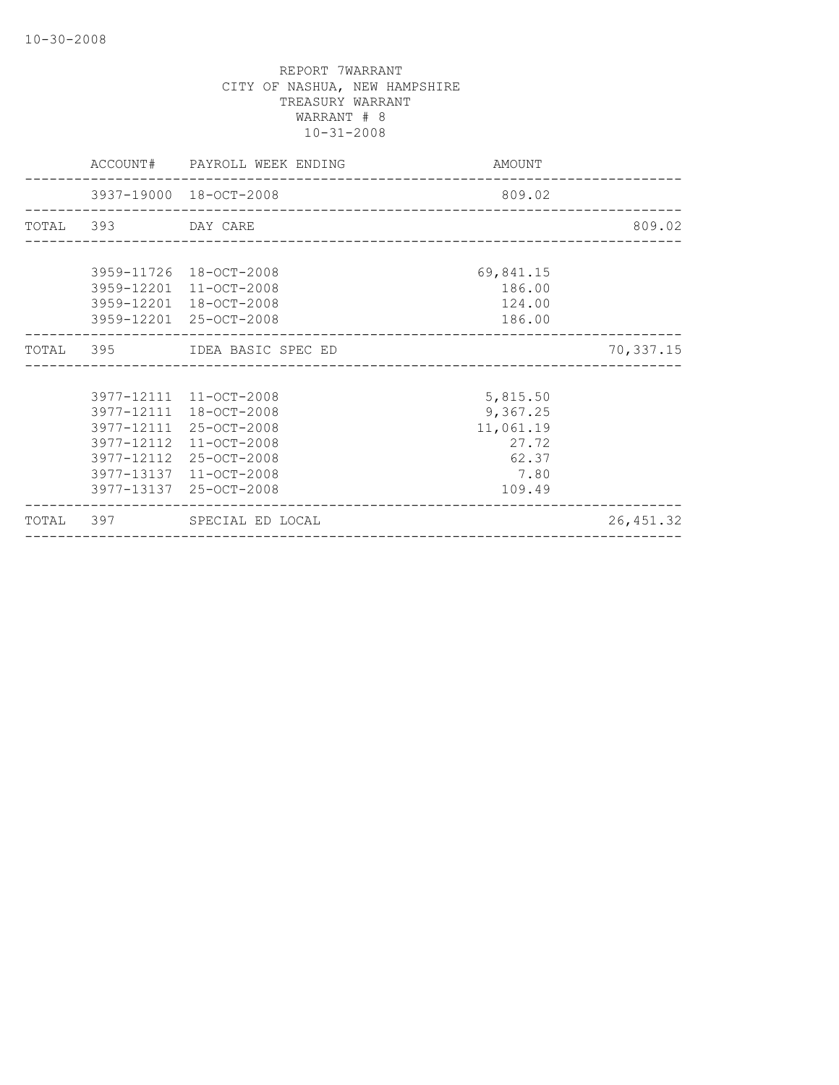|                    | 3977-12111 11-OCT-2008                           | 5,815.50         |           |
|--------------------|--------------------------------------------------|------------------|-----------|
|                    |                                                  |                  |           |
|                    | TOTAL 395 IDEA BASIC SPEC ED                     |                  | 70,337.15 |
|                    |                                                  |                  |           |
|                    | 3959-12201 25-OCT-2008                           | 186.00           |           |
|                    | 3959-12201 11-OCT-2008<br>3959-12201 18-OCT-2008 | 186.00<br>124.00 |           |
|                    | 3959-11726 18-OCT-2008                           | 69,841.15        |           |
|                    |                                                  |                  |           |
|                    |                                                  |                  |           |
| TOTAL 393 DAY CARE |                                                  |                  | 809.02    |
|                    |                                                  |                  |           |
|                    | 3937-19000 18-OCT-2008                           | 809.02           |           |
|                    | ACCOUNT# PAYROLL WEEK ENDING                     | AMOUNT           |           |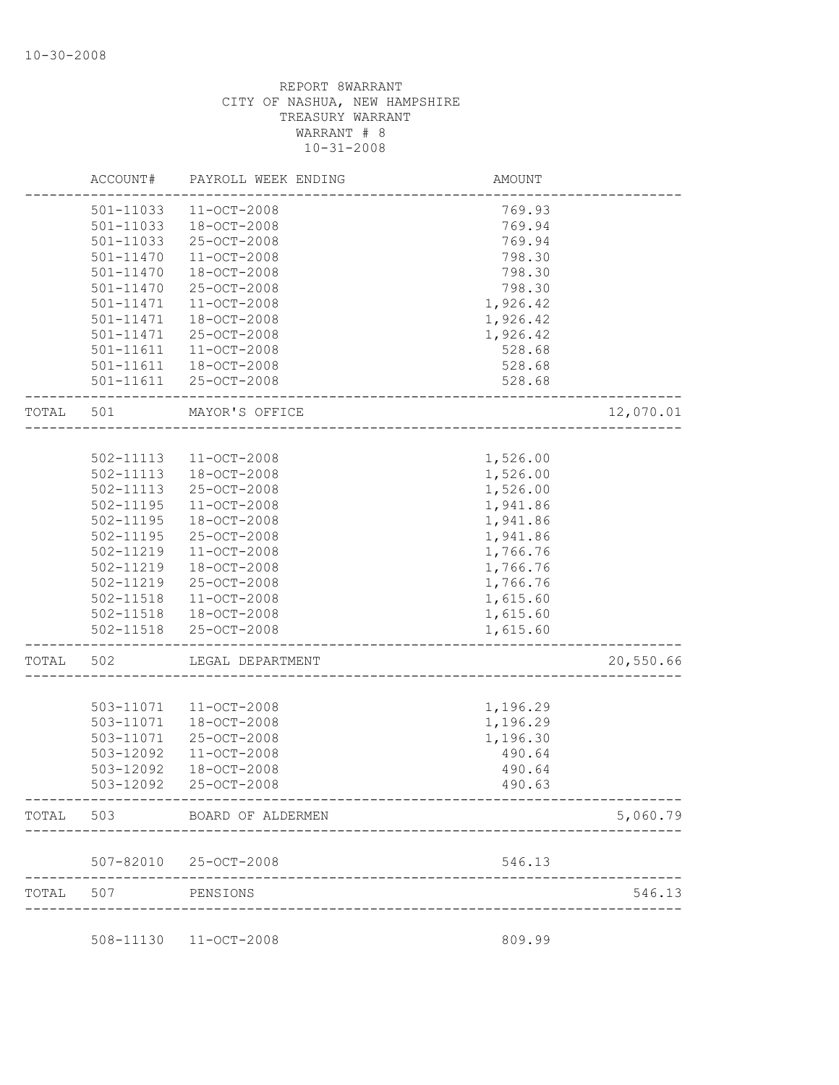|           | ACCOUNT#      | PAYROLL WEEK ENDING   | AMOUNT   |           |
|-----------|---------------|-----------------------|----------|-----------|
|           | 501-11033     | $11 - OCT - 2008$     | 769.93   |           |
|           | 501-11033     | 18-OCT-2008           | 769.94   |           |
|           | 501-11033     | 25-OCT-2008           | 769.94   |           |
|           | 501-11470     | $11 - OCT - 2008$     | 798.30   |           |
|           | 501-11470     | 18-OCT-2008           | 798.30   |           |
|           | 501-11470     | 25-OCT-2008           | 798.30   |           |
|           | 501-11471     | 11-OCT-2008           | 1,926.42 |           |
|           | 501-11471     | 18-OCT-2008           | 1,926.42 |           |
|           | 501-11471     | 25-OCT-2008           | 1,926.42 |           |
|           | 501-11611     | $11 - OCT - 2008$     | 528.68   |           |
|           | 501-11611     | 18-OCT-2008           | 528.68   |           |
|           | 501-11611     | 25-OCT-2008           | 528.68   |           |
| TOTAL     | 501           | MAYOR'S OFFICE        |          | 12,070.01 |
|           |               |                       |          |           |
|           | 502-11113     | 11-OCT-2008           | 1,526.00 |           |
|           | 502-11113     | $18 - OCT - 2008$     | 1,526.00 |           |
|           | 502-11113     | 25-OCT-2008           | 1,526.00 |           |
|           | $502 - 11195$ | 11-OCT-2008           | 1,941.86 |           |
|           | 502-11195     | 18-OCT-2008           | 1,941.86 |           |
|           | 502-11195     | 25-OCT-2008           | 1,941.86 |           |
|           | 502-11219     | $11 - OCT - 2008$     | 1,766.76 |           |
|           | 502-11219     | 18-OCT-2008           | 1,766.76 |           |
|           | 502-11219     | 25-OCT-2008           | 1,766.76 |           |
|           | 502-11518     | $11 - OCT - 2008$     | 1,615.60 |           |
|           | 502-11518     | $18 - OCT - 2008$     | 1,615.60 |           |
|           | $502 - 11518$ | 25-OCT-2008           | 1,615.60 |           |
| TOTAL     | 502           | LEGAL DEPARTMENT      |          | 20,550.66 |
|           |               |                       |          |           |
|           | 503-11071     | $11 - OCT - 2008$     | 1,196.29 |           |
|           | 503-11071     | 18-OCT-2008           | 1,196.29 |           |
|           | 503-11071     | 25-OCT-2008           | 1,196.30 |           |
|           | 503-12092     | $11 - OCT - 2008$     | 490.64   |           |
|           | 503-12092     | 18-OCT-2008           | 490.64   |           |
|           | 503-12092     | 25-OCT-2008           | 490.63   |           |
| TOTAL 503 |               | BOARD OF ALDERMEN     |          | 5,060.79  |
|           |               |                       |          |           |
|           |               | 507-82010 25-OCT-2008 | 546.13   |           |
| TOTAL     | 507           | PENSIONS              |          | 546.13    |

508-11130 11-OCT-2008 809.99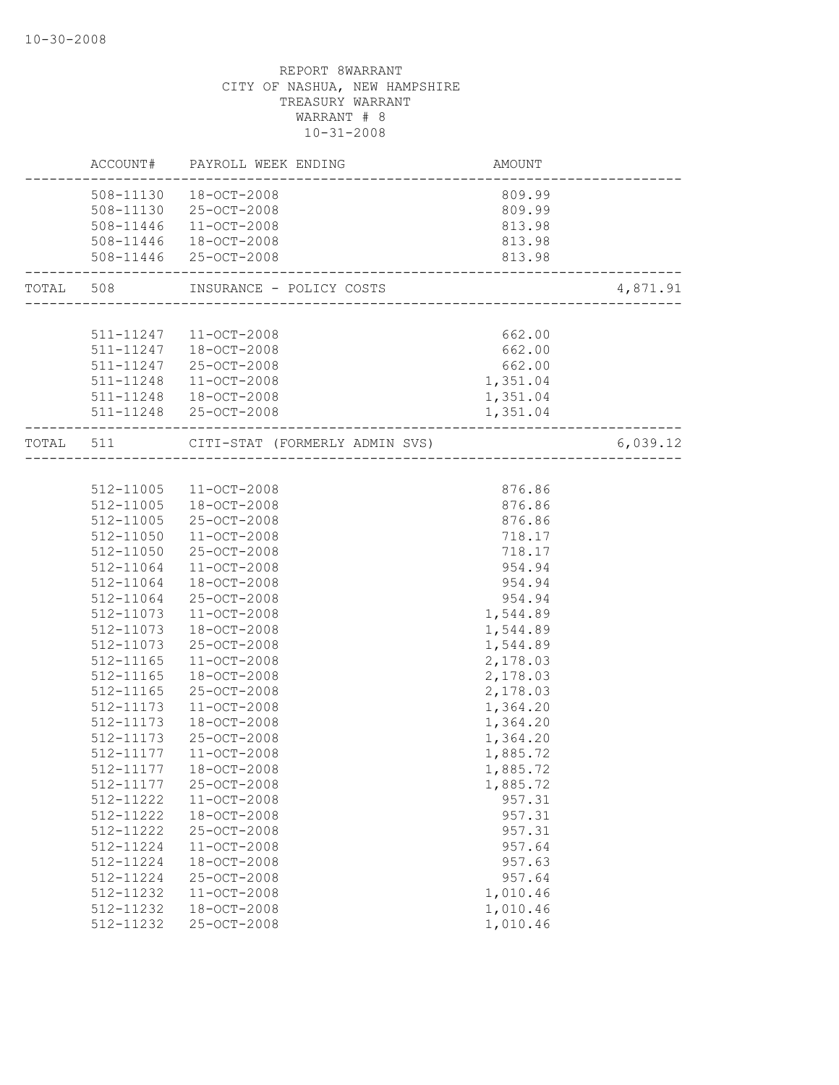|           | ACCOUNT# PAYROLL WEEK ENDING             | AMOUNT                                   |          |
|-----------|------------------------------------------|------------------------------------------|----------|
|           | 508-11130  18-OCT-2008                   | 809.99                                   |          |
|           | 508-11130 25-OCT-2008                    | 809.99                                   |          |
|           | 508-11446 11-OCT-2008                    | 813.98                                   |          |
|           | 508-11446  18-OCT-2008                   | 813.98                                   |          |
|           | 508-11446 25-OCT-2008                    | 813.98<br>------------------------------ |          |
|           | TOTAL 508 INSURANCE - POLICY COSTS       |                                          | 4,871.91 |
|           |                                          |                                          |          |
|           | 511-11247 11-OCT-2008                    | 662.00                                   |          |
|           | 511-11247  18-OCT-2008                   | 662.00                                   |          |
|           | 511-11247 25-OCT-2008                    | 662.00                                   |          |
|           | 511-11248  11-OCT-2008                   | 1,351.04                                 |          |
|           | 511-11248  18-OCT-2008                   | 1,351.04                                 |          |
|           | 511-11248 25-OCT-2008                    | 1,351.04                                 |          |
|           | TOTAL 511 CITI-STAT (FORMERLY ADMIN SVS) |                                          | 6,039.12 |
|           |                                          |                                          |          |
|           | 512-11005 11-OCT-2008                    | 876.86                                   |          |
|           | 512-11005 18-OCT-2008                    | 876.86                                   |          |
| 512-11005 | 25-OCT-2008                              | 876.86                                   |          |
| 512-11050 | 11-OCT-2008                              | 718.17                                   |          |
| 512-11050 | 25-OCT-2008                              | 718.17                                   |          |
| 512-11064 | $11 - OCT - 2008$                        | 954.94                                   |          |
| 512-11064 | 18-OCT-2008                              | 954.94                                   |          |
| 512-11064 | 25-OCT-2008                              | 954.94                                   |          |
| 512-11073 | $11 - OCT - 2008$                        | 1,544.89                                 |          |
| 512-11073 | 18-OCT-2008                              | 1,544.89                                 |          |
| 512-11073 | 25-OCT-2008                              | 1,544.89                                 |          |
| 512-11165 | 11-OCT-2008                              | 2,178.03                                 |          |
| 512-11165 | 18-OCT-2008                              | 2,178.03                                 |          |
| 512-11165 | 25-OCT-2008                              | 2,178.03                                 |          |
| 512-11173 | 11-OCT-2008                              | 1,364.20                                 |          |
| 512-11173 | 18-OCT-2008                              | 1,364.20                                 |          |
| 512-11173 | 25-OCT-2008                              | 1,364.20                                 |          |
| 512-11177 | $11 - OCT - 2008$                        | 1,885.72                                 |          |
|           | 512-11177  18-OCT-2008                   | 1,885.72                                 |          |
| 512-11177 | 25-OCT-2008                              | 1,885.72                                 |          |
| 512-11222 | 11-OCT-2008                              | 957.31                                   |          |
| 512-11222 | 18-OCT-2008                              | 957.31                                   |          |
| 512-11222 | 25-OCT-2008                              | 957.31                                   |          |
| 512-11224 | 11-OCT-2008                              | 957.64                                   |          |
| 512-11224 | 18-OCT-2008                              | 957.63                                   |          |
| 512-11224 | 25-OCT-2008                              | 957.64                                   |          |
| 512-11232 | 11-OCT-2008                              | 1,010.46                                 |          |
| 512-11232 | 18-OCT-2008                              | 1,010.46                                 |          |
| 512-11232 | 25-OCT-2008                              | 1,010.46                                 |          |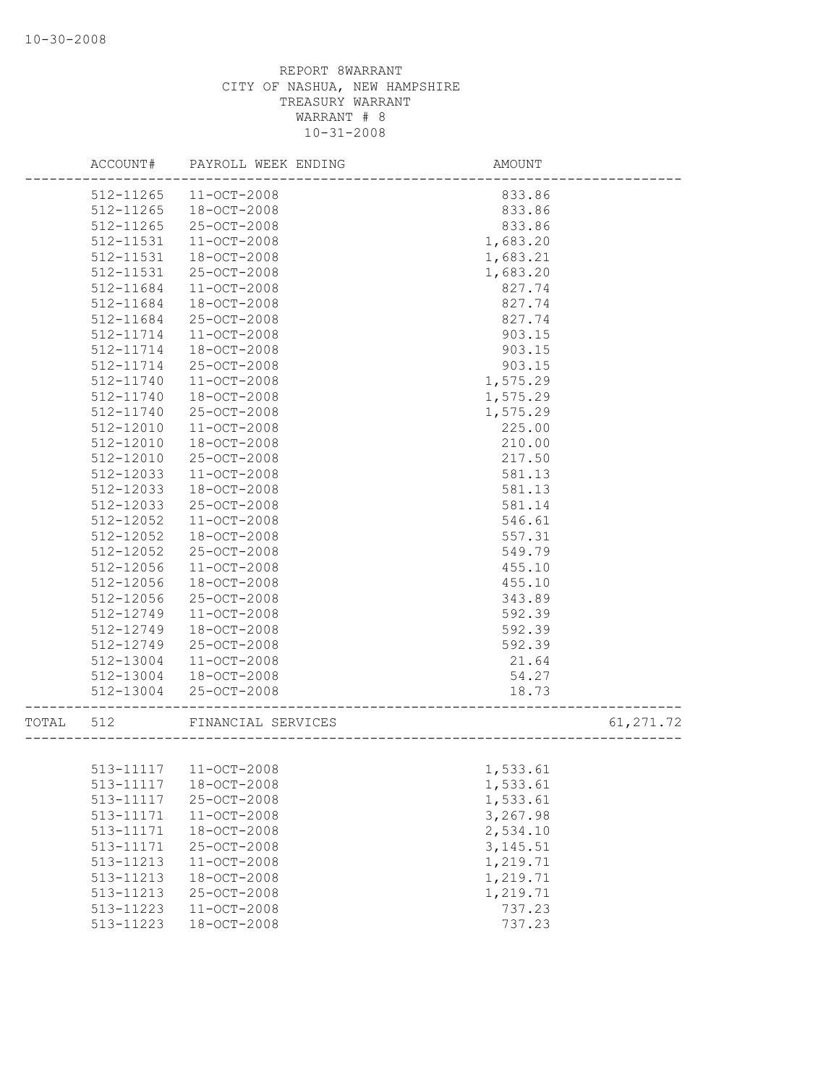|       | ACCOUNT#  | PAYROLL WEEK ENDING   | <b>AMOUNT</b> |            |
|-------|-----------|-----------------------|---------------|------------|
|       | 512-11265 | $11 - OCT - 2008$     | 833.86        |            |
|       | 512-11265 | 18-OCT-2008           | 833.86        |            |
|       | 512-11265 | 25-OCT-2008           | 833.86        |            |
|       | 512-11531 | $11 - OCT - 2008$     | 1,683.20      |            |
|       | 512-11531 | 18-OCT-2008           | 1,683.21      |            |
|       | 512-11531 | 25-OCT-2008           | 1,683.20      |            |
|       | 512-11684 | 11-OCT-2008           | 827.74        |            |
|       | 512-11684 | 18-OCT-2008           | 827.74        |            |
|       | 512-11684 | 25-OCT-2008           | 827.74        |            |
|       | 512-11714 | $11 - OCT - 2008$     | 903.15        |            |
|       | 512-11714 | $18 - OCT - 2008$     | 903.15        |            |
|       | 512-11714 | 25-OCT-2008           | 903.15        |            |
|       | 512-11740 | $11 - OCT - 2008$     | 1,575.29      |            |
|       | 512-11740 | 18-OCT-2008           | 1,575.29      |            |
|       | 512-11740 | 25-OCT-2008           | 1,575.29      |            |
|       | 512-12010 | $11 - OCT - 2008$     | 225.00        |            |
|       | 512-12010 | 18-OCT-2008           | 210.00        |            |
|       | 512-12010 | 25-OCT-2008           | 217.50        |            |
|       | 512-12033 | $11 - OCT - 2008$     | 581.13        |            |
|       | 512-12033 | $18 - OCT - 2008$     | 581.13        |            |
|       | 512-12033 | 25-OCT-2008           | 581.14        |            |
|       | 512-12052 | $11 - OCT - 2008$     | 546.61        |            |
|       | 512-12052 | 18-OCT-2008           | 557.31        |            |
|       | 512-12052 | 25-OCT-2008           | 549.79        |            |
|       | 512-12056 | 11-OCT-2008           | 455.10        |            |
|       | 512-12056 | 18-OCT-2008           | 455.10        |            |
|       | 512-12056 | 25-OCT-2008           | 343.89        |            |
|       | 512-12749 | $11 - OCT - 2008$     | 592.39        |            |
|       | 512-12749 | $18 - OCT - 2008$     | 592.39        |            |
|       | 512-12749 | 25-OCT-2008           | 592.39        |            |
|       | 512-13004 | $11 - OCT - 2008$     | 21.64         |            |
|       | 512-13004 | 18-OCT-2008           | 54.27         |            |
|       | 512-13004 | 25-OCT-2008           | 18.73         |            |
| TOTAL | 512       | FINANCIAL SERVICES    |               | 61, 271.72 |
|       |           |                       |               |            |
|       |           | 513-11117 11-OCT-2008 | 1,533.61      |            |
|       | 513-11117 | $18 - OCT - 2008$     | 1,533.61      |            |
|       | 513-11117 | 25-OCT-2008           | 1,533.61      |            |
|       | 513-11171 | $11 - OCT - 2008$     | 3,267.98      |            |
|       | 513-11171 | 18-OCT-2008           | 2,534.10      |            |
|       | 513-11171 | 25-OCT-2008           | 3, 145.51     |            |
|       | 513-11213 | 11-OCT-2008           | 1,219.71      |            |
|       | 513-11213 | 18-OCT-2008           | 1,219.71      |            |
|       | 513-11213 | 25-OCT-2008           | 1,219.71      |            |
|       | 513-11223 | 11-OCT-2008           | 737.23        |            |
|       | 513-11223 | 18-OCT-2008           | 737.23        |            |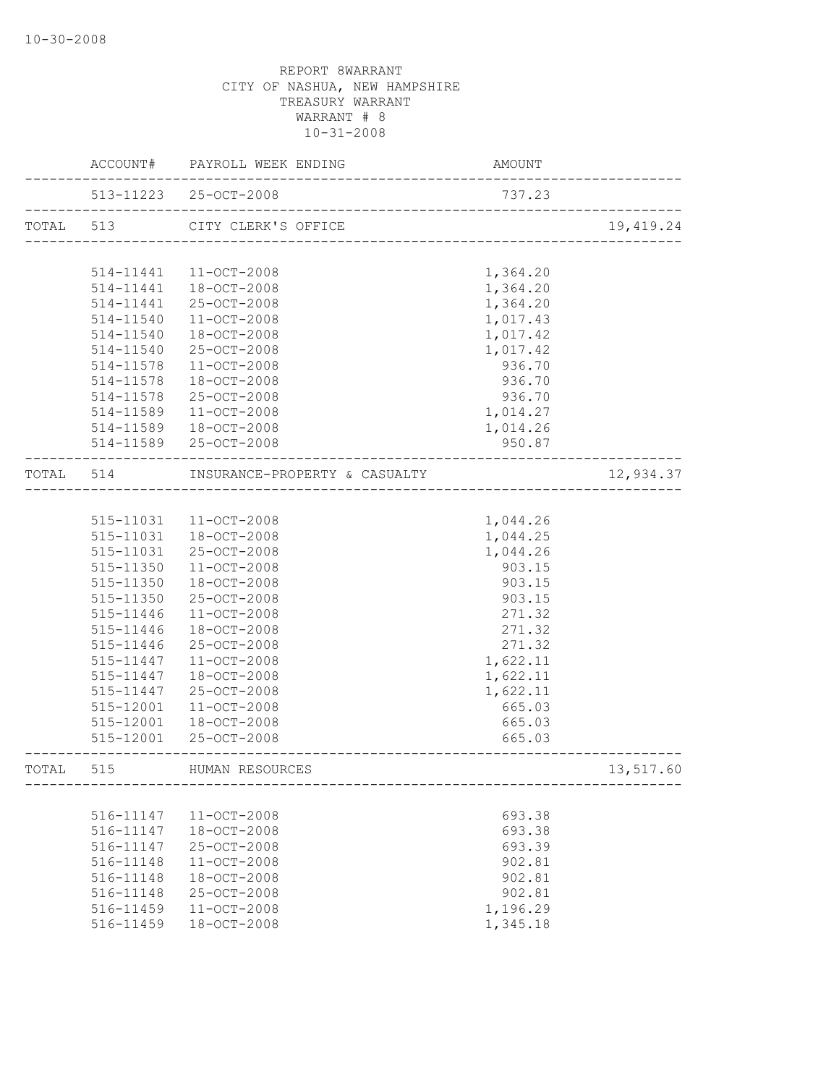|           |           | ACCOUNT# PAYROLL WEEK ENDING                               | AMOUNT                           |            |
|-----------|-----------|------------------------------------------------------------|----------------------------------|------------|
|           |           | 513-11223 25-OCT-2008<br>--------------------------------- | 737.23                           |            |
| TOTAL 513 |           | CITY CLERK'S OFFICE                                        | -------------------------------- | 19, 419.24 |
|           |           |                                                            |                                  |            |
|           | 514-11441 | 11-OCT-2008                                                | 1,364.20                         |            |
|           | 514-11441 | 18-OCT-2008                                                | 1,364.20                         |            |
|           | 514-11441 | 25-OCT-2008                                                | 1,364.20                         |            |
|           | 514-11540 | 11-OCT-2008                                                | 1,017.43                         |            |
|           | 514-11540 | 18-OCT-2008                                                | 1,017.42                         |            |
|           | 514-11540 | 25-OCT-2008                                                | 1,017.42                         |            |
|           | 514-11578 | 11-OCT-2008                                                | 936.70                           |            |
|           | 514-11578 | 18-OCT-2008                                                | 936.70                           |            |
|           | 514-11578 | 25-OCT-2008                                                | 936.70                           |            |
|           | 514-11589 | 11-OCT-2008                                                | 1,014.27                         |            |
|           | 514-11589 | 18-OCT-2008                                                | 1,014.26                         |            |
|           |           | 514-11589 25-OCT-2008                                      | 950.87                           |            |
|           | TOTAL 514 | INSURANCE-PROPERTY & CASUALTY                              |                                  | 12,934.37  |
|           |           |                                                            |                                  |            |
|           | 515-11031 | $11 - OCT - 2008$                                          | 1,044.26                         |            |
|           | 515-11031 | 18-OCT-2008                                                | 1,044.25                         |            |
|           | 515-11031 | 25-OCT-2008                                                | 1,044.26                         |            |
|           | 515-11350 | 11-OCT-2008                                                | 903.15                           |            |
|           | 515-11350 | 18-OCT-2008                                                | 903.15                           |            |
|           | 515-11350 | 25-OCT-2008                                                | 903.15                           |            |
|           | 515-11446 | 11-OCT-2008                                                | 271.32                           |            |
|           | 515-11446 | 18-OCT-2008                                                | 271.32                           |            |
|           | 515-11446 | 25-OCT-2008                                                | 271.32                           |            |
|           | 515-11447 | $11 - OCT - 2008$                                          | 1,622.11                         |            |
|           | 515-11447 | 18-OCT-2008                                                | 1,622.11                         |            |
|           | 515-11447 | 25-OCT-2008                                                | 1,622.11                         |            |
|           | 515-12001 | 11-OCT-2008                                                | 665.03                           |            |
|           | 515-12001 | 18-OCT-2008                                                | 665.03                           |            |
|           | 515-12001 | 25-OCT-2008                                                | 665.03                           |            |
| TOTAL 515 |           | HUMAN RESOURCES                                            |                                  | 13,517.60  |
|           |           |                                                            |                                  |            |
|           | 516-11147 | 11-OCT-2008                                                | 693.38                           |            |
|           | 516-11147 | 18-OCT-2008                                                | 693.38                           |            |
|           | 516-11147 | 25-OCT-2008                                                | 693.39                           |            |
|           | 516-11148 | 11-OCT-2008                                                | 902.81                           |            |
|           | 516-11148 | 18-OCT-2008                                                | 902.81                           |            |
|           | 516-11148 | 25-OCT-2008                                                | 902.81                           |            |
|           | 516-11459 | 11-OCT-2008                                                | 1,196.29                         |            |
|           | 516-11459 | 18-OCT-2008                                                | 1,345.18                         |            |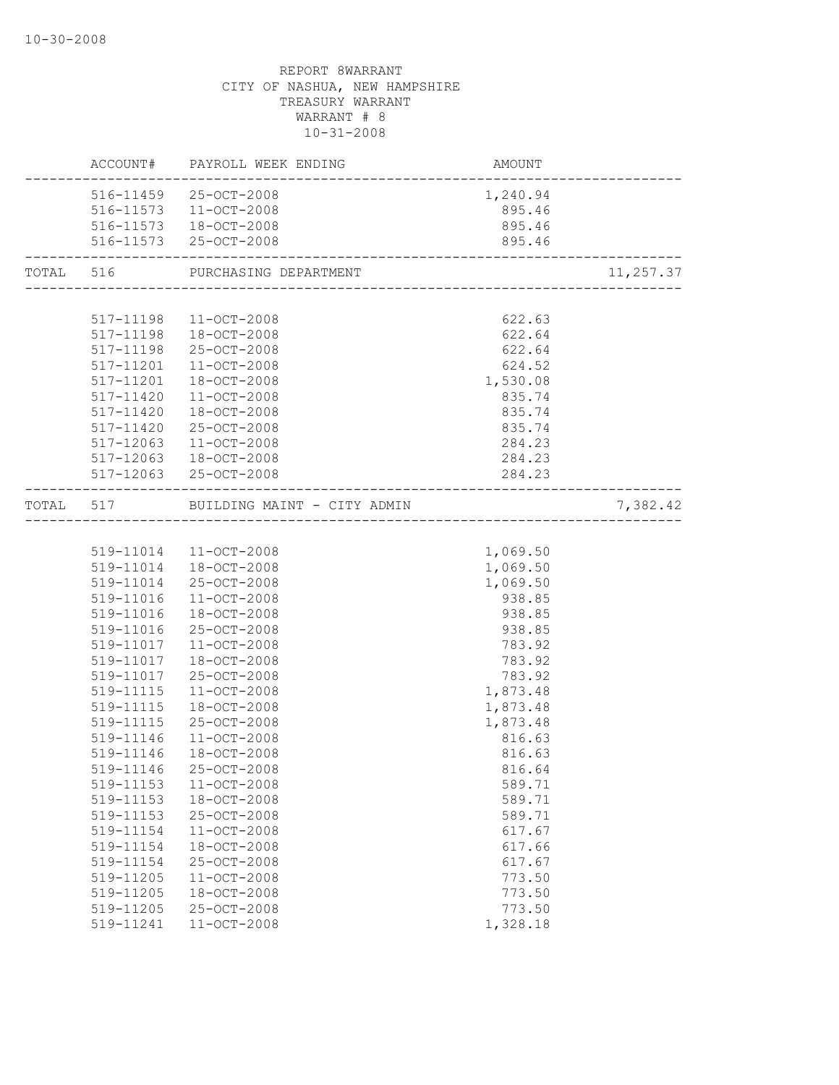|                        | ACCOUNT# PAYROLL WEEK ENDING                                 | AMOUNT<br>------------------------ |           |
|------------------------|--------------------------------------------------------------|------------------------------------|-----------|
|                        | 516-11459 25-OCT-2008                                        | 1,240.94                           |           |
|                        | 516-11573  11-OCT-2008                                       | 895.46                             |           |
|                        | 516-11573  18-OCT-2008                                       | 895.46                             |           |
|                        | 516-11573 25-OCT-2008<br>----------------------------------- | 895.46                             |           |
|                        | TOTAL 516 PURCHASING DEPARTMENT                              |                                    | 11,257.37 |
|                        |                                                              |                                    |           |
|                        | 517-11198 11-OCT-2008                                        | 622.63                             |           |
|                        | 517-11198  18-OCT-2008                                       | 622.64                             |           |
|                        | 517-11198 25-OCT-2008                                        | 622.64                             |           |
|                        | 517-11201 11-OCT-2008                                        | 624.52                             |           |
|                        | 517-11201  18-OCT-2008                                       | 1,530.08                           |           |
|                        | 517-11420 11-OCT-2008                                        | 835.74                             |           |
| 517-11420              | 18-OCT-2008                                                  | 835.74                             |           |
| 517-11420              | 25-OCT-2008                                                  | 835.74                             |           |
| 517-12063              | $11 - OCT - 2008$                                            | 284.23                             |           |
|                        | 517-12063 18-OCT-2008                                        | 284.23                             |           |
|                        | 517-12063 25-OCT-2008                                        | 284.23                             |           |
|                        | TOTAL 517 BUILDING MAINT - CITY ADMIN                        |                                    | 7,382.42  |
|                        |                                                              |                                    |           |
|                        | 519-11014 11-OCT-2008                                        | 1,069.50                           |           |
|                        | 519-11014 18-OCT-2008                                        | 1,069.50                           |           |
|                        | 519-11014 25-OCT-2008                                        | 1,069.50                           |           |
| 519-11016              | 11-OCT-2008                                                  | 938.85                             |           |
| 519-11016              | 18-OCT-2008                                                  | 938.85                             |           |
| 519-11016              | 25-OCT-2008                                                  | 938.85                             |           |
|                        | 519-11017  11-OCT-2008                                       | 783.92                             |           |
|                        | 519-11017  18-OCT-2008                                       | 783.92                             |           |
|                        | 519-11017 25-OCT-2008                                        | 783.92                             |           |
| 519-11115              | 11-OCT-2008                                                  | 1,873.48                           |           |
| 519-11115              | 18-OCT-2008                                                  | 1,873.48                           |           |
| 519-11115              | 25-OCT-2008                                                  | 1,873.48                           |           |
| 519-11146<br>519-11146 | $11 - OCT - 2008$                                            | 816.63                             |           |
|                        | 18-OCT-2008                                                  | 816.63                             |           |
| 519-11146<br>519-11153 | 25-OCT-2008<br>$11 - OCT - 2008$                             | 816.64                             |           |
| 519-11153              | 18-OCT-2008                                                  | 589.71<br>589.71                   |           |
| 519-11153              | 25-OCT-2008                                                  | 589.71                             |           |
| 519-11154              | 11-OCT-2008                                                  | 617.67                             |           |
| 519-11154              | 18-OCT-2008                                                  | 617.66                             |           |
| 519-11154              | 25-OCT-2008                                                  | 617.67                             |           |
| 519-11205              | 11-OCT-2008                                                  | 773.50                             |           |
| 519-11205              | 18-OCT-2008                                                  | 773.50                             |           |
| 519-11205              | 25-OCT-2008                                                  | 773.50                             |           |
| 519-11241              | 11-OCT-2008                                                  | 1,328.18                           |           |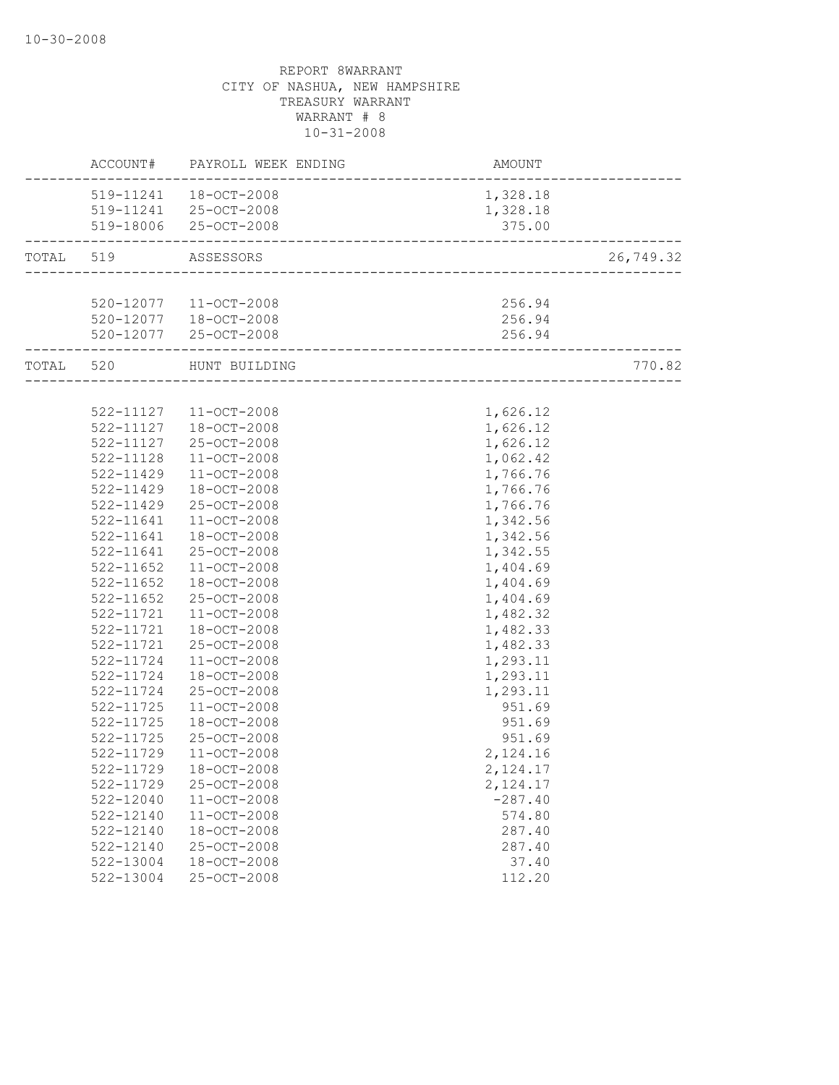| 519-11241  18-OCT-2008<br>1,328.18<br>519-11241 25-OCT-2008<br>1,328.18<br>519-18006 25-OCT-2008<br>375.00<br>TOTAL 519<br>ASSESSORS<br>520-12077  11-OCT-2008<br>256.94<br>520-12077  18-OCT-2008<br>256.94<br>520-12077 25-OCT-2008<br>256.94<br>_______________________________<br>TOTAL 520<br>HUNT BUILDING<br>522-11127 11-OCT-2008<br>1,626.12<br>1,626.12<br>522-11127  18-OCT-2008<br>522-11127<br>25-OCT-2008<br>1,626.12<br>1,062.42<br>522-11128<br>$11 - OCT - 2008$<br>522-11429<br>$11 - OCT - 2008$<br>1,766.76<br>522-11429<br>18-OCT-2008<br>1,766.76<br>25-OCT-2008<br>522-11429<br>1,766.76<br>11-OCT-2008<br>1,342.56<br>522-11641<br>522-11641<br>18-OCT-2008<br>1,342.56<br>25-OCT-2008<br>1,342.55<br>522-11641<br>$522 - 11652$<br>11-OCT-2008<br>1,404.69<br>522-11652<br>18-OCT-2008<br>1,404.69<br>25-OCT-2008<br>1,404.69<br>522-11652<br>522-11721<br>11-OCT-2008<br>1,482.32<br>522-11721  18-OCT-2008<br>1,482.33<br>25-OCT-2008<br>1,482.33<br>522-11721<br>522-11724<br>11-OCT-2008<br>1,293.11<br>1,293.11<br>522-11724<br>$18 - OCT - 2008$<br>522-11724<br>25-OCT-2008<br>1,293.11<br>522-11725<br>11-OCT-2008<br>951.69<br>18-OCT-2008<br>951.69<br>$522 - 11725$<br>$522 - 11725$<br>25-OCT-2008<br>951.69 |           | ACCOUNT# PAYROLL WEEK ENDING | AMOUNT   |           |
|---------------------------------------------------------------------------------------------------------------------------------------------------------------------------------------------------------------------------------------------------------------------------------------------------------------------------------------------------------------------------------------------------------------------------------------------------------------------------------------------------------------------------------------------------------------------------------------------------------------------------------------------------------------------------------------------------------------------------------------------------------------------------------------------------------------------------------------------------------------------------------------------------------------------------------------------------------------------------------------------------------------------------------------------------------------------------------------------------------------------------------------------------------------------------------------------------------------------------------------------------|-----------|------------------------------|----------|-----------|
|                                                                                                                                                                                                                                                                                                                                                                                                                                                                                                                                                                                                                                                                                                                                                                                                                                                                                                                                                                                                                                                                                                                                                                                                                                                   |           |                              |          |           |
|                                                                                                                                                                                                                                                                                                                                                                                                                                                                                                                                                                                                                                                                                                                                                                                                                                                                                                                                                                                                                                                                                                                                                                                                                                                   |           |                              |          |           |
|                                                                                                                                                                                                                                                                                                                                                                                                                                                                                                                                                                                                                                                                                                                                                                                                                                                                                                                                                                                                                                                                                                                                                                                                                                                   |           |                              |          |           |
|                                                                                                                                                                                                                                                                                                                                                                                                                                                                                                                                                                                                                                                                                                                                                                                                                                                                                                                                                                                                                                                                                                                                                                                                                                                   |           |                              |          | 26,749.32 |
|                                                                                                                                                                                                                                                                                                                                                                                                                                                                                                                                                                                                                                                                                                                                                                                                                                                                                                                                                                                                                                                                                                                                                                                                                                                   |           |                              |          |           |
|                                                                                                                                                                                                                                                                                                                                                                                                                                                                                                                                                                                                                                                                                                                                                                                                                                                                                                                                                                                                                                                                                                                                                                                                                                                   |           |                              |          |           |
|                                                                                                                                                                                                                                                                                                                                                                                                                                                                                                                                                                                                                                                                                                                                                                                                                                                                                                                                                                                                                                                                                                                                                                                                                                                   |           |                              |          |           |
|                                                                                                                                                                                                                                                                                                                                                                                                                                                                                                                                                                                                                                                                                                                                                                                                                                                                                                                                                                                                                                                                                                                                                                                                                                                   |           |                              |          |           |
|                                                                                                                                                                                                                                                                                                                                                                                                                                                                                                                                                                                                                                                                                                                                                                                                                                                                                                                                                                                                                                                                                                                                                                                                                                                   |           |                              |          | 770.82    |
|                                                                                                                                                                                                                                                                                                                                                                                                                                                                                                                                                                                                                                                                                                                                                                                                                                                                                                                                                                                                                                                                                                                                                                                                                                                   |           |                              |          |           |
|                                                                                                                                                                                                                                                                                                                                                                                                                                                                                                                                                                                                                                                                                                                                                                                                                                                                                                                                                                                                                                                                                                                                                                                                                                                   |           |                              |          |           |
|                                                                                                                                                                                                                                                                                                                                                                                                                                                                                                                                                                                                                                                                                                                                                                                                                                                                                                                                                                                                                                                                                                                                                                                                                                                   |           |                              |          |           |
|                                                                                                                                                                                                                                                                                                                                                                                                                                                                                                                                                                                                                                                                                                                                                                                                                                                                                                                                                                                                                                                                                                                                                                                                                                                   |           |                              |          |           |
|                                                                                                                                                                                                                                                                                                                                                                                                                                                                                                                                                                                                                                                                                                                                                                                                                                                                                                                                                                                                                                                                                                                                                                                                                                                   |           |                              |          |           |
|                                                                                                                                                                                                                                                                                                                                                                                                                                                                                                                                                                                                                                                                                                                                                                                                                                                                                                                                                                                                                                                                                                                                                                                                                                                   |           |                              |          |           |
|                                                                                                                                                                                                                                                                                                                                                                                                                                                                                                                                                                                                                                                                                                                                                                                                                                                                                                                                                                                                                                                                                                                                                                                                                                                   |           |                              |          |           |
|                                                                                                                                                                                                                                                                                                                                                                                                                                                                                                                                                                                                                                                                                                                                                                                                                                                                                                                                                                                                                                                                                                                                                                                                                                                   |           |                              |          |           |
|                                                                                                                                                                                                                                                                                                                                                                                                                                                                                                                                                                                                                                                                                                                                                                                                                                                                                                                                                                                                                                                                                                                                                                                                                                                   |           |                              |          |           |
|                                                                                                                                                                                                                                                                                                                                                                                                                                                                                                                                                                                                                                                                                                                                                                                                                                                                                                                                                                                                                                                                                                                                                                                                                                                   |           |                              |          |           |
|                                                                                                                                                                                                                                                                                                                                                                                                                                                                                                                                                                                                                                                                                                                                                                                                                                                                                                                                                                                                                                                                                                                                                                                                                                                   |           |                              |          |           |
|                                                                                                                                                                                                                                                                                                                                                                                                                                                                                                                                                                                                                                                                                                                                                                                                                                                                                                                                                                                                                                                                                                                                                                                                                                                   |           |                              |          |           |
|                                                                                                                                                                                                                                                                                                                                                                                                                                                                                                                                                                                                                                                                                                                                                                                                                                                                                                                                                                                                                                                                                                                                                                                                                                                   |           |                              |          |           |
|                                                                                                                                                                                                                                                                                                                                                                                                                                                                                                                                                                                                                                                                                                                                                                                                                                                                                                                                                                                                                                                                                                                                                                                                                                                   |           |                              |          |           |
|                                                                                                                                                                                                                                                                                                                                                                                                                                                                                                                                                                                                                                                                                                                                                                                                                                                                                                                                                                                                                                                                                                                                                                                                                                                   |           |                              |          |           |
|                                                                                                                                                                                                                                                                                                                                                                                                                                                                                                                                                                                                                                                                                                                                                                                                                                                                                                                                                                                                                                                                                                                                                                                                                                                   |           |                              |          |           |
|                                                                                                                                                                                                                                                                                                                                                                                                                                                                                                                                                                                                                                                                                                                                                                                                                                                                                                                                                                                                                                                                                                                                                                                                                                                   |           |                              |          |           |
|                                                                                                                                                                                                                                                                                                                                                                                                                                                                                                                                                                                                                                                                                                                                                                                                                                                                                                                                                                                                                                                                                                                                                                                                                                                   |           |                              |          |           |
|                                                                                                                                                                                                                                                                                                                                                                                                                                                                                                                                                                                                                                                                                                                                                                                                                                                                                                                                                                                                                                                                                                                                                                                                                                                   |           |                              |          |           |
|                                                                                                                                                                                                                                                                                                                                                                                                                                                                                                                                                                                                                                                                                                                                                                                                                                                                                                                                                                                                                                                                                                                                                                                                                                                   |           |                              |          |           |
|                                                                                                                                                                                                                                                                                                                                                                                                                                                                                                                                                                                                                                                                                                                                                                                                                                                                                                                                                                                                                                                                                                                                                                                                                                                   |           |                              |          |           |
|                                                                                                                                                                                                                                                                                                                                                                                                                                                                                                                                                                                                                                                                                                                                                                                                                                                                                                                                                                                                                                                                                                                                                                                                                                                   |           |                              |          |           |
|                                                                                                                                                                                                                                                                                                                                                                                                                                                                                                                                                                                                                                                                                                                                                                                                                                                                                                                                                                                                                                                                                                                                                                                                                                                   |           |                              |          |           |
|                                                                                                                                                                                                                                                                                                                                                                                                                                                                                                                                                                                                                                                                                                                                                                                                                                                                                                                                                                                                                                                                                                                                                                                                                                                   | 522-11729 | $11 - OCT - 2008$            | 2,124.16 |           |
| 522-11729<br>18-OCT-2008<br>2,124.17                                                                                                                                                                                                                                                                                                                                                                                                                                                                                                                                                                                                                                                                                                                                                                                                                                                                                                                                                                                                                                                                                                                                                                                                              |           |                              |          |           |
| 25-OCT-2008<br>522-11729<br>2,124.17                                                                                                                                                                                                                                                                                                                                                                                                                                                                                                                                                                                                                                                                                                                                                                                                                                                                                                                                                                                                                                                                                                                                                                                                              |           |                              |          |           |
| 522-12040<br>11-OCT-2008<br>$-287.40$                                                                                                                                                                                                                                                                                                                                                                                                                                                                                                                                                                                                                                                                                                                                                                                                                                                                                                                                                                                                                                                                                                                                                                                                             |           |                              |          |           |
| 522-12140<br>11-OCT-2008<br>574.80                                                                                                                                                                                                                                                                                                                                                                                                                                                                                                                                                                                                                                                                                                                                                                                                                                                                                                                                                                                                                                                                                                                                                                                                                |           |                              |          |           |
| 18-OCT-2008<br>$522 - 12140$<br>287.40                                                                                                                                                                                                                                                                                                                                                                                                                                                                                                                                                                                                                                                                                                                                                                                                                                                                                                                                                                                                                                                                                                                                                                                                            |           |                              |          |           |
| 522-12140<br>25-OCT-2008<br>287.40                                                                                                                                                                                                                                                                                                                                                                                                                                                                                                                                                                                                                                                                                                                                                                                                                                                                                                                                                                                                                                                                                                                                                                                                                |           |                              |          |           |
| 18-OCT-2008<br>37.40<br>522-13004                                                                                                                                                                                                                                                                                                                                                                                                                                                                                                                                                                                                                                                                                                                                                                                                                                                                                                                                                                                                                                                                                                                                                                                                                 |           |                              |          |           |
| 25-OCT-2008<br>522-13004<br>112.20                                                                                                                                                                                                                                                                                                                                                                                                                                                                                                                                                                                                                                                                                                                                                                                                                                                                                                                                                                                                                                                                                                                                                                                                                |           |                              |          |           |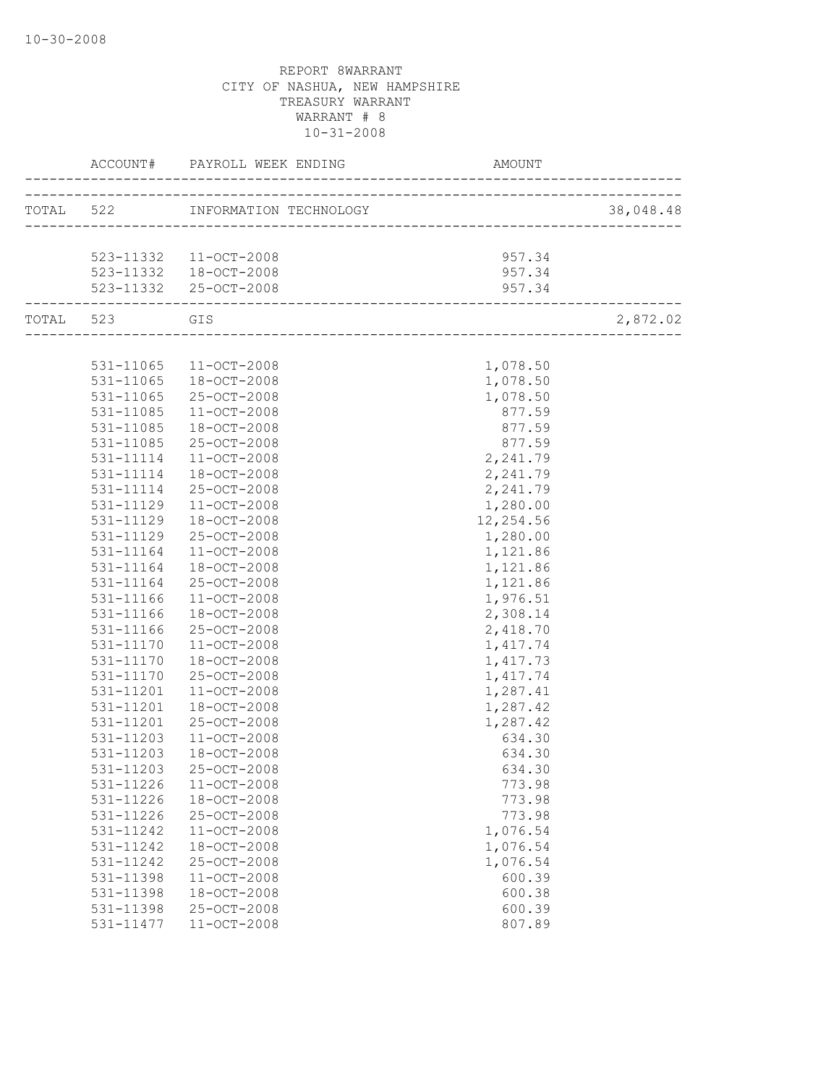|               |                                                  |           | 38,048.48 |
|---------------|--------------------------------------------------|-----------|-----------|
|               |                                                  |           |           |
|               | 523-11332 11-OCT-2008                            | 957.34    |           |
|               |                                                  | 957.34    |           |
|               | 523-11332  18-OCT-2008<br>523-11332  25-OCT-2008 | 957.34    |           |
| TOTAL 523 GIS |                                                  |           | 2,872.02  |
|               |                                                  |           |           |
|               | 531-11065 11-OCT-2008                            | 1,078.50  |           |
| 531-11065     | 18-OCT-2008                                      | 1,078.50  |           |
| 531-11065     | 25-OCT-2008                                      | 1,078.50  |           |
| 531-11085     | $11 - OCT - 2008$                                | 877.59    |           |
| 531-11085     | 18-OCT-2008                                      | 877.59    |           |
| 531-11085     | 25-OCT-2008                                      | 877.59    |           |
| 531-11114     | $11 - OCT - 2008$                                | 2,241.79  |           |
| 531-11114     | 18-OCT-2008                                      | 2,241.79  |           |
| 531-11114     | 25-OCT-2008                                      | 2,241.79  |           |
| 531-11129     | 11-OCT-2008                                      | 1,280.00  |           |
| 531-11129     | 18-OCT-2008                                      | 12,254.56 |           |
| 531-11129     | 25-OCT-2008                                      | 1,280.00  |           |
| 531-11164     | $11 - OCT - 2008$                                | 1,121.86  |           |
| 531-11164     | 18-OCT-2008                                      | 1,121.86  |           |
| 531-11164     | 25-OCT-2008                                      | 1,121.86  |           |
| 531-11166     | $11 - OCT - 2008$                                | 1,976.51  |           |
| 531-11166     | 18-OCT-2008                                      | 2,308.14  |           |
| 531-11166     | 25-OCT-2008                                      | 2,418.70  |           |
| 531-11170     | $11 - OCT - 2008$                                | 1,417.74  |           |
| 531-11170     | 18-OCT-2008                                      | 1, 417.73 |           |
| 531-11170     | 25-OCT-2008                                      | 1, 417.74 |           |
| 531-11201     | $11 - OCT - 2008$                                | 1,287.41  |           |
| 531-11201     | 18-OCT-2008                                      | 1,287.42  |           |
| 531-11201     | 25-OCT-2008                                      | 1,287.42  |           |
| 531-11203     | $11 - OCT - 2008$                                | 634.30    |           |
| 531-11203     | 18-OCT-2008                                      | 634.30    |           |
| 531-11203     | 25-OCT-2008                                      | 634.30    |           |
| 531-11226     | 11-OCT-2008                                      | 773.98    |           |
| 531-11226     | 18-OCT-2008                                      | 773.98    |           |
| 531-11226     | 25-OCT-2008                                      | 773.98    |           |
| 531-11242     | 11-OCT-2008                                      | 1,076.54  |           |
| 531-11242     | 18-OCT-2008                                      | 1,076.54  |           |
| 531-11242     | 25-OCT-2008                                      | 1,076.54  |           |
| 531-11398     | 11-OCT-2008                                      | 600.39    |           |
| 531-11398     | 18-OCT-2008                                      | 600.38    |           |
| 531-11398     | 25-OCT-2008                                      | 600.39    |           |
| 531-11477     | 11-OCT-2008                                      | 807.89    |           |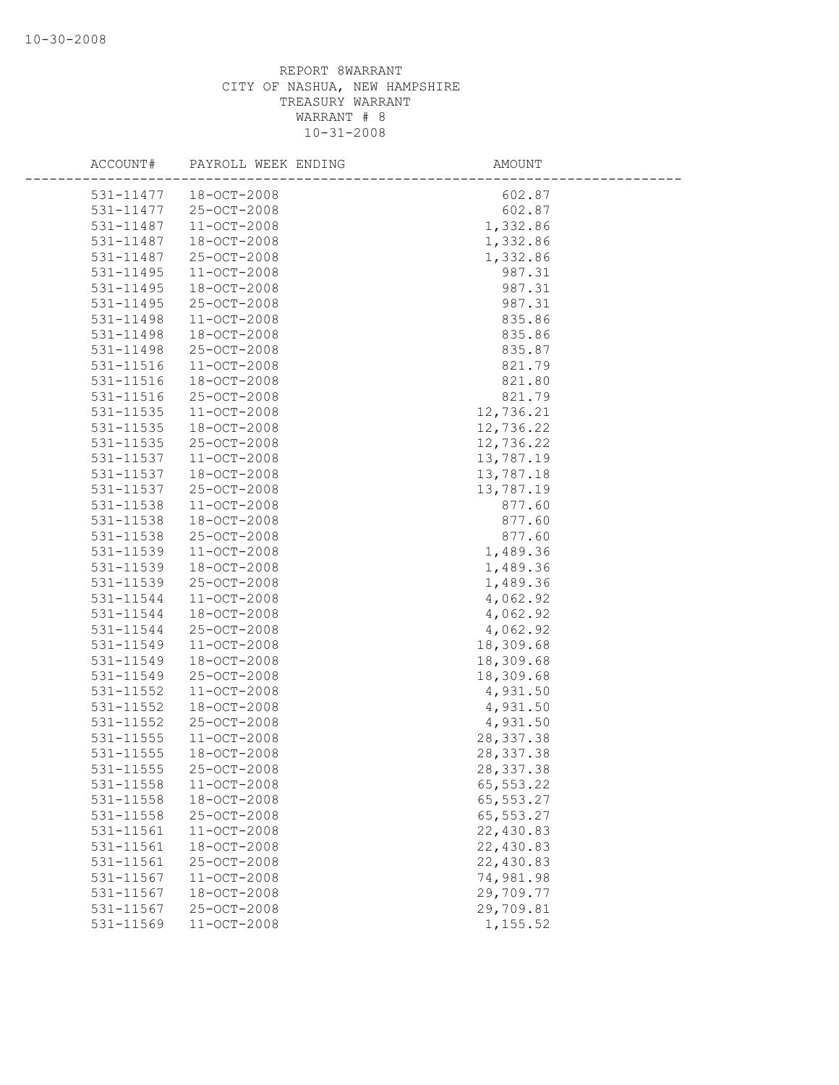| ACCOUNT#  | PAYROLL WEEK ENDING | AMOUNT     |
|-----------|---------------------|------------|
| 531-11477 | 18-OCT-2008         | 602.87     |
| 531-11477 | $25 - OCT - 2008$   | 602.87     |
| 531-11487 | $11 - OCT - 2008$   | 1,332.86   |
| 531-11487 | 18-OCT-2008         | 1,332.86   |
| 531-11487 | 25-OCT-2008         | 1,332.86   |
| 531-11495 | $11 - OCT - 2008$   | 987.31     |
| 531-11495 | 18-OCT-2008         | 987.31     |
| 531-11495 | 25-OCT-2008         | 987.31     |
| 531-11498 | $11 - OCT - 2008$   | 835.86     |
| 531-11498 | 18-OCT-2008         | 835.86     |
| 531-11498 | 25-OCT-2008         | 835.87     |
| 531-11516 | 11-OCT-2008         | 821.79     |
| 531-11516 | 18-OCT-2008         | 821.80     |
| 531-11516 | 25-OCT-2008         | 821.79     |
| 531-11535 | 11-OCT-2008         | 12,736.21  |
| 531-11535 | 18-OCT-2008         | 12,736.22  |
| 531-11535 | 25-OCT-2008         | 12,736.22  |
| 531-11537 | $11 - OCT - 2008$   | 13,787.19  |
| 531-11537 | 18-OCT-2008         | 13,787.18  |
| 531-11537 | 25-OCT-2008         | 13,787.19  |
| 531-11538 | 11-OCT-2008         | 877.60     |
| 531-11538 | 18-OCT-2008         | 877.60     |
| 531-11538 | 25-OCT-2008         | 877.60     |
| 531-11539 | $11 - OCT - 2008$   | 1,489.36   |
| 531-11539 | $18 - OCT - 2008$   | 1,489.36   |
| 531-11539 | 25-OCT-2008         | 1,489.36   |
| 531-11544 | $11 - OCT - 2008$   | 4,062.92   |
| 531-11544 | 18-OCT-2008         | 4,062.92   |
| 531-11544 | 25-OCT-2008         | 4,062.92   |
| 531-11549 | 11-OCT-2008         | 18,309.68  |
| 531-11549 | 18-OCT-2008         | 18,309.68  |
| 531-11549 | 25-OCT-2008         | 18,309.68  |
| 531-11552 | 11-OCT-2008         | 4,931.50   |
| 531-11552 | 18-OCT-2008         | 4,931.50   |
| 531-11552 | 25-OCT-2008         | 4,931.50   |
| 531-11555 | $11 - OCT - 2008$   | 28, 337.38 |
| 531-11555 | $18 - OCT - 2008$   | 28, 337.38 |
| 531-11555 | 25-OCT-2008         | 28, 337.38 |
| 531-11558 | 11-OCT-2008         | 65, 553.22 |
| 531-11558 | 18-OCT-2008         | 65,553.27  |
| 531-11558 | 25-OCT-2008         | 65,553.27  |
| 531-11561 | $11 - OCT - 2008$   | 22,430.83  |
| 531-11561 | 18-OCT-2008         | 22,430.83  |
| 531-11561 | 25-OCT-2008         | 22,430.83  |
| 531-11567 | $11 - OCT - 2008$   | 74,981.98  |
| 531-11567 | $18 - OCT - 2008$   | 29,709.77  |
| 531-11567 | 25-OCT-2008         | 29,709.81  |
| 531-11569 | 11-OCT-2008         | 1,155.52   |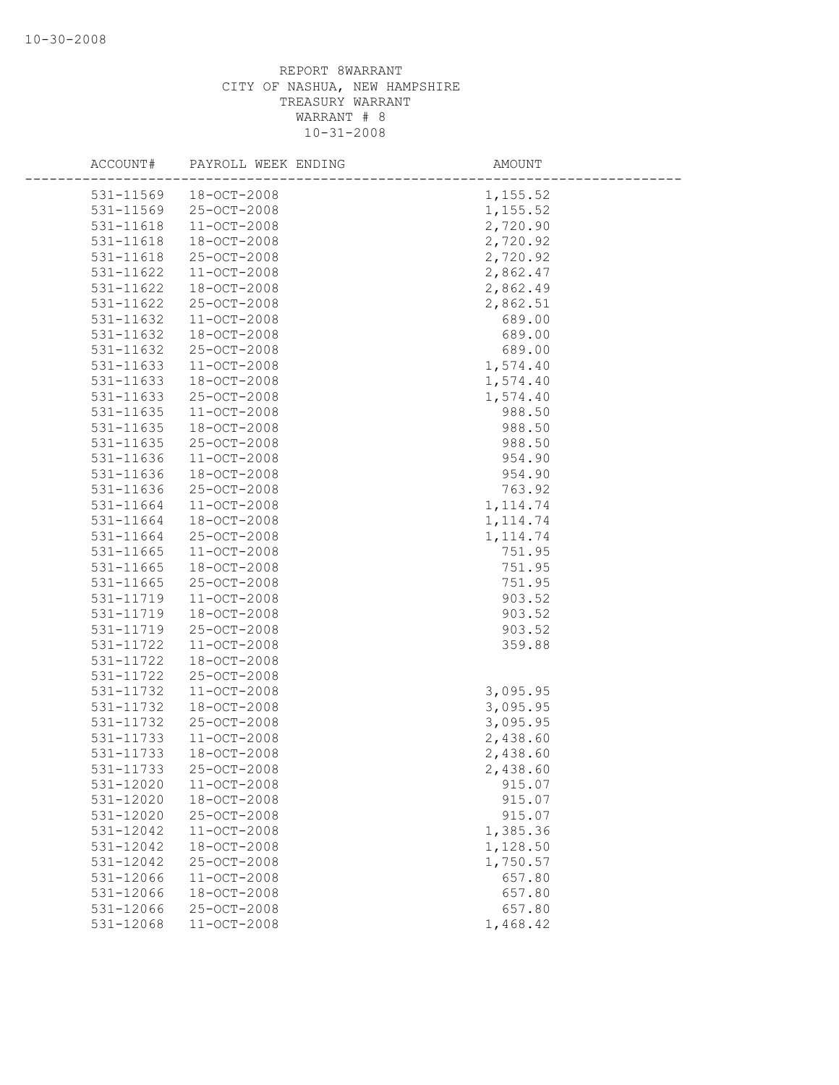| ACCOUNT#      | PAYROLL WEEK ENDING | AMOUNT    |  |
|---------------|---------------------|-----------|--|
| 531-11569     | 18-OCT-2008         | 1,155.52  |  |
| 531-11569     | 25-OCT-2008         | 1,155.52  |  |
| 531-11618     | 11-OCT-2008         | 2,720.90  |  |
| 531-11618     | 18-OCT-2008         | 2,720.92  |  |
| 531-11618     | 25-OCT-2008         | 2,720.92  |  |
| 531-11622     | $11 - OCT - 2008$   | 2,862.47  |  |
| 531-11622     | 18-OCT-2008         | 2,862.49  |  |
| 531-11622     | 25-OCT-2008         | 2,862.51  |  |
| 531-11632     | $11 - OCT - 2008$   | 689.00    |  |
| 531-11632     | 18-OCT-2008         | 689.00    |  |
| 531-11632     | 25-OCT-2008         | 689.00    |  |
| 531-11633     | 11-OCT-2008         | 1,574.40  |  |
| 531-11633     | 18-OCT-2008         | 1,574.40  |  |
| 531-11633     | 25-OCT-2008         | 1,574.40  |  |
| 531-11635     | 11-OCT-2008         | 988.50    |  |
| 531-11635     | 18-OCT-2008         | 988.50    |  |
| 531-11635     | 25-OCT-2008         | 988.50    |  |
| 531-11636     | $11 - OCT - 2008$   | 954.90    |  |
| 531-11636     | $18 - OCT - 2008$   | 954.90    |  |
| 531-11636     | 25-OCT-2008         | 763.92    |  |
| 531-11664     | 11-OCT-2008         | 1, 114.74 |  |
| 531-11664     | 18-OCT-2008         | 1, 114.74 |  |
| 531-11664     | 25-OCT-2008         | 1, 114.74 |  |
| 531-11665     | $11 - OCT - 2008$   | 751.95    |  |
| $531 - 11665$ | 18-OCT-2008         | 751.95    |  |
| 531-11665     | 25-OCT-2008         | 751.95    |  |
| 531-11719     | $11 - OCT - 2008$   | 903.52    |  |
| 531-11719     | 18-OCT-2008         | 903.52    |  |
| 531-11719     | 25-OCT-2008         | 903.52    |  |
| 531-11722     | 11-OCT-2008         | 359.88    |  |
| 531-11722     | 18-OCT-2008         |           |  |
| 531-11722     | 25-OCT-2008         |           |  |
| 531-11732     | 11-OCT-2008         | 3,095.95  |  |
| 531-11732     | 18-OCT-2008         | 3,095.95  |  |
| 531-11732     | 25-OCT-2008         | 3,095.95  |  |
| 531-11733     | $11 - OCT - 2008$   | 2,438.60  |  |
| 531-11733     | $18 - OCT - 2008$   | 2,438.60  |  |
| 531-11733     | 25-OCT-2008         | 2,438.60  |  |
| 531-12020     | $11 - OCT - 2008$   | 915.07    |  |
| 531-12020     | 18-OCT-2008         | 915.07    |  |
| 531-12020     | 25-OCT-2008         | 915.07    |  |
| 531-12042     | $11 - OCT - 2008$   | 1,385.36  |  |
| 531-12042     | 18-OCT-2008         | 1,128.50  |  |
| 531-12042     | 25-OCT-2008         | 1,750.57  |  |
| 531-12066     | $11 - OCT - 2008$   | 657.80    |  |
| 531-12066     | 18-OCT-2008         | 657.80    |  |
| 531-12066     | 25-OCT-2008         | 657.80    |  |
| 531-12068     | 11-OCT-2008         | 1,468.42  |  |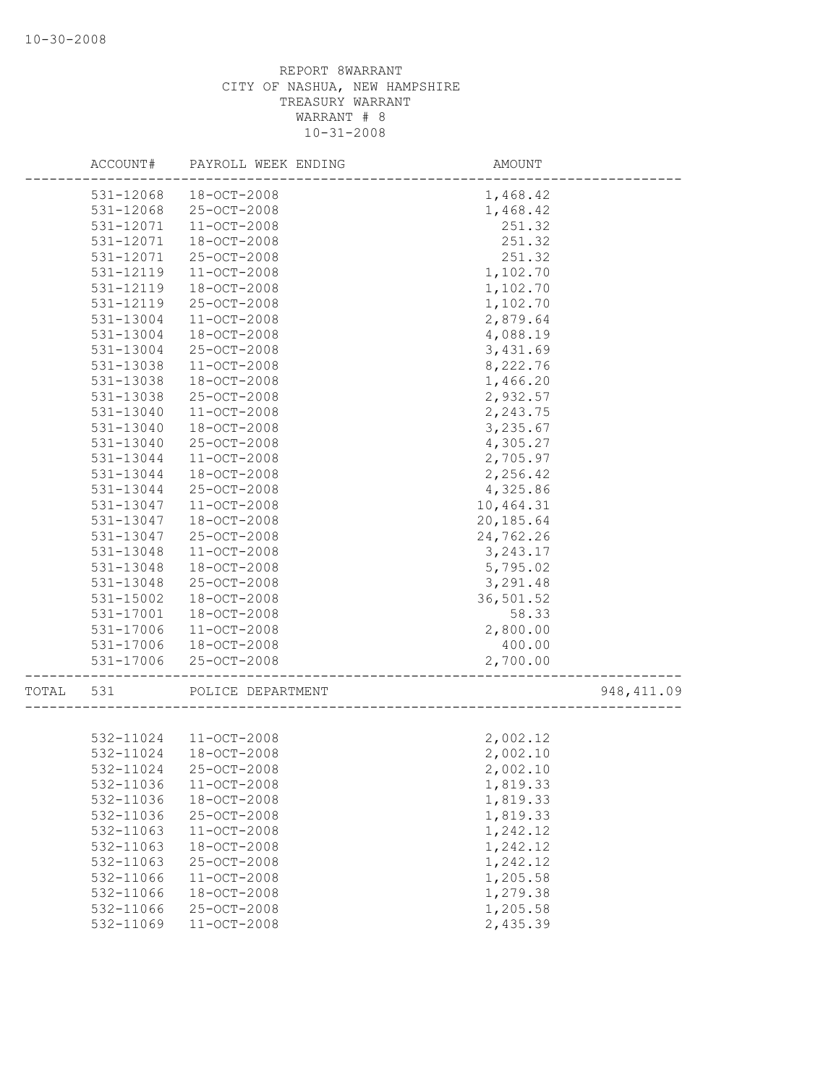|       | ACCOUNT#  | PAYROLL WEEK ENDING | AMOUNT    |             |
|-------|-----------|---------------------|-----------|-------------|
|       | 531-12068 | 18-OCT-2008         | 1,468.42  |             |
|       | 531-12068 | 25-OCT-2008         | 1,468.42  |             |
|       | 531-12071 | $11 - OCT - 2008$   | 251.32    |             |
|       | 531-12071 | 18-OCT-2008         | 251.32    |             |
|       | 531-12071 | 25-OCT-2008         | 251.32    |             |
|       | 531-12119 | $11 - OCT - 2008$   | 1,102.70  |             |
|       | 531-12119 | 18-OCT-2008         | 1,102.70  |             |
|       | 531-12119 | 25-OCT-2008         | 1,102.70  |             |
|       | 531-13004 | 11-OCT-2008         | 2,879.64  |             |
|       | 531-13004 | $18 - OCT - 2008$   | 4,088.19  |             |
|       | 531-13004 | 25-OCT-2008         | 3,431.69  |             |
|       | 531-13038 | $11 - OCT - 2008$   | 8,222.76  |             |
|       | 531-13038 | 18-OCT-2008         | 1,466.20  |             |
|       | 531-13038 | 25-OCT-2008         | 2,932.57  |             |
|       | 531-13040 | $11 - OCT - 2008$   | 2,243.75  |             |
|       | 531-13040 | 18-OCT-2008         | 3,235.67  |             |
|       | 531-13040 | 25-OCT-2008         | 4,305.27  |             |
|       | 531-13044 | $11 - OCT - 2008$   | 2,705.97  |             |
|       | 531-13044 | $18 - OCT - 2008$   | 2,256.42  |             |
|       | 531-13044 | 25-OCT-2008         | 4,325.86  |             |
|       | 531-13047 | $11 - OCT - 2008$   | 10,464.31 |             |
|       | 531-13047 | 18-OCT-2008         | 20,185.64 |             |
|       | 531-13047 | 25-OCT-2008         | 24,762.26 |             |
|       | 531-13048 | 11-OCT-2008         | 3, 243.17 |             |
|       | 531-13048 | 18-OCT-2008         | 5,795.02  |             |
|       | 531-13048 | 25-OCT-2008         | 3,291.48  |             |
|       | 531-15002 | 18-OCT-2008         | 36,501.52 |             |
|       | 531-17001 | $18 - OCT - 2008$   | 58.33     |             |
|       | 531-17006 | $11 - OCT - 2008$   | 2,800.00  |             |
|       | 531-17006 | 18-OCT-2008         | 400.00    |             |
|       | 531-17006 | 25-OCT-2008         | 2,700.00  |             |
|       |           |                     |           |             |
| TOTAL | 531       | POLICE DEPARTMENT   |           | 948, 411.09 |
|       |           |                     |           |             |
|       | 532-11024 | 11-OCT-2008         | 2,002.12  |             |
|       | 532-11024 | $18 - OCT - 2008$   | 2,002.10  |             |
|       | 532-11024 | $25 - OCT - 2008$   | 2,002.10  |             |
|       | 532-11036 | $11 - OCT - 2008$   | 1,819.33  |             |
|       | 532-11036 | 18-OCT-2008         | 1,819.33  |             |
|       | 532-11036 | 25-OCT-2008         | 1,819.33  |             |
|       | 532-11063 | 11-OCT-2008         | 1,242.12  |             |
|       | 532-11063 | 18-OCT-2008         | 1,242.12  |             |
|       | 532-11063 | 25-OCT-2008         | 1,242.12  |             |
|       | 532-11066 | $11 - OCT - 2008$   | 1,205.58  |             |
|       | 532-11066 | $18 - OCT - 2008$   | 1,279.38  |             |
|       | 532-11066 | 25-OCT-2008         | 1,205.58  |             |
|       | 532-11069 | $11 - OCT - 2008$   | 2,435.39  |             |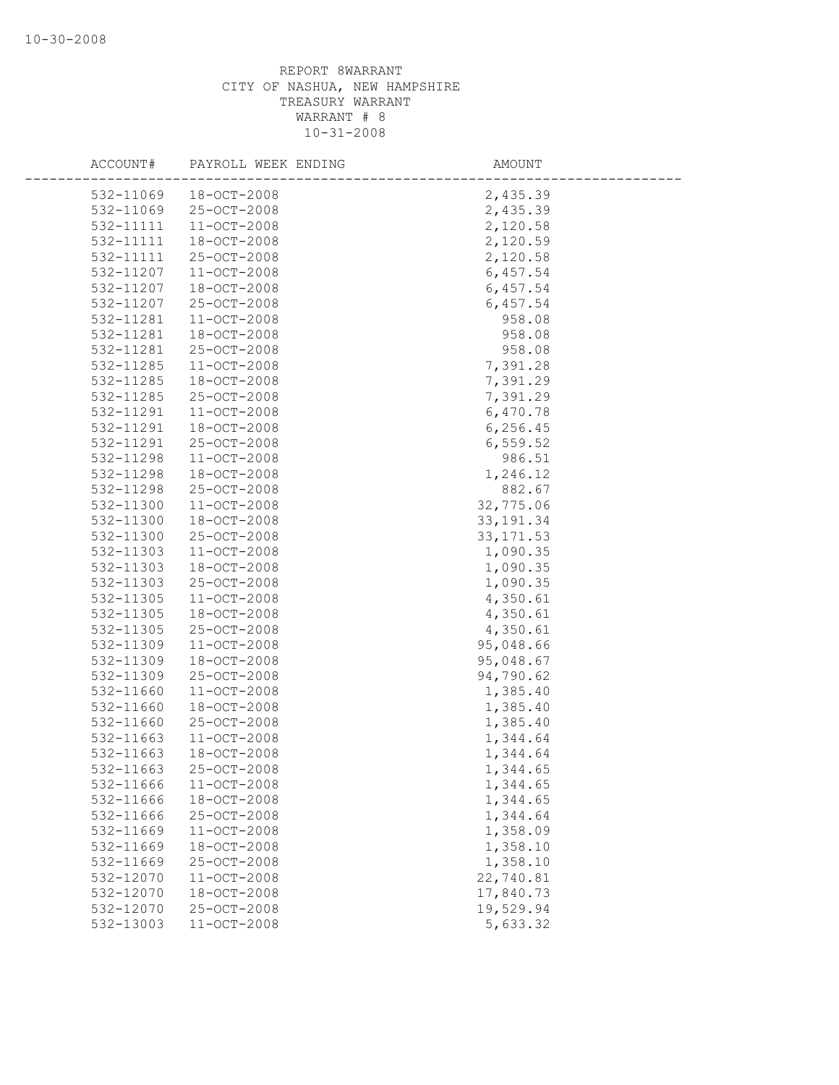| ACCOUNT# | PAYROLL WEEK ENDING            |            | AMOUNT    |
|----------|--------------------------------|------------|-----------|
|          | 532-11069<br>18-OCT-2008       |            | 2,435.39  |
|          | 532-11069<br>25-OCT-2008       |            | 2,435.39  |
|          | 532-11111<br>$11 - OCT - 2008$ |            | 2,120.58  |
|          | 532-11111<br>18-OCT-2008       |            | 2,120.59  |
|          | 532-11111<br>25-OCT-2008       |            | 2,120.58  |
|          | 532-11207<br>$11 - OCT - 2008$ |            | 6,457.54  |
|          | 532-11207<br>18-OCT-2008       |            | 6,457.54  |
|          | 532-11207<br>25-OCT-2008       |            | 6,457.54  |
|          | 532-11281<br>11-OCT-2008       |            | 958.08    |
|          | 532-11281<br>18-OCT-2008       |            | 958.08    |
|          | 25-OCT-2008<br>532-11281       |            | 958.08    |
|          | 532-11285<br>$11 - OCT - 2008$ |            | 7,391.28  |
|          | 532-11285<br>18-OCT-2008       |            | 7,391.29  |
|          | 532-11285<br>25-OCT-2008       |            | 7,391.29  |
|          | 532-11291<br>$11 - OCT - 2008$ |            | 6,470.78  |
|          | 532-11291<br>18-OCT-2008       |            | 6,256.45  |
|          | 532-11291<br>25-OCT-2008       |            | 6, 559.52 |
|          | 532-11298<br>11-OCT-2008       |            | 986.51    |
|          | 532-11298<br>18-OCT-2008       |            | 1,246.12  |
|          | 532-11298<br>25-OCT-2008       |            | 882.67    |
|          | 532-11300<br>$11 - OCT - 2008$ | 32,775.06  |           |
|          | 532-11300<br>18-OCT-2008       | 33, 191.34 |           |
|          | 532-11300<br>25-OCT-2008       | 33, 171.53 |           |
|          | 532-11303<br>11-OCT-2008       |            | 1,090.35  |
|          | 532-11303<br>$18 - OCT - 2008$ |            | 1,090.35  |
|          | 532-11303<br>25-OCT-2008       |            | 1,090.35  |
|          | 532-11305<br>11-OCT-2008       |            | 4,350.61  |
|          | 532-11305<br>18-OCT-2008       |            | 4,350.61  |
|          | 25-OCT-2008<br>532-11305       |            | 4,350.61  |
|          | 532-11309<br>$11 - OCT - 2008$ | 95,048.66  |           |
|          | 532-11309<br>18-OCT-2008       | 95,048.67  |           |
|          | 532-11309<br>25-OCT-2008       | 94,790.62  |           |
|          | 532-11660<br>11-OCT-2008       |            | 1,385.40  |
|          | 532-11660<br>18-OCT-2008       |            | 1,385.40  |
|          | 532-11660<br>25-OCT-2008       |            | 1,385.40  |
|          | 532-11663<br>11-OCT-2008       |            | 1,344.64  |
|          | 532-11663<br>$18 - OCT - 2008$ |            | 1,344.64  |
|          | 25-OCT-2008<br>532-11663       |            | 1,344.65  |
|          | 532-11666<br>$11 - OCT - 2008$ |            | 1,344.65  |
|          | 532-11666<br>18-OCT-2008       |            | 1,344.65  |
|          | 532-11666<br>25-OCT-2008       |            | 1,344.64  |
|          | 532-11669<br>$11 - OCT - 2008$ |            | 1,358.09  |
|          | 532-11669<br>18-OCT-2008       |            | 1,358.10  |
|          | 25-OCT-2008<br>532-11669       |            | 1,358.10  |
|          | 532-12070<br>$11 - OCT - 2008$ | 22,740.81  |           |
|          | 532-12070<br>18-OCT-2008       | 17,840.73  |           |
|          | 532-12070<br>25-OCT-2008       | 19,529.94  |           |
|          | 532-13003<br>$11 - OCT - 2008$ |            | 5,633.32  |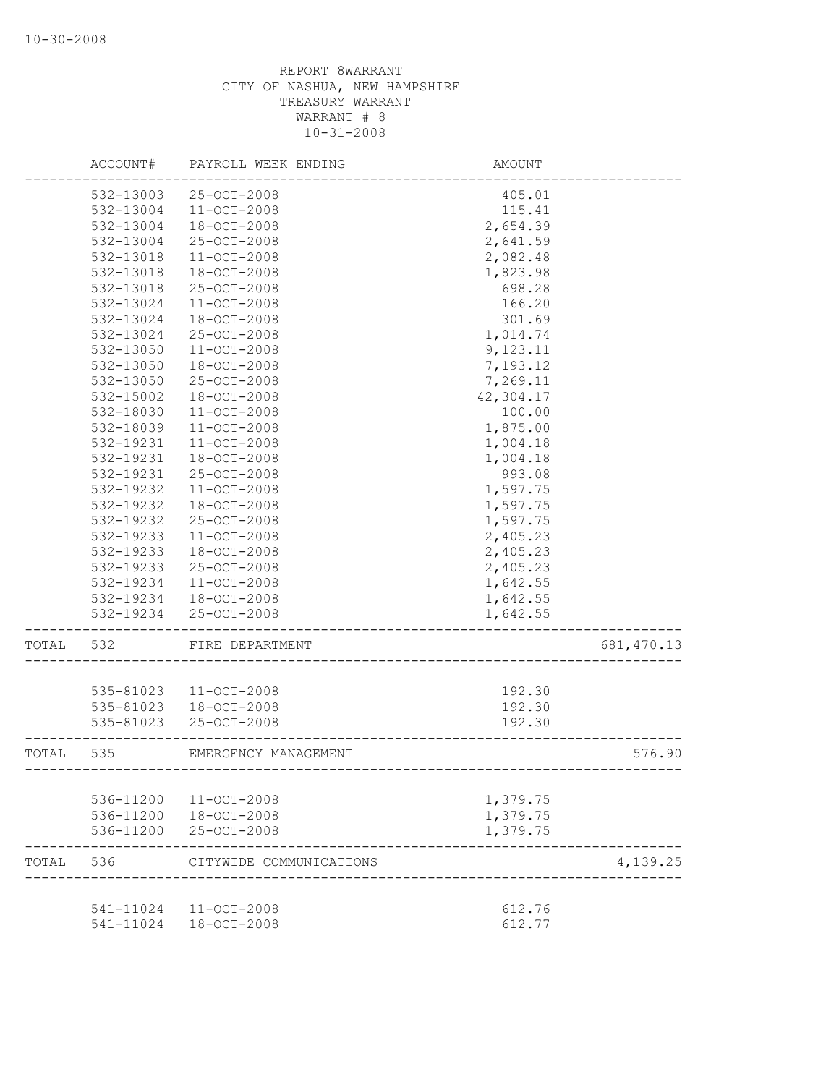|       | ACCOUNT#               | PAYROLL WEEK ENDING        | AMOUNT                               |             |
|-------|------------------------|----------------------------|--------------------------------------|-------------|
|       | 532-13003              | 25-OCT-2008                | 405.01                               |             |
|       | 532-13004              | $11 - OCT - 2008$          | 115.41                               |             |
|       | 532-13004              | 18-OCT-2008                | 2,654.39                             |             |
|       | 532-13004              | 25-OCT-2008                | 2,641.59                             |             |
|       | 532-13018              | 11-OCT-2008                | 2,082.48                             |             |
|       | 532-13018              | $18 - OCT - 2008$          | 1,823.98                             |             |
|       | 532-13018              | 25-OCT-2008                | 698.28                               |             |
|       | 532-13024              | 11-OCT-2008                | 166.20                               |             |
|       | 532-13024              | $18 - OCT - 2008$          | 301.69                               |             |
|       | 532-13024              | $25 - OCT - 2008$          | 1,014.74                             |             |
|       | 532-13050              | $11 - OCT - 2008$          | 9,123.11                             |             |
|       | 532-13050              | 18-OCT-2008                | 7,193.12                             |             |
|       | 532-13050              | 25-OCT-2008                | 7,269.11                             |             |
|       | 532-15002              | 18-OCT-2008                | 42,304.17                            |             |
|       | 532-18030              | $11 - OCT - 2008$          | 100.00                               |             |
|       | 532-18039              | 11-OCT-2008                | 1,875.00                             |             |
|       | 532-19231              | 11-OCT-2008                | 1,004.18                             |             |
|       | 532-19231              | 18-OCT-2008                | 1,004.18                             |             |
|       | 532-19231              | $25 - OCT - 2008$          | 993.08                               |             |
|       | 532-19232              | $11 - OCT - 2008$          | 1,597.75                             |             |
|       | 532-19232              | 18-OCT-2008                | 1,597.75                             |             |
|       | 532-19232              | 25-OCT-2008                | 1,597.75                             |             |
|       | 532-19233              | $11 - OCT - 2008$          | 2,405.23                             |             |
|       | 532-19233              | $18 - OCT - 2008$          | 2,405.23                             |             |
|       | 532-19233              | 25-OCT-2008                | 2,405.23                             |             |
|       | 532-19234              | 11-OCT-2008                |                                      |             |
|       |                        |                            | 1,642.55                             |             |
|       | 532-19234<br>532-19234 | 18-OCT-2008<br>25-OCT-2008 | 1,642.55                             |             |
|       |                        |                            | 1,642.55                             |             |
| TOTAL | 532                    | FIRE DEPARTMENT            |                                      | 681, 470.13 |
|       |                        |                            |                                      |             |
|       | 535-81023              | $11 - OCT - 2008$          | 192.30                               |             |
|       | 535-81023              | 18-OCT-2008                | 192.30                               |             |
|       | 535-81023              | $25 - OCT - 2008$          | 192.30                               |             |
| TOTAL | 535                    | EMERGENCY MANAGEMENT       | ------------------------------------ | 576.90      |
|       |                        |                            |                                      |             |
|       | 536-11200              | $11 - OCT - 2008$          | 1,379.75                             |             |
|       | 536-11200              | $18 - OCT - 2008$          | 1,379.75                             |             |
|       | 536-11200              | 25-OCT-2008                | 1,379.75                             |             |
| TOTAL | 536                    | CITYWIDE COMMUNICATIONS    |                                      | 4,139.25    |
|       |                        |                            |                                      |             |
|       |                        | 541-11024 11-OCT-2008      | 612.76                               |             |
|       | 541-11024              | $18 - OCT - 2008$          | 612.77                               |             |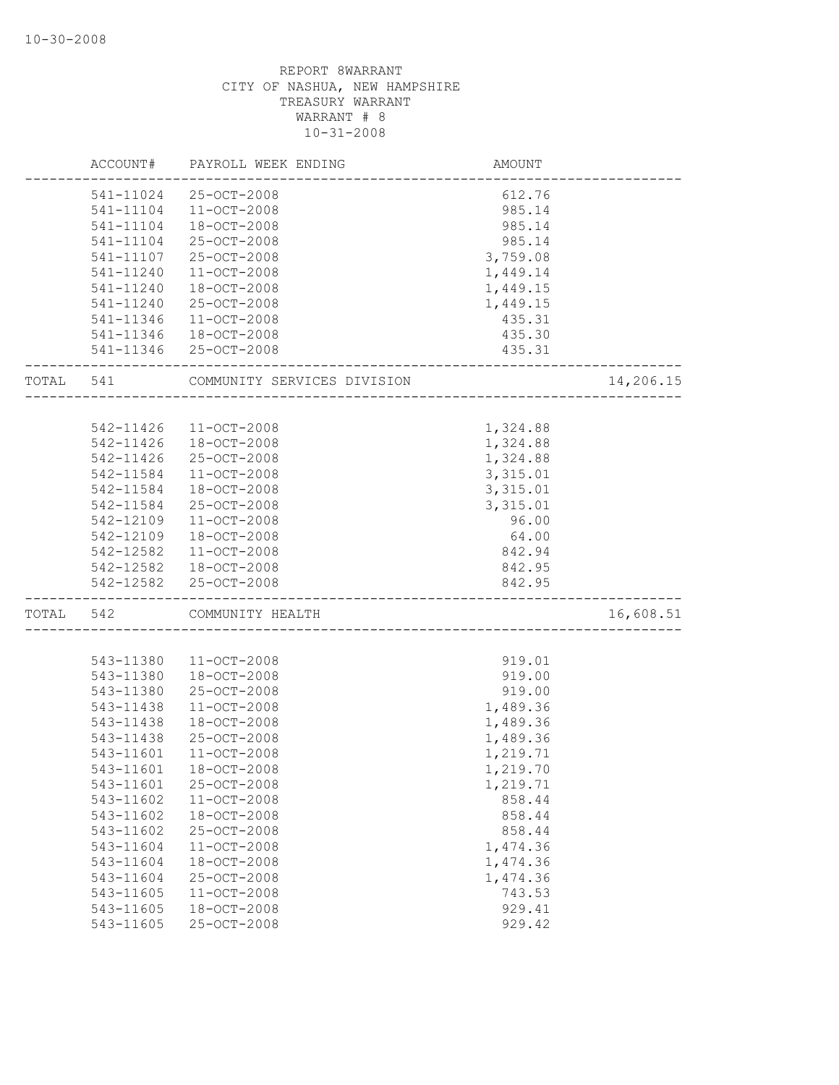|       | ACCOUNT#  | PAYROLL WEEK ENDING         | <b>AMOUNT</b> |           |
|-------|-----------|-----------------------------|---------------|-----------|
|       |           | 541-11024 25-OCT-2008       | 612.76        |           |
|       | 541-11104 | 11-OCT-2008                 | 985.14        |           |
|       | 541-11104 | 18-OCT-2008                 | 985.14        |           |
|       | 541-11104 | 25-OCT-2008                 | 985.14        |           |
|       | 541-11107 | 25-OCT-2008                 | 3,759.08      |           |
|       | 541-11240 | 11-OCT-2008                 | 1,449.14      |           |
|       | 541-11240 | 18-OCT-2008                 | 1,449.15      |           |
|       | 541-11240 | 25-OCT-2008                 | 1,449.15      |           |
|       | 541-11346 | $11 - OCT - 2008$           | 435.31        |           |
|       |           | 541-11346 18-OCT-2008       | 435.30        |           |
|       |           | 541-11346 25-OCT-2008       | 435.31        |           |
| TOTAL | 541       | COMMUNITY SERVICES DIVISION |               | 14,206.15 |
|       |           |                             |               |           |
|       | 542-11426 | 11-OCT-2008                 | 1,324.88      |           |
|       | 542-11426 | 18-OCT-2008                 | 1,324.88      |           |
|       | 542-11426 | 25-OCT-2008                 | 1,324.88      |           |
|       | 542-11584 | $11 - OCT - 2008$           | 3,315.01      |           |
|       | 542-11584 | 18-OCT-2008                 | 3,315.01      |           |
|       | 542-11584 | 25-OCT-2008                 | 3,315.01      |           |
|       | 542-12109 | $11 - OCT - 2008$           | 96.00         |           |
|       | 542-12109 | 18-OCT-2008                 | 64.00         |           |
|       | 542-12582 | $11 - OCT - 2008$           | 842.94        |           |
|       | 542-12582 | 18-OCT-2008                 | 842.95        |           |
|       | 542-12582 | 25-OCT-2008                 | 842.95        |           |
| TOTAL | 542       | COMMUNITY HEALTH            |               | 16,608.51 |
|       |           |                             |               |           |
|       | 543-11380 | $11 - OCT - 2008$           | 919.01        |           |
|       | 543-11380 | 18-OCT-2008                 | 919.00        |           |
|       | 543-11380 | 25-OCT-2008                 | 919.00        |           |
|       | 543-11438 | 11-OCT-2008                 | 1,489.36      |           |
|       | 543-11438 | 18-OCT-2008                 | 1,489.36      |           |
|       | 543-11438 | 25-OCT-2008                 | 1,489.36      |           |
|       | 543-11601 | $11 - OCT - 2008$           | 1,219.71      |           |
|       | 543-11601 | $18 - OCT - 2008$           | 1,219.70      |           |
|       | 543-11601 | 25-OCT-2008                 | 1,219.71      |           |
|       | 543-11602 | $11 - OCT - 2008$           | 858.44        |           |
|       | 543-11602 | 18-OCT-2008                 | 858.44        |           |
|       | 543-11602 | 25-OCT-2008                 | 858.44        |           |
|       | 543-11604 | $11 - OCT - 2008$           | 1,474.36      |           |
|       | 543-11604 | 18-OCT-2008                 | 1,474.36      |           |
|       | 543-11604 | 25-OCT-2008                 | 1,474.36      |           |
|       | 543-11605 | $11 - OCT - 2008$           | 743.53        |           |
|       | 543-11605 | $18 - OCT - 2008$           | 929.41        |           |
|       | 543-11605 | 25-OCT-2008                 | 929.42        |           |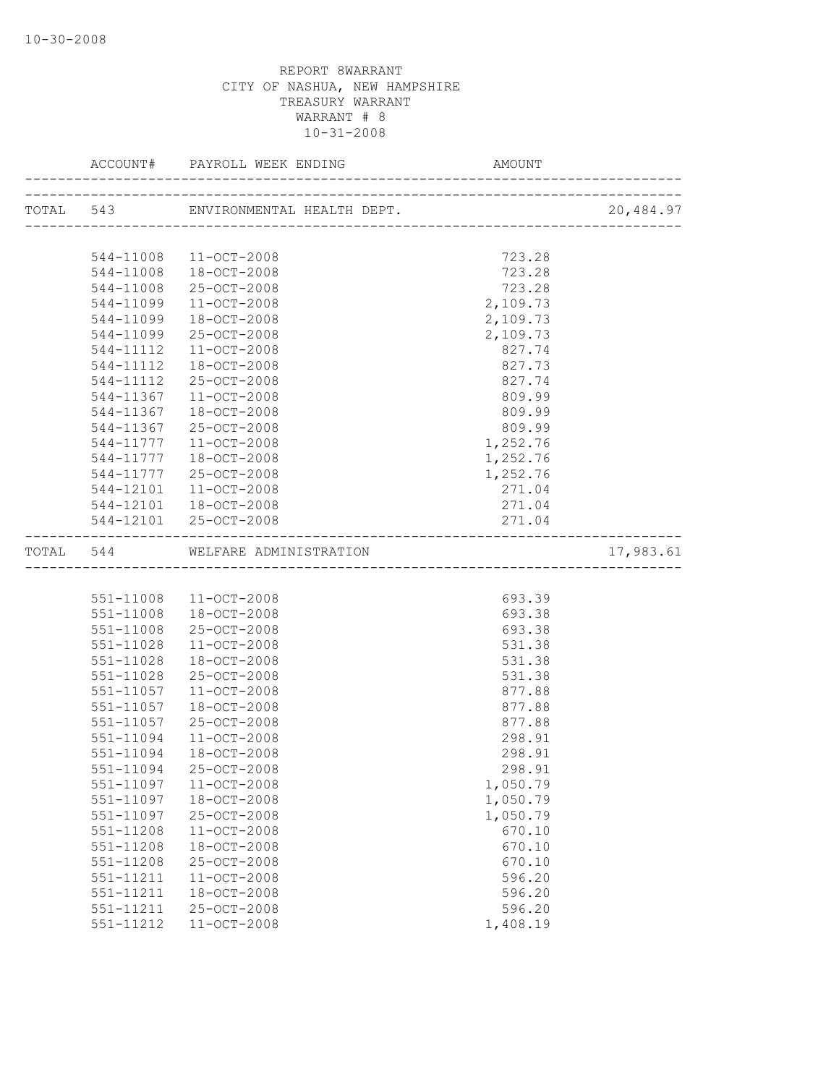|               |                                  |          | 20,484.97 |
|---------------|----------------------------------|----------|-----------|
|               |                                  |          |           |
|               | 544-11008 11-OCT-2008            | 723.28   |           |
|               | 544-11008 18-OCT-2008            | 723.28   |           |
| 544-11008     | 25-OCT-2008                      | 723.28   |           |
| 544-11099     | 11-OCT-2008                      | 2,109.73 |           |
| 544-11099     | 18-OCT-2008                      | 2,109.73 |           |
| 544-11099     | 25-OCT-2008                      | 2,109.73 |           |
| 544-11112     | 11-OCT-2008                      | 827.74   |           |
| 544-11112     | 18-OCT-2008                      | 827.73   |           |
| 544-11112     | 25-OCT-2008                      | 827.74   |           |
| 544-11367     | 11-OCT-2008                      | 809.99   |           |
| 544-11367     | 18-OCT-2008                      | 809.99   |           |
| 544-11367     | 25-OCT-2008                      | 809.99   |           |
| 544-11777     | 11-OCT-2008                      | 1,252.76 |           |
| 544-11777     | 18-OCT-2008                      | 1,252.76 |           |
| 544-11777     | 25-OCT-2008                      | 1,252.76 |           |
| 544-12101     | 11-OCT-2008                      | 271.04   |           |
|               | 544-12101 18-OCT-2008            | 271.04   |           |
|               | 544-12101 25-OCT-2008            | 271.04   |           |
|               | TOTAL 544 WELFARE ADMINISTRATION |          | 17,983.61 |
|               |                                  |          |           |
|               | 551-11008 11-OCT-2008            | 693.39   |           |
|               | 551-11008 18-OCT-2008            | 693.38   |           |
| 551-11008     | 25-OCT-2008                      | 693.38   |           |
| 551-11028     | 11-OCT-2008                      | 531.38   |           |
| $551 - 11028$ | 18-OCT-2008                      | 531.38   |           |
| 551-11028     | 25-OCT-2008                      | 531.38   |           |
| 551-11057     | $11 - OCT - 2008$                | 877.88   |           |
| 551-11057     | 18-OCT-2008                      | 877.88   |           |
| 551-11057     | 25-OCT-2008                      | 877.88   |           |
| 551-11094     | $11 - OCT - 2008$                | 298.91   |           |
| 551-11094     | 18-OCT-2008                      | 298.91   |           |
| 551-11094     | 25-OCT-2008                      | 298.91   |           |
| 551-11097     | $11 - OCT - 2008$                | 1,050.79 |           |
| 551-11097     | 18-OCT-2008                      | 1,050.79 |           |
| 551-11097     | 25-OCT-2008                      | 1,050.79 |           |
| 551-11208     | 11-OCT-2008                      | 670.10   |           |
| 551-11208     | 18-OCT-2008                      | 670.10   |           |
| 551-11208     | 25-OCT-2008                      | 670.10   |           |
| 551-11211     | 11-OCT-2008                      | 596.20   |           |
| 551-11211     | 18-OCT-2008                      | 596.20   |           |
| 551-11211     | 25-OCT-2008                      | 596.20   |           |
| 551-11212     | 11-OCT-2008                      | 1,408.19 |           |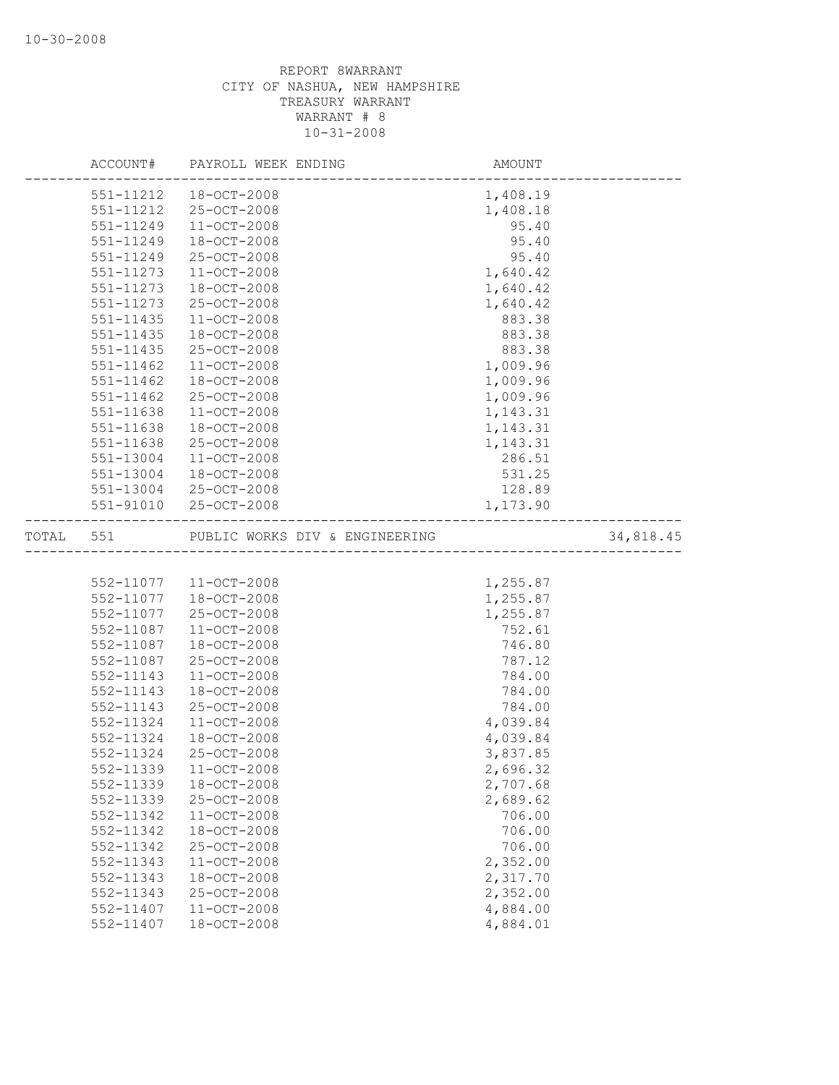|           |               | ACCOUNT# PAYROLL WEEK ENDING   | AMOUNT<br>-------------------- |           |
|-----------|---------------|--------------------------------|--------------------------------|-----------|
|           |               | 551-11212  18-OCT-2008         | 1,408.19                       |           |
|           | 551-11212     | 25-OCT-2008                    | 1,408.18                       |           |
|           | 551-11249     | 11-OCT-2008                    | 95.40                          |           |
|           | 551-11249     | 18-OCT-2008                    | 95.40                          |           |
|           | 551-11249     | 25-OCT-2008                    | 95.40                          |           |
|           | 551-11273     | $11 - OCT - 2008$              | 1,640.42                       |           |
|           | 551-11273     | 18-OCT-2008                    | 1,640.42                       |           |
|           | 551-11273     | 25-OCT-2008                    | 1,640.42                       |           |
|           | 551-11435     | $11 - OCT - 2008$              | 883.38                         |           |
|           | 551-11435     | 18-OCT-2008                    | 883.38                         |           |
|           | $551 - 11435$ | 25-OCT-2008                    | 883.38                         |           |
|           | $551 - 11462$ | $11 - OCT - 2008$              | 1,009.96                       |           |
|           | 551-11462     | 18-OCT-2008                    | 1,009.96                       |           |
|           | 551-11462     | 25-OCT-2008                    | 1,009.96                       |           |
|           | 551-11638     | $11 - OCT - 2008$              | 1,143.31                       |           |
|           | 551-11638     | 18-OCT-2008                    | 1,143.31                       |           |
|           | 551-11638     | 25-OCT-2008                    | 1,143.31                       |           |
|           | 551-13004     | $11 - OCT - 2008$              | 286.51                         |           |
|           | 551-13004     | 18-OCT-2008                    | 531.25                         |           |
|           |               | 551-13004 25-OCT-2008          | 128.89                         |           |
|           |               | 551-91010 25-OCT-2008          | 1,173.90                       |           |
| TOTAL 551 |               | PUBLIC WORKS DIV & ENGINEERING |                                | 34,818.45 |
|           |               |                                |                                |           |
|           |               | 552-11077  11-OCT-2008         | 1,255.87                       |           |
|           |               | 552-11077  18-OCT-2008         | 1,255.87                       |           |
|           | 552-11077     | 25-OCT-2008                    | 1,255.87                       |           |
|           | 552-11087     | $11 - OCT - 2008$              | 752.61                         |           |
|           | 552-11087     | 18-OCT-2008                    | 746.80                         |           |
|           | 552-11087     | 25-OCT-2008                    | 787.12                         |           |
|           | 552-11143     | $11 - OCT - 2008$              | 784.00                         |           |
|           | 552-11143     | 18-OCT-2008                    | 784.00                         |           |
|           | 552-11143     | 25-OCT-2008                    | 784.00                         |           |
|           | 552-11324     | 11-OCT-2008                    | 4,039.84                       |           |
|           | 552-11324     | 18-OCT-2008                    | 4,039.84                       |           |
|           | 552-11324     | 25-OCT-2008                    | 3,837.85                       |           |
|           | 552-11339     | 11-OCT-2008                    | 2,696.32                       |           |
|           | 552-11339     | $18 - OCT - 2008$              | 2,707.68                       |           |
|           | 552-11339     | 25-OCT-2008                    | 2,689.62                       |           |
|           | 552-11342     | $11 - OCT - 2008$              | 706.00                         |           |
|           | 552-11342     | 18-OCT-2008                    | 706.00                         |           |
|           | 552-11342     | 25-OCT-2008                    | 706.00                         |           |
|           | 552-11343     | $11 - OCT - 2008$              | 2,352.00                       |           |
|           | 552-11343     | 18-OCT-2008                    | 2,317.70                       |           |
|           | 552-11343     | 25-OCT-2008                    | 2,352.00                       |           |
|           | 552-11407     | $11 - OCT - 2008$              | 4,884.00                       |           |
|           | 552-11407     | 18-OCT-2008                    | 4,884.01                       |           |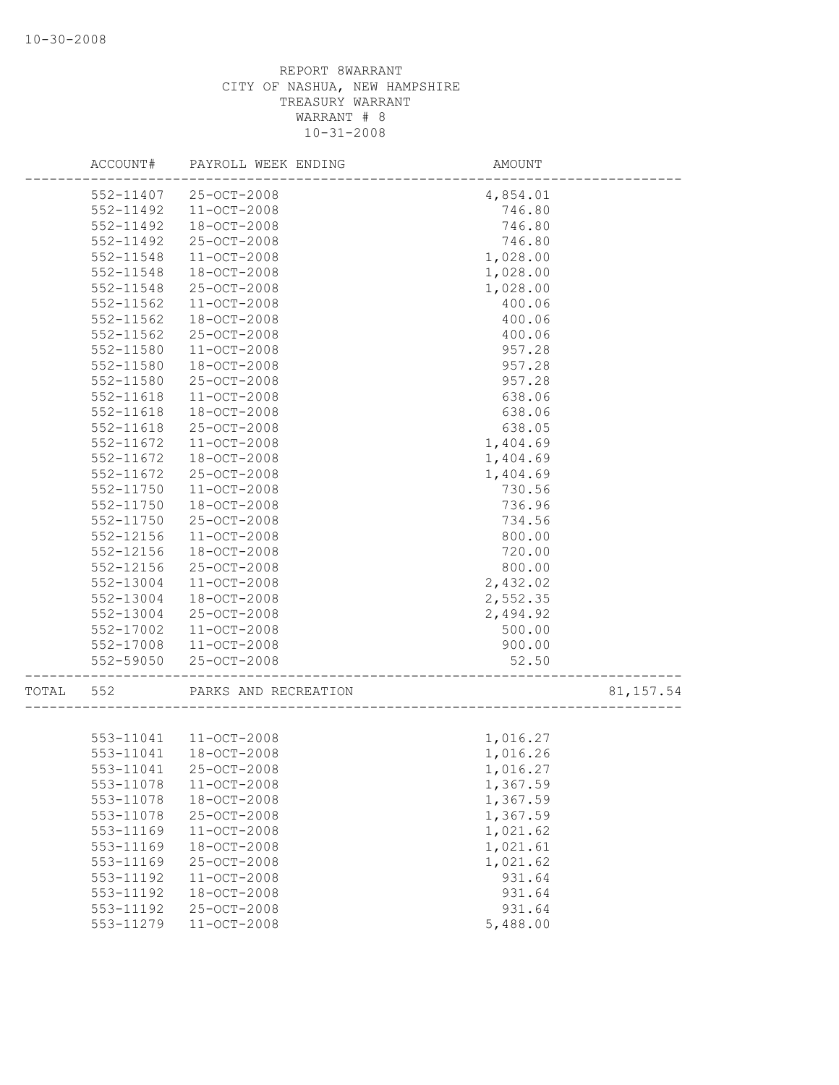|       | ACCOUNT#  | PAYROLL WEEK ENDING   | AMOUNT                           |           |
|-------|-----------|-----------------------|----------------------------------|-----------|
|       | 552-11407 | 25-OCT-2008           | 4,854.01                         |           |
|       | 552-11492 | 11-OCT-2008           | 746.80                           |           |
|       | 552-11492 | 18-OCT-2008           | 746.80                           |           |
|       | 552-11492 | 25-OCT-2008           | 746.80                           |           |
|       | 552-11548 | 11-OCT-2008           | 1,028.00                         |           |
|       | 552-11548 | 18-OCT-2008           | 1,028.00                         |           |
|       | 552-11548 | 25-OCT-2008           | 1,028.00                         |           |
|       | 552-11562 | 11-OCT-2008           | 400.06                           |           |
|       | 552-11562 | $18 - OCT - 2008$     | 400.06                           |           |
|       | 552-11562 | 25-OCT-2008           | 400.06                           |           |
|       | 552-11580 | $11 - OCT - 2008$     | 957.28                           |           |
|       | 552-11580 | 18-OCT-2008           | 957.28                           |           |
|       | 552-11580 | 25-OCT-2008           | 957.28                           |           |
|       | 552-11618 | $11 - OCT - 2008$     | 638.06                           |           |
|       | 552-11618 | $18 - OCT - 2008$     | 638.06                           |           |
|       | 552-11618 | 25-OCT-2008           | 638.05                           |           |
|       | 552-11672 | 11-OCT-2008           | 1,404.69                         |           |
|       | 552-11672 | 18-OCT-2008           | 1,404.69                         |           |
|       | 552-11672 | 25-OCT-2008           | 1,404.69                         |           |
|       | 552-11750 | 11-OCT-2008           | 730.56                           |           |
|       | 552-11750 | 18-OCT-2008           | 736.96                           |           |
|       | 552-11750 | 25-OCT-2008           | 734.56                           |           |
|       | 552-12156 | $11 - OCT - 2008$     | 800.00                           |           |
|       | 552-12156 | 18-OCT-2008           | 720.00                           |           |
|       | 552-12156 | 25-OCT-2008           | 800.00                           |           |
|       | 552-13004 | 11-OCT-2008           | 2,432.02                         |           |
|       | 552-13004 | $18 - OCT - 2008$     | 2,552.35                         |           |
|       | 552-13004 | 25-OCT-2008           | 2,494.92                         |           |
|       | 552-17002 | $11 - OCT - 2008$     | 500.00                           |           |
|       | 552-17008 | 11-OCT-2008           | 900.00                           |           |
|       | 552-59050 | 25-OCT-2008           | 52.50<br>----------------------- |           |
| TOTAL | 552       | PARKS AND RECREATION  |                                  | 81,157.54 |
|       |           |                       |                                  |           |
|       |           | 553-11041 11-OCT-2008 | 1,016.27                         |           |
|       | 553-11041 | 18-OCT-2008           | 1,016.26                         |           |
|       | 553-11041 | 25-OCT-2008           | 1,016.27                         |           |
|       | 553-11078 | $11 - OCT - 2008$     | 1,367.59                         |           |
|       | 553-11078 | 18-OCT-2008           | 1,367.59                         |           |
|       | 553-11078 | 25-OCT-2008           | 1,367.59                         |           |
|       | 553-11169 | $11 - OCT - 2008$     | 1,021.62                         |           |
|       | 553-11169 | 18-OCT-2008           | 1,021.61                         |           |
|       | 553-11169 | 25-OCT-2008           | 1,021.62                         |           |
|       | 553-11192 | $11 - OCT - 2008$     | 931.64                           |           |
|       | 553-11192 | 18-OCT-2008           | 931.64                           |           |
|       | 553-11192 | 25-OCT-2008           | 931.64                           |           |
|       | 553-11279 | 11-OCT-2008           | 5,488.00                         |           |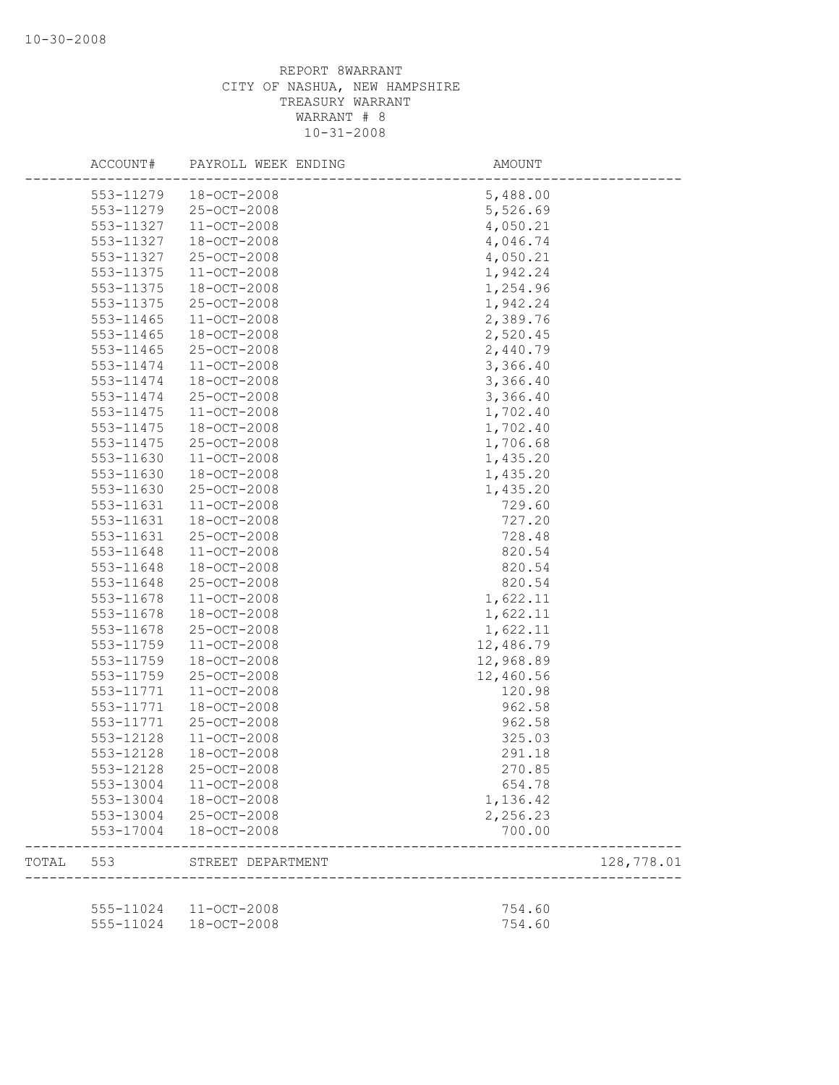|       | ACCOUNT#               | PAYROLL WEEK ENDING        | AMOUNT           |            |
|-------|------------------------|----------------------------|------------------|------------|
|       | 553-11279              | 18-OCT-2008                | 5,488.00         |            |
|       | 553-11279              | 25-OCT-2008                | 5,526.69         |            |
|       | 553-11327              | $11 - OCT - 2008$          | 4,050.21         |            |
|       | 553-11327              | 18-OCT-2008                | 4,046.74         |            |
|       | 553-11327              | 25-OCT-2008                | 4,050.21         |            |
|       | 553-11375              | $11 - OCT - 2008$          | 1,942.24         |            |
|       | 553-11375              | 18-OCT-2008                | 1,254.96         |            |
|       | 553-11375              | 25-OCT-2008                | 1,942.24         |            |
|       | 553-11465              | $11 - OCT - 2008$          | 2,389.76         |            |
|       | 553-11465              | 18-OCT-2008                | 2,520.45         |            |
|       | 553-11465              | 25-OCT-2008                | 2,440.79         |            |
|       | 553-11474              | 11-OCT-2008                | 3,366.40         |            |
|       | 553-11474              | 18-OCT-2008                | 3,366.40         |            |
|       | 553-11474              | 25-OCT-2008                | 3,366.40         |            |
|       | 553-11475              | $11 - OCT - 2008$          | 1,702.40         |            |
|       | 553-11475              | 18-OCT-2008                | 1,702.40         |            |
|       | 553-11475              | 25-OCT-2008                | 1,706.68         |            |
|       | 553-11630              | $11 - OCT - 2008$          | 1,435.20         |            |
|       | 553-11630              | 18-OCT-2008                | 1,435.20         |            |
|       | 553-11630              | 25-OCT-2008                | 1,435.20         |            |
|       | 553-11631              | 11-OCT-2008                | 729.60           |            |
|       | 553-11631              |                            | 727.20           |            |
|       |                        | 18-OCT-2008<br>25-OCT-2008 | 728.48           |            |
|       | 553-11631              |                            |                  |            |
|       | 553-11648              | 11-OCT-2008                | 820.54           |            |
|       | 553-11648              | 18-OCT-2008                | 820.54           |            |
|       | 553-11648              | 25-OCT-2008                | 820.54           |            |
|       | 553-11678              | $11 - OCT - 2008$          | 1,622.11         |            |
|       | 553-11678              | 18-OCT-2008                | 1,622.11         |            |
|       | 553-11678              | 25-OCT-2008                | 1,622.11         |            |
|       | 553-11759              | 11-OCT-2008                | 12,486.79        |            |
|       | 553-11759              | 18-OCT-2008                | 12,968.89        |            |
|       | 553-11759              | 25-OCT-2008                | 12,460.56        |            |
|       | 553-11771              | $11 - OCT - 2008$          | 120.98           |            |
|       | 553-11771              | 18-OCT-2008                | 962.58           |            |
|       | 553-11771              | 25-OCT-2008                | 962.58           |            |
|       | 553-12128              | $11 - OCT - 2008$          | 325.03           |            |
|       | 553-12128              | $18 - OCT - 2008$          | 291.18           |            |
|       | 553-12128              | 25-OCT-2008                | 270.85           |            |
|       | 553-13004              | $11 - OCT - 2008$          | 654.78           |            |
|       | 553-13004              | 18-OCT-2008                | 1,136.42         |            |
|       | 553-13004              | 25-OCT-2008                | 2,256.23         |            |
|       | 553-17004              | $18 - OCT - 2008$          | 700.00           |            |
| TOTAL | 553                    | STREET DEPARTMENT          |                  | 128,778.01 |
|       |                        |                            |                  |            |
|       | 555-11024<br>555-11024 | 11-OCT-2008<br>18-OCT-2008 | 754.60<br>754.60 |            |
|       |                        |                            |                  |            |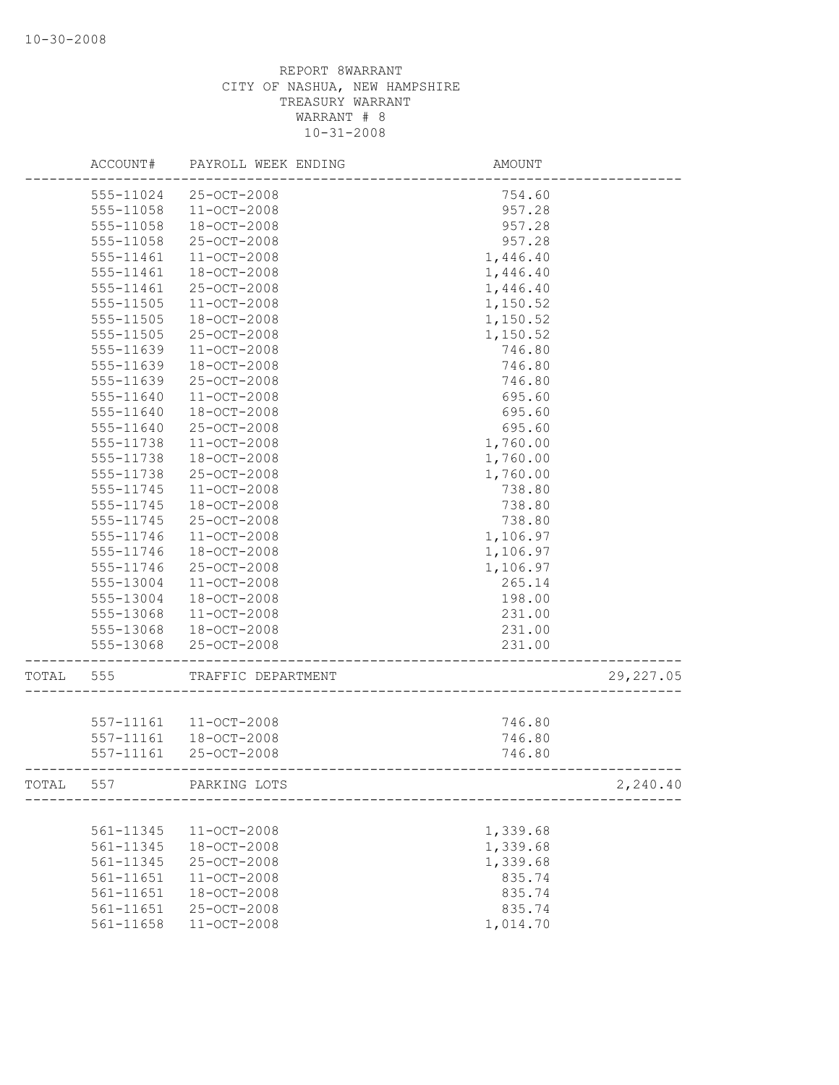|       | ACCOUNT#      | PAYROLL WEEK ENDING                  | AMOUNT           |            |
|-------|---------------|--------------------------------------|------------------|------------|
|       | 555-11024     | 25-OCT-2008                          | 754.60           |            |
|       | 555-11058     | $11 - OCT - 2008$                    | 957.28           |            |
|       | 555-11058     | 18-OCT-2008                          | 957.28           |            |
|       | 555-11058     | $25 - OCT - 2008$                    | 957.28           |            |
|       | 555-11461     | 11-OCT-2008                          | 1,446.40         |            |
|       | 555-11461     | 18-OCT-2008                          | 1,446.40         |            |
|       | 555-11461     | 25-OCT-2008                          | 1,446.40         |            |
|       | 555-11505     | $11 - OCT - 2008$                    | 1,150.52         |            |
|       | 555-11505     | $18 - OCT - 2008$                    | 1,150.52         |            |
|       | 555-11505     | 25-OCT-2008                          | 1,150.52         |            |
|       | $555 - 11639$ | $11 - OCT - 2008$                    | 746.80           |            |
|       | 555-11639     | 18-OCT-2008                          | 746.80           |            |
|       | 555-11639     | 25-OCT-2008                          | 746.80           |            |
|       | 555-11640     | $11 - OCT - 2008$                    | 695.60           |            |
|       | 555-11640     | $18 - OCT - 2008$                    | 695.60           |            |
|       | 555-11640     | 25-OCT-2008                          | 695.60           |            |
|       | 555-11738     | 11-OCT-2008                          | 1,760.00         |            |
|       | 555-11738     | 18-OCT-2008                          | 1,760.00         |            |
|       | 555-11738     | 25-OCT-2008                          | 1,760.00         |            |
|       | 555-11745     | $11 - OCT - 2008$                    | 738.80           |            |
|       | 555-11745     | 18-OCT-2008                          | 738.80           |            |
|       | 555-11745     | 25-OCT-2008                          | 738.80           |            |
|       | 555-11746     | $11 - OCT - 2008$                    | 1,106.97         |            |
|       | 555-11746     | $18 - OCT - 2008$                    | 1,106.97         |            |
|       | 555-11746     | 25-OCT-2008                          | 1,106.97         |            |
|       | 555-13004     | $11 - OCT - 2008$                    | 265.14           |            |
|       | 555-13004     | $18 - OCT - 2008$                    | 198.00           |            |
|       | 555-13068     | $11 - OCT - 2008$                    | 231.00           |            |
|       | 555-13068     | $18 - OCT - 2008$                    | 231.00           |            |
|       | 555-13068     | 25-OCT-2008                          | 231.00           |            |
| TOTAL | 555           | TRAFFIC DEPARTMENT                   |                  | 29, 227.05 |
|       |               |                                      |                  |            |
|       | 557-11161     | 557-11161 11-OCT-2008<br>18-OCT-2008 | 746.80<br>746.80 |            |
|       | $557 - 11161$ | $25 - OCT - 2008$                    | 746.80           |            |
|       |               |                                      |                  |            |
| TOTAL | 557           | PARKING LOTS                         |                  | 2,240.40   |
|       |               |                                      |                  |            |
|       | 561-11345     | $11 - OCT - 2008$                    | 1,339.68         |            |
|       | 561-11345     | 18-OCT-2008                          | 1,339.68         |            |
|       | 561-11345     | 25-OCT-2008                          | 1,339.68         |            |
|       | 561-11651     | 11-OCT-2008                          | 835.74           |            |
|       | 561-11651     | 18-OCT-2008                          | 835.74           |            |
|       | 561-11651     | 25-OCT-2008                          | 835.74           |            |
|       | 561-11658     | $11 - OCT - 2008$                    | 1,014.70         |            |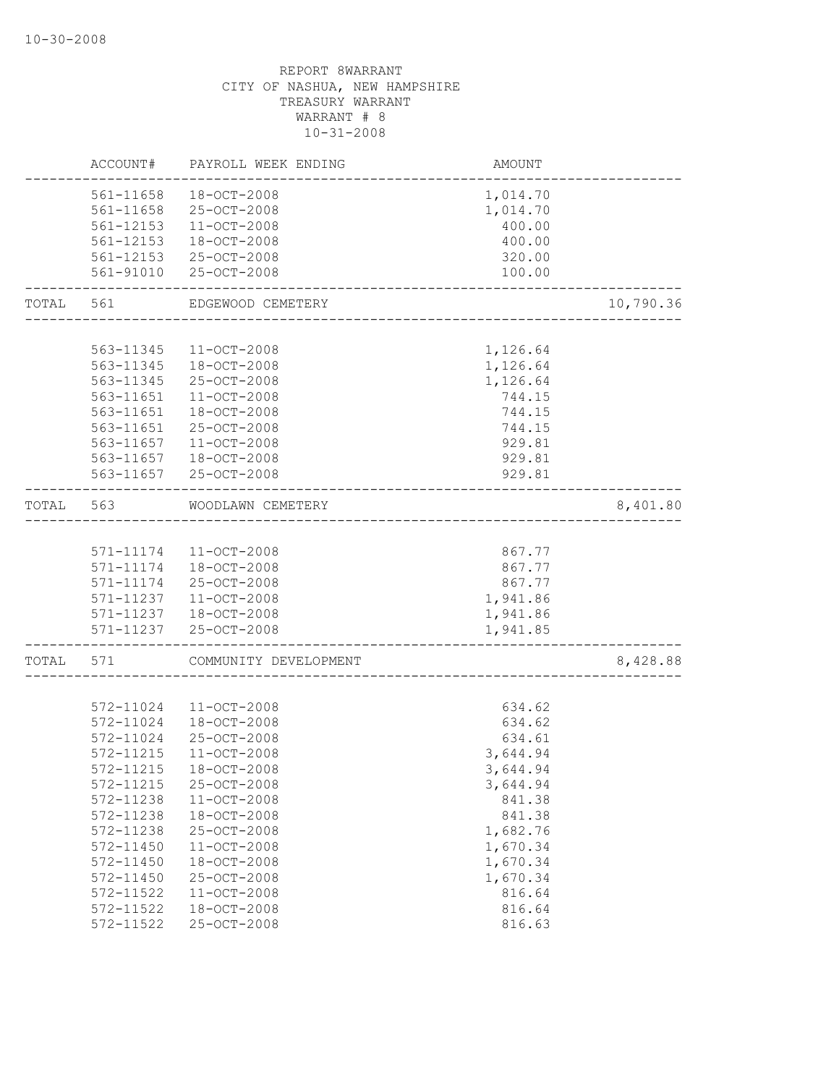|       | ACCOUNT#      | PAYROLL WEEK ENDING    | AMOUNT                           |           |
|-------|---------------|------------------------|----------------------------------|-----------|
|       | 561-11658     | 18-OCT-2008            | 1,014.70                         |           |
|       | 561-11658     | 25-OCT-2008            | 1,014.70                         |           |
|       | 561-12153     | 11-OCT-2008            | 400.00                           |           |
|       | 561-12153     | 18-OCT-2008            | 400.00                           |           |
|       |               | 561-12153 25-OCT-2008  | 320.00                           |           |
|       | 561-91010     | 25-OCT-2008            | 100.00                           |           |
| TOTAL | 561           | EDGEWOOD CEMETERY      |                                  | 10,790.36 |
|       |               |                        |                                  |           |
|       | 563-11345     | 11-OCT-2008            | 1,126.64                         |           |
|       |               | 563-11345 18-OCT-2008  | 1,126.64                         |           |
|       | 563-11345     | 25-OCT-2008            | 1,126.64                         |           |
|       | 563-11651     | $11 - OCT - 2008$      | 744.15                           |           |
|       | 563-11651     | 18-OCT-2008            | 744.15                           |           |
|       | 563-11651     | 25-OCT-2008            | 744.15                           |           |
|       | 563-11657     | 11-OCT-2008            | 929.81                           |           |
|       | 563-11657     | 18-OCT-2008            | 929.81                           |           |
|       |               | 563-11657 25-OCT-2008  | 929.81                           |           |
| TOTAL | 563           | WOODLAWN CEMETERY      | -------------------------------- | 8,401.80  |
|       |               |                        |                                  |           |
|       |               | 571-11174 11-OCT-2008  | 867.77                           |           |
|       | 571-11174     | 18-OCT-2008            | 867.77                           |           |
|       | 571-11174     | 25-OCT-2008            | 867.77                           |           |
|       | 571-11237     | $11 - OCT - 2008$      | 1,941.86                         |           |
|       |               | 571-11237  18-OCT-2008 | 1,941.86                         |           |
|       |               | 571-11237 25-OCT-2008  | 1,941.85                         |           |
| TOTAL | 571           | COMMUNITY DEVELOPMENT  |                                  | 8,428.88  |
|       |               |                        |                                  |           |
|       | 572-11024     | $11 - OCT - 2008$      | 634.62                           |           |
|       | 572-11024     | 18-OCT-2008            | 634.62                           |           |
|       | 572-11024     | 25-OCT-2008            | 634.61                           |           |
|       | 572-11215     | $11 - OCT - 2008$      | 3,644.94                         |           |
|       |               | 572-11215  18-OCT-2008 | 3,644.94                         |           |
|       | 572-11215     | 25-OCT-2008            | 3,644.94                         |           |
|       | 572-11238     | 11-OCT-2008            | 841.38                           |           |
|       | 572-11238     | 18-OCT-2008            | 841.38                           |           |
|       | 572-11238     | 25-OCT-2008            | 1,682.76                         |           |
|       | 572-11450     | $11 - OCT - 2008$      | 1,670.34                         |           |
|       | $572 - 11450$ | 18-OCT-2008            | 1,670.34                         |           |
|       | 572-11450     | 25-OCT-2008            | 1,670.34                         |           |
|       | 572-11522     | 11-OCT-2008            | 816.64                           |           |
|       | 572-11522     | $18 - OCT - 2008$      | 816.64                           |           |
|       | 572-11522     | 25-OCT-2008            | 816.63                           |           |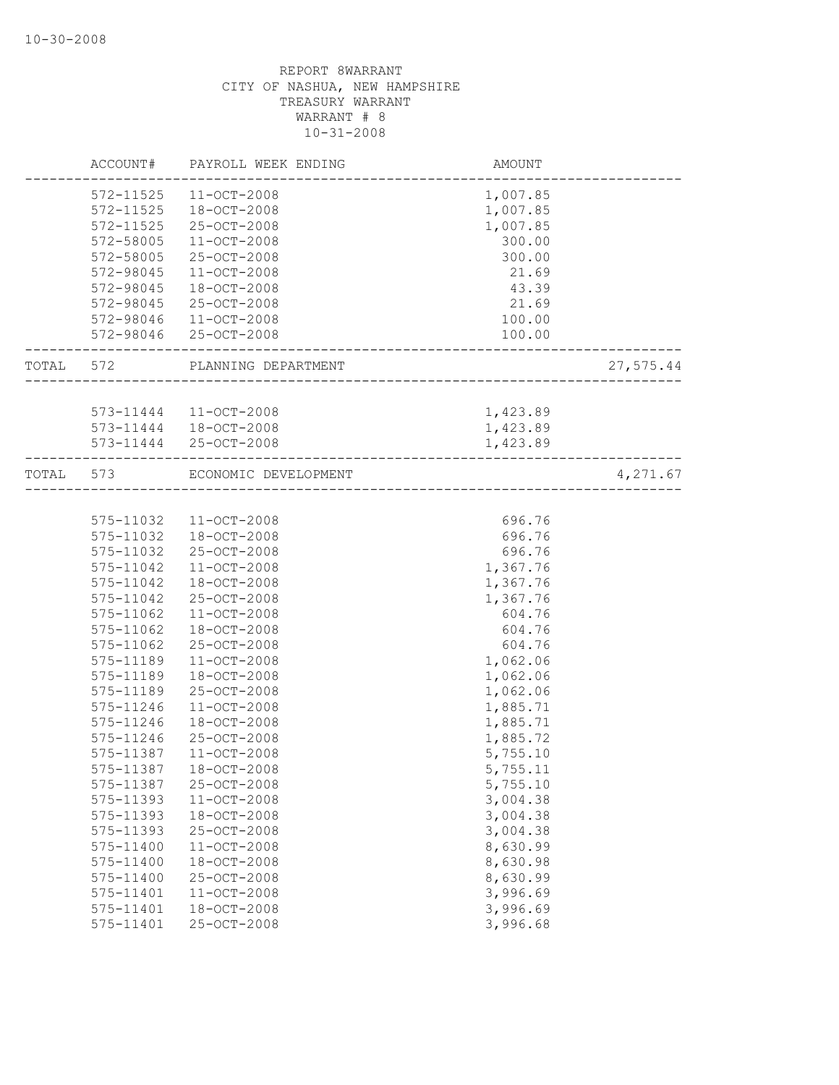|           | ACCOUNT#  | PAYROLL WEEK ENDING    | AMOUNT                               |           |
|-----------|-----------|------------------------|--------------------------------------|-----------|
|           | 572-11525 | $11 - OCT - 2008$      | 1,007.85                             |           |
|           | 572-11525 | 18-OCT-2008            | 1,007.85                             |           |
|           | 572-11525 | 25-OCT-2008            | 1,007.85                             |           |
|           | 572-58005 | 11-OCT-2008            | 300.00                               |           |
|           | 572-58005 | 25-OCT-2008            | 300.00                               |           |
|           | 572-98045 | $11 - OCT - 2008$      | 21.69                                |           |
|           | 572-98045 | 18-OCT-2008            | 43.39                                |           |
|           | 572-98045 | 25-OCT-2008            | 21.69                                |           |
|           |           | 572-98046 11-OCT-2008  | 100.00                               |           |
|           |           | 572-98046 25-OCT-2008  | 100.00                               |           |
| TOTAL 572 |           | PLANNING DEPARTMENT    | ______________________               | 27,575.44 |
|           |           | 573-11444 11-OCT-2008  | 1,423.89                             |           |
|           |           | 573-11444  18-OCT-2008 | 1,423.89                             |           |
|           |           | 573-11444 25-OCT-2008  | 1,423.89                             |           |
| TOTAL 573 |           | ECONOMIC DEVELOPMENT   |                                      | 4,271.67  |
|           |           |                        | ------------------------------------ |           |
|           | 575-11032 | $11 - OCT - 2008$      | 696.76                               |           |
|           | 575-11032 | $18 - OCT - 2008$      | 696.76                               |           |
|           | 575-11032 | 25-OCT-2008            | 696.76                               |           |
|           | 575-11042 | $11 - OCT - 2008$      | 1,367.76                             |           |
|           | 575-11042 | 18-OCT-2008            | 1,367.76                             |           |
|           | 575-11042 | 25-OCT-2008            | 1,367.76                             |           |
|           | 575-11062 | $11 - OCT - 2008$      | 604.76                               |           |
|           | 575-11062 | 18-OCT-2008            | 604.76                               |           |
|           | 575-11062 | 25-OCT-2008            | 604.76                               |           |
|           | 575-11189 | $11 - OCT - 2008$      | 1,062.06                             |           |
|           | 575-11189 | $18 - OCT - 2008$      | 1,062.06                             |           |
|           | 575-11189 | 25-OCT-2008            | 1,062.06                             |           |
|           | 575-11246 | $11 - OCT - 2008$      | 1,885.71                             |           |
|           | 575-11246 | 18-OCT-2008            | 1,885.71                             |           |
|           | 575-11246 | 25-OCT-2008            | 1,885.72                             |           |
|           | 575-11387 | $11 - OCT - 2008$      | 5,755.10                             |           |
|           | 575-11387 | 18-OCT-2008            | 5,755.11                             |           |
|           | 575-11387 | 25-OCT-2008            | 5,755.10                             |           |
|           | 575-11393 | 11-OCT-2008            | 3,004.38                             |           |
|           | 575-11393 | 18-OCT-2008            | 3,004.38                             |           |
|           | 575-11393 | 25-OCT-2008            | 3,004.38                             |           |
|           | 575-11400 | 11-OCT-2008            | 8,630.99                             |           |
|           | 575-11400 | 18-OCT-2008            | 8,630.98                             |           |
|           | 575-11400 | 25-OCT-2008            | 8,630.99                             |           |
|           | 575-11401 | $11 - OCT - 2008$      | 3,996.69                             |           |
|           | 575-11401 | 18-OCT-2008            | 3,996.69                             |           |
|           | 575-11401 | 25-OCT-2008            | 3,996.68                             |           |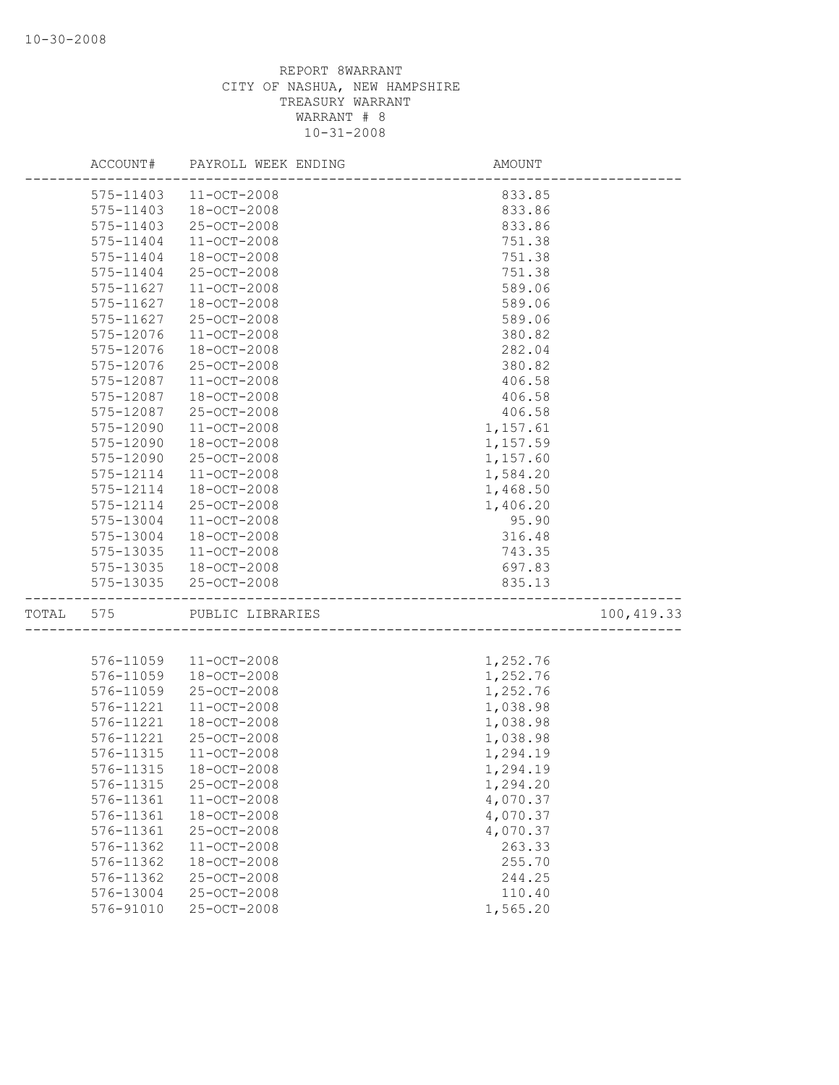|           | ACCOUNT# PAYROLL WEEK ENDING | AMOUNT   |            |
|-----------|------------------------------|----------|------------|
| 575-11403 | 11-OCT-2008                  | 833.85   |            |
| 575-11403 | 18-OCT-2008                  | 833.86   |            |
| 575-11403 | 25-OCT-2008                  | 833.86   |            |
| 575-11404 | $11 - OCT - 2008$            | 751.38   |            |
| 575-11404 | 18-OCT-2008                  | 751.38   |            |
| 575-11404 | 25-OCT-2008                  | 751.38   |            |
| 575-11627 | 11-OCT-2008                  | 589.06   |            |
| 575-11627 | $18 - OCT - 2008$            | 589.06   |            |
| 575-11627 | 25-OCT-2008                  | 589.06   |            |
| 575-12076 | $11 - OCT - 2008$            | 380.82   |            |
| 575-12076 | $18 - OCT - 2008$            | 282.04   |            |
| 575-12076 | 25-OCT-2008                  | 380.82   |            |
| 575-12087 | $11 - OCT - 2008$            | 406.58   |            |
| 575-12087 | 18-OCT-2008                  | 406.58   |            |
| 575-12087 | 25-OCT-2008                  | 406.58   |            |
| 575-12090 | 11-OCT-2008                  | 1,157.61 |            |
| 575-12090 | 18-OCT-2008                  | 1,157.59 |            |
| 575-12090 | 25-OCT-2008                  | 1,157.60 |            |
| 575-12114 | $11 - OCT - 2008$            | 1,584.20 |            |
| 575-12114 | $18 - OCT - 2008$            | 1,468.50 |            |
| 575-12114 | $25 - OCT - 2008$            | 1,406.20 |            |
| 575-13004 | $11 - OCT - 2008$            | 95.90    |            |
| 575-13004 | 18-OCT-2008                  | 316.48   |            |
| 575-13035 | $11 - OCT - 2008$            | 743.35   |            |
| 575-13035 | 18-OCT-2008                  | 697.83   |            |
|           | 575-13035 25-OCT-2008        | 835.13   |            |
| TOTAL 575 | PUBLIC LIBRARIES             |          | 100,419.33 |
|           |                              |          |            |
| 576-11059 | $11 - OCT - 2008$            | 1,252.76 |            |
| 576-11059 | 18-OCT-2008                  | 1,252.76 |            |
| 576-11059 | 25-OCT-2008                  | 1,252.76 |            |
| 576-11221 | $11 - OCT - 2008$            | 1,038.98 |            |
| 576-11221 | 18-OCT-2008                  | 1,038.98 |            |
| 576-11221 | 25-OCT-2008                  | 1,038.98 |            |
| 576-11315 | $11 - OCT - 2008$            | 1,294.19 |            |
|           | 576-11315 18-OCT-2008        | 1,294.19 |            |
| 576-11315 | 25-OCT-2008                  | 1,294.20 |            |
| 576-11361 | $11 - OCT - 2008$            | 4,070.37 |            |
| 576-11361 | 18-OCT-2008                  | 4,070.37 |            |
| 576-11361 | 25-OCT-2008                  | 4,070.37 |            |
| 576-11362 | $11 - OCT - 2008$            | 263.33   |            |
| 576-11362 | $18 - OCT - 2008$            | 255.70   |            |
| 576-11362 | 25-OCT-2008                  | 244.25   |            |
| 576-13004 | 25-OCT-2008                  | 110.40   |            |
| 576-91010 | 25-OCT-2008                  | 1,565.20 |            |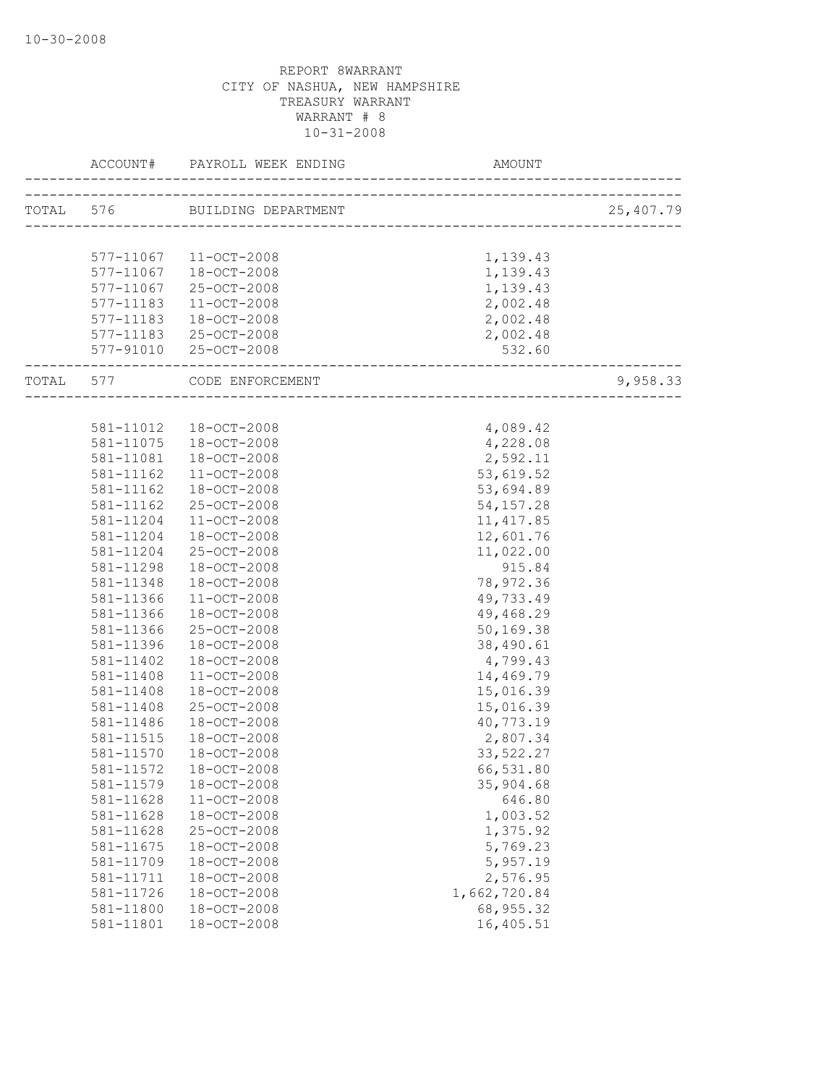| ACCOUNT#      | PAYROLL WEEK ENDING AMO       | AMOUNT                                        |           |
|---------------|-------------------------------|-----------------------------------------------|-----------|
|               | TOTAL 576 BUILDING DEPARTMENT |                                               | 25,407.79 |
|               |                               |                                               |           |
|               | 577-11067 11-OCT-2008         | 1,139.43                                      |           |
|               | 577-11067  18-OCT-2008        | 1,139.43                                      |           |
| 577-11067     | 25-OCT-2008                   | 1,139.43                                      |           |
| 577-11183     | 11-OCT-2008                   | 2,002.48                                      |           |
| 577-11183     | 18-OCT-2008                   | 2,002.48                                      |           |
|               | 577-11183 25-OCT-2008         | 2,002.48                                      |           |
|               | 577-91010 25-OCT-2008         | 532.60<br>----------------------------------- |           |
|               | TOTAL 577 CODE ENFORCEMENT    | -------------------------                     | 9,958.33  |
|               |                               |                                               |           |
|               | 581-11012  18-OCT-2008        | 4,089.42                                      |           |
|               | 581-11075  18-OCT-2008        | 4,228.08                                      |           |
| 581-11081     | 18-OCT-2008                   | 2,592.11                                      |           |
| 581-11162     | 11-OCT-2008                   | 53,619.52                                     |           |
| 581-11162     | 18-OCT-2008                   | 53,694.89                                     |           |
| $581 - 11162$ | 25-OCT-2008                   | 54, 157.28                                    |           |
| 581-11204     | 11-OCT-2008                   | 11, 417.85                                    |           |
| 581-11204     | 18-OCT-2008                   | 12,601.76                                     |           |
| 581-11204     | 25-OCT-2008                   | 11,022.00                                     |           |
| 581-11298     | 18-OCT-2008                   | 915.84                                        |           |
| 581-11348     | 18-OCT-2008                   | 78,972.36                                     |           |
| 581-11366     | $11 - OCT - 2008$             | 49,733.49                                     |           |
| 581-11366     | 18-OCT-2008                   | 49,468.29                                     |           |
| 581-11366     | 25-OCT-2008                   | 50,169.38                                     |           |
| 581-11396     | $18 - OCT - 2008$             | 38,490.61                                     |           |
| 581-11402     | 18-OCT-2008                   | 4,799.43                                      |           |
| 581-11408     | $11 - OCT - 2008$             | 14,469.79                                     |           |
| 581-11408     | 18-OCT-2008                   | 15,016.39                                     |           |
| 581-11408     | $25 - OCT - 2008$             | 15,016.39                                     |           |
| 581-11486     | 18-OCT-2008                   | 40,773.19                                     |           |
| 581-11515     | 18-OCT-2008                   | 2,807.34                                      |           |
| 581-11570     | 18-OCT-2008                   | 33,522.27                                     |           |
|               | 581-11572  18-OCT-2008        | 66,531.80                                     |           |
| 581-11579     | 18-OCT-2008                   | 35,904.68                                     |           |
| 581-11628     | 11-OCT-2008                   | 646.80                                        |           |
| 581-11628     | 18-OCT-2008                   | 1,003.52                                      |           |
| 581-11628     | 25-OCT-2008                   | 1,375.92                                      |           |
| 581-11675     | 18-OCT-2008                   | 5,769.23                                      |           |
| 581-11709     | $18 - OCT - 2008$             | 5,957.19                                      |           |
| 581-11711     | 18-OCT-2008                   | 2,576.95                                      |           |
| 581-11726     | 18-OCT-2008                   | 1,662,720.84                                  |           |
| 581-11800     | 18-OCT-2008                   | 68, 955.32                                    |           |
| 581-11801     | 18-OCT-2008                   | 16,405.51                                     |           |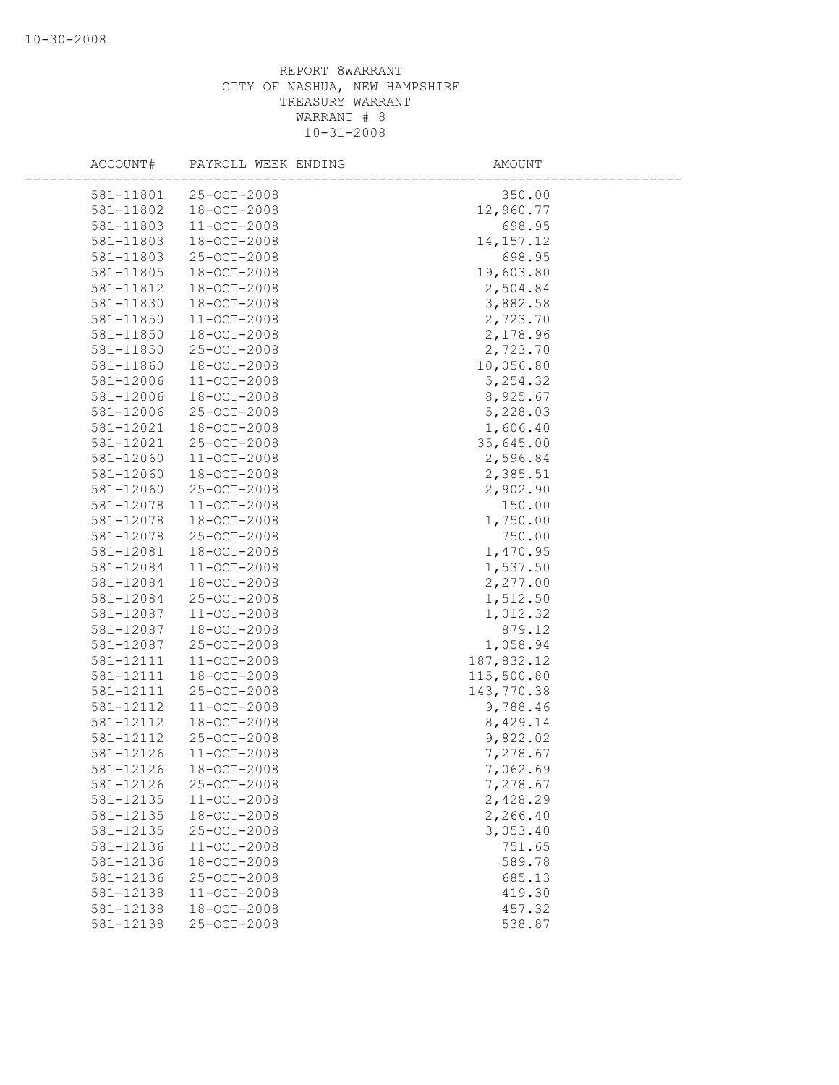| ACCOUNT#  | PAYROLL WEEK ENDING | AMOUNT      |
|-----------|---------------------|-------------|
| 581-11801 | 25-OCT-2008         | 350.00      |
| 581-11802 | $18 - OCT - 2008$   | 12,960.77   |
| 581-11803 | $11 - OCT - 2008$   | 698.95      |
| 581-11803 | 18-OCT-2008         | 14, 157. 12 |
| 581-11803 | 25-OCT-2008         | 698.95      |
| 581-11805 | $18 - OCT - 2008$   | 19,603.80   |
| 581-11812 | 18-OCT-2008         | 2,504.84    |
| 581-11830 | 18-OCT-2008         | 3,882.58    |
| 581-11850 | 11-OCT-2008         | 2,723.70    |
| 581-11850 | 18-OCT-2008         | 2,178.96    |
| 581-11850 | 25-OCT-2008         | 2,723.70    |
| 581-11860 | 18-OCT-2008         | 10,056.80   |
| 581-12006 | $11 - OCT - 2008$   | 5,254.32    |
| 581-12006 | 18-OCT-2008         | 8,925.67    |
| 581-12006 | 25-OCT-2008         | 5,228.03    |
| 581-12021 | 18-OCT-2008         | 1,606.40    |
| 581-12021 | 25-OCT-2008         | 35,645.00   |
| 581-12060 | $11 - OCT - 2008$   | 2,596.84    |
| 581-12060 | 18-OCT-2008         | 2,385.51    |
| 581-12060 | 25-OCT-2008         | 2,902.90    |
| 581-12078 | $11 - OCT - 2008$   | 150.00      |
| 581-12078 | 18-OCT-2008         | 1,750.00    |
| 581-12078 | 25-OCT-2008         | 750.00      |
| 581-12081 | 18-OCT-2008         | 1,470.95    |
| 581-12084 | $11 - OCT - 2008$   | 1,537.50    |
| 581-12084 | 18-OCT-2008         | 2,277.00    |
| 581-12084 | 25-OCT-2008         | 1,512.50    |
| 581-12087 | $11 - OCT - 2008$   | 1,012.32    |
| 581-12087 | 18-OCT-2008         | 879.12      |
| 581-12087 | 25-OCT-2008         | 1,058.94    |
| 581-12111 | $11 - OCT - 2008$   | 187,832.12  |
| 581-12111 | 18-OCT-2008         | 115,500.80  |
| 581-12111 | 25-OCT-2008         | 143,770.38  |
| 581-12112 | $11 - OCT - 2008$   | 9,788.46    |
| 581-12112 | $18 - OCT - 2008$   | 8,429.14    |
| 581-12112 | 25-OCT-2008         | 9,822.02    |
| 581-12126 | $11 - OCT - 2008$   | 7,278.67    |
| 581-12126 | 18-OCT-2008         | 7,062.69    |
| 581-12126 | 25-OCT-2008         | 7,278.67    |
| 581-12135 | $11 - OCT - 2008$   | 2,428.29    |
| 581-12135 | 18-OCT-2008         | 2,266.40    |
| 581-12135 | 25-OCT-2008         | 3,053.40    |
| 581-12136 | $11 - OCT - 2008$   | 751.65      |
| 581-12136 | 18-OCT-2008         | 589.78      |
| 581-12136 | 25-OCT-2008         | 685.13      |
| 581-12138 | $11 - OCT - 2008$   | 419.30      |
| 581-12138 | $18 - OCT - 2008$   | 457.32      |
| 581-12138 | 25-OCT-2008         | 538.87      |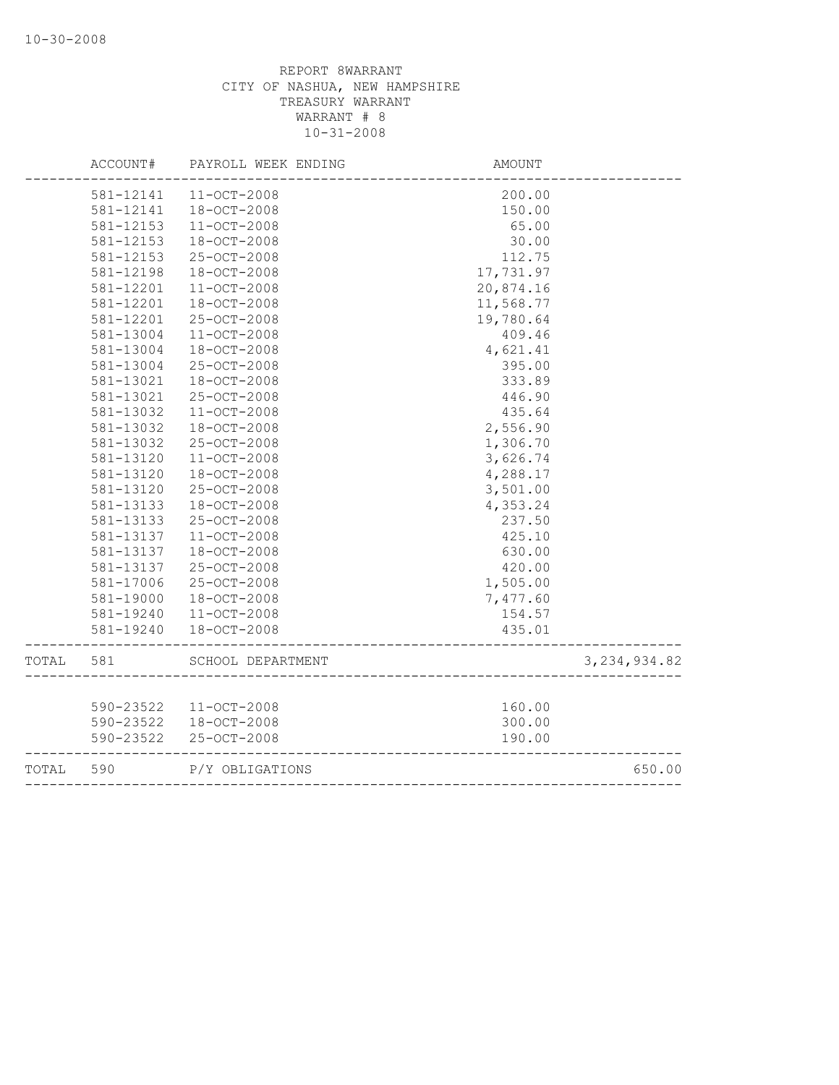|       | ACCOUNT#  | PAYROLL WEEK ENDING | <b>AMOUNT</b>                        |                |
|-------|-----------|---------------------|--------------------------------------|----------------|
|       | 581-12141 | $11 - OCT - 2008$   | 200.00                               |                |
|       | 581-12141 | 18-OCT-2008         | 150.00                               |                |
|       | 581-12153 | 11-OCT-2008         | 65.00                                |                |
|       | 581-12153 | 18-OCT-2008         | 30.00                                |                |
|       | 581-12153 | 25-OCT-2008         | 112.75                               |                |
|       | 581-12198 | 18-OCT-2008         | 17,731.97                            |                |
|       | 581-12201 | 11-OCT-2008         | 20,874.16                            |                |
|       | 581-12201 | 18-OCT-2008         | 11,568.77                            |                |
|       | 581-12201 | 25-OCT-2008         | 19,780.64                            |                |
|       | 581-13004 | 11-OCT-2008         | 409.46                               |                |
|       | 581-13004 | 18-OCT-2008         | 4,621.41                             |                |
|       | 581-13004 | 25-OCT-2008         | 395.00                               |                |
|       | 581-13021 | 18-OCT-2008         | 333.89                               |                |
|       | 581-13021 | 25-OCT-2008         | 446.90                               |                |
|       | 581-13032 | 11-OCT-2008         | 435.64                               |                |
|       | 581-13032 | 18-OCT-2008         | 2,556.90                             |                |
|       | 581-13032 | 25-OCT-2008         | 1,306.70                             |                |
|       | 581-13120 | $11 - OCT - 2008$   | 3,626.74                             |                |
|       | 581-13120 | 18-OCT-2008         | 4,288.17                             |                |
|       | 581-13120 | 25-OCT-2008         | 3,501.00                             |                |
|       | 581-13133 | 18-OCT-2008         | 4,353.24                             |                |
|       | 581-13133 | 25-OCT-2008         | 237.50                               |                |
|       | 581-13137 | 11-OCT-2008         | 425.10                               |                |
|       | 581-13137 | $18 - OCT - 2008$   | 630.00                               |                |
|       | 581-13137 | 25-OCT-2008         | 420.00                               |                |
|       | 581-17006 | 25-OCT-2008         | 1,505.00                             |                |
|       | 581-19000 | 18-OCT-2008         | 7,477.60                             |                |
|       | 581-19240 | 11-OCT-2008         | 154.57                               |                |
|       | 581-19240 | 18-OCT-2008         | 435.01                               |                |
| TOTAL | 581       | SCHOOL DEPARTMENT   |                                      | 3, 234, 934.82 |
|       |           |                     |                                      |                |
|       | 590-23522 | $11 - OCT - 2008$   | 160.00                               |                |
|       | 590-23522 | 18-OCT-2008         | 300.00                               |                |
|       | 590-23522 | 25-OCT-2008         | 190.00                               |                |
| TOTAL | 590       | P/Y OBLIGATIONS     | ------------------------------------ | 650.00         |
|       |           |                     |                                      |                |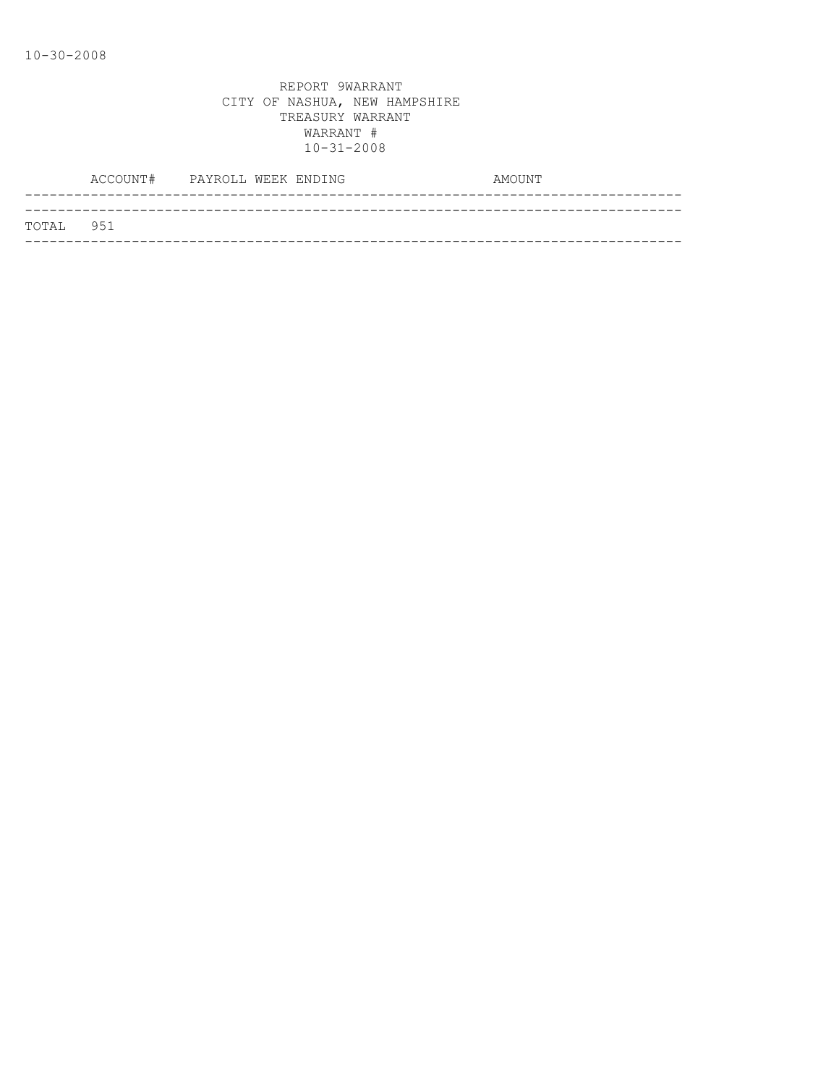|           | ACCOUNT# PAYROLL WEEK ENDING |  |  | AMOUNT |
|-----------|------------------------------|--|--|--------|
|           |                              |  |  |        |
| TOTAL 951 |                              |  |  |        |
|           |                              |  |  |        |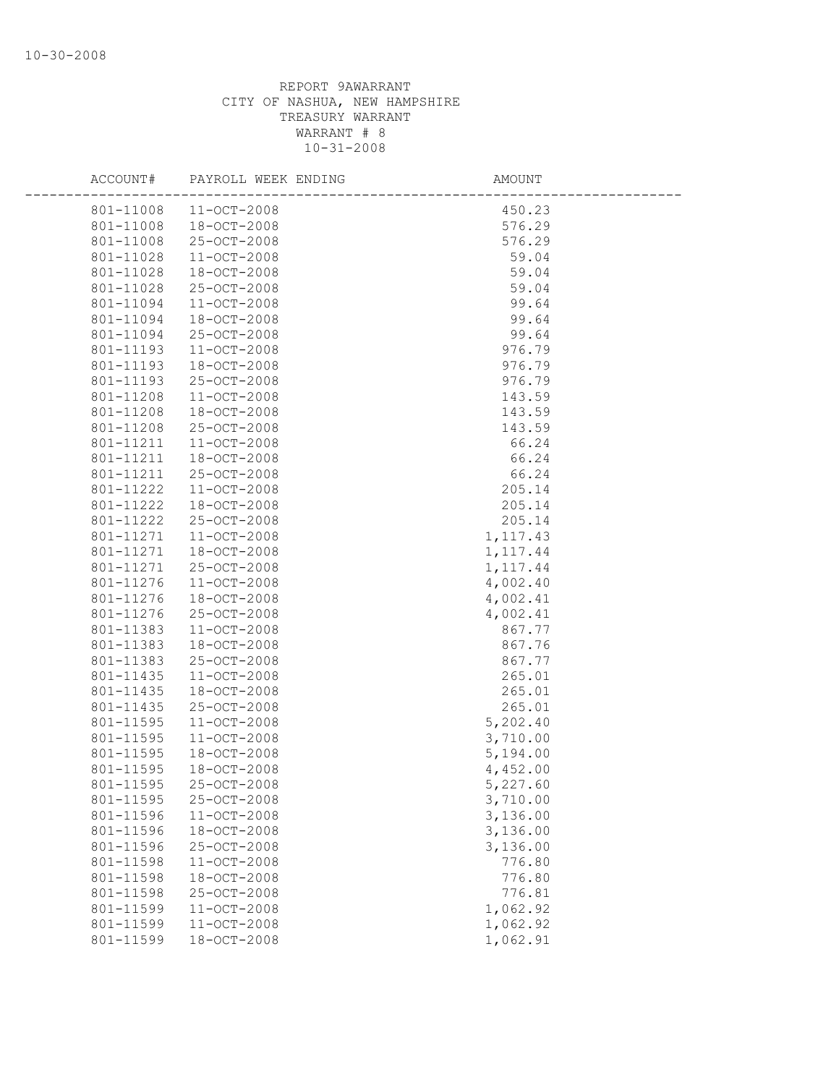| ACCOUNT#  | PAYROLL WEEK ENDING | AMOUNT    |  |
|-----------|---------------------|-----------|--|
| 801-11008 | $11 - OCT - 2008$   | 450.23    |  |
| 801-11008 | 18-OCT-2008         | 576.29    |  |
| 801-11008 | 25-OCT-2008         | 576.29    |  |
| 801-11028 | 11-OCT-2008         | 59.04     |  |
| 801-11028 | 18-OCT-2008         | 59.04     |  |
| 801-11028 | 25-OCT-2008         | 59.04     |  |
| 801-11094 | 11-OCT-2008         | 99.64     |  |
| 801-11094 | 18-OCT-2008         | 99.64     |  |
| 801-11094 | 25-OCT-2008         | 99.64     |  |
| 801-11193 | 11-OCT-2008         | 976.79    |  |
| 801-11193 | 18-OCT-2008         | 976.79    |  |
| 801-11193 | 25-OCT-2008         | 976.79    |  |
| 801-11208 | 11-OCT-2008         | 143.59    |  |
| 801-11208 | 18-OCT-2008         | 143.59    |  |
| 801-11208 | 25-OCT-2008         | 143.59    |  |
| 801-11211 | 11-OCT-2008         | 66.24     |  |
| 801-11211 | 18-OCT-2008         | 66.24     |  |
| 801-11211 | 25-OCT-2008         | 66.24     |  |
| 801-11222 | $11 - OCT - 2008$   | 205.14    |  |
| 801-11222 | 18-OCT-2008         | 205.14    |  |
| 801-11222 | 25-OCT-2008         | 205.14    |  |
| 801-11271 | 11-OCT-2008         | 1, 117.43 |  |
| 801-11271 | 18-OCT-2008         | 1, 117.44 |  |
| 801-11271 | 25-OCT-2008         | 1, 117.44 |  |
| 801-11276 | 11-OCT-2008         | 4,002.40  |  |
| 801-11276 | 18-OCT-2008         | 4,002.41  |  |
| 801-11276 | 25-OCT-2008         | 4,002.41  |  |
| 801-11383 | $11 - OCT - 2008$   | 867.77    |  |
| 801-11383 | 18-OCT-2008         | 867.76    |  |
| 801-11383 | 25-OCT-2008         | 867.77    |  |
| 801-11435 | 11-OCT-2008         | 265.01    |  |
| 801-11435 | 18-OCT-2008         | 265.01    |  |
| 801-11435 | 25-OCT-2008         | 265.01    |  |
| 801-11595 | 11-OCT-2008         | 5,202.40  |  |
| 801-11595 | 11-OCT-2008         | 3,710.00  |  |
| 801-11595 | $18 - OCT - 2008$   | 5,194.00  |  |
| 801-11595 | 18-OCT-2008         | 4,452.00  |  |
| 801-11595 | 25-OCT-2008         | 5,227.60  |  |
| 801-11595 | 25-OCT-2008         | 3,710.00  |  |
| 801-11596 | 11-OCT-2008         | 3,136.00  |  |
| 801-11596 | 18-OCT-2008         | 3,136.00  |  |
| 801-11596 | 25-OCT-2008         | 3,136.00  |  |
| 801-11598 | 11-OCT-2008         | 776.80    |  |
| 801-11598 | 18-OCT-2008         | 776.80    |  |
| 801-11598 | 25-OCT-2008         | 776.81    |  |
| 801-11599 | $11 - OCT - 2008$   | 1,062.92  |  |
| 801-11599 | 11-OCT-2008         | 1,062.92  |  |
| 801-11599 | 18-OCT-2008         | 1,062.91  |  |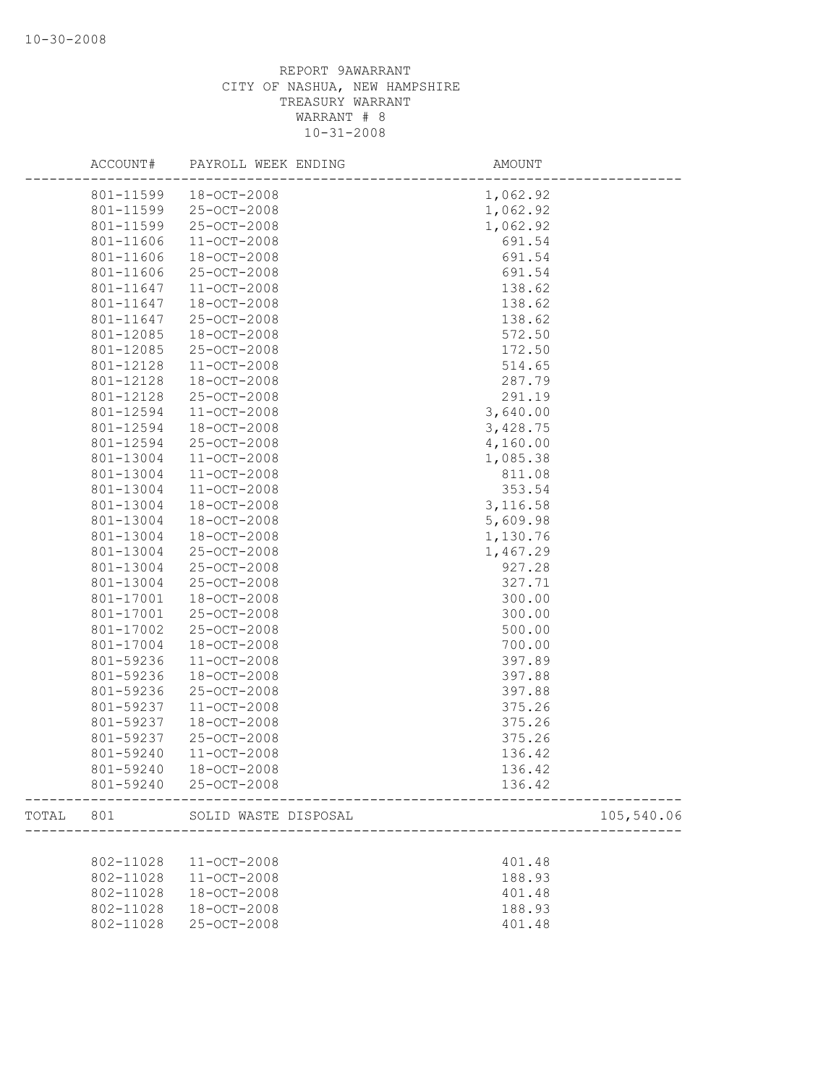|       | ACCOUNT#  | PAYROLL WEEK ENDING   | AMOUNT                       |
|-------|-----------|-----------------------|------------------------------|
|       | 801-11599 | 18-OCT-2008           | 1,062.92                     |
|       | 801-11599 | 25-OCT-2008           | 1,062.92                     |
|       | 801-11599 | 25-OCT-2008           | 1,062.92                     |
|       | 801-11606 | 11-OCT-2008           | 691.54                       |
|       | 801-11606 | 18-OCT-2008           | 691.54                       |
|       | 801-11606 | 25-OCT-2008           | 691.54                       |
|       | 801-11647 | 11-OCT-2008           | 138.62                       |
|       | 801-11647 | $18 - OCT - 2008$     | 138.62                       |
|       | 801-11647 | 25-OCT-2008           | 138.62                       |
|       | 801-12085 | 18-OCT-2008           | 572.50                       |
|       | 801-12085 | 25-OCT-2008           | 172.50                       |
|       | 801-12128 | 11-OCT-2008           | 514.65                       |
|       | 801-12128 | 18-OCT-2008           | 287.79                       |
|       | 801-12128 | 25-OCT-2008           | 291.19                       |
|       | 801-12594 | 11-OCT-2008           | 3,640.00                     |
|       | 801-12594 | 18-OCT-2008           | 3,428.75                     |
|       | 801-12594 | 25-OCT-2008           | 4,160.00                     |
|       | 801-13004 | $11 - OCT - 2008$     | 1,085.38                     |
|       | 801-13004 | 11-OCT-2008           | 811.08                       |
|       | 801-13004 | 11-OCT-2008           | 353.54                       |
|       | 801-13004 | 18-OCT-2008           | 3,116.58                     |
|       | 801-13004 | 18-OCT-2008           | 5,609.98                     |
|       | 801-13004 | 18-OCT-2008           | 1,130.76                     |
|       | 801-13004 | 25-OCT-2008           | 1,467.29                     |
|       | 801-13004 | 25-OCT-2008           | 927.28                       |
|       | 801-13004 | 25-OCT-2008           | 327.71                       |
|       | 801-17001 | 18-OCT-2008           | 300.00                       |
|       |           |                       | 300.00                       |
|       | 801-17001 | 25-OCT-2008           |                              |
|       | 801-17002 | 25-OCT-2008           | 500.00                       |
|       | 801-17004 | 18-OCT-2008           | 700.00                       |
|       | 801-59236 | $11 - OCT - 2008$     | 397.89                       |
|       | 801-59236 | 18-OCT-2008           | 397.88                       |
|       | 801-59236 | 25-OCT-2008           | 397.88                       |
|       | 801-59237 | 11-OCT-2008           | 375.26                       |
|       | 801-59237 | 18-OCT-2008           | 375.26                       |
|       | 801-59237 | 25-OCT-2008           | 375.26                       |
|       | 801-59240 | $11 - OCT - 2008$     | 136.42                       |
|       | 801-59240 | $18 - OCT - 2008$     | 136.42                       |
|       |           | 801-59240 25-OCT-2008 | 136.42                       |
| TOTAL | 801       | SOLID WASTE DISPOSAL  | 105,540.06<br>______________ |
|       |           |                       |                              |
|       | 802-11028 | 11-OCT-2008           | 401.48                       |
|       | 802-11028 | 11-OCT-2008           | 188.93                       |
|       | 802-11028 | 18-OCT-2008           | 401.48                       |
|       | 802-11028 | 18-OCT-2008           | 188.93                       |
|       | 802-11028 | 25-OCT-2008           | 401.48                       |
|       |           |                       |                              |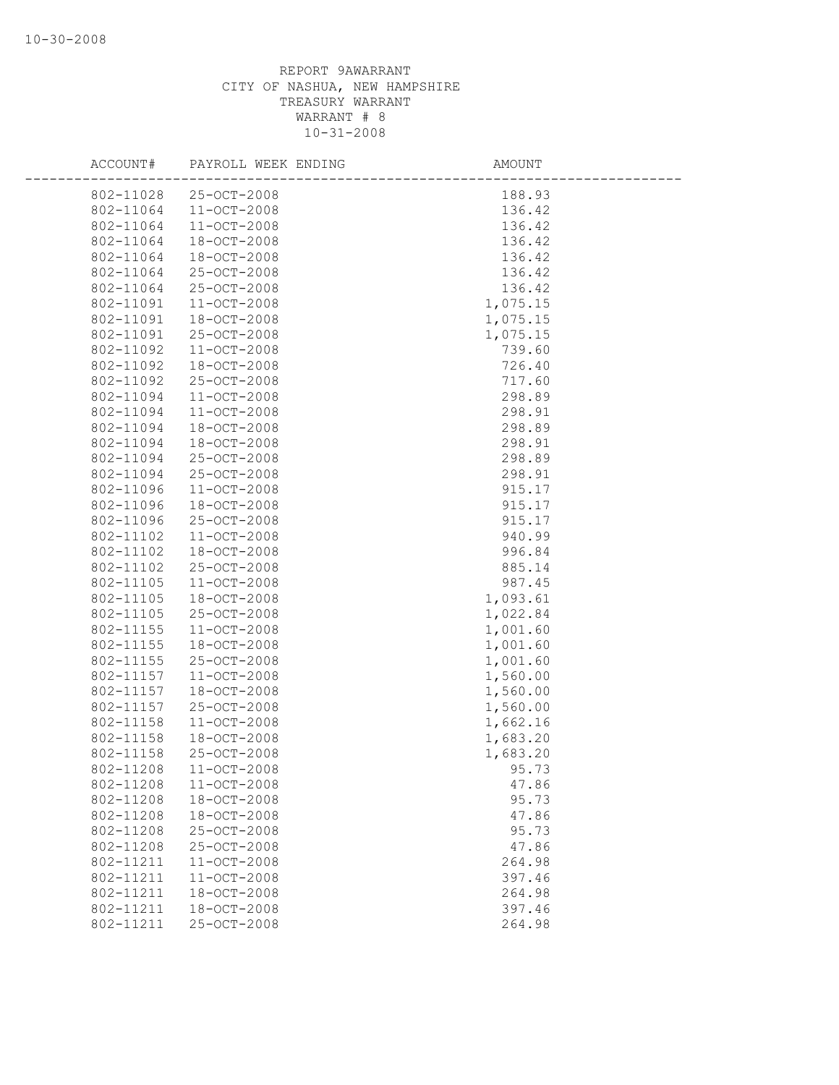| ACCOUNT#  | PAYROLL WEEK ENDING | AMOUNT   |
|-----------|---------------------|----------|
| 802-11028 | 25-OCT-2008         | 188.93   |
| 802-11064 | 11-OCT-2008         | 136.42   |
| 802-11064 | 11-OCT-2008         | 136.42   |
| 802-11064 | 18-OCT-2008         | 136.42   |
| 802-11064 | 18-OCT-2008         | 136.42   |
| 802-11064 | 25-OCT-2008         | 136.42   |
| 802-11064 | 25-OCT-2008         | 136.42   |
| 802-11091 | 11-OCT-2008         | 1,075.15 |
| 802-11091 | $18 - OCT - 2008$   | 1,075.15 |
| 802-11091 | $25 - OCT - 2008$   | 1,075.15 |
| 802-11092 | 11-OCT-2008         | 739.60   |
| 802-11092 | 18-OCT-2008         | 726.40   |
| 802-11092 | 25-OCT-2008         | 717.60   |
| 802-11094 | $11 - OCT - 2008$   | 298.89   |
| 802-11094 | $11 - OCT - 2008$   | 298.91   |
| 802-11094 | 18-OCT-2008         | 298.89   |
| 802-11094 | 18-OCT-2008         | 298.91   |
| 802-11094 | 25-OCT-2008         | 298.89   |
| 802-11094 | 25-OCT-2008         | 298.91   |
| 802-11096 | 11-OCT-2008         | 915.17   |
| 802-11096 | 18-OCT-2008         | 915.17   |
| 802-11096 | 25-OCT-2008         | 915.17   |
| 802-11102 | $11 - OCT - 2008$   | 940.99   |
| 802-11102 | 18-OCT-2008         | 996.84   |
| 802-11102 | 25-OCT-2008         | 885.14   |
| 802-11105 | 11-OCT-2008         | 987.45   |
| 802-11105 | 18-OCT-2008         | 1,093.61 |
| 802-11105 | 25-OCT-2008         | 1,022.84 |
| 802-11155 | 11-OCT-2008         | 1,001.60 |
| 802-11155 | 18-OCT-2008         | 1,001.60 |
| 802-11155 | 25-OCT-2008         | 1,001.60 |
| 802-11157 | 11-OCT-2008         | 1,560.00 |
| 802-11157 | 18-OCT-2008         | 1,560.00 |
| 802-11157 | 25-OCT-2008         | 1,560.00 |
| 802-11158 | 11-OCT-2008         | 1,662.16 |
| 802-11158 | 18-OCT-2008         | 1,683.20 |
| 802-11158 | 25-OCT-2008         | 1,683.20 |
| 802-11208 | 11-OCT-2008         | 95.73    |
| 802-11208 | $11 - OCT - 2008$   | 47.86    |
| 802-11208 | 18-OCT-2008         | 95.73    |
| 802-11208 | 18-OCT-2008         | 47.86    |
| 802-11208 | 25-OCT-2008         | 95.73    |
| 802-11208 | 25-OCT-2008         | 47.86    |
| 802-11211 | 11-OCT-2008         | 264.98   |
| 802-11211 | 11-OCT-2008         | 397.46   |
| 802-11211 | 18-OCT-2008         | 264.98   |
| 802-11211 | 18-OCT-2008         | 397.46   |
| 802-11211 | 25-OCT-2008         | 264.98   |
|           |                     |          |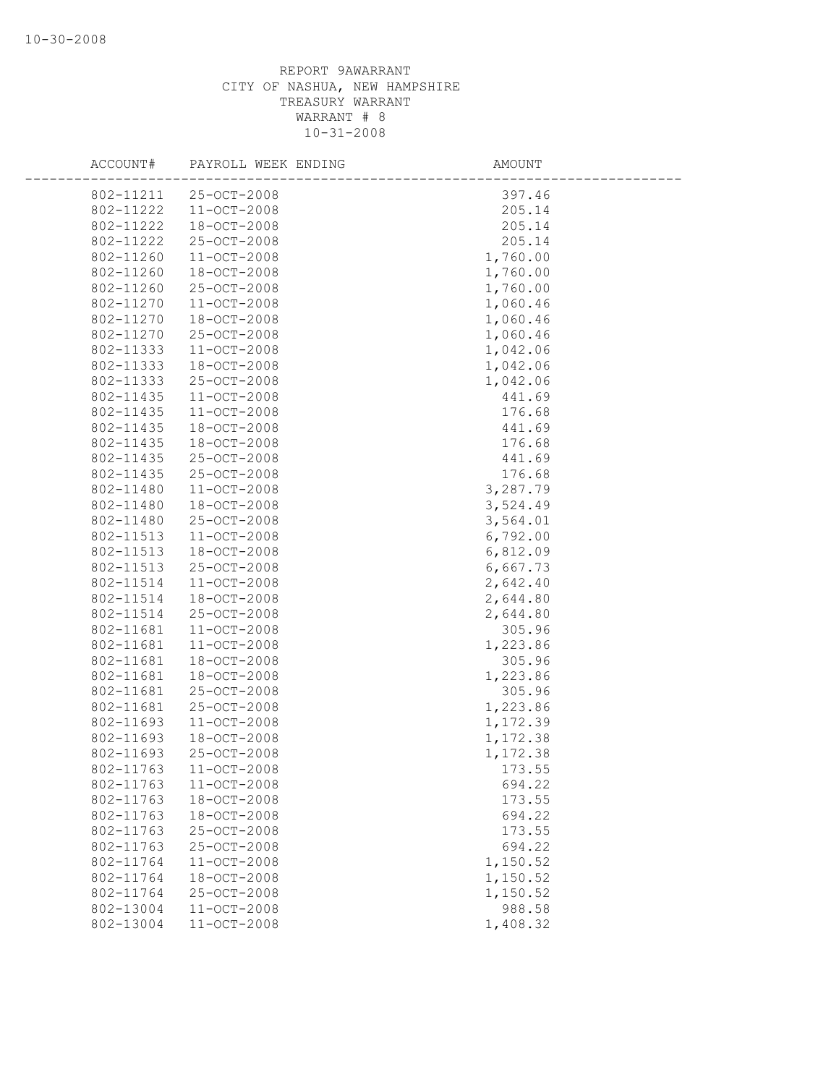| ACCOUNT#               | PAYROLL WEEK ENDING        | AMOUNT           |
|------------------------|----------------------------|------------------|
| 802-11211              | 25-OCT-2008                | 397.46           |
| 802-11222              | $11 - OCT - 2008$          | 205.14           |
| 802-11222              | $18 - OCT - 2008$          | 205.14           |
| 802-11222              | 25-OCT-2008                | 205.14           |
| 802-11260              | 11-OCT-2008                | 1,760.00         |
| 802-11260              | $18 - OCT - 2008$          | 1,760.00         |
| 802-11260              | 25-OCT-2008                | 1,760.00         |
| 802-11270              | $11 - OCT - 2008$          | 1,060.46         |
| 802-11270              | 18-OCT-2008                | 1,060.46         |
| 802-11270              | 25-OCT-2008                | 1,060.46         |
| 802-11333              | 11-OCT-2008                | 1,042.06         |
| 802-11333              | 18-OCT-2008                | 1,042.06         |
| 802-11333              | 25-OCT-2008                | 1,042.06         |
| 802-11435              | 11-OCT-2008                | 441.69           |
| 802-11435              | 11-OCT-2008                | 176.68           |
| 802-11435              | 18-OCT-2008                | 441.69           |
| 802-11435              | 18-OCT-2008                | 176.68           |
| 802-11435              | 25-OCT-2008                | 441.69           |
| 802-11435              | 25-OCT-2008                | 176.68           |
| 802-11480              | 11-OCT-2008                | 3,287.79         |
| 802-11480              | 18-OCT-2008                | 3,524.49         |
| 802-11480              | 25-OCT-2008                | 3,564.01         |
| 802-11513              | 11-OCT-2008                | 6,792.00         |
| 802-11513              | 18-OCT-2008                | 6,812.09         |
| 802-11513              | 25-OCT-2008                | 6,667.73         |
| 802-11514              | $11 - OCT - 2008$          | 2,642.40         |
| 802-11514              | 18-OCT-2008                | 2,644.80         |
| 802-11514              | 25-OCT-2008                | 2,644.80         |
| 802-11681              | 11-OCT-2008                | 305.96           |
| 802-11681              | 11-OCT-2008                | 1,223.86         |
| 802-11681              | 18-OCT-2008                | 305.96           |
| 802-11681              | 18-OCT-2008                | 1,223.86         |
| 802-11681              | 25-OCT-2008                | 305.96           |
| 802-11681              | 25-OCT-2008                | 1,223.86         |
| 802-11693              | $11 - OCT - 2008$          | 1,172.39         |
| 802-11693              | 18-OCT-2008                | 1,172.38         |
| 802-11693              | 25-OCT-2008                | 1,172.38         |
| 802-11763              | 11-OCT-2008                | 173.55           |
| 802-11763              | $11 - OCT - 2008$          | 694.22<br>173.55 |
| 802-11763<br>802-11763 | 18-OCT-2008<br>18-OCT-2008 | 694.22           |
| 802-11763              | 25-OCT-2008                | 173.55           |
| 802-11763              | 25-OCT-2008                | 694.22           |
| 802-11764              | 11-OCT-2008                | 1,150.52         |
| 802-11764              | 18-OCT-2008                | 1,150.52         |
| 802-11764              | 25-OCT-2008                | 1,150.52         |
| 802-13004              | 11-OCT-2008                | 988.58           |
| 802-13004              | 11-OCT-2008                | 1,408.32         |
|                        |                            |                  |